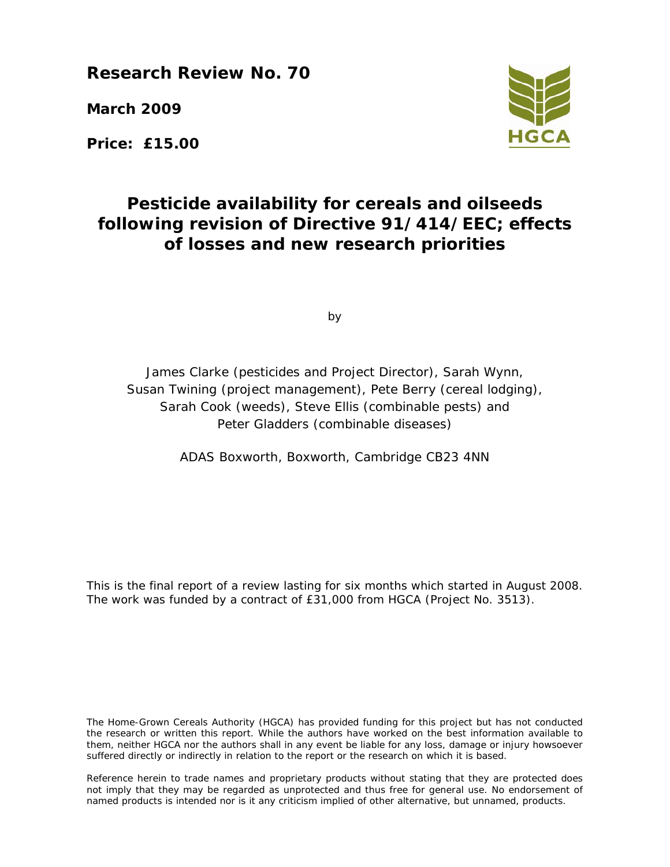**Research Review No. 70** 

**March 2009** 

**Price: £15.00** 



# **Pesticide availability for cereals and oilseeds following revision of Directive 91/414/EEC; effects of losses and new research priorities**

by

James Clarke (pesticides and Project Director), Sarah Wynn, Susan Twining (project management), Pete Berry (cereal lodging), Sarah Cook (weeds), Steve Ellis (combinable pests) and Peter Gladders (combinable diseases)

ADAS Boxworth, Boxworth, Cambridge CB23 4NN

This is the final report of a review lasting for six months which started in August 2008. The work was funded by a contract of £31,000 from HGCA (Project No. 3513).

The Home-Grown Cereals Authority (HGCA) has provided funding for this project but has not conducted the research or written this report. While the authors have worked on the best information available to them, neither HGCA nor the authors shall in any event be liable for any loss, damage or injury howsoever suffered directly or indirectly in relation to the report or the research on which it is based.

Reference herein to trade names and proprietary products without stating that they are protected does not imply that they may be regarded as unprotected and thus free for general use. No endorsement of named products is intended nor is it any criticism implied of other alternative, but unnamed, products.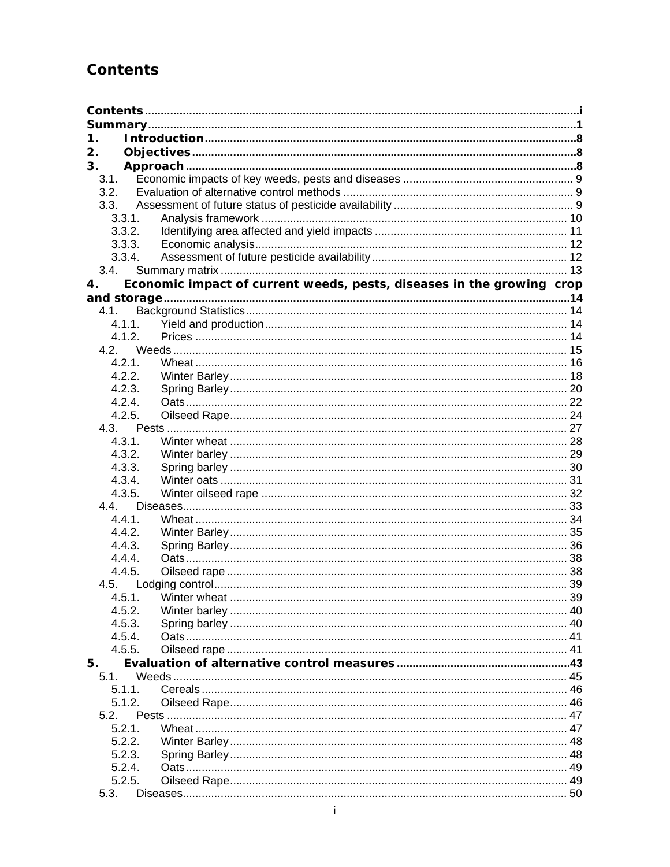# **Contents**

| 1.         |                                                                       |    |
|------------|-----------------------------------------------------------------------|----|
| 2.         |                                                                       |    |
| 3.         |                                                                       |    |
| 3.1.       |                                                                       |    |
| 3.2.       |                                                                       |    |
| 3.3.       |                                                                       |    |
| 3.3.1.     |                                                                       |    |
| 3.3.2.     |                                                                       |    |
| 3.3.3.     |                                                                       |    |
| 3.3.4.     |                                                                       |    |
| 3.4.       |                                                                       |    |
| 4.         | Economic impact of current weeds, pests, diseases in the growing crop |    |
|            |                                                                       |    |
| 4.1.       |                                                                       |    |
| 4.1.1.     |                                                                       |    |
| 4.1.2.     |                                                                       |    |
| 4.2        |                                                                       |    |
| 4.2.1.     |                                                                       |    |
| 4.2.2.     |                                                                       |    |
| 4.2.3.     |                                                                       |    |
| 4.2.4.     |                                                                       |    |
| 4.2.5.     |                                                                       |    |
| 4.3.       |                                                                       |    |
| 4.3.1.     |                                                                       |    |
| 4.3.2.     |                                                                       |    |
| 4.3.3.     |                                                                       |    |
| 4.3.4.     |                                                                       |    |
| 4.3.5.     |                                                                       |    |
| 4.4        |                                                                       |    |
| 4.4.1.     |                                                                       |    |
| 4.4.2.     |                                                                       |    |
| 4.4.3.     |                                                                       |    |
| 4.4.4.     |                                                                       |    |
| 4.4.5.     |                                                                       |    |
|            |                                                                       |    |
| 4.5.1.     |                                                                       | 39 |
| 4.5.2.     |                                                                       |    |
| 4.5.3.     |                                                                       |    |
| 4.5.4.     |                                                                       |    |
| 4.5.5.     |                                                                       |    |
| 5.<br>5.1. |                                                                       |    |
| 5.1.1.     |                                                                       |    |
| 5.1.2.     |                                                                       |    |
| 5.2.       |                                                                       |    |
| 5.2.1.     |                                                                       |    |
| 5.2.2.     |                                                                       |    |
| 5.2.3.     |                                                                       |    |
| 5.2.4.     |                                                                       |    |
| 5.2.5.     |                                                                       |    |
| 5.3.       |                                                                       |    |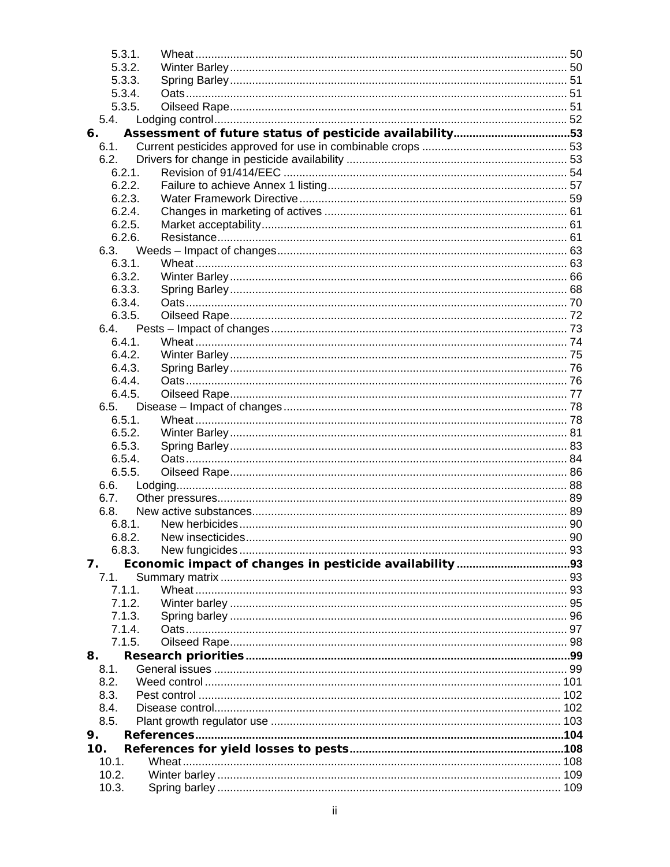| 5.3.1. |  |
|--------|--|
| 5.3.2. |  |
| 5.3.3. |  |
| 5.3.4. |  |
| 5.3.5. |  |
| 5.4.   |  |
| 6.     |  |
| 6.1.   |  |
| 6.2.   |  |
| 6.2.1. |  |
| 6.2.2. |  |
| 6.2.3. |  |
| 6.2.4. |  |
| 6.2.5. |  |
| 6.2.6. |  |
|        |  |
| 6.3.1. |  |
| 6.3.2. |  |
| 6.3.3. |  |
| 6.3.4. |  |
| 6.3.5. |  |
|        |  |
| 6.4.1. |  |
| 6.4.2. |  |
| 6.4.3. |  |
| 6.4.4. |  |
| 6.4.5. |  |
| 6.5.   |  |
| 6.5.1. |  |
| 6.5.2. |  |
| 6.5.3. |  |
| 6.5.4. |  |
| 6.5.5. |  |
| 6.6.   |  |
| 6.7.   |  |
| 6.8.   |  |
| 6.8.1. |  |
|        |  |
| 6.8.3. |  |
| 7.     |  |
| 7.1.   |  |
| 7.1.1. |  |
| 7.1.2. |  |
| 7.1.3. |  |
| 7.1.4. |  |
| 7.1.5. |  |
| 8.     |  |
| 8.1.   |  |
| 8.2.   |  |
| 8.3.   |  |
| 8.4.   |  |
| 8.5.   |  |
| 9.     |  |
| 10.    |  |
| 10.1.  |  |
| 10.2.  |  |
| 10.3.  |  |
|        |  |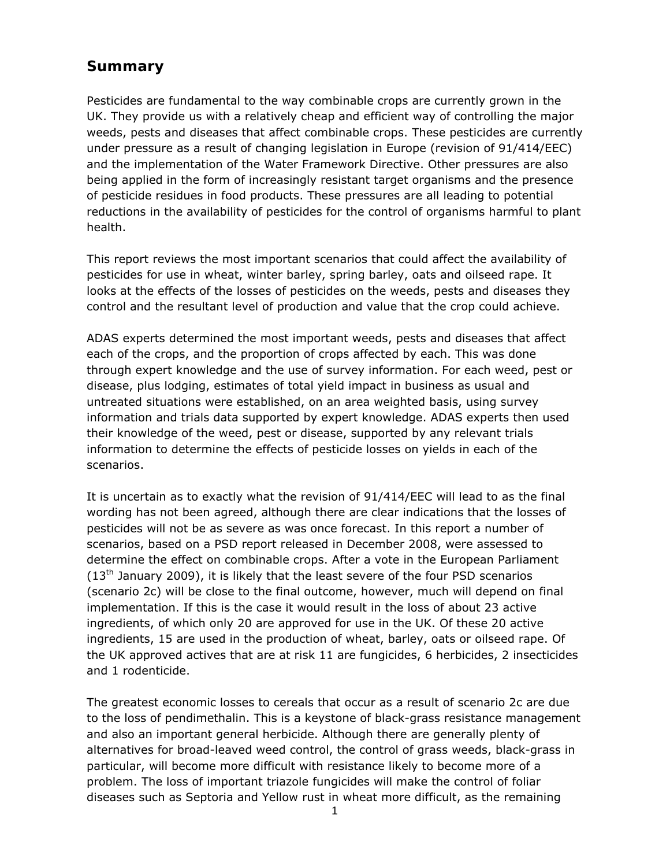# **Summary**

Pesticides are fundamental to the way combinable crops are currently grown in the UK. They provide us with a relatively cheap and efficient way of controlling the major weeds, pests and diseases that affect combinable crops. These pesticides are currently under pressure as a result of changing legislation in Europe (revision of 91/414/EEC) and the implementation of the Water Framework Directive. Other pressures are also being applied in the form of increasingly resistant target organisms and the presence of pesticide residues in food products. These pressures are all leading to potential reductions in the availability of pesticides for the control of organisms harmful to plant health.

This report reviews the most important scenarios that could affect the availability of pesticides for use in wheat, winter barley, spring barley, oats and oilseed rape. It looks at the effects of the losses of pesticides on the weeds, pests and diseases they control and the resultant level of production and value that the crop could achieve.

ADAS experts determined the most important weeds, pests and diseases that affect each of the crops, and the proportion of crops affected by each. This was done through expert knowledge and the use of survey information. For each weed, pest or disease, plus lodging, estimates of total yield impact in business as usual and untreated situations were established, on an area weighted basis, using survey information and trials data supported by expert knowledge. ADAS experts then used their knowledge of the weed, pest or disease, supported by any relevant trials information to determine the effects of pesticide losses on yields in each of the scenarios.

It is uncertain as to exactly what the revision of 91/414/EEC will lead to as the final wording has not been agreed, although there are clear indications that the losses of pesticides will not be as severe as was once forecast. In this report a number of scenarios, based on a PSD report released in December 2008, were assessed to determine the effect on combinable crops. After a vote in the European Parliament  $(13<sup>th</sup>$  January 2009), it is likely that the least severe of the four PSD scenarios (scenario 2c) will be close to the final outcome, however, much will depend on final implementation. If this is the case it would result in the loss of about 23 active ingredients, of which only 20 are approved for use in the UK. Of these 20 active ingredients, 15 are used in the production of wheat, barley, oats or oilseed rape. Of the UK approved actives that are at risk 11 are fungicides, 6 herbicides, 2 insecticides and 1 rodenticide.

The greatest economic losses to cereals that occur as a result of scenario 2c are due to the loss of pendimethalin. This is a keystone of black-grass resistance management and also an important general herbicide. Although there are generally plenty of alternatives for broad-leaved weed control, the control of grass weeds, black-grass in particular, will become more difficult with resistance likely to become more of a problem. The loss of important triazole fungicides will make the control of foliar diseases such as Septoria and Yellow rust in wheat more difficult, as the remaining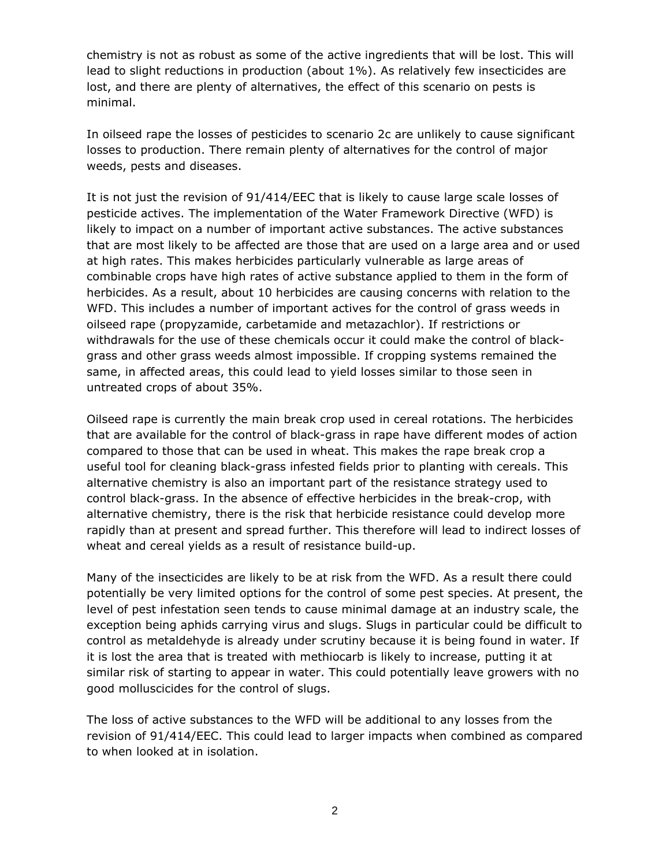chemistry is not as robust as some of the active ingredients that will be lost. This will lead to slight reductions in production (about 1%). As relatively few insecticides are lost, and there are plenty of alternatives, the effect of this scenario on pests is minimal.

In oilseed rape the losses of pesticides to scenario 2c are unlikely to cause significant losses to production. There remain plenty of alternatives for the control of major weeds, pests and diseases.

It is not just the revision of 91/414/EEC that is likely to cause large scale losses of pesticide actives. The implementation of the Water Framework Directive (WFD) is likely to impact on a number of important active substances. The active substances that are most likely to be affected are those that are used on a large area and or used at high rates. This makes herbicides particularly vulnerable as large areas of combinable crops have high rates of active substance applied to them in the form of herbicides. As a result, about 10 herbicides are causing concerns with relation to the WFD. This includes a number of important actives for the control of grass weeds in oilseed rape (propyzamide, carbetamide and metazachlor). If restrictions or withdrawals for the use of these chemicals occur it could make the control of blackgrass and other grass weeds almost impossible. If cropping systems remained the same, in affected areas, this could lead to yield losses similar to those seen in untreated crops of about 35%.

Oilseed rape is currently the main break crop used in cereal rotations. The herbicides that are available for the control of black-grass in rape have different modes of action compared to those that can be used in wheat. This makes the rape break crop a useful tool for cleaning black-grass infested fields prior to planting with cereals. This alternative chemistry is also an important part of the resistance strategy used to control black-grass. In the absence of effective herbicides in the break-crop, with alternative chemistry, there is the risk that herbicide resistance could develop more rapidly than at present and spread further. This therefore will lead to indirect losses of wheat and cereal yields as a result of resistance build-up.

Many of the insecticides are likely to be at risk from the WFD. As a result there could potentially be very limited options for the control of some pest species. At present, the level of pest infestation seen tends to cause minimal damage at an industry scale, the exception being aphids carrying virus and slugs. Slugs in particular could be difficult to control as metaldehyde is already under scrutiny because it is being found in water. If it is lost the area that is treated with methiocarb is likely to increase, putting it at similar risk of starting to appear in water. This could potentially leave growers with no good molluscicides for the control of slugs.

The loss of active substances to the WFD will be additional to any losses from the revision of 91/414/EEC. This could lead to larger impacts when combined as compared to when looked at in isolation.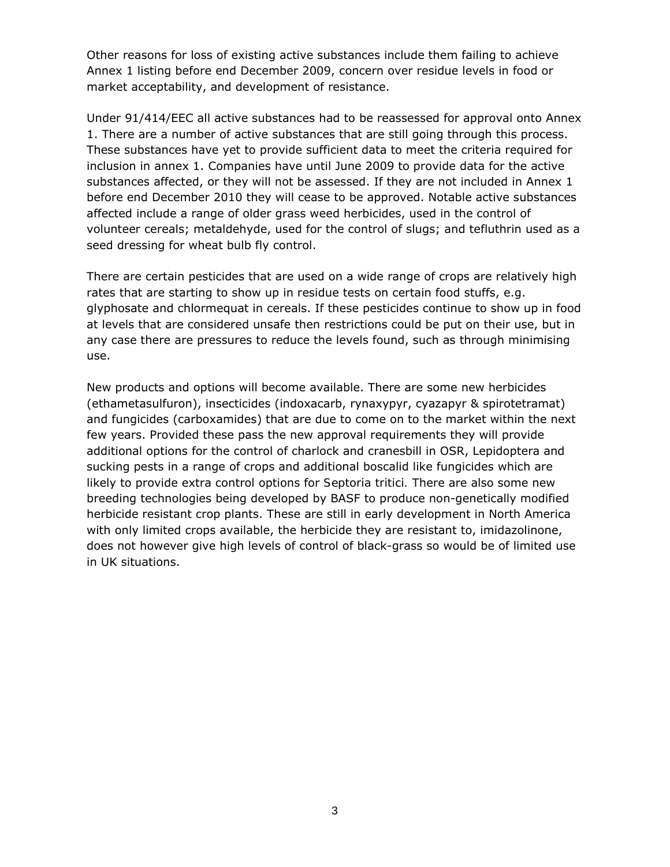Other reasons for loss of existing active substances include them failing to achieve Annex 1 listing before end December 2009, concern over residue levels in food or market acceptability, and development of resistance.

Under 91/414/EEC all active substances had to be reassessed for approval onto Annex 1. There are a number of active substances that are still going through this process. These substances have yet to provide sufficient data to meet the criteria required for inclusion in annex 1. Companies have until June 2009 to provide data for the active substances affected, or they will not be assessed. If they are not included in Annex 1 before end December 2010 they will cease to be approved. Notable active substances affected include a range of older grass weed herbicides, used in the control of volunteer cereals; metaldehyde, used for the control of slugs; and tefluthrin used as a seed dressing for wheat bulb fly control.

There are certain pesticides that are used on a wide range of crops are relatively high rates that are starting to show up in residue tests on certain food stuffs, e.g. glyphosate and chlormequat in cereals. If these pesticides continue to show up in food at levels that are considered unsafe then restrictions could be put on their use, but in any case there are pressures to reduce the levels found, such as through minimising use.

New products and options will become available. There are some new herbicides (ethametasulfuron), insecticides (indoxacarb, rynaxypyr, cyazapyr & spirotetramat) and fungicides (carboxamides) that are due to come on to the market within the next few years. Provided these pass the new approval requirements they will provide additional options for the control of charlock and cranesbill in OSR, Lepidoptera and sucking pests in a range of crops and additional boscalid like fungicides which are likely to provide extra control options for *Septoria tritici.* There are also some new breeding technologies being developed by BASF to produce non-genetically modified herbicide resistant crop plants. These are still in early development in North America with only limited crops available, the herbicide they are resistant to, imidazolinone, does not however give high levels of control of black-grass so would be of limited use in UK situations.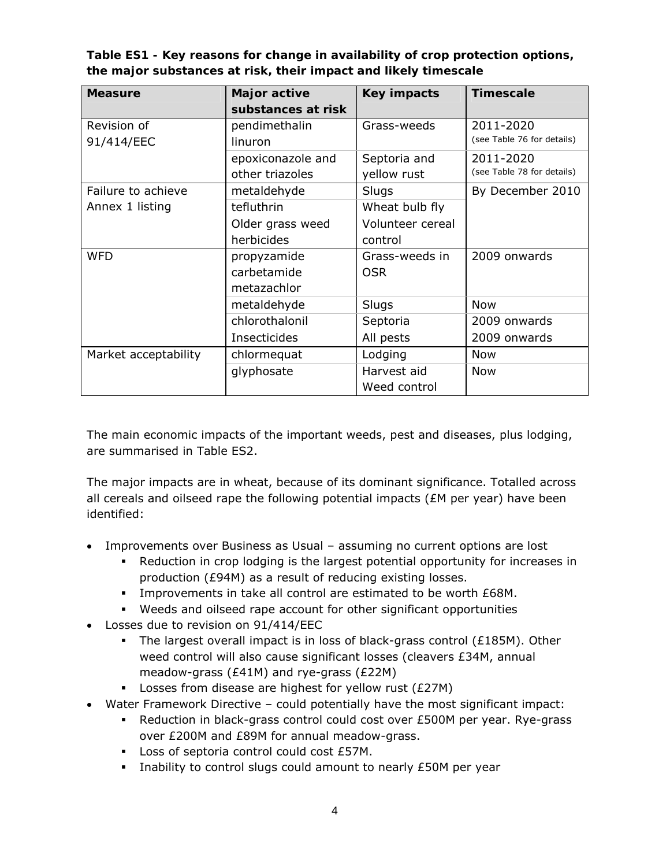**Table ES1 - Key reasons for change in availability of crop protection options, the major substances at risk, their impact and likely timescale** 

| <b>Measure</b>       | Major active        | <b>Key impacts</b> | <b>Timescale</b>           |  |  |
|----------------------|---------------------|--------------------|----------------------------|--|--|
|                      | substances at risk  |                    |                            |  |  |
| Revision of          | pendimethalin       | Grass-weeds        | 2011-2020                  |  |  |
| 91/414/EEC           | linuron             |                    | (see Table 76 for details) |  |  |
|                      | epoxiconazole and   | Septoria and       | 2011-2020                  |  |  |
|                      | other triazoles     | yellow rust        | (see Table 78 for details) |  |  |
| Failure to achieve   | metaldehyde         | Slugs              | By December 2010           |  |  |
| Annex 1 listing      | tefluthrin          | Wheat bulb fly     |                            |  |  |
|                      | Older grass weed    | Volunteer cereal   |                            |  |  |
|                      | herbicides          | control            |                            |  |  |
| <b>WFD</b>           | propyzamide         | Grass-weeds in     | 2009 onwards               |  |  |
|                      | carbetamide         | <b>OSR</b>         |                            |  |  |
|                      | metazachlor         |                    |                            |  |  |
|                      | metaldehyde         | Slugs              | <b>Now</b>                 |  |  |
|                      | chlorothalonil      | Septoria           | 2009 onwards               |  |  |
|                      | <b>Insecticides</b> | All pests          | 2009 onwards               |  |  |
| Market acceptability | chlormequat         | Lodging            | <b>Now</b>                 |  |  |
|                      | glyphosate          | Harvest aid        | <b>Now</b>                 |  |  |
|                      |                     | Weed control       |                            |  |  |

The main economic impacts of the important weeds, pest and diseases, plus lodging, are summarised in Table ES2.

The major impacts are in wheat, because of its dominant significance. Totalled across all cereals and oilseed rape the following potential impacts ( $\epsilon$ M per year) have been identified:

- Improvements over Business as Usual assuming no current options are lost
	- Reduction in crop lodging is the largest potential opportunity for increases in production (£94M) as a result of reducing existing losses.
	- **Improvements in take all control are estimated to be worth £68M.**
	- Weeds and oilseed rape account for other significant opportunities
- Losses due to revision on 91/414/EEC
	- The largest overall impact is in loss of black-grass control ( $£185M$ ). Other weed control will also cause significant losses (cleavers £34M, annual meadow-grass (£41M) and rye-grass (£22M)
	- Losses from disease are highest for yellow rust (£27M)
- Water Framework Directive could potentially have the most significant impact:
	- Reduction in black-grass control could cost over £500M per year. Rye-grass over £200M and £89M for annual meadow-grass.
	- Loss of septoria control could cost £57M.
	- Inability to control slugs could amount to nearly £50M per year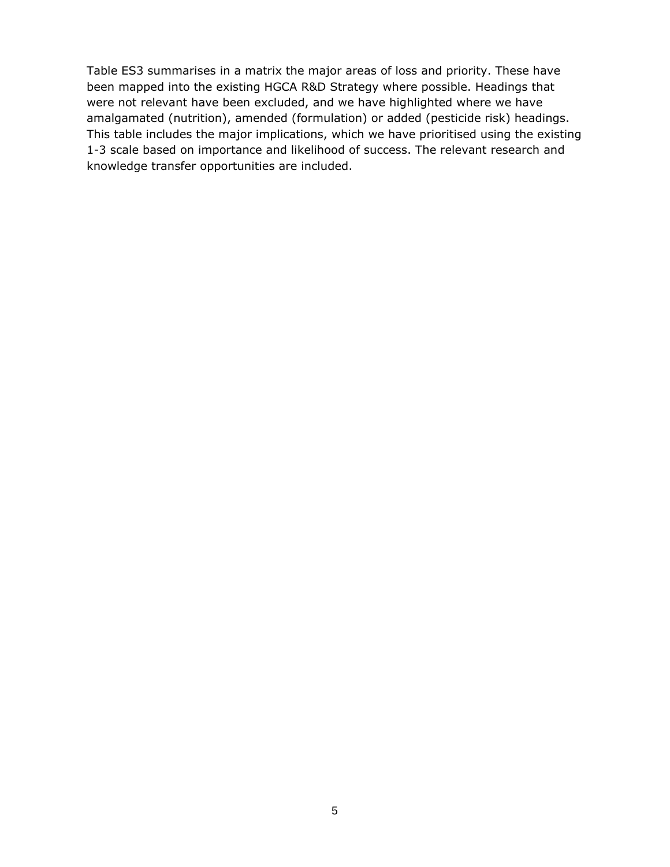Table ES3 summarises in a matrix the major areas of loss and priority. These have been mapped into the existing HGCA R&D Strategy where possible. Headings that were not relevant have been excluded, and we have highlighted where we have amalgamated (nutrition), amended (formulation) or added (pesticide risk) headings. This table includes the major implications, which we have prioritised using the existing 1-3 scale based on importance and likelihood of success. The relevant research and knowledge transfer opportunities are included.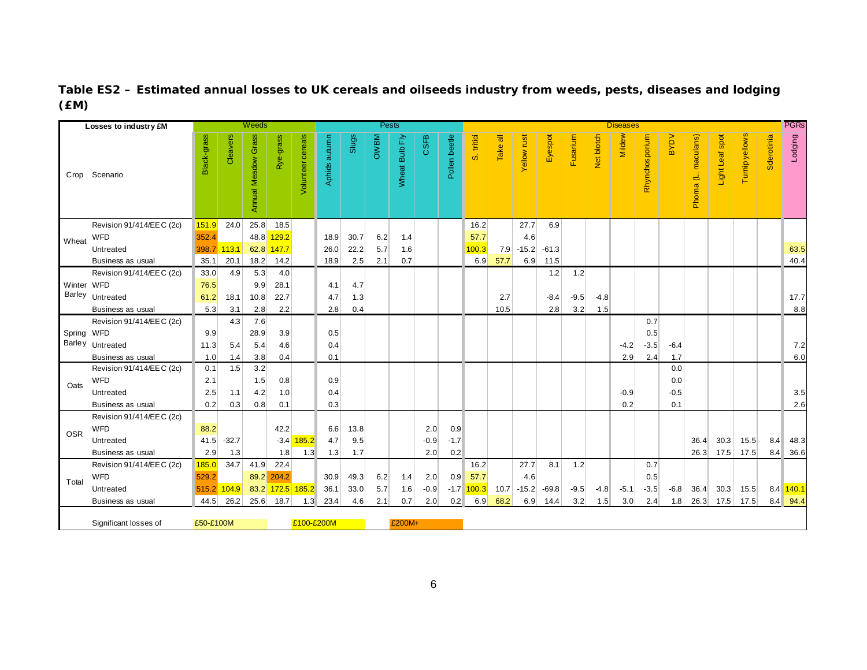## **Table ES2 – Estimated annual losses to UK cereals and oilseeds industry from weeds, pests, diseases and lodging (£M)**

|            | Losses to industry £M    |             |             | <b>Weeds</b>               |            |                          |               |       | <b>Pests</b> |                |        |               |              |                 |             |         |          |            | <b>Diseases</b> |                |             |                     |                 |                |            | <b>PGRs</b> |
|------------|--------------------------|-------------|-------------|----------------------------|------------|--------------------------|---------------|-------|--------------|----------------|--------|---------------|--------------|-----------------|-------------|---------|----------|------------|-----------------|----------------|-------------|---------------------|-----------------|----------------|------------|-------------|
| Crop       | Scenario                 | Black-grass | Cleavers    | <b>Annual Meadow Grass</b> | Rye-grass  | <b>/olunteer</b> cereals | Aphids autumn | Slugs | <b>MBWO</b>  | Wheat Bulb Fly | CSFB   | Pollen beetle | S. tritid    | <b>Take all</b> | Yellow rust | Eyespot | Fusarium | Net blotch | Mildew          | Rhynchosporium | <b>NOAB</b> | Phoma (L. maculans) | Light Leaf spot | Turnip yellows | Sderotinia | Lodging     |
|            | Revision 91/414/EEC (2c) | 151.9       | 24.0        | 25.8                       | 18.5       |                          |               |       |              |                |        |               | 16.2         |                 | 27.7        | 6.9     |          |            |                 |                |             |                     |                 |                |            |             |
| Wheat      | WFD                      | 352.4       |             | 48.8                       | 129.2      |                          | 18.9          | 30.7  | 6.2          | 1.4            |        |               | 57.7         |                 | 4.6         |         |          |            |                 |                |             |                     |                 |                |            |             |
|            | Untreated                |             | 398.7 113.1 |                            | 62.8 147.7 |                          | 26.0          | 22.2  | 5.7          | 1.6            |        |               | 100.3        | 7.9             | $-15.2$     | $-61.3$ |          |            |                 |                |             |                     |                 |                |            | 63.5        |
|            | Business as usual        | 35.1        | 20.1        | 18.2                       | 14.2       |                          | 18.9          | 2.5   | 2.1          | 0.7            |        |               | 6.9          | 57.7            | 6.9         | 11.5    |          |            |                 |                |             |                     |                 |                |            | 40.4        |
|            | Revision 91/414/EEC (2c) | 33.0        | 4.9         | 5.3                        | 4.0        |                          |               |       |              |                |        |               |              |                 |             | 1.2     | 1.2      |            |                 |                |             |                     |                 |                |            |             |
| Winter WFD |                          | 76.5        |             | 9.9                        | 28.1       |                          | 4.1           | 4.7   |              |                |        |               |              |                 |             |         |          |            |                 |                |             |                     |                 |                |            |             |
|            | Barley Untreated         | 61.2        | 18.1        | 10.8                       | 22.7       |                          | 4.7           | 1.3   |              |                |        |               |              | 2.7             |             | $-8.4$  | $-9.5$   | $-4.8$     |                 |                |             |                     |                 |                |            | 17.7        |
|            | Business as usual        | 5.3         | 3.1         | 2.8                        | 2.2        |                          | 2.8           | 0.4   |              |                |        |               |              | 10.5            |             | 2.8     | 3.2      | 1.5        |                 |                |             |                     |                 |                |            | 8.8         |
|            | Revision 91/414/EEC (2c) |             | 4.3         | 7.6                        |            |                          |               |       |              |                |        |               |              |                 |             |         |          |            |                 | 0.7            |             |                     |                 |                |            |             |
| Spring WFD |                          | 9.9         |             | 28.9                       | 3.9        |                          | 0.5           |       |              |                |        |               |              |                 |             |         |          |            |                 | 0.5            |             |                     |                 |                |            |             |
|            | Barley Untreated         | 11.3        | 5.4         | 5.4                        | 4.6        |                          | 0.4           |       |              |                |        |               |              |                 |             |         |          |            | $-4.2$          | $-3.5$         | $-6.4$      |                     |                 |                |            | 7.2         |
|            | Business as usual        | 1.0         | 1.4         | 3.8                        | 0.4        |                          | 0.1           |       |              |                |        |               |              |                 |             |         |          |            | 2.9             | 2.4            | 1.7         |                     |                 |                |            | 6.0         |
|            | Revision 91/414/EEC (2c) | 0.1         | 1.5         | 3.2                        |            |                          |               |       |              |                |        |               |              |                 |             |         |          |            |                 |                | 0.0         |                     |                 |                |            |             |
| Oats       | WFD                      | 2.1         |             | 1.5                        | 0.8        |                          | 0.9           |       |              |                |        |               |              |                 |             |         |          |            |                 |                | 0.0         |                     |                 |                |            |             |
|            | Untreated                | 2.5         | 1.1         | 4.2                        | 1.0        |                          | 0.4           |       |              |                |        |               |              |                 |             |         |          |            | $-0.9$          |                | $-0.5$      |                     |                 |                |            | 3.5         |
|            | Business as usual        | 0.2         | 0.3         | 0.8                        | 0.1        |                          | 0.3           |       |              |                |        |               |              |                 |             |         |          |            | 0.2             |                | 0.1         |                     |                 |                |            | 2.6         |
|            | Revision 91/414/EEC (2c) |             |             |                            |            |                          |               |       |              |                |        |               |              |                 |             |         |          |            |                 |                |             |                     |                 |                |            |             |
| <b>OSR</b> | WFD                      | 88.2        |             |                            | 42.2       |                          | 6.6           | 13.8  |              |                | 2.0    | 0.9           |              |                 |             |         |          |            |                 |                |             |                     |                 |                |            |             |
|            | Untreated                | 41.5        | $-32.7$     |                            | $-3.4$     | 185.2                    | 4.7           | 9.5   |              |                | $-0.9$ | $-1.7$        |              |                 |             |         |          |            |                 |                |             | 36.4                | 30.3            | 15.5           | 8.4        | 48.3        |
|            | Business as usual        | 2.9         | 1.3         |                            | 1.8        | 1.3                      | 1.3           | 1.7   |              |                | 2.0    | 0.2           |              |                 |             |         |          |            |                 |                |             | 26.3                | 17.5            | 17.5           | 8.4        | 36.6        |
|            | Revision 91/414/EEC (2c) | 185.0       | 34.7        | 41.9                       | 22.4       |                          |               |       |              |                |        |               | 16.2         |                 | 27.7        | 8.1     | 1.2      |            |                 | 0.7            |             |                     |                 |                |            |             |
| Total      | WFD                      | 529.2       |             |                            | 89.2 204.2 |                          | 30.9          | 49.3  | 6.2          | 1.4            | 2.0    | 0.9           | 57.7         |                 | 4.6         |         |          |            |                 | 0.5            |             |                     |                 |                |            |             |
|            | Untreated                | 515.2       | 104.9       |                            | 83.2 172.5 | 185.2                    | 36.1          | 33.0  | 5.7          | 1.6            | $-0.9$ |               | $-1.7$ 100.3 | 10.7            | $-15.2$     | $-69.8$ | $-9.5$   | $-4.8$     | $-5.1$          | $-3.5$         | $-6.8$      | 36.4                | 30.3            | 15.5           |            | 8.4 140.1   |
|            | Business as usual        | 44.5        | 26.2        | 25.6                       | 18.7       | 1.3                      | 23.4          | 4.6   | 2.1          | 0.7            | 2.0    | 0.2           | 6.9          | 68.2            | 6.9         | 14.4    | 3.2      | 1.5        | 3.0             | 2.4            | 1.8         | 26.3                | 17.5            | 17.5           |            | 8.4 94.4    |
|            | Significant losses of    | £50-£100M   |             |                            |            | £100-£200M               |               |       |              | £200M+         |        |               |              |                 |             |         |          |            |                 |                |             |                     |                 |                |            |             |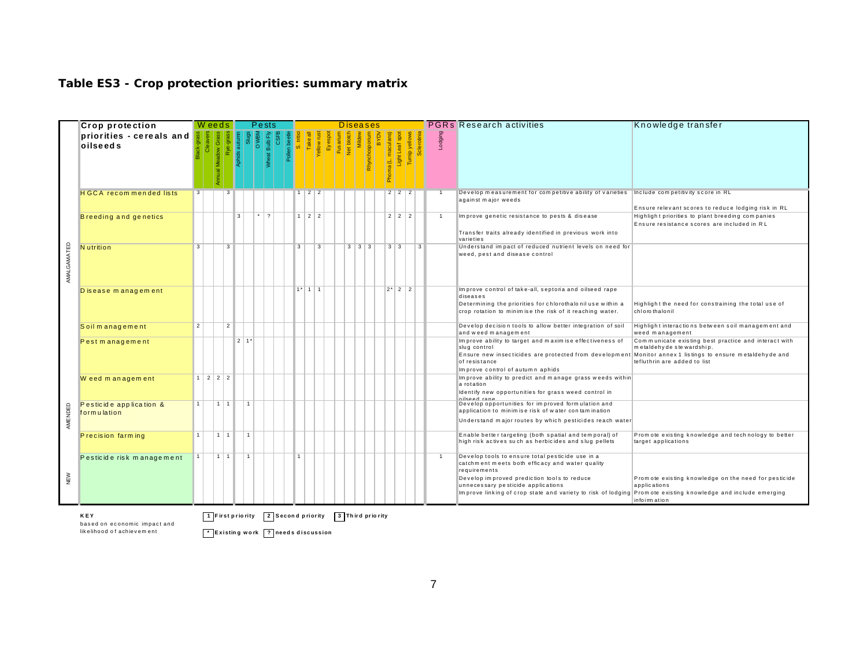|             | <b>Crop protection</b>                 |                | W eeds      |                  |                    |              | Pests                    |                             |              |              |                   |           |      |                      |                   | <b>Diseases</b>  |    |                 |                   |                |                | <b>PGRs</b> Research activities<br>Knowledge transfer                                                                                                                                                                                                                                                                                                                                                               |  |
|-------------|----------------------------------------|----------------|-------------|------------------|--------------------|--------------|--------------------------|-----------------------------|--------------|--------------|-------------------|-----------|------|----------------------|-------------------|------------------|----|-----------------|-------------------|----------------|----------------|---------------------------------------------------------------------------------------------------------------------------------------------------------------------------------------------------------------------------------------------------------------------------------------------------------------------------------------------------------------------------------------------------------------------|--|
|             | priorities - cereals and<br>oilseeds   |                |             |                  | Aphids autu        |              | $\frac{8}{10}$           | <b>CSFE</b><br>Wheat Bulb F | <b>DE ST</b> |              | <b>Take a</b>     |           | Eyes | Fusariu<br>Net blott | Milde             | Rhynchosporiu    | ΙŠ | oma (L. maculan | Light Leaf :      | yellow<br>I    | Lodging        |                                                                                                                                                                                                                                                                                                                                                                                                                     |  |
|             | <b>HGCA</b> recommended lists          | 3 <sup>1</sup> |             | -3               |                    |              |                          |                             |              |              | $\overline{2}$    | $\vert$ 2 |      |                      |                   |                  |    |                 | $2 \mid 2 \mid 2$ |                | $\mathbf{1}$   | Develop measurement for competitive ability of varieties Include competitivity score in RL<br>against major weeds<br>Ensure relevant scores to reduce lodging risk in RL                                                                                                                                                                                                                                            |  |
|             | Breeding and genetics                  |                |             |                  | 3                  |              | $\overline{\phantom{a}}$ |                             |              |              | $1 \mid 2 \mid 2$ |           |      |                      |                   |                  |    |                 | $2 \mid 2 \mid 2$ |                | $\overline{1}$ | Improve genetic resistance to pests & disease<br>Highlight priorities to plant breeding companies<br>Ensure resistance scores are included in RL<br>Transfer traits already identified in previous work into<br>varieties                                                                                                                                                                                           |  |
| AMALGAMATED | <b>N</b> utrition                      | $\mathbf{3}$   |             | 3                |                    |              |                          |                             |              | 3            |                   | 3         |      |                      | $3 \mid 3 \mid 3$ |                  |    | $3 \mid 3$      |                   | $\overline{3}$ |                | Understand impact of reduced nutrient levels on need for<br>weed, pest and disease control                                                                                                                                                                                                                                                                                                                          |  |
|             | Disease management                     |                |             |                  |                    |              |                          |                             |              |              | $1*1111$          |           |      |                      |                   |                  |    |                 | $2^{\star}$ 2 2   |                |                | Improve control of take-all, septoria and oilseed rape<br>diseases<br>Determining the priorities for chlorothalonil use within a<br>Highlight the need for constraining the total use of<br>crop rotation to minimise the risk of it reaching water.<br>chloro thalonil                                                                                                                                             |  |
|             | Soil management                        | $\overline{2}$ |             | $\overline{2}$   |                    |              |                          |                             |              |              |                   |           |      |                      |                   |                  |    |                 |                   |                |                | Develop decision tools to allow better integration of soil<br>Highlight interactions between soil management and<br>and weed management<br>weed management                                                                                                                                                                                                                                                          |  |
|             | Pest management                        |                |             |                  | $2 1$ <sup>*</sup> |              |                          |                             |              |              |                   |           |      |                      |                   |                  |    |                 |                   |                |                | Improve ability to target and maximise effectiveness of<br>Communicate existing best practice and interact with<br>slug control<br>metaldehyde stewardship.<br>Ensure new insecticides are protected from development<br>Monitor annex 1 listings to ensure metaldehyde and<br>tefluthrin are added to list<br>of resistance<br>Improve control of autumn aphids                                                    |  |
|             | Weed management                        |                | 1222        |                  |                    |              |                          |                             |              |              |                   |           |      |                      |                   |                  |    |                 |                   |                |                | Improve ability to predict and manage grass weeds within<br>a rotation<br>Identify new opportunities for grass weed control in<br>oilseed rane                                                                                                                                                                                                                                                                      |  |
| AMENDED     | Pesticide application &<br>formulation |                |             | $1 \mid 1$       |                    | $\mathbf{1}$ |                          |                             |              |              |                   |           |      |                      |                   |                  |    |                 |                   |                |                | Develop opportunities for improved formulation and<br>application to minimise risk of water contamination<br>Understand major routes by which pesticides reach water                                                                                                                                                                                                                                                |  |
|             | Precision farm ing                     | 1              | $1 \vert 1$ |                  |                    | l 1.         |                          |                             |              |              |                   |           |      |                      |                   |                  |    |                 |                   |                |                | Enable better targeting (both spatial and temporal) of<br>Promote existing knowledge and technology to better<br>high risk actives such as herbicides and slug pellets<br>target applications                                                                                                                                                                                                                       |  |
| NEW         | Pesticide risk management              | 1 <sup>1</sup> |             | 111              |                    | $\vert$ 1    |                          |                             |              | $\mathbf{1}$ |                   |           |      |                      |                   |                  |    |                 |                   |                | $\overline{1}$ | Develop tools to ensure total pesticide use in a<br>catchm ent meets both efficacy and water quality<br>requirements<br>Develop improved prediction tools to reduce<br>Promote existing knowledge on the need for pesticide<br>unnecessary pesticide applications<br>applications<br>Improve linking of crop state and variety to risk of lodging<br>Promote existing knowledge and include emerging<br>infoimation |  |
|             | <b>KEY</b>                             |                |             | 1 First priority |                    |              |                          |                             |              |              | 2 Second priority |           |      |                      |                   | 3 Third priority |    |                 |                   |                |                |                                                                                                                                                                                                                                                                                                                                                                                                                     |  |

#### **Table ES3 - Crop protection priorities: summary matrix**

based on economic impact and lik e lih o o d o f a ch ie v e m e n t

\* | Existing work | ? | needs discussion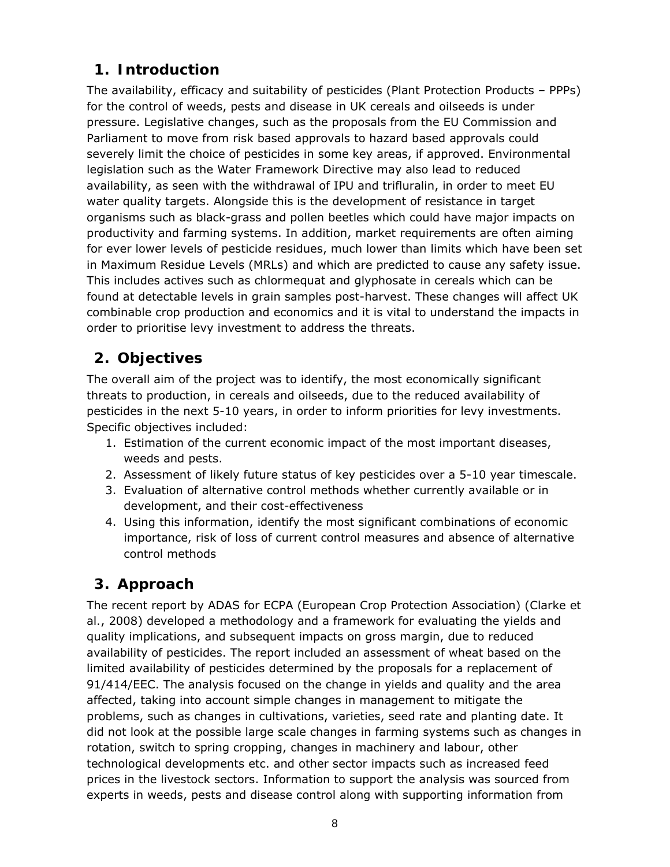# **1. Introduction**

The availability, efficacy and suitability of pesticides (Plant Protection Products – PPPs) for the control of weeds, pests and disease in UK cereals and oilseeds is under pressure. Legislative changes, such as the proposals from the EU Commission and Parliament to move from risk based approvals to hazard based approvals could severely limit the choice of pesticides in some key areas, if approved. Environmental legislation such as the Water Framework Directive may also lead to reduced availability, as seen with the withdrawal of IPU and trifluralin, in order to meet EU water quality targets. Alongside this is the development of resistance in target organisms such as black-grass and pollen beetles which could have major impacts on productivity and farming systems. In addition, market requirements are often aiming for ever lower levels of pesticide residues, much lower than limits which have been set in Maximum Residue Levels (MRLs) and which are predicted to cause any safety issue. This includes actives such as chlormequat and glyphosate in cereals which can be found at detectable levels in grain samples post-harvest. These changes will affect UK combinable crop production and economics and it is vital to understand the impacts in order to prioritise levy investment to address the threats.

# **2. Objectives**

The overall aim of the project was to identify, the most economically significant threats to production, in cereals and oilseeds, due to the reduced availability of pesticides in the next 5-10 years, in order to inform priorities for levy investments. Specific objectives included:

- 1. Estimation of the current economic impact of the most important diseases, weeds and pests.
- 2. Assessment of likely future status of key pesticides over a 5-10 year timescale.
- 3. Evaluation of alternative control methods whether currently available or in development, and their cost-effectiveness
- 4. Using this information, identify the most significant combinations of economic importance, risk of loss of current control measures and absence of alternative control methods

# **3. Approach**

The recent report by ADAS for ECPA (European Crop Protection Association) (Clarke *et al.*, 2008) developed a methodology and a framework for evaluating the yields and quality implications, and subsequent impacts on gross margin, due to reduced availability of pesticides. The report included an assessment of wheat based on the limited availability of pesticides determined by the proposals for a replacement of 91/414/EEC. The analysis focused on the change in yields and quality and the area affected, taking into account simple changes in management to mitigate the problems, such as changes in cultivations, varieties, seed rate and planting date. It did not look at the possible large scale changes in farming systems such as changes in rotation, switch to spring cropping, changes in machinery and labour, other technological developments etc. and other sector impacts such as increased feed prices in the livestock sectors. Information to support the analysis was sourced from experts in weeds, pests and disease control along with supporting information from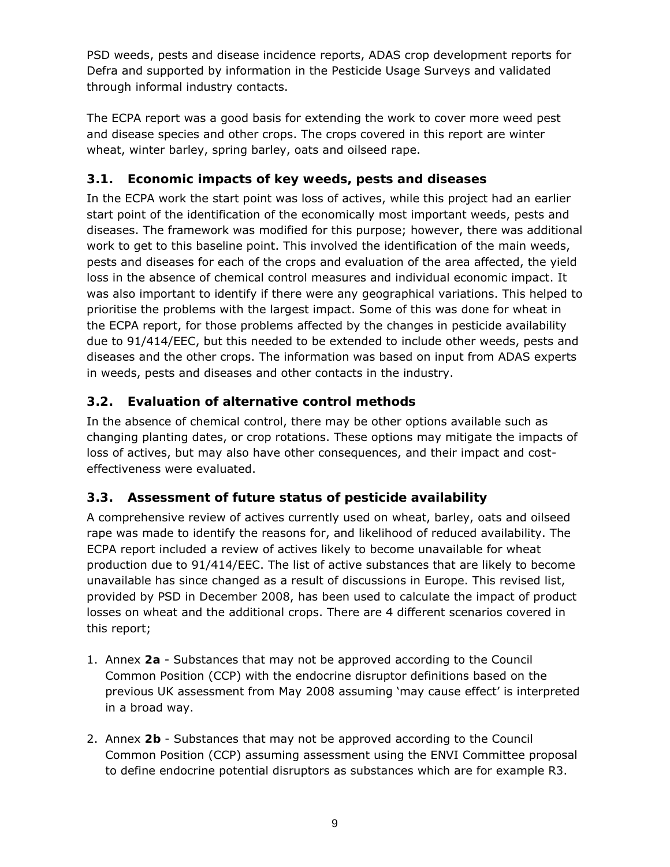PSD weeds, pests and disease incidence reports, ADAS crop development reports for Defra and supported by information in the Pesticide Usage Surveys and validated through informal industry contacts.

The ECPA report was a good basis for extending the work to cover more weed pest and disease species and other crops. The crops covered in this report are winter wheat, winter barley, spring barley, oats and oilseed rape.

## **3.1. Economic impacts of key weeds, pests and diseases**

In the ECPA work the start point was loss of actives, while this project had an earlier start point of the identification of the economically most important weeds, pests and diseases. The framework was modified for this purpose; however, there was additional work to get to this baseline point. This involved the identification of the main weeds, pests and diseases for each of the crops and evaluation of the area affected, the yield loss in the absence of chemical control measures and individual economic impact. It was also important to identify if there were any geographical variations. This helped to prioritise the problems with the largest impact. Some of this was done for wheat in the ECPA report, for those problems affected by the changes in pesticide availability due to 91/414/EEC, but this needed to be extended to include other weeds, pests and diseases and the other crops. The information was based on input from ADAS experts in weeds, pests and diseases and other contacts in the industry.

# **3.2. Evaluation of alternative control methods**

In the absence of chemical control, there may be other options available such as changing planting dates, or crop rotations. These options may mitigate the impacts of loss of actives, but may also have other consequences, and their impact and costeffectiveness were evaluated.

# **3.3. Assessment of future status of pesticide availability**

A comprehensive review of actives currently used on wheat, barley, oats and oilseed rape was made to identify the reasons for, and likelihood of reduced availability. The ECPA report included a review of actives likely to become unavailable for wheat production due to 91/414/EEC. The list of active substances that are likely to become unavailable has since changed as a result of discussions in Europe. This revised list, provided by PSD in December 2008, has been used to calculate the impact of product losses on wheat and the additional crops. There are 4 different scenarios covered in this report;

- 1. Annex **2a** Substances that may not be approved according to the Council Common Position (CCP) with the endocrine disruptor definitions based on the previous UK assessment from May 2008 assuming 'may cause effect' is interpreted in a broad way.
- 2. Annex **2b** Substances that may not be approved according to the Council Common Position (CCP) assuming assessment using the ENVI Committee proposal to define endocrine potential disruptors as substances which are for example R3.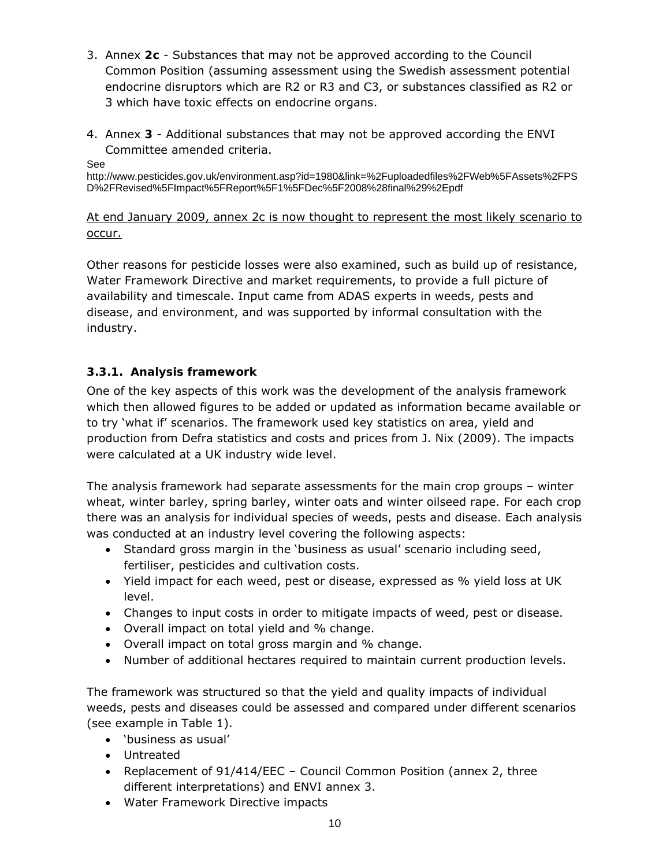- 3. Annex **2c** Substances that may not be approved according to the Council Common Position (assuming assessment using the Swedish assessment potential endocrine disruptors which are R2 or R3 and C3, or substances classified as R2 or 3 which have toxic effects on endocrine organs.
- 4. Annex **3** Additional substances that may not be approved according the ENVI Committee amended criteria.

See

http://www.pesticides.gov.uk/environment.asp?id=1980&link=%2Fuploadedfiles%2FWeb%5FAssets%2FPS D%2FRevised%5FImpact%5FReport%5F1%5FDec%5F2008%28final%29%2Epdf

## At end January 2009, annex 2c is now thought to represent the most likely scenario to occur.

Other reasons for pesticide losses were also examined, such as build up of resistance, Water Framework Directive and market requirements, to provide a full picture of availability and timescale. Input came from ADAS experts in weeds, pests and disease, and environment, and was supported by informal consultation with the industry.

## **3.3.1. Analysis framework**

One of the key aspects of this work was the development of the analysis framework which then allowed figures to be added or updated as information became available or to try 'what if' scenarios. The framework used key statistics on area, yield and production from Defra statistics and costs and prices from J. Nix (2009). The impacts were calculated at a UK industry wide level.

The analysis framework had separate assessments for the main crop groups – winter wheat, winter barley, spring barley, winter oats and winter oilseed rape. For each crop there was an analysis for individual species of weeds, pests and disease. Each analysis was conducted at an industry level covering the following aspects:

- Standard gross margin in the 'business as usual' scenario including seed, fertiliser, pesticides and cultivation costs.
- Yield impact for each weed, pest or disease, expressed as % yield loss at UK level.
- Changes to input costs in order to mitigate impacts of weed, pest or disease.
- Overall impact on total yield and % change.
- Overall impact on total gross margin and % change.
- Number of additional hectares required to maintain current production levels.

The framework was structured so that the yield and quality impacts of individual weeds, pests and diseases could be assessed and compared under different scenarios (see example in Table 1).

- 'business as usual'
- Untreated
- Replacement of 91/414/EEC Council Common Position (annex 2, three different interpretations) and ENVI annex 3.
- Water Framework Directive impacts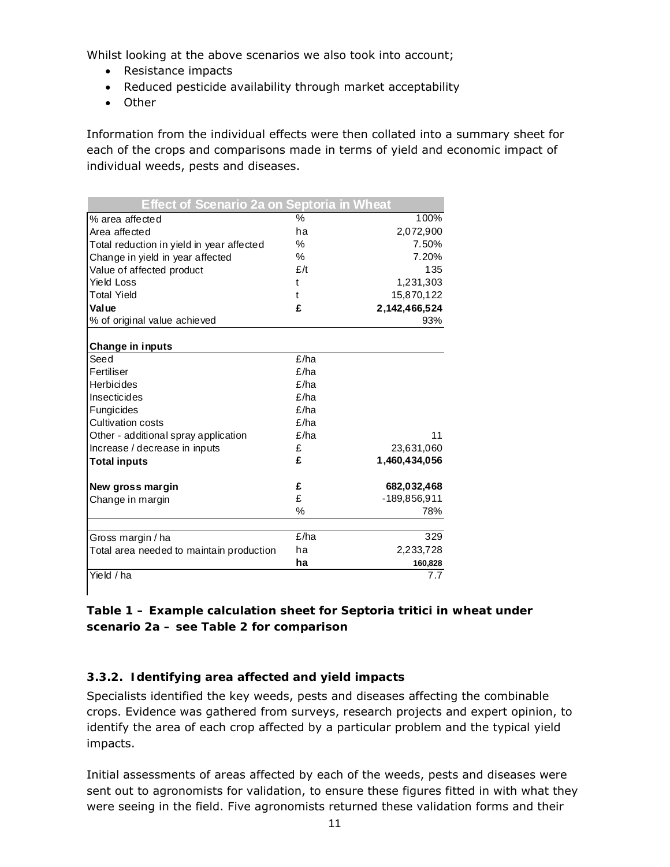Whilst looking at the above scenarios we also took into account;

- Resistance impacts
- Reduced pesticide availability through market acceptability
- Other

Information from the individual effects were then collated into a summary sheet for each of the crops and comparisons made in terms of yield and economic impact of individual weeds, pests and diseases.

| Effect of Scenario 2a on Septoria in Wheat |      |               |
|--------------------------------------------|------|---------------|
| % area affected                            | $\%$ | 100%          |
| Area affected                              | ha   | 2,072,900     |
| Total reduction in yield in year affected  | %    | 7.50%         |
| Change in yield in year affected           | $\%$ | 7.20%         |
| Value of affected product                  | E/t  | 135           |
| <b>Yield Loss</b>                          | t    | 1,231,303     |
| <b>Total Yield</b>                         | t    | 15,870,122    |
| Value                                      | £    | 2,142,466,524 |
| % of original value achieved               |      | 93%           |
|                                            |      |               |
| Change in inputs                           |      |               |
| Seed                                       | £/ha |               |
| Fertiliser                                 | E/ha |               |
| Herbicides                                 | f/ha |               |
| Insecticides                               | £/ha |               |
| Fungicides                                 | E/ha |               |
| <b>Cultivation costs</b>                   | E/ha |               |
| Other - additional spray application       | f/ha | 11            |
| Increase / decrease in inputs              | £    | 23,631,060    |
| <b>Total inputs</b>                        | £    | 1,460,434,056 |
| New gross margin                           | £    | 682,032,468   |
| Change in margin                           | £    | -189,856,911  |
|                                            | %    | 78%           |
|                                            |      |               |
| Gross margin / ha                          | £/ha | 329           |
| Total area needed to maintain production   | ha   | 2,233,728     |
|                                            | ha   | 160,828       |
| Yield / ha                                 |      | 7.7           |

### **Table 1 – Example calculation sheet for** *Septoria tritici* **in wheat under scenario 2a – see Table 2 for comparison**

### **3.3.2. Identifying area affected and yield impacts**

Specialists identified the key weeds, pests and diseases affecting the combinable crops. Evidence was gathered from surveys, research projects and expert opinion, to identify the area of each crop affected by a particular problem and the typical yield impacts.

Initial assessments of areas affected by each of the weeds, pests and diseases were sent out to agronomists for validation, to ensure these figures fitted in with what they were seeing in the field. Five agronomists returned these validation forms and their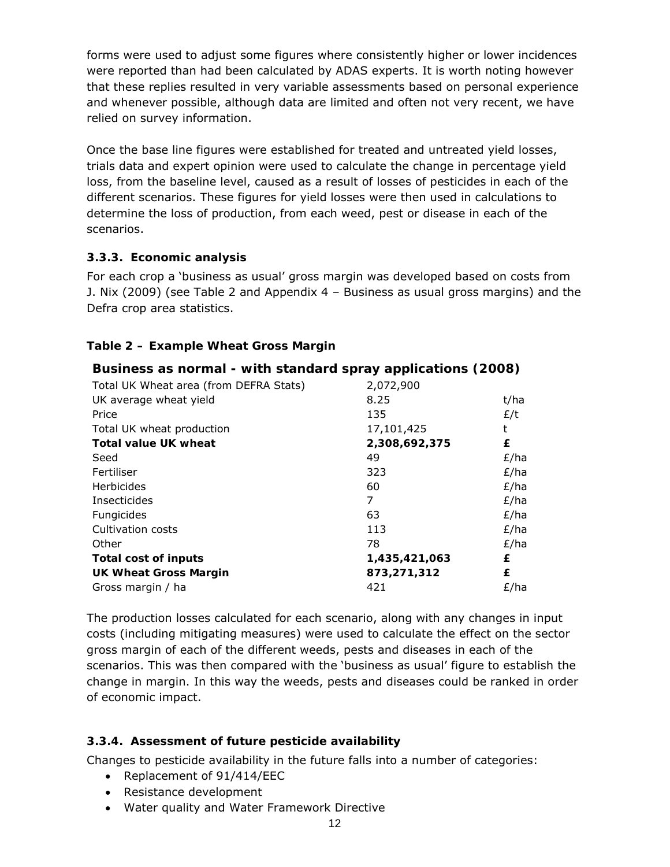forms were used to adjust some figures where consistently higher or lower incidences were reported than had been calculated by ADAS experts. It is worth noting however that these replies resulted in very variable assessments based on personal experience and whenever possible, although data are limited and often not very recent, we have relied on survey information.

Once the base line figures were established for treated and untreated yield losses, trials data and expert opinion were used to calculate the change in percentage yield loss, from the baseline level, caused as a result of losses of pesticides in each of the different scenarios. These figures for yield losses were then used in calculations to determine the loss of production, from each weed, pest or disease in each of the scenarios.

#### **3.3.3. Economic analysis**

For each crop a 'business as usual' gross margin was developed based on costs from J. Nix (2009) (see Table 2 and Appendix 4 – Business as usual gross margins) and the Defra crop area statistics.

### **Table 2 – Example Wheat Gross Margin**

### **Business as normal - with standard spray applications (2008)**

| Total UK Wheat area (from DEFRA Stats) | 2,072,900     |      |
|----------------------------------------|---------------|------|
| UK average wheat yield                 | 8.25          | t/ha |
| Price                                  | 135           | E/t  |
| Total UK wheat production              | 17,101,425    | t    |
| <b>Total value UK wheat</b>            | 2,308,692,375 | £    |
| Seed                                   | 49            | £/ha |
| Fertiliser                             | 323           | E/ha |
| Herbicides                             | 60            | E/ha |
| Insecticides                           | 7             | £/ha |
| Fungicides                             | 63            | E/ha |
| Cultivation costs                      | 113           | E/ha |
| Other                                  | 78            | E/ha |
| Total cost of inputs                   | 1,435,421,063 | £    |
| <b>UK Wheat Gross Margin</b>           | 873,271,312   | £    |
| Gross margin / ha                      | 421           | £/ha |

The production losses calculated for each scenario, along with any changes in input costs (including mitigating measures) were used to calculate the effect on the sector gross margin of each of the different weeds, pests and diseases in each of the scenarios. This was then compared with the 'business as usual' figure to establish the change in margin. In this way the weeds, pests and diseases could be ranked in order of economic impact.

### **3.3.4. Assessment of future pesticide availability**

Changes to pesticide availability in the future falls into a number of categories:

- Replacement of 91/414/EEC
- Resistance development
- Water quality and Water Framework Directive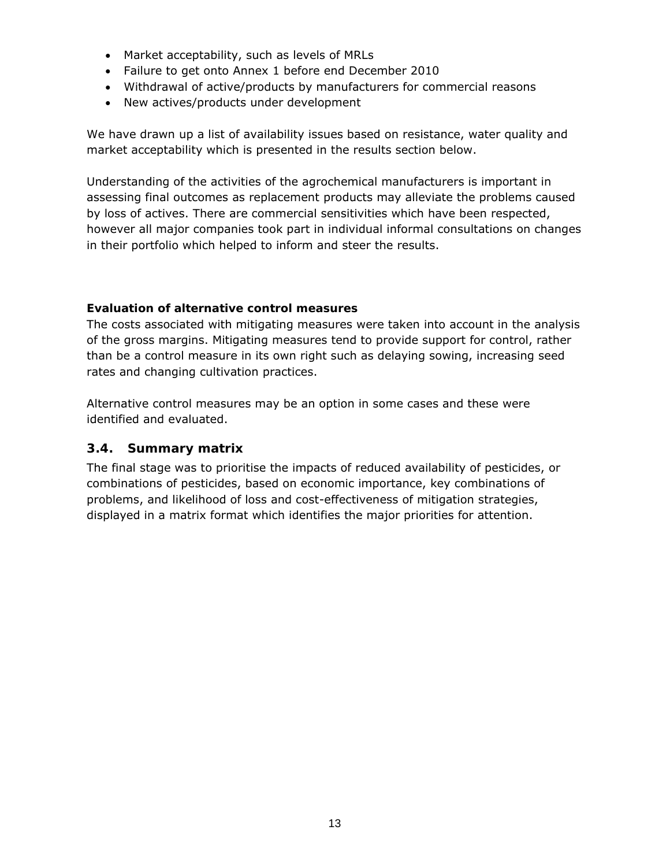- Market acceptability, such as levels of MRLs
- Failure to get onto Annex 1 before end December 2010
- Withdrawal of active/products by manufacturers for commercial reasons
- New actives/products under development

We have drawn up a list of availability issues based on resistance, water quality and market acceptability which is presented in the results section below.

Understanding of the activities of the agrochemical manufacturers is important in assessing final outcomes as replacement products may alleviate the problems caused by loss of actives. There are commercial sensitivities which have been respected, however all major companies took part in individual informal consultations on changes in their portfolio which helped to inform and steer the results.

#### **Evaluation of alternative control measures**

The costs associated with mitigating measures were taken into account in the analysis of the gross margins. Mitigating measures tend to provide support for control, rather than be a control measure in its own right such as delaying sowing, increasing seed rates and changing cultivation practices.

Alternative control measures may be an option in some cases and these were identified and evaluated.

#### **3.4. Summary matrix**

The final stage was to prioritise the impacts of reduced availability of pesticides, or combinations of pesticides, based on economic importance, key combinations of problems, and likelihood of loss and cost-effectiveness of mitigation strategies, displayed in a matrix format which identifies the major priorities for attention.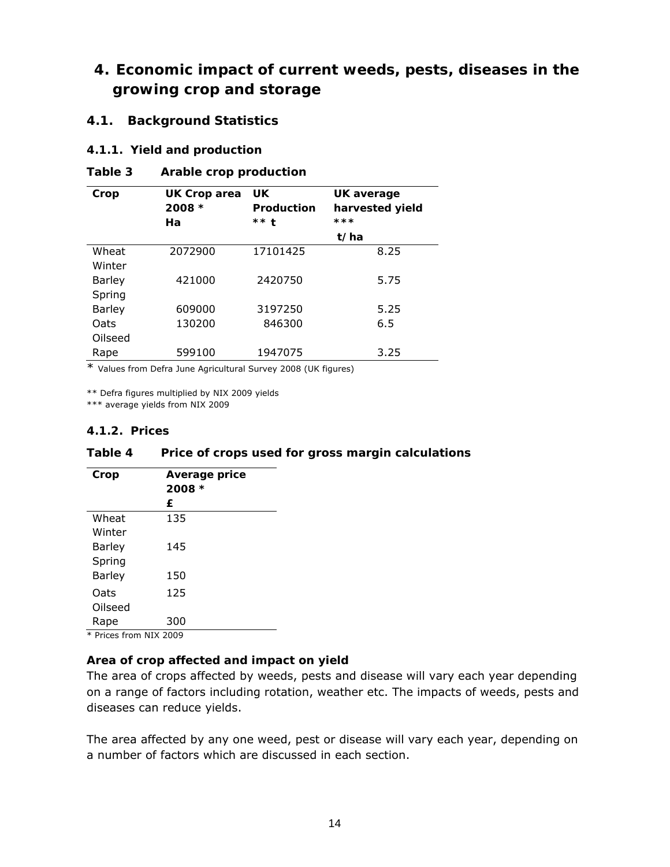# **4. Economic impact of current weeds, pests, diseases in the growing crop and storage**

#### **4.1. Background Statistics**

#### **4.1.1. Yield and production**

| Table 3 | Arable crop production |  |
|---------|------------------------|--|
|---------|------------------------|--|

| Crop          | <b>UK Crop area</b><br>$2008 *$<br>Ha | <b>UK</b><br>Production<br>$***$ t | UK average<br>harvested yield<br>*** |
|---------------|---------------------------------------|------------------------------------|--------------------------------------|
|               |                                       |                                    | t/ha                                 |
| Wheat         | 2072900                               | 17101425                           | 8.25                                 |
| Winter        |                                       |                                    |                                      |
| <b>Barley</b> | 421000                                | 2420750                            | 5.75                                 |
| Spring        |                                       |                                    |                                      |
| <b>Barley</b> | 609000                                | 3197250                            | 5.25                                 |
| Oats          | 130200                                | 846300                             | 6.5                                  |
| Oilseed       |                                       |                                    |                                      |
| Rape          | 599100                                | 1947075                            | 3.25                                 |

\* Values from Defra June Agricultural Survey 2008 (UK figures)

\*\* Defra figures multiplied by NIX 2009 yields

\*\*\* average yields from NIX 2009

#### **4.1.2. Prices**

#### **Table 4 Price of crops used for gross margin calculations**

| Crop    | Average price |
|---------|---------------|
|         | $2008 *$      |
|         | £             |
| Wheat   | 135           |
| Winter  |               |
| Barley  | 145           |
| Spring  |               |
| Barley  | 150           |
| Oats    | 125           |
| Oilseed |               |
| Rape    | 300           |
|         | 1111770000    |

\* Prices from NIX 2009

#### **Area of crop affected and impact on yield**

The area of crops affected by weeds, pests and disease will vary each year depending on a range of factors including rotation, weather etc. The impacts of weeds, pests and diseases can reduce yields.

The area affected by any one weed, pest or disease will vary each year, depending on a number of factors which are discussed in each section.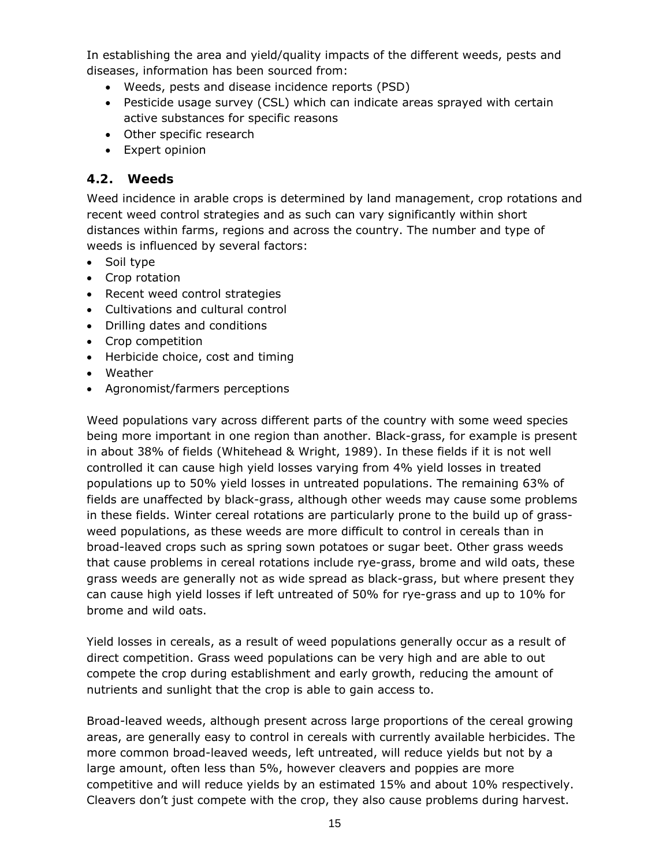In establishing the area and yield/quality impacts of the different weeds, pests and diseases, information has been sourced from:

- Weeds, pests and disease incidence reports (PSD)
- Pesticide usage survey (CSL) which can indicate areas sprayed with certain active substances for specific reasons
- Other specific research
- Expert opinion

## **4.2. Weeds**

Weed incidence in arable crops is determined by land management, crop rotations and recent weed control strategies and as such can vary significantly within short distances within farms, regions and across the country. The number and type of weeds is influenced by several factors:

- Soil type
- Crop rotation
- Recent weed control strategies
- Cultivations and cultural control
- Drilling dates and conditions
- Crop competition
- Herbicide choice, cost and timing
- Weather
- Agronomist/farmers perceptions

Weed populations vary across different parts of the country with some weed species being more important in one region than another. Black-grass, for example is present in about 38% of fields (Whitehead & Wright, 1989). In these fields if it is not well controlled it can cause high yield losses varying from 4% yield losses in treated populations up to 50% yield losses in untreated populations. The remaining 63% of fields are unaffected by black-grass, although other weeds may cause some problems in these fields. Winter cereal rotations are particularly prone to the build up of grassweed populations, as these weeds are more difficult to control in cereals than in broad-leaved crops such as spring sown potatoes or sugar beet. Other grass weeds that cause problems in cereal rotations include rye-grass, brome and wild oats, these grass weeds are generally not as wide spread as black-grass, but where present they can cause high yield losses if left untreated of 50% for rye-grass and up to 10% for brome and wild oats.

Yield losses in cereals, as a result of weed populations generally occur as a result of direct competition. Grass weed populations can be very high and are able to out compete the crop during establishment and early growth, reducing the amount of nutrients and sunlight that the crop is able to gain access to.

Broad-leaved weeds, although present across large proportions of the cereal growing areas, are generally easy to control in cereals with currently available herbicides. The more common broad-leaved weeds, left untreated, will reduce yields but not by a large amount, often less than 5%, however cleavers and poppies are more competitive and will reduce yields by an estimated 15% and about 10% respectively. Cleavers don't just compete with the crop, they also cause problems during harvest.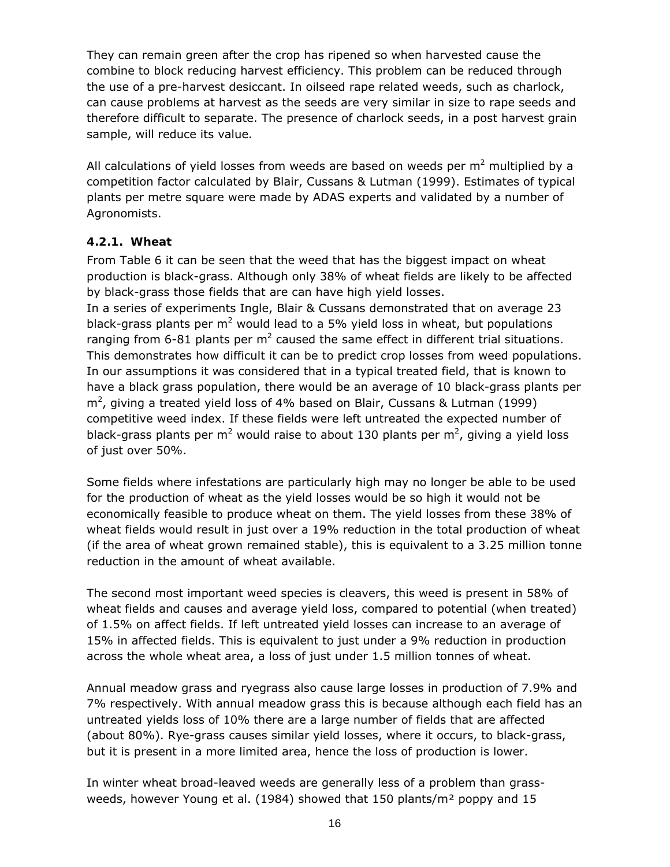They can remain green after the crop has ripened so when harvested cause the combine to block reducing harvest efficiency. This problem can be reduced through the use of a pre-harvest desiccant. In oilseed rape related weeds, such as charlock, can cause problems at harvest as the seeds are very similar in size to rape seeds and therefore difficult to separate. The presence of charlock seeds, in a post harvest grain sample, will reduce its value.

All calculations of yield losses from weeds are based on weeds per  $m^2$  multiplied by a competition factor calculated by Blair, Cussans & Lutman (1999). Estimates of typical plants per metre square were made by ADAS experts and validated by a number of Agronomists.

#### **4.2.1. Wheat**

From Table 6 it can be seen that the weed that has the biggest impact on wheat production is black-grass. Although only 38% of wheat fields are likely to be affected by black-grass those fields that are can have high yield losses. In a series of experiments Ingle, Blair & Cussans demonstrated that on average 23 black-grass plants per  $m^2$  would lead to a 5% yield loss in wheat, but populations ranging from 6-81 plants per  $m^2$  caused the same effect in different trial situations. This demonstrates how difficult it can be to predict crop losses from weed populations. In our assumptions it was considered that in a typical treated field, that is known to have a black grass population, there would be an average of 10 black-grass plants per  $m^2$ , giving a treated yield loss of 4% based on Blair, Cussans & Lutman (1999) competitive weed index. If these fields were left untreated the expected number of black-grass plants per m<sup>2</sup> would raise to about 130 plants per m<sup>2</sup>, giving a yield loss of just over 50%.

Some fields where infestations are particularly high may no longer be able to be used for the production of wheat as the yield losses would be so high it would not be economically feasible to produce wheat on them. The yield losses from these 38% of wheat fields would result in just over a 19% reduction in the total production of wheat (if the area of wheat grown remained stable), this is equivalent to a 3.25 million tonne reduction in the amount of wheat available.

The second most important weed species is cleavers, this weed is present in 58% of wheat fields and causes and average yield loss, compared to potential (when treated) of 1.5% on affect fields. If left untreated yield losses can increase to an average of 15% in affected fields. This is equivalent to just under a 9% reduction in production across the whole wheat area, a loss of just under 1.5 million tonnes of wheat.

Annual meadow grass and ryegrass also cause large losses in production of 7.9% and 7% respectively. With annual meadow grass this is because although each field has an untreated yields loss of 10% there are a large number of fields that are affected (about 80%). Rye-grass causes similar yield losses, where it occurs, to black-grass, but it is present in a more limited area, hence the loss of production is lower.

In winter wheat broad-leaved weeds are generally less of a problem than grassweeds, however Young *et al*. (1984) showed that 150 plants/m² poppy and 15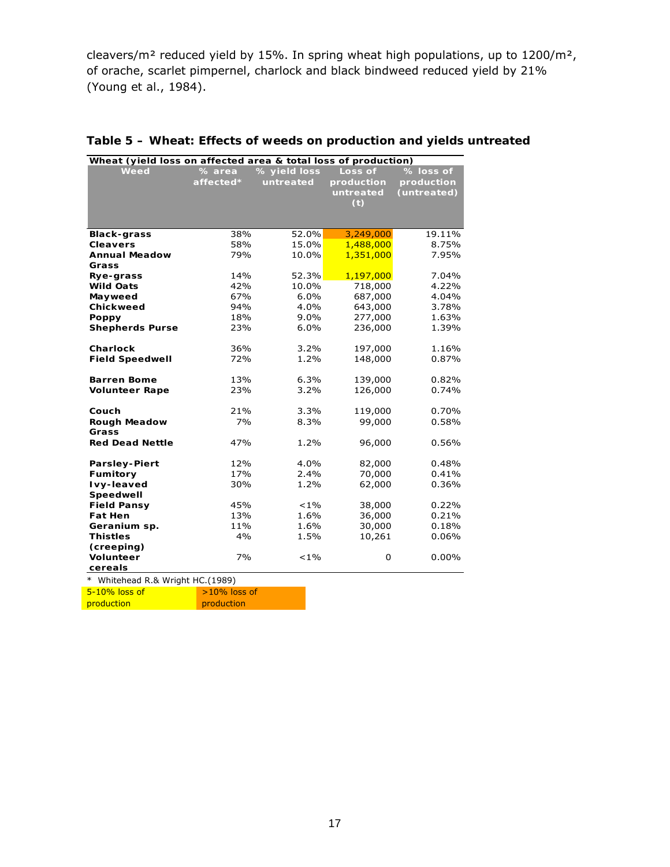cleavers/m² reduced yield by 15%. In spring wheat high populations, up to 1200/m², of orache, scarlet pimpernel, charlock and black bindweed reduced yield by 21% (Young *et al*., 1984).

| Wheat (yield loss on affected area & total loss of production) |           |              |            |             |  |  |  |  |  |  |
|----------------------------------------------------------------|-----------|--------------|------------|-------------|--|--|--|--|--|--|
| Weed                                                           | % area    | % yield loss | Loss of    | % loss of   |  |  |  |  |  |  |
|                                                                | affected* | untreated    | production | production  |  |  |  |  |  |  |
|                                                                |           |              | untreated  | (untreated) |  |  |  |  |  |  |
|                                                                |           |              | (t)        |             |  |  |  |  |  |  |
|                                                                |           |              |            |             |  |  |  |  |  |  |
|                                                                |           |              |            |             |  |  |  |  |  |  |
| <b>Black-grass</b>                                             | 38%       | 52.0%        | 3,249,000  | 19.11%      |  |  |  |  |  |  |
| <b>Cleavers</b>                                                | 58%       | 15.0%        | 1,488,000  | 8.75%       |  |  |  |  |  |  |
| <b>Annual Meadow</b>                                           | 79%       | 10.0%        | 1,351,000  | 7.95%       |  |  |  |  |  |  |
| Grass                                                          |           |              |            |             |  |  |  |  |  |  |
| Rye-grass                                                      | 14%       | 52.3%        | 1,197,000  | 7.04%       |  |  |  |  |  |  |
| <b>Wild Oats</b>                                               | 42%       | 10.0%        | 718,000    | 4.22%       |  |  |  |  |  |  |
| Mayweed                                                        | 67%       | 6.0%         | 687,000    | 4.04%       |  |  |  |  |  |  |
| Chickweed                                                      | 94%       | 4.0%         | 643,000    | 3.78%       |  |  |  |  |  |  |
| <b>Poppy</b>                                                   | 18%       | $9.0\%$      | 277,000    | 1.63%       |  |  |  |  |  |  |
| <b>Shepherds Purse</b>                                         | 23%       | 6.0%         | 236,000    | 1.39%       |  |  |  |  |  |  |
|                                                                |           |              |            |             |  |  |  |  |  |  |
| <b>Charlock</b>                                                | 36%       | 3.2%         | 197,000    | 1.16%       |  |  |  |  |  |  |
| <b>Field Speedwell</b>                                         | 72%       | 1.2%         | 148,000    | 0.87%       |  |  |  |  |  |  |
|                                                                |           |              |            |             |  |  |  |  |  |  |
| <b>Barren Bome</b>                                             | 13%       | 6.3%         | 139,000    | 0.82%       |  |  |  |  |  |  |
| <b>Volunteer Rape</b>                                          | 23%       | 3.2%         | 126,000    | 0.74%       |  |  |  |  |  |  |
|                                                                |           |              |            |             |  |  |  |  |  |  |
| Couch                                                          | 21%       | 3.3%         | 119,000    | 0.70%       |  |  |  |  |  |  |
| <b>Rough Meadow</b>                                            | 7%        | 8.3%         | 99,000     | 0.58%       |  |  |  |  |  |  |
| Grass                                                          |           |              |            |             |  |  |  |  |  |  |
| <b>Red Dead Nettle</b>                                         | 47%       | 1.2%         | 96,000     | 0.56%       |  |  |  |  |  |  |
|                                                                |           |              |            |             |  |  |  |  |  |  |
| <b>Parsley-Piert</b>                                           | 12%       | 4.0%         | 82,000     | 0.48%       |  |  |  |  |  |  |
| Fumitory                                                       | 17%       | 2.4%         | 70,000     | 0.41%       |  |  |  |  |  |  |
| Ivy-leaved                                                     | 30%       | 1.2%         | 62,000     | 0.36%       |  |  |  |  |  |  |
| Speedwell                                                      |           |              |            |             |  |  |  |  |  |  |
| <b>Field Pansy</b>                                             | 45%       | $< 1\%$      | 38,000     | 0.22%       |  |  |  |  |  |  |
| <b>Fat Hen</b>                                                 | 13%       | 1.6%         | 36,000     | 0.21%       |  |  |  |  |  |  |
| Geranium sp.                                                   | 11%       | 1.6%         | 30,000     | 0.18%       |  |  |  |  |  |  |
| <b>Thistles</b>                                                | 4%        | 1.5%         | 10,261     | 0.06%       |  |  |  |  |  |  |
| (creeping)                                                     |           |              |            |             |  |  |  |  |  |  |
| Volunteer                                                      | 7%        | $< 1\%$      | 0          | 0.00%       |  |  |  |  |  |  |
| cereals                                                        |           |              |            |             |  |  |  |  |  |  |
| * Whitehead R.& Wright HC.(1989)                               |           |              |            |             |  |  |  |  |  |  |

#### **Table 5 – Wheat: Effects of weeds on production and yields untreated**

5-10% loss of >10% loss of

**production** production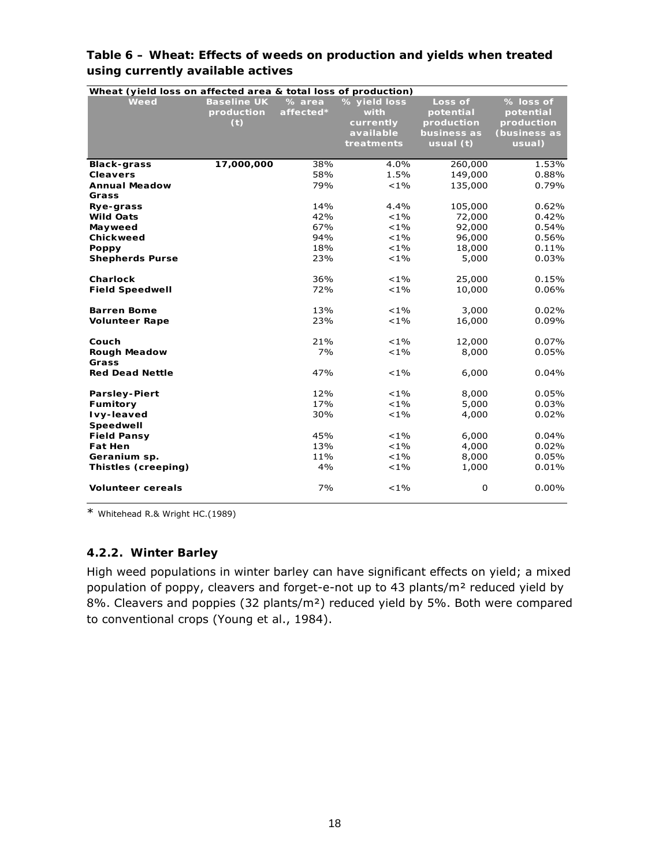| Wheat (yield loss on affected area & total loss of production) |                                         |                     |                                                              |                                                                |                                                                |
|----------------------------------------------------------------|-----------------------------------------|---------------------|--------------------------------------------------------------|----------------------------------------------------------------|----------------------------------------------------------------|
| Weed                                                           | <b>Baseline UK</b><br>production<br>(t) | % area<br>affected* | % yield loss<br>with<br>currently<br>available<br>treatments | Loss of<br>potential<br>production<br>business as<br>usual (t) | % loss of<br>potential<br>production<br>(business as<br>usual) |
| <b>Black-grass</b>                                             | 17,000,000                              | 38%                 | 4.0%                                                         | 260,000                                                        | 1.53%                                                          |
| <b>Cleavers</b>                                                |                                         | 58%                 | 1.5%                                                         | 149,000                                                        | 0.88%                                                          |
| <b>Annual Meadow</b>                                           |                                         | 79%                 | $< 1\%$                                                      | 135,000                                                        | 0.79%                                                          |
| Grass                                                          |                                         |                     |                                                              |                                                                |                                                                |
| Rye-grass                                                      |                                         | 14%                 | 4.4%                                                         | 105,000                                                        | 0.62%                                                          |
| <b>Wild Oats</b>                                               |                                         | 42%                 | $< 1\%$                                                      | 72,000                                                         | 0.42%                                                          |
| Mayweed                                                        |                                         | 67%                 | $< 1\%$                                                      | 92,000                                                         | 0.54%                                                          |
| Chickweed                                                      |                                         | 94%                 | $< 1\%$                                                      | 96,000                                                         | 0.56%                                                          |
| Poppy                                                          |                                         | 18%                 | $< 1\%$                                                      | 18,000                                                         | 0.11%                                                          |
| <b>Shepherds Purse</b>                                         |                                         | 23%                 | $< 1\%$                                                      | 5,000                                                          | 0.03%                                                          |
|                                                                |                                         |                     |                                                              |                                                                |                                                                |
| Charlock                                                       |                                         | 36%                 | $< 1\%$                                                      | 25,000                                                         | 0.15%                                                          |
| <b>Field Speedwell</b>                                         |                                         | 72%                 | $< 1\%$                                                      | 10,000                                                         | $0.06\%$                                                       |
|                                                                |                                         |                     |                                                              |                                                                |                                                                |
| <b>Barren Bome</b>                                             |                                         | 13%                 | $< 1\%$                                                      | 3,000                                                          | 0.02%                                                          |
| <b>Volunteer Rape</b>                                          |                                         | 23%                 | $< 1\%$                                                      | 16,000                                                         | 0.09%                                                          |
|                                                                |                                         |                     |                                                              |                                                                |                                                                |
| Couch                                                          |                                         | 21%                 | $< 1\%$                                                      | 12,000                                                         | 0.07%                                                          |
| <b>Rough Meadow</b>                                            |                                         | 7%                  | $< 1\%$                                                      | 8,000                                                          | 0.05%                                                          |
| Grass                                                          |                                         |                     |                                                              |                                                                |                                                                |
| <b>Red Dead Nettle</b>                                         |                                         | 47%                 | $< 1\%$                                                      | 6,000                                                          | 0.04%                                                          |
|                                                                |                                         |                     |                                                              |                                                                |                                                                |
| <b>Parsley-Piert</b>                                           |                                         | 12%<br>17%          | $< 1\%$<br>$< 1\%$                                           | 8,000                                                          | 0.05%                                                          |
| Fumitory                                                       |                                         | 30%                 | $< 1\%$                                                      | 5,000                                                          | 0.03%<br>0.02%                                                 |
| Ivy-leaved<br>Speedwell                                        |                                         |                     |                                                              | 4,000                                                          |                                                                |
| <b>Field Pansy</b>                                             |                                         | 45%                 | $< 1\%$                                                      | 6,000                                                          | 0.04%                                                          |
| <b>Fat Hen</b>                                                 |                                         | 13%                 | $< 1\%$                                                      | 4,000                                                          | 0.02%                                                          |
| Geranium sp.                                                   |                                         | 11%                 | $< 1\%$                                                      | 8,000                                                          | 0.05%                                                          |
| Thistles (creeping)                                            |                                         | 4%                  | $< 1\%$                                                      | 1,000                                                          | 0.01%                                                          |
|                                                                |                                         |                     |                                                              |                                                                |                                                                |
| <b>Volunteer cereals</b>                                       |                                         | 7%                  | $< 1\%$                                                      | 0                                                              | 0.00%                                                          |

#### **Table 6 – Wheat: Effects of weeds on production and yields when treated using currently available actives**

\* Whitehead R.& Wright HC.(1989)

#### **4.2.2. Winter Barley**

High weed populations in winter barley can have significant effects on yield; a mixed population of poppy, cleavers and forget-e-not up to 43 plants/m² reduced yield by 8%. Cleavers and poppies (32 plants/m²) reduced yield by 5%. Both were compared to conventional crops (Young *et al*., 1984).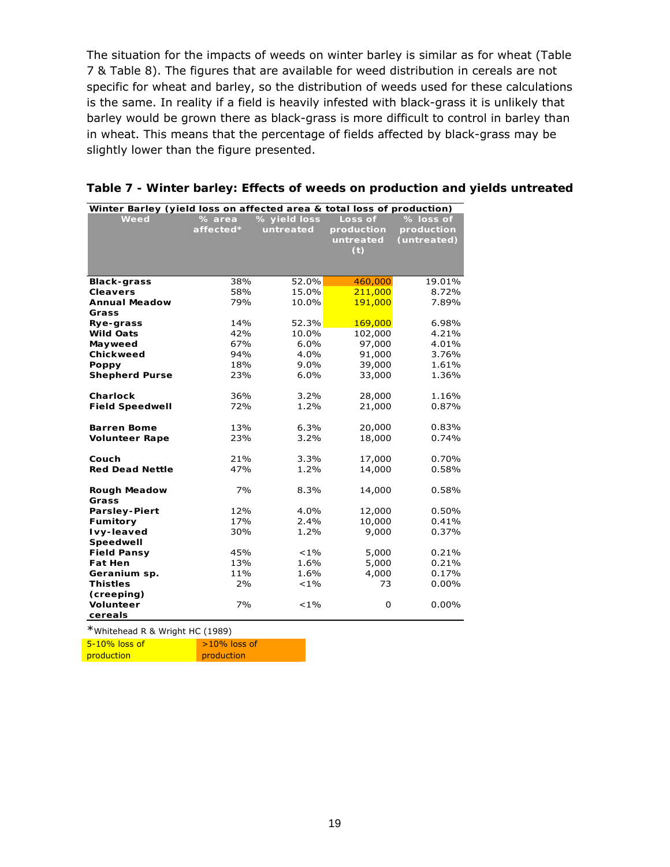The situation for the impacts of weeds on winter barley is similar as for wheat (Table 7 & Table 8). The figures that are available for weed distribution in cereals are not specific for wheat and barley, so the distribution of weeds used for these calculations is the same. In reality if a field is heavily infested with black-grass it is unlikely that barley would be grown there as black-grass is more difficult to control in barley than in wheat. This means that the percentage of fields affected by black-grass may be slightly lower than the figure presented.

| Winter Barley (yield loss on affected area & total loss of production) |           |              |            |             |
|------------------------------------------------------------------------|-----------|--------------|------------|-------------|
| Weed                                                                   | % area    | % yield loss | Loss of    | % loss of   |
|                                                                        | affected* | untreated    | production | production  |
|                                                                        |           |              | untreated  | (untreated) |
|                                                                        |           |              | (t)        |             |
|                                                                        |           |              |            |             |
|                                                                        |           |              |            |             |
| <b>Black-grass</b>                                                     | 38%       | 52.0%        | 460,000    | 19.01%      |
| <b>Cleavers</b>                                                        | 58%       | 15.0%        | 211,000    | 8.72%       |
| <b>Annual Meadow</b>                                                   | 79%       | 10.0%        | 191,000    | 7.89%       |
| Grass                                                                  |           |              |            |             |
| Rye-grass                                                              | 14%       | 52.3%        | 169,000    | 6.98%       |
| <b>Wild Oats</b>                                                       | 42%       | 10.0%        | 102,000    | 4.21%       |
| Mayweed                                                                | 67%       | 6.0%         | 97,000     | 4.01%       |
| Chickweed                                                              | 94%       | 4.0%         | 91,000     | 3.76%       |
| Poppy                                                                  | 18%       | 9.0%         | 39,000     | 1.61%       |
| <b>Shepherd Purse</b>                                                  | 23%       | 6.0%         | 33,000     | 1.36%       |
|                                                                        |           |              |            |             |
| <b>Charlock</b>                                                        | 36%       | 3.2%         | 28,000     | 1.16%       |
| <b>Field Speedwell</b>                                                 | 72%       | 1.2%         | 21,000     | 0.87%       |
|                                                                        |           |              |            |             |
| <b>Barren Bome</b>                                                     | 13%       | 6.3%         | 20,000     | 0.83%       |
| <b>Volunteer Rape</b>                                                  | 23%       | 3.2%         | 18,000     | 0.74%       |
|                                                                        |           |              |            |             |
| Couch                                                                  | 21%       | 3.3%         | 17,000     | 0.70%       |
| <b>Red Dead Nettle</b>                                                 | 47%       | 1.2%         | 14,000     | 0.58%       |
|                                                                        |           |              |            |             |
| <b>Rough Meadow</b>                                                    | 7%        | 8.3%         | 14,000     | 0.58%       |
| Grass                                                                  |           |              |            |             |
| <b>Parsley-Piert</b>                                                   | 12%       | 4.0%         | 12,000     | 0.50%       |
| Fumitory                                                               | 17%       | 2.4%         | 10,000     | 0.41%       |
| Ivy-leaved                                                             | 30%       | 1.2%         | 9,000      | 0.37%       |
| Speedwell                                                              |           |              |            |             |
| <b>Field Pansy</b>                                                     | 45%       | $< 1\%$      | 5,000      | 0.21%       |
| <b>Fat Hen</b>                                                         | 13%       | 1.6%         | 5,000      | 0.21%       |
| Geranium sp.                                                           | 11%       | 1.6%         | 4,000      | 0.17%       |
| <b>Thistles</b>                                                        | 2%        | $< 1\%$      | 73         | $0.00\%$    |
| (creeping)                                                             |           |              |            |             |
| <b>Volunteer</b>                                                       | 7%        | $< 1\%$      | 0          | 0.00%       |
| cereals                                                                |           |              |            |             |
| $*$                                                                    |           |              |            |             |

#### **Table 7 - Winter barley: Effects of weeds on production and yields untreated**

\*Whitehead R & Wright HC (1989)

5-10% loss of >10% loss of

**production** production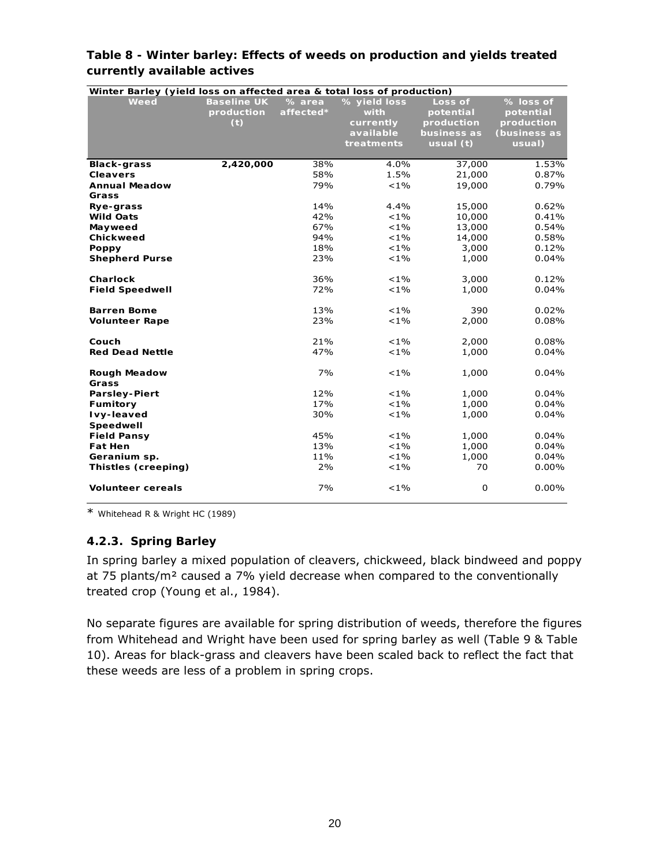| Winter Barley (yield loss on affected area & total loss of production) |                                         |                     |                                                              |                                                                  |                                                                |
|------------------------------------------------------------------------|-----------------------------------------|---------------------|--------------------------------------------------------------|------------------------------------------------------------------|----------------------------------------------------------------|
| Weed                                                                   | <b>Baseline UK</b><br>production<br>(t) | % area<br>affected* | % yield loss<br>with<br>currently<br>available<br>treatments | Loss of<br>potential<br>production<br>business as<br>usual $(t)$ | % loss of<br>potential<br>production<br>(business as<br>usual) |
| <b>Black-grass</b>                                                     | 2,420,000                               | 38%                 | 4.0%                                                         | 37,000                                                           | 1.53%                                                          |
| <b>Cleavers</b>                                                        |                                         | 58%                 | 1.5%                                                         | 21,000                                                           | 0.87%                                                          |
| <b>Annual Meadow</b>                                                   |                                         | 79%                 | $< 1\%$                                                      | 19,000                                                           | 0.79%                                                          |
| Grass                                                                  |                                         |                     |                                                              |                                                                  |                                                                |
| Rye-grass                                                              |                                         | 14%                 | 4.4%                                                         | 15,000                                                           | 0.62%                                                          |
| <b>Wild Oats</b>                                                       |                                         | 42%                 | $< 1\%$                                                      | 10,000                                                           | 0.41%                                                          |
| Mayweed                                                                |                                         | 67%                 | $< 1\%$                                                      | 13,000                                                           | 0.54%                                                          |
| Chickweed                                                              |                                         | 94%                 | $< 1\%$                                                      | 14,000                                                           | 0.58%                                                          |
| <b>Poppy</b>                                                           |                                         | 18%                 | $< 1\%$                                                      | 3,000                                                            | 0.12%                                                          |
| <b>Shepherd Purse</b>                                                  |                                         | 23%                 | $< 1\%$                                                      | 1,000                                                            | 0.04%                                                          |
|                                                                        |                                         |                     |                                                              |                                                                  |                                                                |
| Charlock                                                               |                                         | 36%                 | $< 1\%$                                                      | 3,000                                                            | 0.12%                                                          |
| <b>Field Speedwell</b>                                                 |                                         | 72%                 | $< 1\%$                                                      | 1,000                                                            | 0.04%                                                          |
|                                                                        |                                         |                     |                                                              |                                                                  |                                                                |
| <b>Barren Bome</b>                                                     |                                         | 13%                 | $< 1\%$                                                      | 390                                                              | 0.02%                                                          |
| <b>Volunteer Rape</b>                                                  |                                         | 23%                 | $< 1\%$                                                      | 2,000                                                            | 0.08%                                                          |
| Couch                                                                  |                                         | 21%                 | $< 1\%$                                                      | 2,000                                                            | 0.08%                                                          |
| <b>Red Dead Nettle</b>                                                 |                                         | 47%                 | $< 1\%$                                                      | 1,000                                                            | 0.04%                                                          |
|                                                                        |                                         |                     |                                                              |                                                                  |                                                                |
| <b>Rough Meadow</b>                                                    |                                         | 7%                  | $< 1\%$                                                      | 1,000                                                            | 0.04%                                                          |
| Grass                                                                  |                                         |                     |                                                              |                                                                  |                                                                |
| <b>Parsley-Piert</b>                                                   |                                         | 12%                 | $< 1\%$                                                      | 1,000                                                            | 0.04%                                                          |
| Fumitory                                                               |                                         | 17%                 | $< 1\%$                                                      | 1,000                                                            | 0.04%                                                          |
| Ivy-leaved                                                             |                                         | 30%                 | $< 1\%$                                                      | 1,000                                                            | 0.04%                                                          |
| Speedwell                                                              |                                         |                     |                                                              |                                                                  |                                                                |
| <b>Field Pansy</b>                                                     |                                         | 45%                 | $< 1\%$                                                      | 1,000                                                            | 0.04%                                                          |
| <b>Fat Hen</b>                                                         |                                         | 13%                 | $< 1\%$                                                      | 1,000                                                            | 0.04%                                                          |
| Geranium sp.                                                           |                                         | 11%                 | $< 1\%$                                                      | 1,000                                                            | 0.04%                                                          |
| Thistles (creeping)                                                    |                                         | 2%                  | $< 1\%$                                                      | 70                                                               | $0.00\%$                                                       |
|                                                                        |                                         |                     |                                                              |                                                                  |                                                                |
| <b>Volunteer cereals</b>                                               |                                         | 7%                  | $< 1\%$                                                      | 0                                                                | 0.00%                                                          |

#### **Table 8 - Winter barley: Effects of weeds on production and yields treated currently available actives**

\* Whitehead R & Wright HC (1989)

### **4.2.3. Spring Barley**

In spring barley a mixed population of cleavers, chickweed, black bindweed and poppy at 75 plants/m² caused a 7% yield decrease when compared to the conventionally treated crop (Young *et al*., 1984).

No separate figures are available for spring distribution of weeds, therefore the figures from Whitehead and Wright have been used for spring barley as well (Table 9 & Table 10). Areas for black-grass and cleavers have been scaled back to reflect the fact that these weeds are less of a problem in spring crops.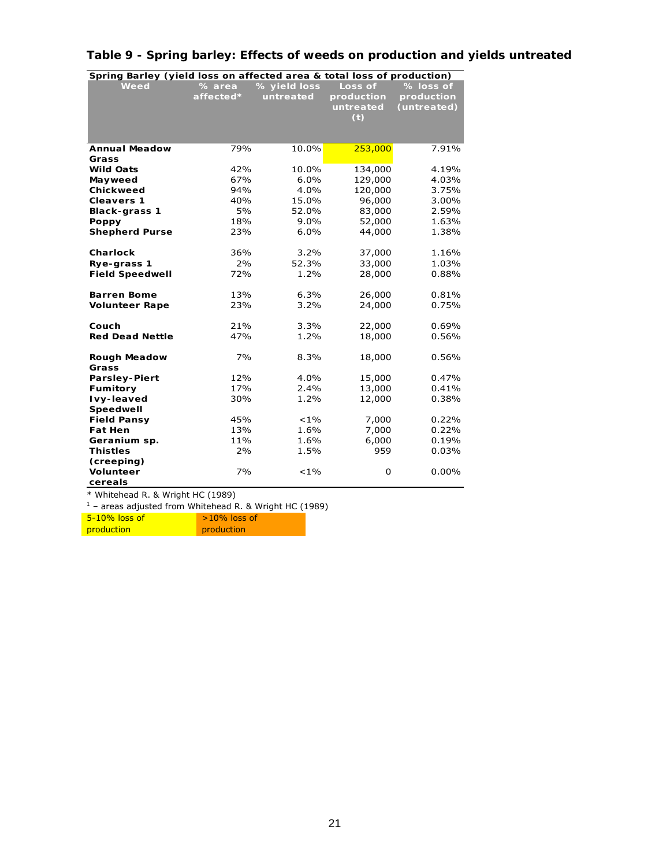| Spring Barley (yield loss on affected area & total loss of production) |                    |              |            |             |
|------------------------------------------------------------------------|--------------------|--------------|------------|-------------|
| Weed                                                                   | $\frac{9}{6}$ area | % yield loss | Loss of    | $%$ loss of |
|                                                                        | affected*          | untreated    | production | production  |
|                                                                        |                    |              | untreated  | (untreated) |
|                                                                        |                    |              | (t)        |             |
|                                                                        |                    |              |            |             |
| <b>Annual Meadow</b>                                                   | 79%                | 10.0%        | 253,000    | 7.91%       |
| Grass                                                                  |                    |              |            |             |
| <b>Wild Oats</b>                                                       | 42%                | 10.0%        | 134,000    | 4.19%       |
| Mayweed                                                                | 67%                | 6.0%         | 129,000    | 4.03%       |
| Chickweed                                                              | 94%                | 4.0%         | 120,000    | 3.75%       |
| <b>Cleavers 1</b>                                                      | 40%                | 15.0%        | 96,000     | 3.00%       |
| <b>Black-grass 1</b>                                                   | 5%                 | 52.0%        | 83,000     | 2.59%       |
| Poppy                                                                  | 18%                | 9.0%         | 52,000     | 1.63%       |
| <b>Shepherd Purse</b>                                                  | 23%                | 6.0%         | 44,000     | 1.38%       |
|                                                                        |                    |              |            |             |
| Charlock                                                               | 36%                | 3.2%         | 37,000     | 1.16%       |
| Rye-grass 1                                                            | 2%                 | 52.3%        | 33,000     | 1.03%       |
| <b>Field Speedwell</b>                                                 | 72%                | 1.2%         | 28,000     | 0.88%       |
|                                                                        |                    |              |            |             |
| <b>Barren Bome</b>                                                     | 13%                | 6.3%         | 26,000     | 0.81%       |
| <b>Volunteer Rape</b>                                                  | 23%                | 3.2%         | 24,000     | 0.75%       |
|                                                                        |                    |              |            |             |
| Couch                                                                  | 21%                | 3.3%         | 22,000     | 0.69%       |
| <b>Red Dead Nettle</b>                                                 | 47%                | 1.2%         | 18,000     | 0.56%       |
| <b>Rough Meadow</b>                                                    | 7%                 | 8.3%         | 18,000     | 0.56%       |
| Grass                                                                  |                    |              |            |             |
| <b>Parsley-Piert</b>                                                   | 12%                | 4.0%         | 15,000     | 0.47%       |
| Fumitory                                                               | 17%                | 2.4%         | 13,000     | 0.41%       |
| Ivy-leaved                                                             | 30%                | 1.2%         | 12,000     | 0.38%       |
| Speedwell                                                              |                    |              |            |             |
| <b>Field Pansy</b>                                                     | 45%                | $< 1\%$      | 7,000      | 0.22%       |
| <b>Fat Hen</b>                                                         | 13%                | 1.6%         | 7,000      | 0.22%       |
| Geranium sp.                                                           | 11%                | 1.6%         | 6,000      | 0.19%       |
| <b>Thistles</b>                                                        | 2%                 | 1.5%         | 959        | 0.03%       |
| (creeping)                                                             |                    |              |            |             |
| <b>Volunteer</b>                                                       | 7%                 | $< 1\%$      | 0          | 0.00%       |
| cereals                                                                |                    |              |            |             |

## **Table 9 - Spring barley: Effects of weeds on production and yields untreated**

\* Whitehead R. & Wright HC (1989)

 $1$  – areas adjusted from Whitehead R. & Wright HC (1989)

| $5-10\%$ loss of | $>10\%$ loss of |
|------------------|-----------------|
| production       | production      |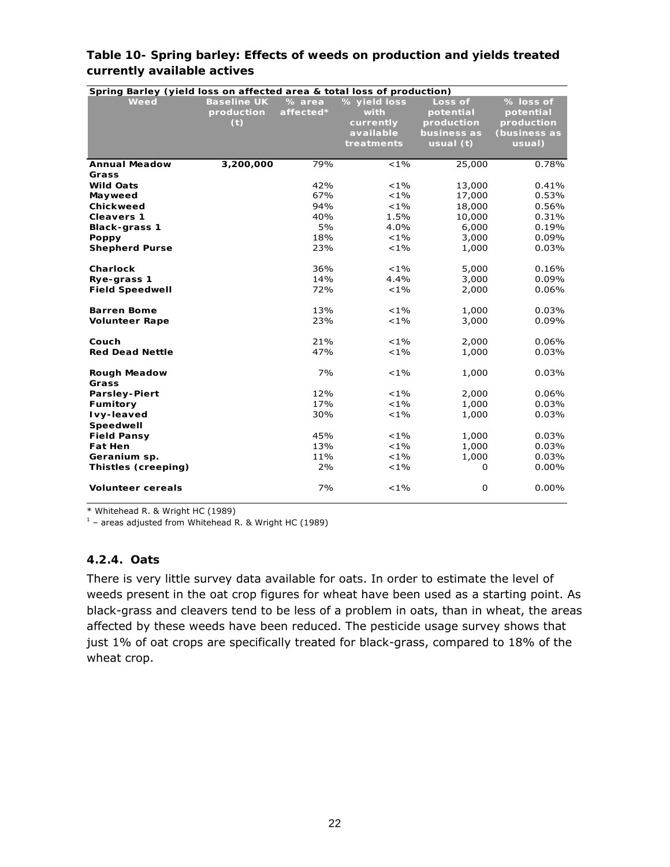| Spring Barley (yield loss on affected area & total loss of production) |                                         |                     |                                                              |                                                                |                                                                |
|------------------------------------------------------------------------|-----------------------------------------|---------------------|--------------------------------------------------------------|----------------------------------------------------------------|----------------------------------------------------------------|
| Weed                                                                   | <b>Baseline UK</b><br>production<br>(t) | % area<br>affected* | % yield loss<br>with<br>currently<br>available<br>treatments | Loss of<br>potential<br>production<br>business as<br>usual (t) | % loss of<br>potential<br>production<br>(business as<br>usual) |
| <b>Annual Meadow</b>                                                   | 3,200,000                               | 79%                 | $< 1\%$                                                      | 25,000                                                         | 0.78%                                                          |
| Grass                                                                  |                                         |                     |                                                              |                                                                |                                                                |
| <b>Wild Oats</b>                                                       |                                         | 42%                 | $< 1\%$                                                      | 13,000                                                         | 0.41%                                                          |
| Mayweed                                                                |                                         | 67%                 | $< 1\%$                                                      | 17,000                                                         | 0.53%                                                          |
| Chickweed                                                              |                                         | 94%                 | $< 1\%$                                                      | 18,000                                                         | 0.56%                                                          |
| <b>Cleavers 1</b>                                                      |                                         | 40%                 | 1.5%                                                         | 10,000                                                         | 0.31%                                                          |
| <b>Black-grass 1</b>                                                   |                                         | 5%<br>18%           | 4.0%<br>$< 1\%$                                              | 6,000                                                          | 0.19%                                                          |
| <b>Poppy</b><br><b>Shepherd Purse</b>                                  |                                         | 23%                 | $< 1\%$                                                      | 3,000<br>1,000                                                 | 0.09%<br>0.03%                                                 |
|                                                                        |                                         |                     |                                                              |                                                                |                                                                |
| Charlock                                                               |                                         | 36%                 | $< 1\%$                                                      | 5,000                                                          | 0.16%                                                          |
| Rye-grass 1                                                            |                                         | 14%                 | 4.4%                                                         | 3,000                                                          | 0.09%                                                          |
| <b>Field Speedwell</b>                                                 |                                         | 72%                 | $< 1\%$                                                      | 2,000                                                          | 0.06%                                                          |
|                                                                        |                                         |                     |                                                              |                                                                |                                                                |
| <b>Barren Bome</b>                                                     |                                         | 13%                 | $< 1\%$                                                      | 1,000                                                          | 0.03%                                                          |
| <b>Volunteer Rape</b>                                                  |                                         | 23%                 | $< 1\%$                                                      | 3,000                                                          | 0.09%                                                          |
|                                                                        |                                         |                     |                                                              |                                                                |                                                                |
| Couch                                                                  |                                         | 21%<br>47%          | $< 1\%$<br>$< 1\%$                                           | 2,000                                                          | 0.06%                                                          |
| <b>Red Dead Nettle</b>                                                 |                                         |                     |                                                              | 1,000                                                          | 0.03%                                                          |
| Rough Meadow                                                           |                                         | 7%                  | $< 1\%$                                                      | 1,000                                                          | 0.03%                                                          |
| Grass                                                                  |                                         |                     |                                                              |                                                                |                                                                |
| <b>Parsley-Piert</b>                                                   |                                         | 12%                 | $< 1\%$                                                      | 2,000                                                          | 0.06%                                                          |
| Fumitory                                                               |                                         | 17%                 | $< 1\%$                                                      | 1,000                                                          | 0.03%                                                          |
| Ivy-leaved                                                             |                                         | 30%                 | $< 1\%$                                                      | 1,000                                                          | 0.03%                                                          |
| Speedwell                                                              |                                         |                     |                                                              |                                                                |                                                                |
| <b>Field Pansy</b>                                                     |                                         | 45%                 | $< 1\%$                                                      | 1,000                                                          | 0.03%                                                          |
| <b>Fat Hen</b>                                                         |                                         | 13%                 | $< 1\%$                                                      | 1,000                                                          | 0.03%                                                          |
| Geranium sp.                                                           |                                         | 11%                 | $< 1\%$                                                      | 1,000                                                          | 0.03%                                                          |
| Thistles (creeping)                                                    |                                         | 2%                  | $< 1\%$                                                      | 0                                                              | $0.00\%$                                                       |
| <b>Volunteer cereals</b>                                               |                                         | 7%                  | $< 1\%$                                                      | 0                                                              | 0.00%                                                          |

#### **Table 10- Spring barley: Effects of weeds on production and yields treated currently available actives**

\* Whitehead R. & Wright HC (1989)

 $1$  – areas adjusted from Whitehead R. & Wright HC (1989)

#### **4.2.4. Oats**

There is very little survey data available for oats. In order to estimate the level of weeds present in the oat crop figures for wheat have been used as a starting point. As black-grass and cleavers tend to be less of a problem in oats, than in wheat, the areas affected by these weeds have been reduced. The pesticide usage survey shows that just 1% of oat crops are specifically treated for black-grass, compared to 18% of the wheat crop.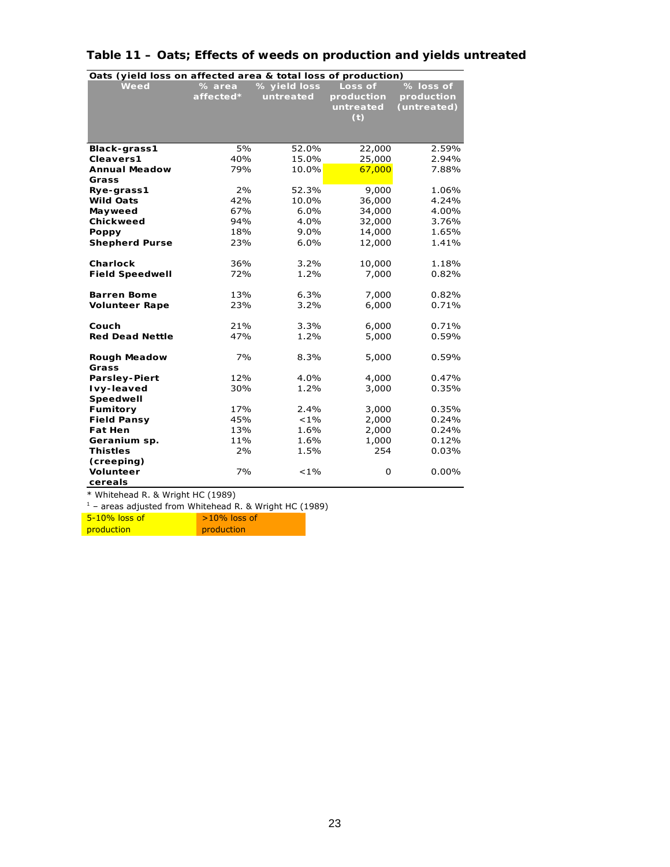| Oats (yield loss on affected area & total loss of production) |            |                 |                |                |  |  |
|---------------------------------------------------------------|------------|-----------------|----------------|----------------|--|--|
| Weed                                                          | $%$ area   | % yield loss    | Loss of        | % loss of      |  |  |
|                                                               | affected*  | untreated       | production     | production     |  |  |
|                                                               |            |                 | untreated      | (untreated)    |  |  |
|                                                               |            |                 | (t)            |                |  |  |
|                                                               |            |                 |                |                |  |  |
|                                                               |            |                 |                |                |  |  |
| Black-grass1                                                  | 5%         | 52.0%           | 22,000         | 2.59%          |  |  |
| Cleavers1                                                     | 40%        | 15.0%           | 25,000         | 2.94%          |  |  |
| <b>Annual Meadow</b>                                          | 79%        | 10.0%           | 67,000         | 7.88%          |  |  |
| Grass                                                         |            |                 |                |                |  |  |
| Rye-grass1                                                    | 2%         | 52.3%           | 9,000          | 1.06%          |  |  |
| <b>Wild Oats</b>                                              | 42%        | 10.0%           | 36,000         | 4.24%          |  |  |
| Mayweed                                                       | 67%        | 6.0%            | 34,000         | 4.00%          |  |  |
| Chickweed                                                     | 94%        | 4.0%            | 32,000         | 3.76%          |  |  |
| Poppy                                                         | 18%        | $9.0\%$         | 14,000         | 1.65%          |  |  |
| <b>Shepherd Purse</b>                                         | 23%        | 6.0%            | 12,000         | 1.41%          |  |  |
|                                                               |            |                 |                |                |  |  |
| Charlock                                                      | 36%        | 3.2%            | 10,000         | 1.18%          |  |  |
| <b>Field Speedwell</b>                                        | 72%        | 1.2%            | 7,000          | 0.82%          |  |  |
|                                                               |            |                 |                |                |  |  |
| <b>Barren Bome</b>                                            | 13%        | 6.3%            | 7,000          | 0.82%          |  |  |
| <b>Volunteer Rape</b>                                         | 23%        | 3.2%            | 6,000          | 0.71%          |  |  |
|                                                               |            |                 |                |                |  |  |
| Couch                                                         | 21%        | 3.3%            | 6,000          | 0.71%          |  |  |
| <b>Red Dead Nettle</b>                                        | 47%        | 1.2%            | 5,000          | 0.59%          |  |  |
|                                                               |            |                 |                |                |  |  |
| <b>Rough Meadow</b>                                           | 7%         | 8.3%            | 5,000          | 0.59%          |  |  |
| Grass                                                         |            |                 |                |                |  |  |
| Parsley-Piert                                                 | 12%        | 4.0%            | 4,000          | 0.47%          |  |  |
| Ivy-leaved                                                    | 30%        | 1.2%            | 3,000          | 0.35%          |  |  |
| Speedwell                                                     |            |                 |                |                |  |  |
| Fumitory<br><b>Field Pansy</b>                                | 17%<br>45% | 2.4%<br>$< 1\%$ | 3,000<br>2,000 | 0.35%<br>0.24% |  |  |
| <b>Fat Hen</b>                                                | 13%        | 1.6%            |                |                |  |  |
|                                                               | 11%        | 1.6%            | 2,000          | 0.24%<br>0.12% |  |  |
| Geranium sp.<br><b>Thistles</b>                               | 2%         | 1.5%            | 1,000<br>254   | 0.03%          |  |  |
|                                                               |            |                 |                |                |  |  |
| (creeping)<br><b>Volunteer</b>                                | 7%         | $< 1\%$         | 0              | 0.00%          |  |  |
|                                                               |            |                 |                |                |  |  |
| cereals                                                       |            |                 |                |                |  |  |

## **Table 11 – Oats; Effects of weeds on production and yields untreated**

\* Whitehead R. & Wright HC (1989) 1 – areas adjusted from Whitehead R. & Wright HC (1989)

| $5-10\%$ loss of  | $>10\%$ loss of |
|-------------------|-----------------|
| <b>production</b> | production      |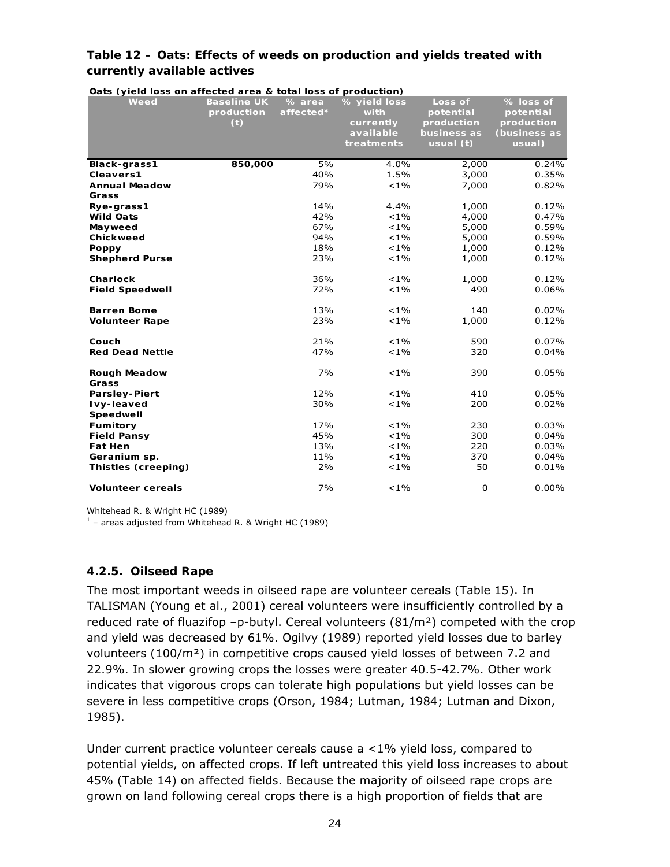| Oats (yield loss on affected area & total loss of production) |                    |           |              |             |              |
|---------------------------------------------------------------|--------------------|-----------|--------------|-------------|--------------|
| Weed                                                          | <b>Baseline UK</b> | % area    | % yield loss | Loss of     | % loss of    |
|                                                               | production         | affected* | with         | potential   | potential    |
|                                                               | (t)                |           | currently    | production  | production   |
|                                                               |                    |           | available    | business as | (business as |
|                                                               |                    |           | treatments   | usual $(t)$ | usual)       |
| Black-grass1                                                  | 850,000            | 5%        | 4.0%         | 2,000       | 0.24%        |
| Cleavers1                                                     |                    | 40%       | 1.5%         | 3,000       | 0.35%        |
| <b>Annual Meadow</b>                                          |                    | 79%       | $< 1\%$      | 7,000       | 0.82%        |
| Grass                                                         |                    |           |              |             |              |
| Rye-grass1                                                    |                    | 14%       | 4.4%         | 1,000       | 0.12%        |
| <b>Wild Oats</b>                                              |                    | 42%       | $< 1\%$      | 4,000       | 0.47%        |
| Mayweed                                                       |                    | 67%       | $< 1\%$      | 5,000       | 0.59%        |
| Chickweed                                                     |                    | 94%       | $< 1\%$      | 5,000       | 0.59%        |
| <b>Poppy</b>                                                  |                    | 18%       | $< 1\%$      | 1,000       | 0.12%        |
| <b>Shepherd Purse</b>                                         |                    | 23%       | $< 1\%$      | 1,000       | 0.12%        |
|                                                               |                    |           |              |             |              |
| Charlock                                                      |                    | 36%       | $< 1\%$      | 1,000       | 0.12%        |
| <b>Field Speedwell</b>                                        |                    | 72%       | $< 1\%$      | 490         | 0.06%        |
| <b>Barren Bome</b>                                            |                    | 13%       | $< 1\%$      | 140         | 0.02%        |
| <b>Volunteer Rape</b>                                         |                    | 23%       | $< 1\%$      | 1,000       | 0.12%        |
|                                                               |                    |           |              |             |              |
| Couch                                                         |                    | 21%       | $< 1\%$      | 590         | $0.07\%$     |
| <b>Red Dead Nettle</b>                                        |                    | 47%       | $< 1\%$      | 320         | 0.04%        |
| <b>Rough Meadow</b>                                           |                    | 7%        | $< 1\%$      | 390         | 0.05%        |
| Grass                                                         |                    |           |              |             |              |
| <b>Parsley-Piert</b>                                          |                    | 12%       | $< 1\%$      | 410         | 0.05%        |
| Ivy-leaved                                                    |                    | 30%       | $< 1\%$      | 200         | 0.02%        |
| Speedwell                                                     |                    |           |              |             |              |
| <b>Fumitory</b>                                               |                    | 17%       | $< 1\%$      | 230         | 0.03%        |
| <b>Field Pansy</b>                                            |                    | 45%       | $< 1\%$      | 300         | 0.04%        |
| <b>Fat Hen</b>                                                |                    | 13%       | $< 1\%$      | 220         | 0.03%        |
| Geranium sp.                                                  |                    | 11%       | $< 1\%$      | 370         | 0.04%        |
| Thistles (creeping)                                           |                    | 2%        | $< 1\%$      | 50          | 0.01%        |
|                                                               |                    |           |              |             |              |
| <b>Volunteer cereals</b>                                      |                    | 7%        | $< 1\%$      | $\mathbf 0$ | 0.00%        |

#### **Table 12 – Oats: Effects of weeds on production and yields treated with currently available actives**

Whitehead R. & Wright HC (1989)

 $1$  – areas adjusted from Whitehead R. & Wright HC (1989)

#### **4.2.5. Oilseed Rape**

The most important weeds in oilseed rape are volunteer cereals (Table 15). In TALISMAN (Young *et al*., 2001) cereal volunteers were insufficiently controlled by a reduced rate of fluazifop  $-p$ -butyl. Cereal volunteers (81/m<sup>2</sup>) competed with the crop and yield was decreased by 61%. Ogilvy (1989) reported yield losses due to barley volunteers (100/m²) in competitive crops caused yield losses of between 7.2 and 22.9%. In slower growing crops the losses were greater 40.5-42.7%. Other work indicates that vigorous crops can tolerate high populations but yield losses can be severe in less competitive crops (Orson, 1984; Lutman, 1984; Lutman and Dixon, 1985).

Under current practice volunteer cereals cause a <1% yield loss, compared to potential yields, on affected crops. If left untreated this yield loss increases to about 45% (Table 14) on affected fields. Because the majority of oilseed rape crops are grown on land following cereal crops there is a high proportion of fields that are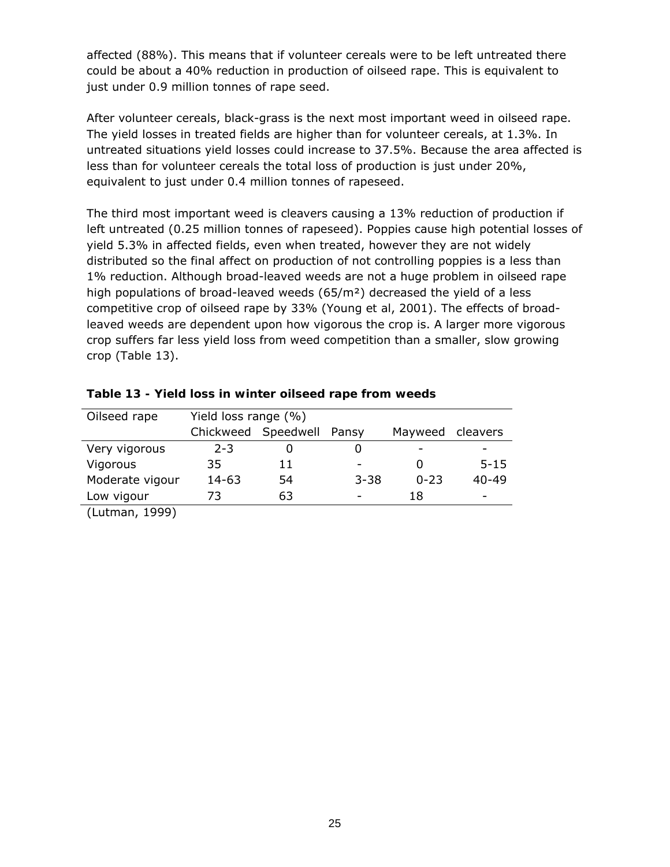affected (88%). This means that if volunteer cereals were to be left untreated there could be about a 40% reduction in production of oilseed rape. This is equivalent to just under 0.9 million tonnes of rape seed.

After volunteer cereals, black-grass is the next most important weed in oilseed rape. The yield losses in treated fields are higher than for volunteer cereals, at 1.3%. In untreated situations yield losses could increase to 37.5%. Because the area affected is less than for volunteer cereals the total loss of production is just under 20%, equivalent to just under 0.4 million tonnes of rapeseed.

The third most important weed is cleavers causing a 13% reduction of production if left untreated (0.25 million tonnes of rapeseed). Poppies cause high potential losses of yield 5.3% in affected fields, even when treated, however they are not widely distributed so the final affect on production of not controlling poppies is a less than 1% reduction. Although broad-leaved weeds are not a huge problem in oilseed rape high populations of broad-leaved weeds  $(65/m<sup>2</sup>)$  decreased the yield of a less competitive crop of oilseed rape by 33% (Young *et al*, 2001). The effects of broadleaved weeds are dependent upon how vigorous the crop is. A larger more vigorous crop suffers far less yield loss from weed competition than a smaller, slow growing crop (Table 13).

| Oilseed rape    | Yield loss range (%) |                           |                          |          |           |
|-----------------|----------------------|---------------------------|--------------------------|----------|-----------|
|                 |                      | Chickweed Speedwell Pansy |                          | Mayweed  | cleavers  |
| Very vigorous   | $2 - 3$              | O                         | O                        |          |           |
| Vigorous        | 35                   | 11                        | $\overline{\phantom{a}}$ |          | $5 - 15$  |
| Moderate vigour | 14-63                | 54                        | $3 - 38$                 | $0 - 23$ | $40 - 49$ |
| Low vigour      | 73                   | 63                        | $\overline{\phantom{0}}$ | 18       |           |
| (Lutman, 1999)  |                      |                           |                          |          |           |

**Table 13 - Yield loss in winter oilseed rape from weeds**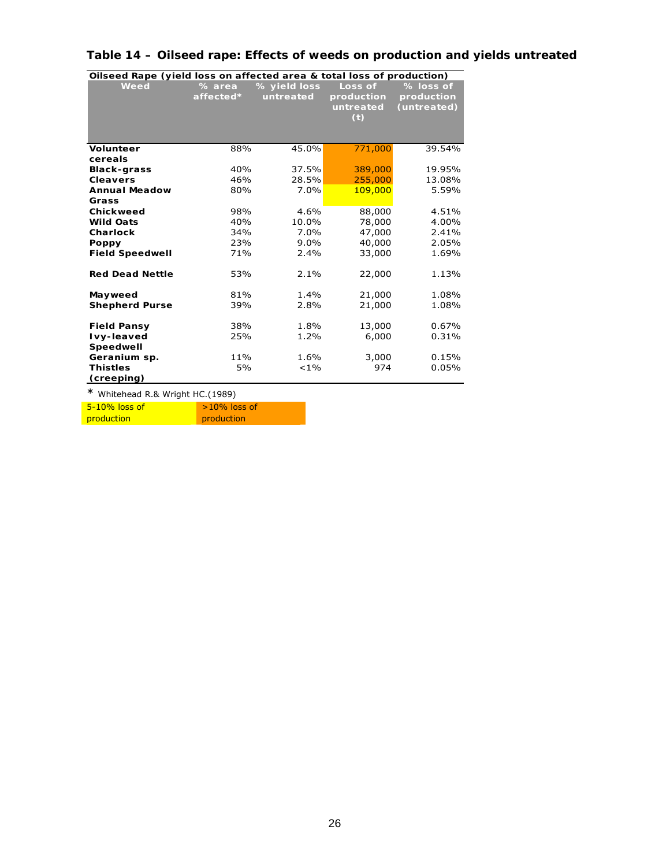|                        | Oilseed Rape (yield loss on affected area & total loss of production) |              |            |             |  |  |
|------------------------|-----------------------------------------------------------------------|--------------|------------|-------------|--|--|
| Weed                   | % area                                                                | % yield loss | Loss of    | % loss of   |  |  |
|                        | affected*                                                             | untreated    | production | production  |  |  |
|                        |                                                                       |              | untreated  | (untreated) |  |  |
|                        |                                                                       |              | (t)        |             |  |  |
|                        |                                                                       |              |            |             |  |  |
|                        |                                                                       |              |            |             |  |  |
| <b>Volunteer</b>       | 88%                                                                   | 45.0%        | 771,000    | 39.54%      |  |  |
| cereals                |                                                                       |              |            |             |  |  |
| <b>Black-grass</b>     | 40%                                                                   | 37.5%        | 389,000    | 19.95%      |  |  |
| <b>Cleavers</b>        | 46%                                                                   | 28.5%        | 255,000    | 13.08%      |  |  |
| <b>Annual Meadow</b>   | 80%                                                                   | 7.0%         | 109,000    | 5.59%       |  |  |
| Grass                  |                                                                       |              |            |             |  |  |
| Chickweed              | 98%                                                                   | 4.6%         | 88,000     | 4.51%       |  |  |
| <b>Wild Oats</b>       | 40%                                                                   | 10.0%        | 78,000     | 4.00%       |  |  |
| Charlock               | 34%                                                                   | 7.0%         | 47,000     | 2.41%       |  |  |
| Poppy                  | 23%                                                                   | $9.0\%$      | 40,000     | 2.05%       |  |  |
| <b>Field Speedwell</b> | 71%                                                                   | 2.4%         | 33,000     | 1.69%       |  |  |
|                        |                                                                       |              |            |             |  |  |
| <b>Red Dead Nettle</b> | 53%                                                                   | 2.1%         | 22,000     | 1.13%       |  |  |
|                        |                                                                       |              |            |             |  |  |
| Mayweed                | 81%                                                                   | 1.4%         | 21,000     | 1.08%       |  |  |
| <b>Shepherd Purse</b>  | 39%                                                                   | 2.8%         | 21,000     | 1.08%       |  |  |
|                        |                                                                       |              |            |             |  |  |
| <b>Field Pansy</b>     | 38%                                                                   | 1.8%         | 13,000     | 0.67%       |  |  |
| Ivy-leaved             | 25%                                                                   | 1.2%         | 6,000      | 0.31%       |  |  |
| Speedwell              |                                                                       |              |            |             |  |  |
| Geranium sp.           | 11%                                                                   | 1.6%         | 3,000      | 0.15%       |  |  |
| <b>Thistles</b>        | 5%                                                                    | $< 1\%$      | 974        | 0.05%       |  |  |
| (creeping)             |                                                                       |              |            |             |  |  |

## **Table 14 – Oilseed rape: Effects of weeds on production and yields untreated**

\* Whitehead R.& Wright HC.(1989)

| 5-10% loss of | $>10\%$ loss of |
|---------------|-----------------|
| production    | production      |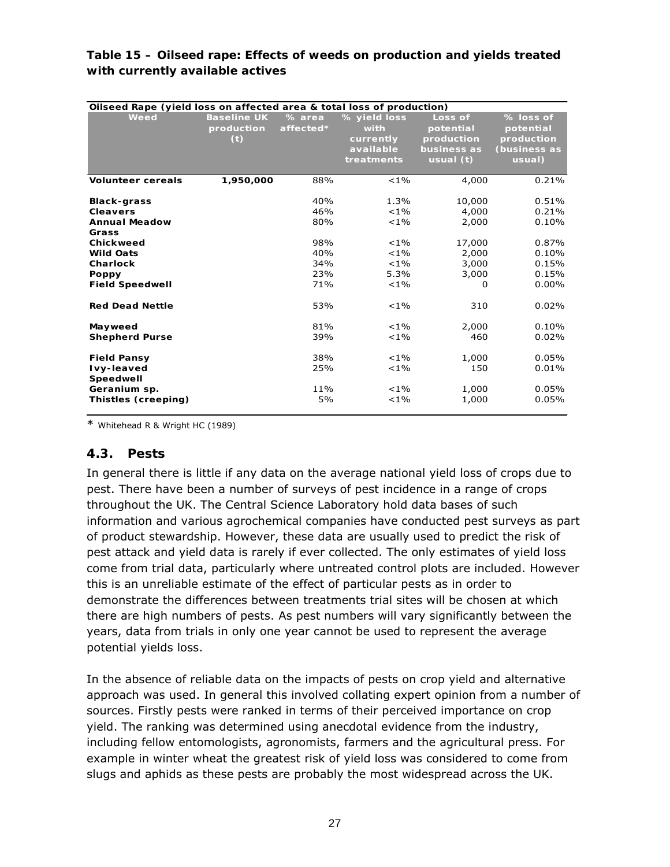#### **Table 15 – Oilseed rape: Effects of weeds on production and yields treated with currently available actives**

| Oilseed Rape (yield loss on affected area & total loss of production) |                    |           |              |             |              |
|-----------------------------------------------------------------------|--------------------|-----------|--------------|-------------|--------------|
| Weed                                                                  | <b>Baseline UK</b> | % area    | % yield loss | Loss of     | % loss of    |
|                                                                       | production         | affected* | with         | potential   | potential    |
|                                                                       | (t)                |           | currently    | production  | production   |
|                                                                       |                    |           | available    | business as | (business as |
|                                                                       |                    |           | treatments   | usual $(t)$ | usual)       |
| <b>Volunteer cereals</b>                                              | 1,950,000          | 88%       | $< 1\%$      | 4,000       | 0.21%        |
| <b>Black-grass</b>                                                    |                    | 40%       | 1.3%         | 10,000      | 0.51%        |
| <b>Cleavers</b>                                                       |                    | 46%       | $< 1\%$      | 4,000       | 0.21%        |
| <b>Annual Meadow</b>                                                  |                    | 80%       | $< 1\%$      | 2,000       | 0.10%        |
| Grass                                                                 |                    |           |              |             |              |
| Chickweed                                                             |                    | 98%       | $< 1\%$      | 17,000      | 0.87%        |
| <b>Wild Oats</b>                                                      |                    | 40%       | $< 1\%$      | 2,000       | 0.10%        |
| Charlock                                                              |                    | 34%       | $< 1\%$      | 3,000       | 0.15%        |
| Poppy                                                                 |                    | 23%       | 5.3%         | 3,000       | 0.15%        |
| <b>Field Speedwell</b>                                                |                    | 71%       | $< 1\%$      | 0           | $0.00\%$     |
| <b>Red Dead Nettle</b>                                                |                    | 53%       | $< 1\%$      | 310         | 0.02%        |
| Mayweed                                                               |                    | 81%       | $< 1\%$      | 2,000       | 0.10%        |
| <b>Shepherd Purse</b>                                                 |                    | 39%       | $< 1\%$      | 460         | 0.02%        |
| <b>Field Pansy</b>                                                    |                    | 38%       | $< 1\%$      | 1,000       | 0.05%        |
| Ivy-leaved<br>Speedwell                                               |                    | 25%       | $< 1\%$      | 150         | 0.01%        |
| Geranium sp.                                                          |                    | 11%       | $< 1\%$      | 1,000       | 0.05%        |
| Thistles (creeping)                                                   |                    | 5%        | $< 1\%$      | 1,000       | 0.05%        |

\* Whitehead R & Wright HC (1989)

#### **4.3. Pests**

In general there is little if any data on the average national yield loss of crops due to pest. There have been a number of surveys of pest incidence in a range of crops throughout the UK. The Central Science Laboratory hold data bases of such information and various agrochemical companies have conducted pest surveys as part of product stewardship. However, these data are usually used to predict the risk of pest attack and yield data is rarely if ever collected. The only estimates of yield loss come from trial data, particularly where untreated control plots are included. However this is an unreliable estimate of the effect of particular pests as in order to demonstrate the differences between treatments trial sites will be chosen at which there are high numbers of pests. As pest numbers will vary significantly between the years, data from trials in only one year cannot be used to represent the average potential yields loss.

In the absence of reliable data on the impacts of pests on crop yield and alternative approach was used. In general this involved collating expert opinion from a number of sources. Firstly pests were ranked in terms of their perceived importance on crop yield. The ranking was determined using anecdotal evidence from the industry, including fellow entomologists, agronomists, farmers and the agricultural press. For example in winter wheat the greatest risk of yield loss was considered to come from slugs and aphids as these pests are probably the most widespread across the UK.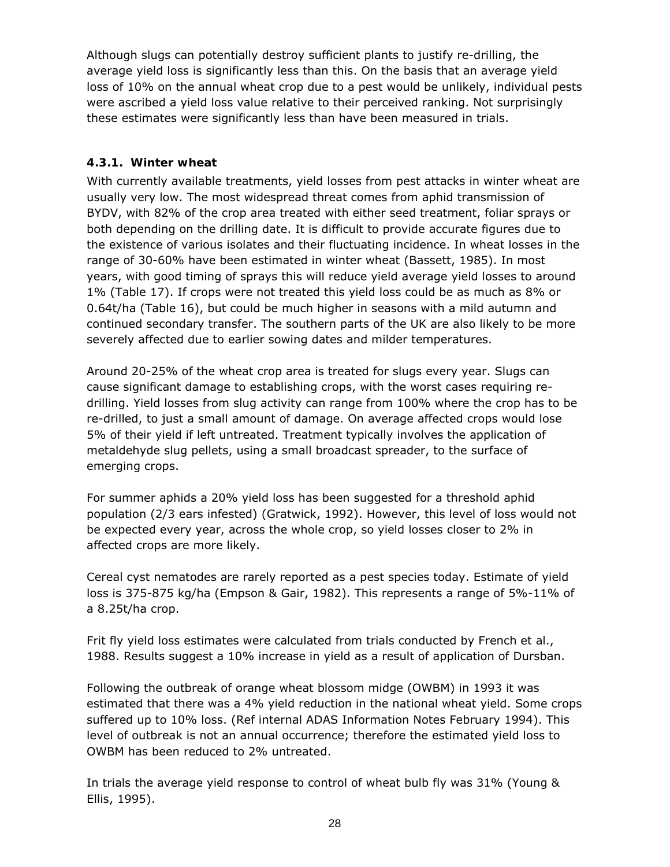Although slugs can potentially destroy sufficient plants to justify re-drilling, the average yield loss is significantly less than this. On the basis that an average yield loss of 10% on the annual wheat crop due to a pest would be unlikely, individual pests were ascribed a yield loss value relative to their perceived ranking. Not surprisingly these estimates were significantly less than have been measured in trials.

## **4.3.1. Winter wheat**

With currently available treatments, yield losses from pest attacks in winter wheat are usually very low. The most widespread threat comes from aphid transmission of BYDV, with 82% of the crop area treated with either seed treatment, foliar sprays or both depending on the drilling date. It is difficult to provide accurate figures due to the existence of various isolates and their fluctuating incidence. In wheat losses in the range of 30-60% have been estimated in winter wheat (Bassett, 1985). In most years, with good timing of sprays this will reduce yield average yield losses to around 1% (Table 17). If crops were not treated this yield loss could be as much as 8% or 0.64t/ha (Table 16), but could be much higher in seasons with a mild autumn and continued secondary transfer. The southern parts of the UK are also likely to be more severely affected due to earlier sowing dates and milder temperatures.

Around 20-25% of the wheat crop area is treated for slugs every year. Slugs can cause significant damage to establishing crops, with the worst cases requiring redrilling. Yield losses from slug activity can range from 100% where the crop has to be re-drilled, to just a small amount of damage. On average affected crops would lose 5% of their yield if left untreated. Treatment typically involves the application of metaldehyde slug pellets, using a small broadcast spreader, to the surface of emerging crops.

For summer aphids a 20% yield loss has been suggested for a threshold aphid population (2/3 ears infested) (Gratwick, 1992). However, this level of loss would not be expected every year, across the whole crop, so yield losses closer to 2% in affected crops are more likely.

Cereal cyst nematodes are rarely reported as a pest species today. Estimate of yield loss is 375-875 kg/ha (Empson & Gair, 1982). This represents a range of 5%-11% of a 8.25t/ha crop.

Frit fly yield loss estimates were calculated from trials conducted by French *et al*., 1988. Results suggest a 10% increase in yield as a result of application of Dursban.

Following the outbreak of orange wheat blossom midge (OWBM) in 1993 it was estimated that there was a 4% yield reduction in the national wheat yield. Some crops suffered up to 10% loss. (Ref internal ADAS Information Notes February 1994). This level of outbreak is not an annual occurrence; therefore the estimated yield loss to OWBM has been reduced to 2% untreated.

In trials the average yield response to control of wheat bulb fly was 31% (Young & Ellis, 1995).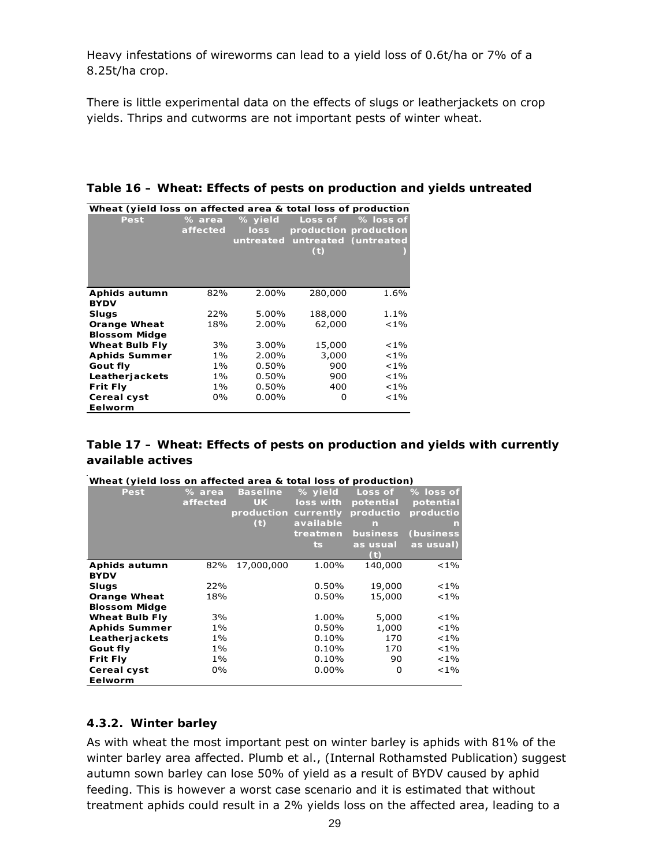Heavy infestations of wireworms can lead to a yield loss of 0.6t/ha or 7% of a 8.25t/ha crop.

There is little experimental data on the effects of slugs or leatherjackets on crop yields. Thrips and cutworms are not important pests of winter wheat.

| Wheat (yield loss on affected area & total loss of production |                    |                 |                                |                       |
|---------------------------------------------------------------|--------------------|-----------------|--------------------------------|-----------------------|
| Pest                                                          | % area<br>affected | % yield<br>loss | Loss of                        | % loss of             |
|                                                               |                    |                 |                                | production production |
|                                                               |                    |                 | untreated untreated (untreated |                       |
|                                                               |                    |                 | (t)                            |                       |
|                                                               |                    |                 |                                |                       |
|                                                               |                    |                 |                                |                       |
|                                                               | 82%                |                 |                                |                       |
| Aphids autumn                                                 |                    | 2.00%           | 280,000                        | 1.6%                  |
| <b>BYDV</b>                                                   |                    |                 |                                |                       |
| <b>Slugs</b>                                                  | 22%                | 5.00%           | 188,000                        | 1.1%                  |
| <b>Orange Wheat</b>                                           | 18%                | 2.00%           | 62,000                         | $< 1\%$               |
| <b>Blossom Midge</b>                                          |                    |                 |                                |                       |
| <b>Wheat Bulb Fly</b>                                         | 3%                 | 3.00%           | 15,000                         | $< 1\%$               |
| <b>Aphids Summer</b>                                          | $1\%$              | 2.00%           | 3,000                          | $< 1\%$               |
| Gout fly                                                      | $1\%$              | $0.50\%$        | 900                            | $< 1\%$               |
| Leatherjackets                                                | $1\%$              | $0.50\%$        | 900                            | $< 1\%$               |
| <b>Frit Fly</b>                                               | 1%                 | $0.50\%$        | 400                            | $< 1\%$               |
| Cereal cyst                                                   | 0%                 | $0.00\%$        | O                              | $< 1\%$               |
| Eelworm                                                       |                    |                 |                                |                       |

#### **Table 17 – Wheat: Effects of pests on production and yields with currently available actives**

| <u>WITE AT TVIETU TUSS UIT ATTECIEU ATEA &amp; TUTAT TUSS UI PI UUUCTIUIT</u> |          |                      |           |           |            |
|-------------------------------------------------------------------------------|----------|----------------------|-----------|-----------|------------|
| Pest                                                                          | % area   | <b>Baseline</b>      | % yield   | Loss of   | % loss of  |
|                                                                               | affected | <b>UK</b>            | loss with | potential | potential  |
|                                                                               |          | production currently |           | productio | productio  |
|                                                                               |          | (t)                  | available | n         | n          |
|                                                                               |          |                      | treatmen  | business  | (business) |
|                                                                               |          |                      | ts.       | as usual  | as usual)  |
|                                                                               |          |                      |           | Œ         |            |
| Aphids autumn                                                                 | 82%      | 17,000,000           | 1.00%     | 140,000   | $< 1\%$    |
| <b>BYDV</b>                                                                   |          |                      |           |           |            |
| Slugs                                                                         | 22%      |                      | 0.50%     | 19,000    | ${<}1\%$   |
| <b>Orange Wheat</b>                                                           | 18%      |                      | 0.50%     | 15,000    | ${<}1\%$   |
| <b>Blossom Midge</b>                                                          |          |                      |           |           |            |
| <b>Wheat Bulb Fly</b>                                                         | 3%       |                      | 1.00%     | 5,000     | $< 1\%$    |
| <b>Aphids Summer</b>                                                          | $1\%$    |                      | 0.50%     | 1,000     | $< 1\%$    |
| Leatherjackets                                                                | $1\%$    |                      | 0.10%     | 170       | $< 1\%$    |
| Gout fly                                                                      | 1%       |                      | $0.10\%$  | 170       | $< 1\%$    |
| <b>Frit Fly</b>                                                               | $1\%$    |                      | 0.10%     | 90        | $< 1\%$    |
| Cereal cyst                                                                   | 0%       |                      | $0.00\%$  | 0         | $< 1\%$    |
| Eelworm                                                                       |          |                      |           |           |            |

| Wheat (yield loss on affected area & total loss of production) |
|----------------------------------------------------------------|
|----------------------------------------------------------------|

#### **4.3.2. Winter barley**

As with wheat the most important pest on winter barley is aphids with 81% of the winter barley area affected. Plumb *et al*., (Internal Rothamsted Publication) suggest autumn sown barley can lose 50% of yield as a result of BYDV caused by aphid feeding. This is however a worst case scenario and it is estimated that without treatment aphids could result in a 2% yields loss on the affected area, leading to a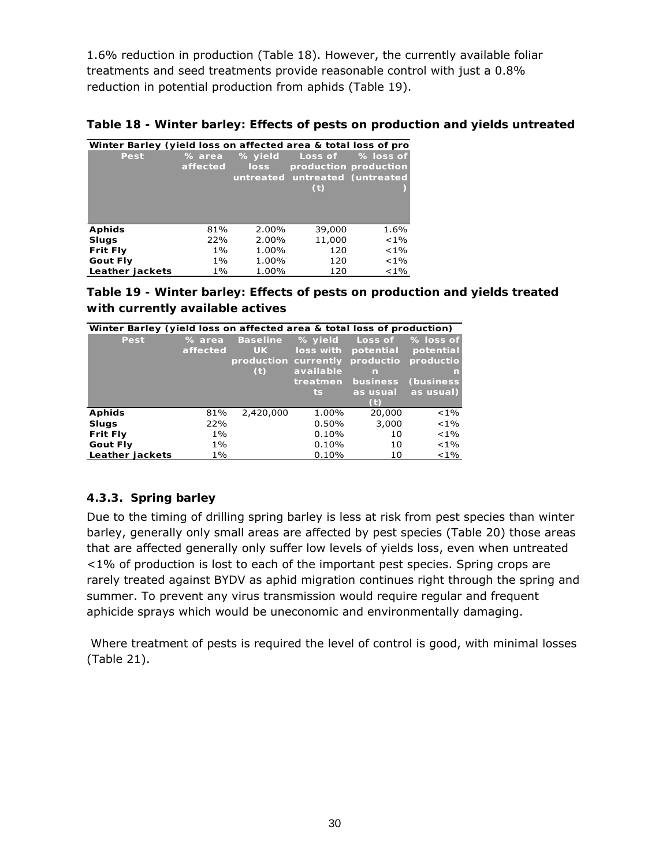1.6% reduction in production (Table 18). However, the currently available foliar treatments and seed treatments provide reasonable control with just a 0.8% reduction in potential production from aphids (Table 19).

**Table 18 - Winter barley: Effects of pests on production and yields untreated** 

| Winter Barley (yield loss on affected area & total loss of pro |          |             |                                |                       |
|----------------------------------------------------------------|----------|-------------|--------------------------------|-----------------------|
| Pest                                                           | % area   | % yield     | Loss of                        | % loss of             |
|                                                                | affected | <b>loss</b> |                                | production production |
|                                                                |          |             | untreated untreated (untreated |                       |
|                                                                |          |             | (t)                            |                       |
|                                                                |          |             |                                |                       |
|                                                                |          |             |                                |                       |
|                                                                |          |             |                                |                       |
| <b>Aphids</b>                                                  | 81%      | 2.00%       | 39,000                         | 1.6%                  |
| <b>Slugs</b>                                                   | 22%      | 2.00%       | 11,000                         | $< 1\%$               |
| <b>Frit Fly</b>                                                | $1\%$    | 1.00%       | 120                            | $< 1\%$               |
| <b>Gout Fly</b>                                                | $1\%$    | 1.00%       | 120                            | $< 1\%$               |
| Leather jackets                                                | 1%       | 1.00%       | 120                            | $< 1\%$               |

| Table 19 - Winter barley: Effects of pests on production and yields treated |
|-----------------------------------------------------------------------------|
| with currently available actives                                            |

| Winter Barley (yield loss on affected area & total loss of production) |                    |                              |                      |                      |                        |
|------------------------------------------------------------------------|--------------------|------------------------------|----------------------|----------------------|------------------------|
| Pest                                                                   | % area<br>affected | <b>Baseline</b><br><b>UK</b> | % yield<br>loss with | Loss of<br>potential | % loss of<br>potential |
|                                                                        |                    | production currently         |                      | productio            | productio              |
|                                                                        |                    | (t)                          | available            | n                    | n                      |
|                                                                        |                    |                              | treatmen             | business             | <b>(business)</b>      |
|                                                                        |                    |                              | ts.                  | as usual             | as usual)              |
|                                                                        |                    |                              |                      |                      |                        |
| <b>Aphids</b>                                                          | 81%                | 2,420,000                    | 1.00%                | 20,000               | $< 1\%$                |
| <b>Slugs</b>                                                           | 22%                |                              | 0.50%                | 3,000                | $< 1\%$                |
| <b>Frit Fly</b>                                                        | $1\%$              |                              | 0.10%                | 10                   | $< 1\%$                |
| <b>Gout Fly</b>                                                        | $1\%$              |                              | 0.10%                | 10                   | $< 1\%$                |
| Leather jackets                                                        | 1%                 |                              | 0.10%                | 10                   | $< 1\%$                |

### **4.3.3. Spring barley**

Due to the timing of drilling spring barley is less at risk from pest species than winter barley, generally only small areas are affected by pest species (Table 20) those areas that are affected generally only suffer low levels of yields loss, even when untreated <1% of production is lost to each of the important pest species. Spring crops are rarely treated against BYDV as aphid migration continues right through the spring and summer. To prevent any virus transmission would require regular and frequent aphicide sprays which would be uneconomic and environmentally damaging.

 Where treatment of pests is required the level of control is good, with minimal losses (Table 21).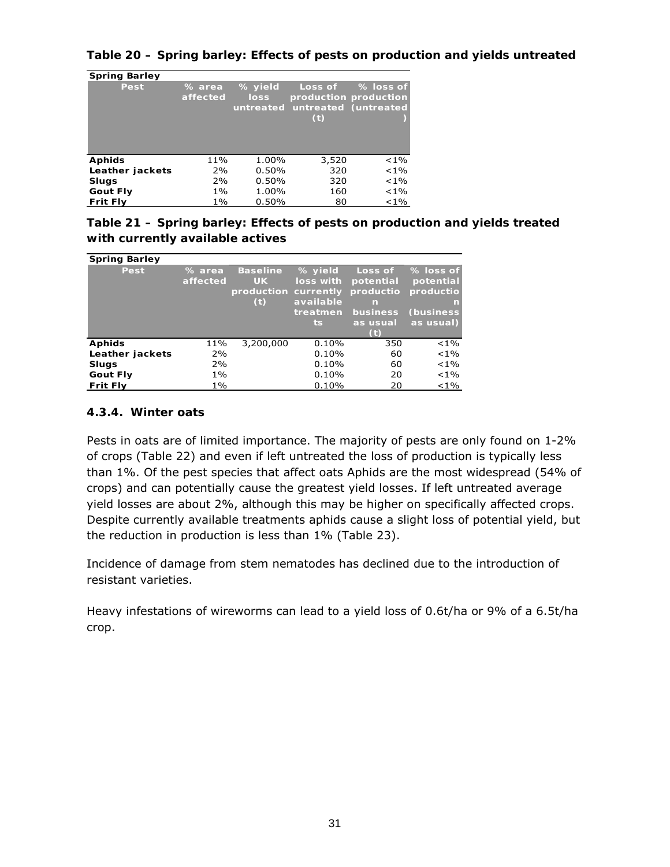**Table 20 – Spring barley: Effects of pests on production and yields untreated** 

| <b>Spring Barley</b> |                    |                                     |                |                                                            |
|----------------------|--------------------|-------------------------------------|----------------|------------------------------------------------------------|
| Pest                 | % area<br>affected | % yield<br><b>loss</b><br>untreated | Loss of<br>(t) | % loss of<br>production production<br>untreated (untreated |
| <b>Aphids</b>        | 11%                | 1.00%                               | 3,520          | $< 1\%$                                                    |
| Leather jackets      | 2%                 | 0.50%                               | 320            | $< 1\%$                                                    |
| <b>Slugs</b>         | 2%                 | 0.50%                               | 320            | $< 1\%$                                                    |
| <b>Gout Fly</b>      | 1%                 | 1.00%                               | 160            | $< 1\%$                                                    |
| <b>Frit Fly</b>      | 1%                 | 0.50%                               | 80             | $< 1\%$                                                    |

| Table 21 – Spring barley: Effects of pests on production and yields treated |
|-----------------------------------------------------------------------------|
| with currently available actives                                            |

| <b>Spring Barley</b> |                    |                                                             |                                                      |                                                                          |                                                                    |
|----------------------|--------------------|-------------------------------------------------------------|------------------------------------------------------|--------------------------------------------------------------------------|--------------------------------------------------------------------|
| Pest                 | % area<br>affected | <b>Baseline</b><br><b>UK</b><br>production currently<br>(t) | % yield<br>loss with<br>available<br>treatmen<br>ts. | Loss of<br>potential<br>productio<br>m<br>business<br>as u <u>sual</u> ' | % loss of<br>potential<br>productio<br>n<br>(business<br>as usual) |
| <b>Aphids</b>        | 11%                | 3,200,000                                                   | 0.10%                                                | 350                                                                      | $< 1\%$                                                            |
| Leather jackets      | 2%                 |                                                             | 0.10%                                                | 60                                                                       | $< 1\%$                                                            |
| <b>Slugs</b>         | 2%                 |                                                             | 0.10%                                                | 60                                                                       | $< 1\%$                                                            |
| <b>Gout Fly</b>      | $1\%$              |                                                             | 0.10%                                                | 20                                                                       | $< 1\%$                                                            |
| <b>Frit Fly</b>      | $1\%$              |                                                             | 0.10%                                                | 20                                                                       | $< 1\%$                                                            |

#### **4.3.4. Winter oats**

Pests in oats are of limited importance. The majority of pests are only found on 1-2% of crops (Table 22) and even if left untreated the loss of production is typically less than 1%. Of the pest species that affect oats Aphids are the most widespread (54% of crops) and can potentially cause the greatest yield losses. If left untreated average yield losses are about 2%, although this may be higher on specifically affected crops. Despite currently available treatments aphids cause a slight loss of potential yield, but the reduction in production is less than 1% (Table 23).

Incidence of damage from stem nematodes has declined due to the introduction of resistant varieties.

Heavy infestations of wireworms can lead to a yield loss of 0.6t/ha or 9% of a 6.5t/ha crop.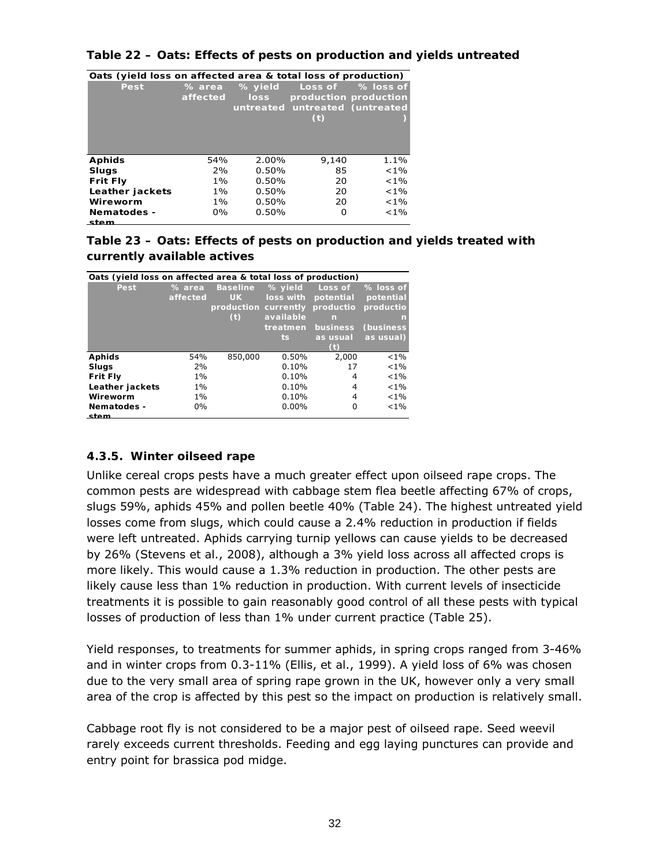| Table 22 – Oats: Effects of pests on production and yields untreated |  |
|----------------------------------------------------------------------|--|
|----------------------------------------------------------------------|--|

| Oats (yield loss on affected area & total loss of production) |          |         |                                |                       |  |  |  |  |  |
|---------------------------------------------------------------|----------|---------|--------------------------------|-----------------------|--|--|--|--|--|
| Pest                                                          | % area   | % yield | Loss of                        | % loss of             |  |  |  |  |  |
|                                                               | affected | loss    |                                | production production |  |  |  |  |  |
|                                                               |          |         | untreated untreated (untreated |                       |  |  |  |  |  |
|                                                               |          |         | (t)                            |                       |  |  |  |  |  |
|                                                               |          |         |                                |                       |  |  |  |  |  |
|                                                               |          |         |                                |                       |  |  |  |  |  |
|                                                               |          |         |                                |                       |  |  |  |  |  |
| <b>Aphids</b>                                                 | 54%      | 2.00%   | 9,140                          | 1.1%                  |  |  |  |  |  |
| Slugs                                                         | 2%       | 0.50%   | 85                             | $< 1\%$               |  |  |  |  |  |
| <b>Frit Fly</b>                                               | $1\%$    | 0.50%   | 20                             | $< 1\%$               |  |  |  |  |  |
| Leather jackets                                               | $1\%$    | 0.50%   | 20                             | $< 1\%$               |  |  |  |  |  |
| Wireworm                                                      | $1\%$    | 0.50%   | 20                             | $< 1\%$               |  |  |  |  |  |
| Nematodes -                                                   | $0\%$    | 0.50%   | 0                              | $< 1\%$               |  |  |  |  |  |
| stem                                                          |          |         |                                |                       |  |  |  |  |  |

# **Oats (yield loss on affected area & total loss of production)**

### **Table 23 – Oats: Effects of pests on production and yields treated with currently available actives**

| Oats (yield loss on affected area & total loss of production) |          |                      |           |           |                   |  |  |  |
|---------------------------------------------------------------|----------|----------------------|-----------|-----------|-------------------|--|--|--|
| Pest                                                          | % area   | <b>Baseline</b>      | % yield   | Loss of   | % loss of         |  |  |  |
|                                                               | affected | <b>UK</b>            | loss with | potential | potential         |  |  |  |
|                                                               |          | production currently |           | productio | productio         |  |  |  |
|                                                               |          | (t)                  | available | n         | m                 |  |  |  |
|                                                               |          |                      | treatmen  | business  | <b>(business)</b> |  |  |  |
|                                                               |          |                      | ts.       | as usual  | as usual)         |  |  |  |
|                                                               |          |                      |           |           |                   |  |  |  |
| <b>Aphids</b>                                                 | 54%      | 850,000              | 0.50%     | 2,000     | $< 1\%$           |  |  |  |
| <b>Slugs</b>                                                  | 2%       |                      | 0.10%     | 17        | $< 1\%$           |  |  |  |
| <b>Frit Fly</b>                                               | 1%       |                      | 0.10%     | 4         | $< 1\%$           |  |  |  |
| Leather jackets                                               | $1\%$    |                      | 0.10%     | 4         | $< 1\%$           |  |  |  |
| Wireworm                                                      | 1%       |                      | 0.10%     | 4         | $< 1\%$           |  |  |  |
| Nematodes -                                                   | $0\%$    |                      | $0.00\%$  | 0         | $< 1\%$           |  |  |  |
| stem                                                          |          |                      |           |           |                   |  |  |  |

### **4.3.5. Winter oilseed rape**

Unlike cereal crops pests have a much greater effect upon oilseed rape crops. The common pests are widespread with cabbage stem flea beetle affecting 67% of crops, slugs 59%, aphids 45% and pollen beetle 40% (Table 24). The highest untreated yield losses come from slugs, which could cause a 2.4% reduction in production if fields were left untreated. Aphids carrying turnip yellows can cause yields to be decreased by 26% (Stevens *et al*., 2008), although a 3% yield loss across all affected crops is more likely. This would cause a 1.3% reduction in production. The other pests are likely cause less than 1% reduction in production. With current levels of insecticide treatments it is possible to gain reasonably good control of all these pests with typical losses of production of less than 1% under current practice (Table 25).

Yield responses, to treatments for summer aphids, in spring crops ranged from 3-46% and in winter crops from 0.3-11% (Ellis, *et al*., 1999). A yield loss of 6% was chosen due to the very small area of spring rape grown in the UK, however only a very small area of the crop is affected by this pest so the impact on production is relatively small.

Cabbage root fly is not considered to be a major pest of oilseed rape. Seed weevil rarely exceeds current thresholds. Feeding and egg laying punctures can provide and entry point for brassica pod midge.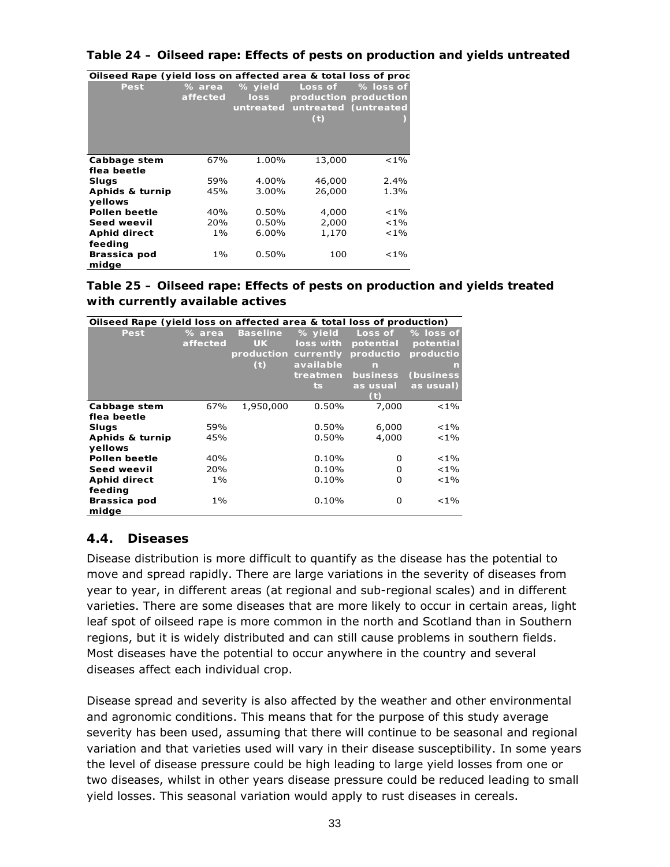#### **Table 24 – Oilseed rape: Effects of pests on production and yields untreated**

| Onseed Rape (yield loss on arrected area & total loss or proc |                                              |          |                                                  |                                    |
|---------------------------------------------------------------|----------------------------------------------|----------|--------------------------------------------------|------------------------------------|
| Pest                                                          | % yield<br>% area<br>affected<br><b>loss</b> |          | Loss of<br>untreated untreated (untreated<br>(t) | % loss of<br>production production |
| Cabbage stem                                                  | 67%                                          | 1.00%    | 13,000                                           | $< 1\%$                            |
| flea beetle                                                   |                                              |          |                                                  |                                    |
| Slugs                                                         | 59%                                          | 4.00%    | 46,000                                           | 2.4%                               |
| Aphids & turnip                                               | 45%                                          | 3.00%    | 26,000                                           | 1.3%                               |
| vellows                                                       |                                              |          |                                                  |                                    |
| Pollen beetle                                                 | 40%                                          | 0.50%    | 4,000                                            | $< 1\%$                            |
| Seed weevil                                                   | 20%                                          | 0.50%    | 2,000                                            | $< 1\%$                            |
| <b>Aphid direct</b>                                           | 1%                                           | $6.00\%$ | 1,170                                            | $< 1\%$                            |
| feeding                                                       |                                              |          |                                                  |                                    |
| Brassica pod                                                  | 1%                                           | 0.50%    | 100                                              | $< 1\%$                            |
| midge                                                         |                                              |          |                                                  |                                    |

**Oilseed Rape (yield loss on affected area & total loss of prod**

### **Table 25 – Oilseed rape: Effects of pests on production and yields treated with currently available actives**

| Oilseed Rape (yield loss on affected area & total loss of production) |          |                      |           |                 |                   |
|-----------------------------------------------------------------------|----------|----------------------|-----------|-----------------|-------------------|
| Pest                                                                  | % area   | <b>Baseline</b>      | % yield   | Loss of         | % loss of         |
|                                                                       | affected | <b>UK</b>            | loss with | potential       | potential         |
|                                                                       |          | production currently |           | productio       | productio         |
|                                                                       |          | (t)                  | available | n               | n                 |
|                                                                       |          |                      | treatmen  | <b>business</b> | <b>(business)</b> |
|                                                                       |          |                      | ts.       | as usual        | as usual)         |
|                                                                       |          |                      |           | (t)             |                   |
| Cabbage stem                                                          | 67%      | 1,950,000            | 0.50%     | 7,000           | $< 1\%$           |
| flea beetle                                                           |          |                      |           |                 |                   |
| <b>Slugs</b>                                                          | 59%      |                      | $0.50\%$  | 6,000           | ${<}1\%$          |
| Aphids & turnip                                                       | 45%      |                      | 0.50%     | 4,000           | $< 1\%$           |
| vellows                                                               |          |                      |           |                 |                   |
| Pollen beetle                                                         | 40%      |                      | 0.10%     | 0               | $< 1\%$           |
| Seed weevil                                                           | 20%      |                      | 0.10%     | 0               | ${<}1\%$          |
| <b>Aphid direct</b>                                                   | 1%       |                      | 0.10%     | 0               | ${<}1\%$          |
| feeding                                                               |          |                      |           |                 |                   |
| Brassica pod                                                          | 1%       |                      | 0.10%     | 0               | ${<}1\%$          |
| midge                                                                 |          |                      |           |                 |                   |

# **4.4. Diseases**

Disease distribution is more difficult to quantify as the disease has the potential to move and spread rapidly. There are large variations in the severity of diseases from year to year, in different areas (at regional and sub-regional scales) and in different varieties. There are some diseases that are more likely to occur in certain areas, light leaf spot of oilseed rape is more common in the north and Scotland than in Southern regions, but it is widely distributed and can still cause problems in southern fields. Most diseases have the potential to occur anywhere in the country and several diseases affect each individual crop.

Disease spread and severity is also affected by the weather and other environmental and agronomic conditions. This means that for the purpose of this study average severity has been used, assuming that there will continue to be seasonal and regional variation and that varieties used will vary in their disease susceptibility. In some years the level of disease pressure could be high leading to large yield losses from one or two diseases, whilst in other years disease pressure could be reduced leading to small yield losses. This seasonal variation would apply to rust diseases in cereals.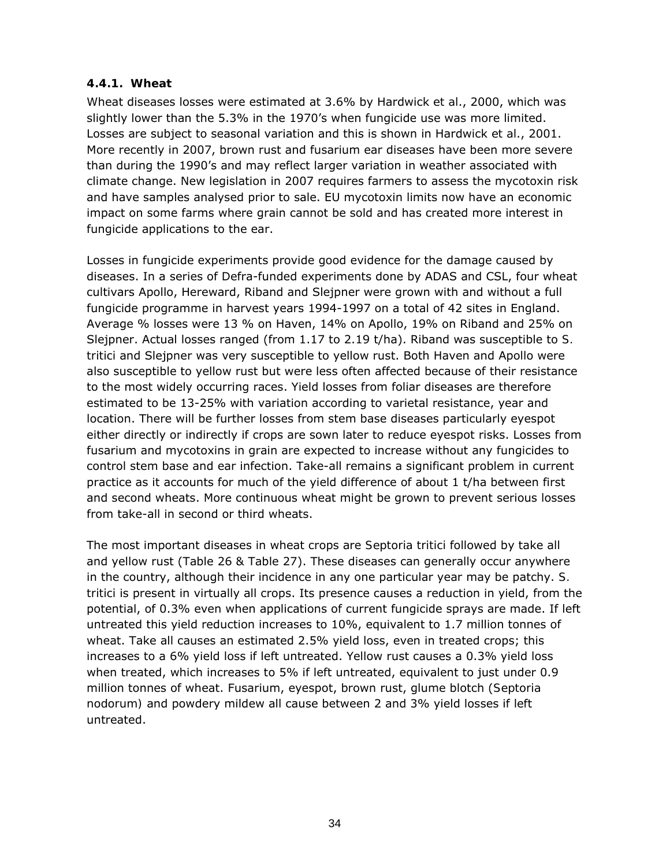### **4.4.1. Wheat**

Wheat diseases losses were estimated at 3.6% by Hardwick *et al*., 2000, which was slightly lower than the 5.3% in the 1970's when fungicide use was more limited. Losses are subject to seasonal variation and this is shown in Hardwick *et al*., 2001. More recently in 2007, brown rust and fusarium ear diseases have been more severe than during the 1990's and may reflect larger variation in weather associated with climate change. New legislation in 2007 requires farmers to assess the mycotoxin risk and have samples analysed prior to sale. EU mycotoxin limits now have an economic impact on some farms where grain cannot be sold and has created more interest in fungicide applications to the ear.

Losses in fungicide experiments provide good evidence for the damage caused by diseases. In a series of Defra-funded experiments done by ADAS and CSL, four wheat cultivars Apollo, Hereward, Riband and Slejpner were grown with and without a full fungicide programme in harvest years 1994-1997 on a total of 42 sites in England. Average % losses were 13 % on Haven, 14% on Apollo, 19% on Riband and 25% on Slejpner. Actual losses ranged (from 1.17 to 2.19 t/ha). Riband was susceptible to *S. tritici* and Slejpner was very susceptible to yellow rust. Both Haven and Apollo were also susceptible to yellow rust but were less often affected because of their resistance to the most widely occurring races. Yield losses from foliar diseases are therefore estimated to be 13-25% with variation according to varietal resistance, year and location. There will be further losses from stem base diseases particularly eyespot either directly or indirectly if crops are sown later to reduce eyespot risks. Losses from fusarium and mycotoxins in grain are expected to increase without any fungicides to control stem base and ear infection. Take-all remains a significant problem in current practice as it accounts for much of the yield difference of about 1 t/ha between first and second wheats. More continuous wheat might be grown to prevent serious losses from take-all in second or third wheats.

The most important diseases in wheat crops are *Septoria tritici* followed by take all and yellow rust (Table 26 & Table 27). These diseases can generally occur anywhere in the country, although their incidence in any one particular year may be patchy. *S. tritici* is present in virtually all crops. Its presence causes a reduction in yield, from the potential, of 0.3% even when applications of current fungicide sprays are made. If left untreated this yield reduction increases to 10%, equivalent to 1.7 million tonnes of wheat. Take all causes an estimated 2.5% yield loss, even in treated crops; this increases to a 6% yield loss if left untreated. Yellow rust causes a 0.3% yield loss when treated, which increases to 5% if left untreated, equivalent to just under 0.9 million tonnes of wheat. Fusarium, eyespot, brown rust, glume blotch (*Septoria nodorum)* and powdery mildew all cause between 2 and 3% yield losses if left untreated.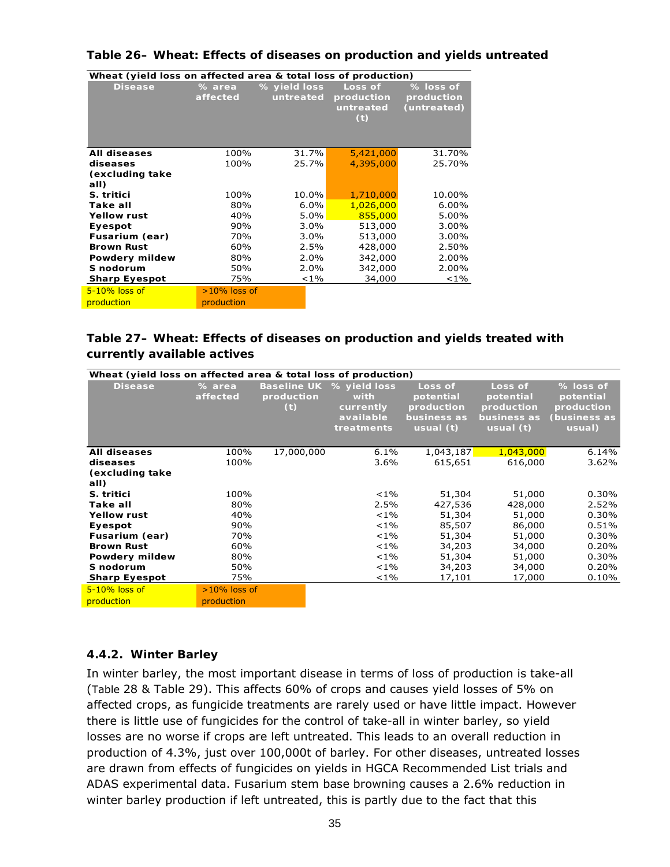| Wheat (yield loss on affected area & total loss of production) |                    |                           |                                           |                                        |  |  |  |
|----------------------------------------------------------------|--------------------|---------------------------|-------------------------------------------|----------------------------------------|--|--|--|
| <b>Disease</b>                                                 | % area<br>affected | % yield loss<br>untreated | Loss of<br>production<br>untreated<br>(t) | % loss of<br>production<br>(untreated) |  |  |  |
|                                                                |                    |                           |                                           |                                        |  |  |  |
| <b>All diseases</b>                                            | 100%               | 31.7%                     | 5,421,000                                 | 31.70%                                 |  |  |  |
| diseases                                                       | 100%               | 25.7%                     | 4,395,000                                 | 25.70%                                 |  |  |  |
| (excluding take                                                |                    |                           |                                           |                                        |  |  |  |
| all)                                                           |                    |                           |                                           |                                        |  |  |  |
| S. tritici                                                     | 100%               | 10.0%                     | 1,710,000                                 | 10.00%                                 |  |  |  |
| Take all                                                       | 80%                | 6.0%                      | 1,026,000                                 | $6.00\%$                               |  |  |  |
| <b>Yellow rust</b>                                             | 40%                | 5.0%                      | 855,000                                   | 5.00%                                  |  |  |  |
| Eyespot                                                        | 90%                | 3.0%                      | 513,000                                   | 3.00%                                  |  |  |  |
| Fusarium (ear)                                                 | 70%                | $3.0\%$                   | 513,000                                   | 3.00%                                  |  |  |  |
| <b>Brown Rust</b>                                              | 60%                | 2.5%                      | 428,000                                   | 2.50%                                  |  |  |  |
| Powdery mildew                                                 | 80%                | 2.0%                      | 342,000                                   | 2.00%                                  |  |  |  |
| S nodorum                                                      | 50%                | $2.0\%$                   | 342,000                                   | 2.00%                                  |  |  |  |
| <b>Sharp Eyespot</b>                                           | 75%                | $< 1\%$                   | 34,000                                    | $< 1\%$                                |  |  |  |
| $5-10\%$ loss of                                               | $>10\%$ loss of    |                           |                                           |                                        |  |  |  |
| production                                                     | production         |                           |                                           |                                        |  |  |  |

#### **Table 26– Wheat: Effects of diseases on production and yields untreated**

### **Table 27– Wheat: Effects of diseases on production and yields treated with currently available actives**

|                         | Wheat (yield loss on affected area & total loss of production) |                   |                                                                          |                                                                  |                                                                  |                                                                |  |  |
|-------------------------|----------------------------------------------------------------|-------------------|--------------------------------------------------------------------------|------------------------------------------------------------------|------------------------------------------------------------------|----------------------------------------------------------------|--|--|
| <b>Disease</b>          | % area<br>affected                                             | production<br>(t) | Baseline UK % yield loss<br>with<br>currently<br>available<br>treatments | Loss of<br>potential<br>production<br>business as<br>usual $(t)$ | Loss of<br>potential<br>production<br>business as<br>usual $(t)$ | % loss of<br>potential<br>production<br>(business as<br>usual) |  |  |
| <b>All diseases</b>     | 100%                                                           | 17,000,000        | 6.1%                                                                     | 1,043,187                                                        | 1,043,000                                                        | 6.14%                                                          |  |  |
| diseases                | 100%                                                           |                   | $3.6\%$                                                                  | 615,651                                                          | 616,000                                                          | 3.62%                                                          |  |  |
| (excluding take<br>all) |                                                                |                   |                                                                          |                                                                  |                                                                  |                                                                |  |  |
| S. tritici              | 100%                                                           |                   | $< 1\%$                                                                  | 51,304                                                           | 51,000                                                           | 0.30%                                                          |  |  |
| Take all                | 80%                                                            |                   | 2.5%                                                                     | 427,536                                                          | 428,000                                                          | 2.52%                                                          |  |  |
| <b>Yellow rust</b>      | 40%                                                            |                   | $< 1\%$                                                                  | 51,304                                                           | 51,000                                                           | 0.30%                                                          |  |  |
| Eyespot                 | 90%                                                            |                   | $< 1\%$                                                                  | 85,507                                                           | 86,000                                                           | 0.51%                                                          |  |  |
| Fusarium (ear)          | 70%                                                            |                   | $< 1\%$                                                                  | 51,304                                                           | 51,000                                                           | 0.30%                                                          |  |  |
| <b>Brown Rust</b>       | 60%                                                            |                   | $< 1\%$                                                                  | 34,203                                                           | 34,000                                                           | 0.20%                                                          |  |  |
| Powdery mildew          | 80%                                                            |                   | $< 1\%$                                                                  | 51,304                                                           | 51,000                                                           | 0.30%                                                          |  |  |
| S nodorum               | 50%                                                            |                   | $< 1\%$                                                                  | 34,203                                                           | 34,000                                                           | 0.20%                                                          |  |  |
| <b>Sharp Eyespot</b>    | 75%                                                            |                   | $< 1\%$                                                                  | 17,101                                                           | 17,000                                                           | 0.10%                                                          |  |  |
| $5-10\%$ loss of        | $>10\%$ loss of                                                |                   |                                                                          |                                                                  |                                                                  |                                                                |  |  |
| production              | production                                                     |                   |                                                                          |                                                                  |                                                                  |                                                                |  |  |

#### **4.4.2. Winter Barley**

In winter barley, the most important disease in terms of loss of production is take-all (Table 28 & Table 29). This affects 60% of crops and causes yield losses of 5% on affected crops, as fungicide treatments are rarely used or have little impact. However there is little use of fungicides for the control of take-all in winter barley, so yield losses are no worse if crops are left untreated. This leads to an overall reduction in production of 4.3%, just over 100,000t of barley. For other diseases, untreated losses are drawn from effects of fungicides on yields in HGCA Recommended List trials and ADAS experimental data. Fusarium stem base browning causes a 2.6% reduction in winter barley production if left untreated, this is partly due to the fact that this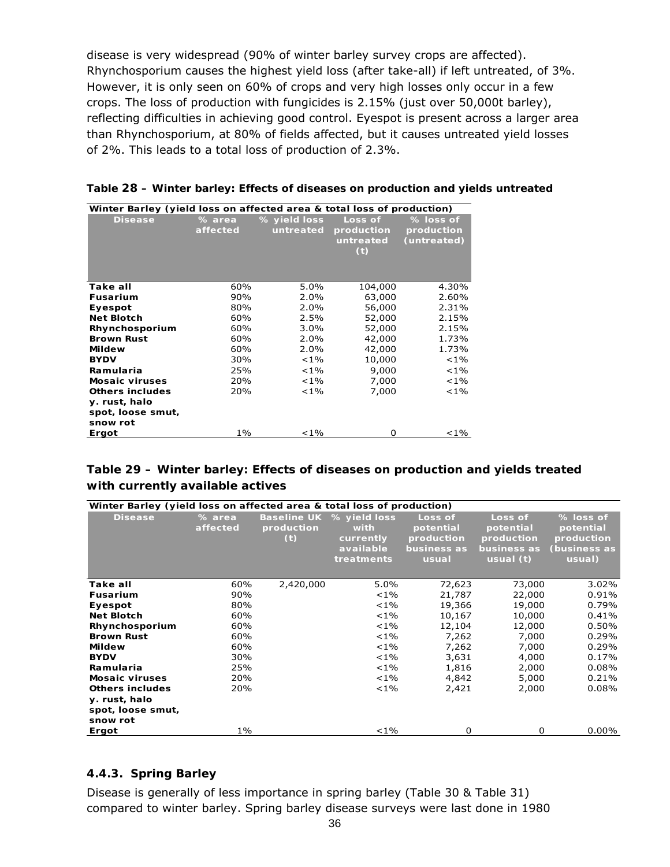disease is very widespread (90% of winter barley survey crops are affected). Rhynchosporium causes the highest yield loss (after take-all) if left untreated, of 3%. However, it is only seen on 60% of crops and very high losses only occur in a few crops. The loss of production with fungicides is 2.15% (just over 50,000t barley), reflecting difficulties in achieving good control. Eyespot is present across a larger area than Rhynchosporium, at 80% of fields affected, but it causes untreated yield losses of 2%. This leads to a total loss of production of 2.3%.

| Winter Barley (yield loss on affected area & total loss of production) |                    |                           |                                           |                                        |  |  |  |
|------------------------------------------------------------------------|--------------------|---------------------------|-------------------------------------------|----------------------------------------|--|--|--|
| <b>Disease</b>                                                         | % area<br>affected | % yield loss<br>untreated | Loss of<br>production<br>untreated<br>(t) | % loss of<br>production<br>(untreated) |  |  |  |
| Take all                                                               | 60%                | 5.0%                      | 104,000                                   | 4.30%                                  |  |  |  |
| <b>Fusarium</b>                                                        | 90%                | $2.0\%$                   | 63,000                                    | 2.60%                                  |  |  |  |
| Eyespot                                                                | 80%                | 2.0%                      | 56,000                                    | 2.31%                                  |  |  |  |
| <b>Net Blotch</b>                                                      | 60%                | 2.5%                      | 52,000                                    | 2.15%                                  |  |  |  |
| Rhynchosporium                                                         | 60%                | $3.0\%$                   | 52,000                                    | 2.15%                                  |  |  |  |
| <b>Brown Rust</b>                                                      | 60%                | 2.0%                      | 42,000                                    | 1.73%                                  |  |  |  |
| <b>Mildew</b>                                                          | 60%                | $2.0\%$                   | 42,000                                    | 1.73%                                  |  |  |  |
| <b>BYDV</b>                                                            | 30%                | $< 1\%$                   | 10,000                                    | $< 1\%$                                |  |  |  |
| Ramularia                                                              | 25%                | $< 1\%$                   | 9,000                                     | $< 1\%$                                |  |  |  |
| <b>Mosaic viruses</b>                                                  | 20%                | $< 1\%$                   | 7,000                                     | $< 1\%$                                |  |  |  |
| <b>Others includes</b>                                                 | 20%                | $< 1\%$                   | 7,000                                     | ${<}1\%$                               |  |  |  |
| y. rust, halo                                                          |                    |                           |                                           |                                        |  |  |  |
| spot, loose smut,                                                      |                    |                           |                                           |                                        |  |  |  |
| snow rot                                                               |                    |                           |                                           |                                        |  |  |  |
| Ergot                                                                  | $1\%$              | $< 1\%$                   | O                                         | ${<}1\%$                               |  |  |  |

**Table 28 – Winter barley: Effects of diseases on production and yields untreated** 

### **Table 29 – Winter barley: Effects of diseases on production and yields treated with currently available actives**

| Winter Barley (yield loss on affected area & total loss of production) |                    |                   |                                                                          |                                                            |                                                                  |                                                                |
|------------------------------------------------------------------------|--------------------|-------------------|--------------------------------------------------------------------------|------------------------------------------------------------|------------------------------------------------------------------|----------------------------------------------------------------|
| <b>Disease</b>                                                         | % area<br>affected | production<br>(t) | Baseline UK % yield loss<br>with<br>currently<br>available<br>treatments | Loss of<br>potential<br>production<br>business as<br>usual | Loss of<br>potential<br>production<br>business as<br>usual $(t)$ | % loss of<br>potential<br>production<br>(business as<br>usual) |
| Take all                                                               | 60%                | 2,420,000         | 5.0%                                                                     | 72,623                                                     | 73,000                                                           | $3.02\%$                                                       |
| <b>Fusarium</b>                                                        | 90%                |                   | $< 1\%$                                                                  | 21,787                                                     | 22,000                                                           | 0.91%                                                          |
| Eyespot                                                                | 80%                |                   | $< 1\%$                                                                  | 19,366                                                     | 19,000                                                           | 0.79%                                                          |
| <b>Net Blotch</b>                                                      | 60%                |                   | $< 1\%$                                                                  | 10,167                                                     | 10,000                                                           | 0.41%                                                          |
| Rhynchosporium                                                         | 60%                |                   | $< 1\%$                                                                  | 12,104                                                     | 12,000                                                           | 0.50%                                                          |
| <b>Brown Rust</b>                                                      | 60%                |                   | $< 1\%$                                                                  | 7,262                                                      | 7,000                                                            | 0.29%                                                          |
| <b>Mildew</b>                                                          | 60%                |                   | $< 1\%$                                                                  | 7,262                                                      | 7,000                                                            | 0.29%                                                          |
| <b>BYDV</b>                                                            | 30%                |                   | $< 1\%$                                                                  | 3,631                                                      | 4,000                                                            | 0.17%                                                          |
| Ramularia                                                              | 25%                |                   | $< 1\%$                                                                  | 1,816                                                      | 2,000                                                            | 0.08%                                                          |
| <b>Mosaic viruses</b>                                                  | 20%                |                   | $< 1\%$                                                                  | 4,842                                                      | 5,000                                                            | 0.21%                                                          |
| <b>Others includes</b>                                                 | 20%                |                   | $< 1\%$                                                                  | 2,421                                                      | 2,000                                                            | 0.08%                                                          |
| y. rust, halo<br>spot, loose smut,<br>snow rot                         |                    |                   |                                                                          |                                                            |                                                                  |                                                                |
| Ergot                                                                  | $1\%$              |                   | $< 1\%$                                                                  | 0                                                          | $\Omega$                                                         | $0.00\%$                                                       |

### **4.4.3. Spring Barley**

Disease is generally of less importance in spring barley (Table 30 & Table 31) compared to winter barley. Spring barley disease surveys were last done in 1980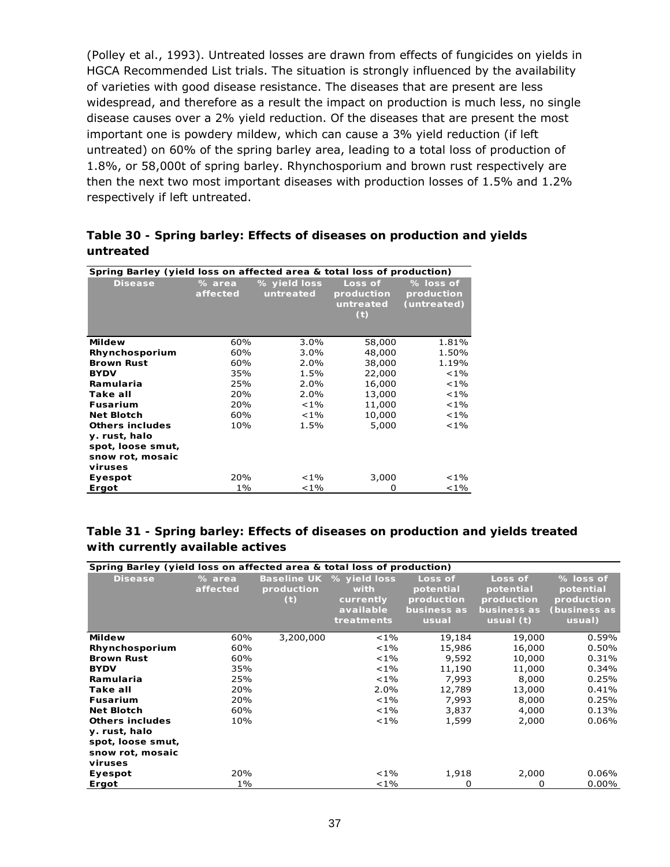(Polley *et al*., 1993). Untreated losses are drawn from effects of fungicides on yields in HGCA Recommended List trials. The situation is strongly influenced by the availability of varieties with good disease resistance. The diseases that are present are less widespread, and therefore as a result the impact on production is much less, no single disease causes over a 2% yield reduction. Of the diseases that are present the most important one is powdery mildew, which can cause a 3% yield reduction (if left untreated) on 60% of the spring barley area, leading to a total loss of production of 1.8%, or 58,000t of spring barley. Rhynchosporium and brown rust respectively are then the next two most important diseases with production losses of 1.5% and 1.2% respectively if left untreated.

### **Table 30 - Spring barley: Effects of diseases on production and yields untreated**

| Spring Barley (yield loss on affected area & total loss of production) |                    |                           |                                           |                                        |  |  |  |
|------------------------------------------------------------------------|--------------------|---------------------------|-------------------------------------------|----------------------------------------|--|--|--|
| <b>Disease</b>                                                         | % area<br>affected | % yield loss<br>untreated | Loss of<br>production<br>untreated<br>(t) | % loss of<br>production<br>(untreated) |  |  |  |
| <b>Mildew</b>                                                          | 60%                | $3.0\%$                   | 58,000                                    | 1.81%                                  |  |  |  |
| Rhynchosporium                                                         | 60%                | $3.0\%$                   | 48,000                                    | 1.50%                                  |  |  |  |
| <b>Brown Rust</b>                                                      | 60%                | 2.0%                      | 38,000                                    | 1.19%                                  |  |  |  |
| <b>BYDV</b>                                                            | 35%                | 1.5%                      | 22,000                                    | $< 1\%$                                |  |  |  |
| Ramularia                                                              | 25%                | 2.0%                      | 16,000                                    | $< 1\%$                                |  |  |  |
| Take all                                                               | 20%                | 2.0%                      | 13,000                                    | $< 1\%$                                |  |  |  |
| <b>Fusarium</b>                                                        | 20%                | $< 1\%$                   | 11,000                                    | $< 1\%$                                |  |  |  |
| <b>Net Blotch</b>                                                      | 60%                | $< 1\%$                   | 10,000                                    | $< 1\%$                                |  |  |  |
| <b>Others includes</b>                                                 | 10%                | 1.5%                      | 5,000                                     | $< 1\%$                                |  |  |  |
| y. rust, halo                                                          |                    |                           |                                           |                                        |  |  |  |
| spot, loose smut,                                                      |                    |                           |                                           |                                        |  |  |  |
| snow rot, mosaic                                                       |                    |                           |                                           |                                        |  |  |  |
| viruses                                                                |                    |                           |                                           |                                        |  |  |  |
| Eyespot                                                                | 20%                | $< 1\%$                   | 3,000                                     | ${<}1\%$                               |  |  |  |
| Ergot                                                                  | 1%                 | $< 1\%$                   | O                                         | ${<}1\%$                               |  |  |  |

### **Table 31 - Spring barley: Effects of diseases on production and yields treated with currently available actives**

| Spring Barley (yield loss on affected area & total loss of production) |                    |                                         |                                                              |                                                            |                                                                  |                                                                |
|------------------------------------------------------------------------|--------------------|-----------------------------------------|--------------------------------------------------------------|------------------------------------------------------------|------------------------------------------------------------------|----------------------------------------------------------------|
| <b>Disease</b>                                                         | % area<br>affected | <b>Baseline UK</b><br>production<br>(t) | % yield loss<br>with<br>currently<br>available<br>treatments | Loss of<br>potential<br>production<br>business as<br>usual | Loss of<br>potential<br>production<br>business as<br>usual $(t)$ | % loss of<br>potential<br>production<br>(business as<br>usual) |
| <b>Mildew</b>                                                          | 60%                | 3,200,000                               | $< 1\%$                                                      | 19,184                                                     | 19,000                                                           | 0.59%                                                          |
| Rhynchosporium                                                         | 60%                |                                         | $< 1\%$                                                      | 15,986                                                     | 16,000                                                           | 0.50%                                                          |
| <b>Brown Rust</b>                                                      | 60%                |                                         | $< 1\%$                                                      | 9,592                                                      | 10,000                                                           | 0.31%                                                          |
| <b>BYDV</b>                                                            | 35%                |                                         | $< 1\%$                                                      | 11,190                                                     | 11,000                                                           | 0.34%                                                          |
| Ramularia                                                              | 25%                |                                         | $< 1\%$                                                      | 7,993                                                      | 8,000                                                            | 0.25%                                                          |
| Take all                                                               | 20%                |                                         | 2.0%                                                         | 12,789                                                     | 13,000                                                           | 0.41%                                                          |
| <b>Fusarium</b>                                                        | 20%                |                                         | $< 1\%$                                                      | 7,993                                                      | 8,000                                                            | 0.25%                                                          |
| <b>Net Blotch</b>                                                      | 60%                |                                         | $< 1\%$                                                      | 3,837                                                      | 4,000                                                            | 0.13%                                                          |
| <b>Others includes</b>                                                 | 10%                |                                         | $< 1\%$                                                      | 1,599                                                      | 2,000                                                            | 0.06%                                                          |
| y. rust, halo                                                          |                    |                                         |                                                              |                                                            |                                                                  |                                                                |
| spot, loose smut,                                                      |                    |                                         |                                                              |                                                            |                                                                  |                                                                |
| snow rot, mosaic                                                       |                    |                                         |                                                              |                                                            |                                                                  |                                                                |
| viruses                                                                |                    |                                         |                                                              |                                                            |                                                                  |                                                                |
| Eyespot                                                                | 20%                |                                         | $< 1\%$                                                      | 1,918                                                      | 2,000                                                            | $0.06\%$                                                       |
| Ergot                                                                  | $1\%$              |                                         | $< 1\%$                                                      | 0                                                          | $\Omega$                                                         | $0.00\%$                                                       |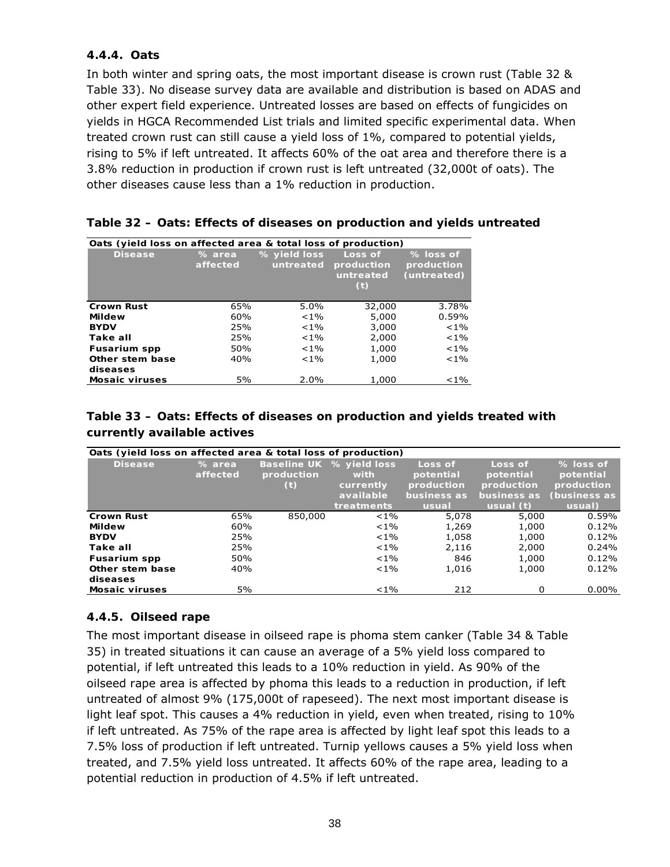# **4.4.4. Oats**

In both winter and spring oats, the most important disease is crown rust (Table 32 & Table 33). No disease survey data are available and distribution is based on ADAS and other expert field experience. Untreated losses are based on effects of fungicides on yields in HGCA Recommended List trials and limited specific experimental data. When treated crown rust can still cause a yield loss of 1%, compared to potential yields, rising to 5% if left untreated. It affects 60% of the oat area and therefore there is a 3.8% reduction in production if crown rust is left untreated (32,000t of oats). The other diseases cause less than a 1% reduction in production.

| Oats (yield loss on affected area & total loss of production) |                    |                           |                                                      |                                        |  |  |  |  |
|---------------------------------------------------------------|--------------------|---------------------------|------------------------------------------------------|----------------------------------------|--|--|--|--|
| <b>Disease</b>                                                | % area<br>affected | % yield loss<br>untreated | Loss of<br>production<br>untreated<br>$\mathbf{(t)}$ | % loss of<br>production<br>(untreated) |  |  |  |  |
| <b>Crown Rust</b>                                             | 65%                | 5.0%                      | 32,000                                               | 3.78%                                  |  |  |  |  |
| <b>Mildew</b>                                                 | 60%                | $< 1\%$                   | 5,000                                                | 0.59%                                  |  |  |  |  |
| <b>BYDV</b>                                                   | 25%                | $< 1\%$                   | 3,000                                                | $< 1\%$                                |  |  |  |  |
| Take all                                                      | 25%                | $< 1\%$                   | 2,000                                                | $< 1\%$                                |  |  |  |  |
| <b>Fusarium spp</b>                                           | 50%                | $< 1\%$                   | 1,000                                                | $< 1\%$                                |  |  |  |  |
| Other stem base                                               | 40%                | $< 1\%$                   | 1,000                                                | $< 1\%$                                |  |  |  |  |
| diseases                                                      |                    |                           |                                                      |                                        |  |  |  |  |
| <b>Mosaic viruses</b>                                         | 5%                 | 2.0%                      | 1,000                                                | $< 1\%$                                |  |  |  |  |

|  |  |  |  | Table 32 – Oats: Effects of diseases on production and yields untreated |
|--|--|--|--|-------------------------------------------------------------------------|
|--|--|--|--|-------------------------------------------------------------------------|

# **Table 33 – Oats: Effects of diseases on production and yields treated with currently available actives**

| Oats (yield loss on affected area & total loss of production) |          |            |                          |             |             |              |  |  |  |
|---------------------------------------------------------------|----------|------------|--------------------------|-------------|-------------|--------------|--|--|--|
| <b>Disease</b>                                                | % area   |            | Baseline UK % yield loss | Loss of     | Loss of     | % loss of    |  |  |  |
|                                                               | affected | production | with                     | potential   | potential   | potential    |  |  |  |
|                                                               |          | (t)        | currently                | production  | production  | production   |  |  |  |
|                                                               |          |            | available                | business as | business as | (business as |  |  |  |
|                                                               |          |            | treatments               | usual       | usual (t)   | usual)       |  |  |  |
| <b>Crown Rust</b>                                             | 65%      | 850,000    | $< 1\%$                  | 5,078       | 5,000       | 0.59%        |  |  |  |
| <b>Mildew</b>                                                 | 60%      |            | $< 1\%$                  | 1,269       | 1,000       | 0.12%        |  |  |  |
| <b>BYDV</b>                                                   | 25%      |            | $< 1\%$                  | 1,058       | 1,000       | 0.12%        |  |  |  |
| Take all                                                      | 25%      |            | $< 1\%$                  | 2,116       | 2,000       | 0.24%        |  |  |  |
| <b>Fusarium spp</b>                                           | 50%      |            | $< 1\%$                  | 846         | 1,000       | 0.12%        |  |  |  |
| Other stem base                                               | 40%      |            | $< 1\%$                  | 1,016       | 1,000       | 0.12%        |  |  |  |
| diseases                                                      |          |            |                          |             |             |              |  |  |  |
| <b>Mosaic viruses</b>                                         | 5%       |            | $< 1\%$                  | 212         | 0           | $0.00\%$     |  |  |  |

# **4.4.5. Oilseed rape**

The most important disease in oilseed rape is phoma stem canker (Table 34 & Table 35) in treated situations it can cause an average of a 5% yield loss compared to potential, if left untreated this leads to a 10% reduction in yield. As 90% of the oilseed rape area is affected by phoma this leads to a reduction in production, if left untreated of almost 9% (175,000t of rapeseed). The next most important disease is light leaf spot. This causes a 4% reduction in yield, even when treated, rising to 10% if left untreated. As 75% of the rape area is affected by light leaf spot this leads to a 7.5% loss of production if left untreated. Turnip yellows causes a 5% yield loss when treated, and 7.5% yield loss untreated. It affects 60% of the rape area, leading to a potential reduction in production of 4.5% if left untreated.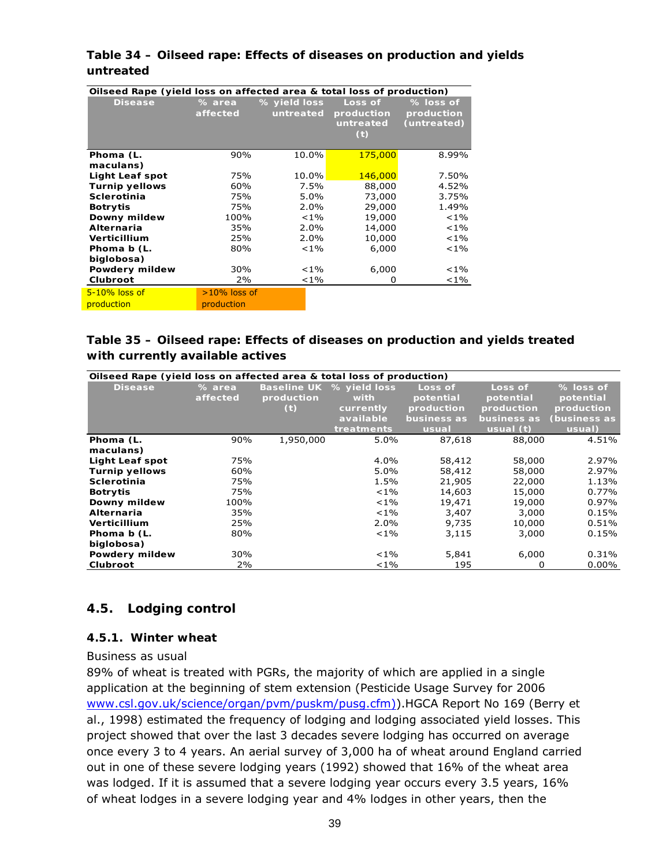### **Table 34 – Oilseed rape: Effects of diseases on production and yields untreated**

| Oilseed Rape (yield loss on affected area & total loss of production) |                    |                           |                                           |                                          |  |  |  |
|-----------------------------------------------------------------------|--------------------|---------------------------|-------------------------------------------|------------------------------------------|--|--|--|
| <b>Disease</b>                                                        | % area<br>affected | % yield loss<br>untreated | Loss of<br>production<br>untreated<br>(t) | $%$ loss of<br>production<br>(untreated) |  |  |  |
| Phoma (L.<br>maculans)                                                | 90%                | 10.0%                     | 175,000                                   | 8.99%                                    |  |  |  |
| <b>Light Leaf spot</b>                                                | 75%                | 10.0%                     | 146,000                                   | 7.50%                                    |  |  |  |
| <b>Turnip yellows</b>                                                 | 60%                | 7.5%                      | 88,000                                    | 4.52%                                    |  |  |  |
| <b>Sclerotinia</b>                                                    | 75%                | 5.0%                      | 73,000                                    | 3.75%                                    |  |  |  |
| <b>Botrytis</b>                                                       | 75%                | 2.0%                      | 29,000                                    | 1.49%                                    |  |  |  |
| Downy mildew                                                          | 100%               | $< 1\%$                   | 19,000                                    | $< 1\%$                                  |  |  |  |
| Alternaria                                                            | 35%                | 2.0%                      | 14,000                                    | $< 1\%$                                  |  |  |  |
| Verticillium                                                          | 25%                | 2.0%                      | 10,000                                    | $< 1\%$                                  |  |  |  |
| Phoma b (L.                                                           | 80%                | $< 1\%$                   | 6,000                                     | $< 1\%$                                  |  |  |  |
| biglobosa)                                                            |                    |                           |                                           |                                          |  |  |  |
| Powdery mildew                                                        | 30%                | $< 1\%$                   | 6,000                                     | $< 1\%$                                  |  |  |  |
| Clubroot                                                              | 2%                 | ${<}1\%$                  | 0                                         | $< 1\%$                                  |  |  |  |
| $5-10\%$ loss of                                                      | $>10\%$ loss of    |                           |                                           |                                          |  |  |  |
| production                                                            | production         |                           |                                           |                                          |  |  |  |

# **Table 35 – Oilseed rape: Effects of diseases on production and yields treated with currently available actives**

|                        | Oilseed Rape (yield loss on affected area & total loss of production) |            |                          |             |             |              |
|------------------------|-----------------------------------------------------------------------|------------|--------------------------|-------------|-------------|--------------|
| <b>Disease</b>         | % area                                                                |            | Baseline UK % yield loss | Loss of     | Loss of     | % loss of    |
|                        | affected                                                              | production | with                     | potential   | potential   | potential    |
|                        |                                                                       | (t)        | currently                | production  | production  | production   |
|                        |                                                                       |            | available                | business as | business as | (business as |
|                        |                                                                       |            | treatments               | usual       | usual $(t)$ | usual)       |
| Phoma (L.              | 90%                                                                   | 1,950,000  | $5.0\%$                  | 87,618      | 88,000      | 4.51%        |
| maculans)              |                                                                       |            |                          |             |             |              |
| <b>Light Leaf spot</b> | 75%                                                                   |            | 4.0%                     | 58,412      | 58,000      | 2.97%        |
| <b>Turnip yellows</b>  | 60%                                                                   |            | 5.0%                     | 58,412      | 58,000      | 2.97%        |
| <b>Sclerotinia</b>     | 75%                                                                   |            | 1.5%                     | 21,905      | 22,000      | 1.13%        |
| <b>Botrytis</b>        | 75%                                                                   |            | $< 1\%$                  | 14,603      | 15,000      | 0.77%        |
| Downy mildew           | 100%                                                                  |            | $< 1\%$                  | 19,471      | 19,000      | 0.97%        |
| <b>Alternaria</b>      | 35%                                                                   |            | $< 1\%$                  | 3,407       | 3,000       | 0.15%        |
| <b>Verticillium</b>    | 25%                                                                   |            | 2.0%                     | 9,735       | 10,000      | 0.51%        |
| Phoma b (L.            | 80%                                                                   |            | $< 1\%$                  | 3,115       | 3,000       | 0.15%        |
| biglobosa)             |                                                                       |            |                          |             |             |              |
| Powdery mildew         | 30%                                                                   |            | $< 1\%$                  | 5,841       | 6,000       | 0.31%        |
| Clubroot               | 2%                                                                    |            | $< 1\%$                  | 195         | 0           | $0.00\%$     |

# **4.5. Lodging control**

### **4.5.1. Winter wheat**

#### *Business as usual*

89% of wheat is treated with PGRs, the majority of which are applied in a single application at the beginning of stem extension (Pesticide Usage Survey for 2006 www.csl.gov.uk/science/organ/pvm/puskm/pusg.cfm)).HGCA Report No 169 (Berry *et al*., 1998) estimated the frequency of lodging and lodging associated yield losses. This project showed that over the last 3 decades severe lodging has occurred on average once every 3 to 4 years. An aerial survey of 3,000 ha of wheat around England carried out in one of these severe lodging years (1992) showed that 16% of the wheat area was lodged. If it is assumed that a severe lodging year occurs every 3.5 years, 16% of wheat lodges in a severe lodging year and 4% lodges in other years, then the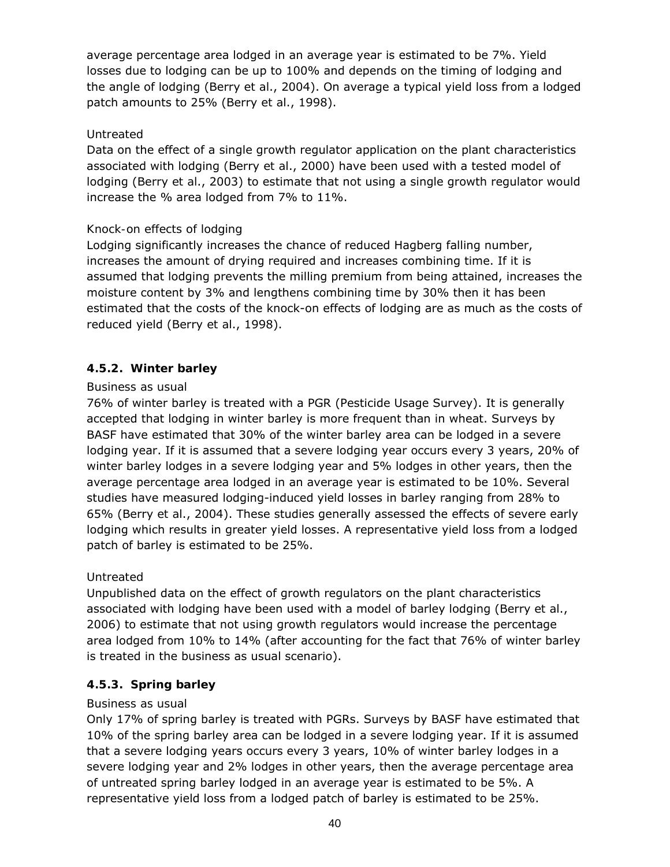average percentage area lodged in an average year is estimated to be 7%. Yield losses due to lodging can be up to 100% and depends on the timing of lodging and the angle of lodging (Berry *et al*., 2004). On average a typical yield loss from a lodged patch amounts to 25% (Berry *et al*., 1998).

# *Untreated*

Data on the effect of a single growth regulator application on the plant characteristics associated with lodging (Berry *et al*., 2000) have been used with a tested model of lodging (Berry *et al*., 2003) to estimate that not using a single growth regulator would increase the % area lodged from 7% to 11%.

# *Knock-on effects of lodging*

Lodging significantly increases the chance of reduced Hagberg falling number, increases the amount of drying required and increases combining time. If it is assumed that lodging prevents the milling premium from being attained, increases the moisture content by 3% and lengthens combining time by 30% then it has been estimated that the costs of the knock-on effects of lodging are as much as the costs of reduced yield (Berry *et al*., 1998).

# **4.5.2. Winter barley**

### *Business as usual*

76% of winter barley is treated with a PGR (Pesticide Usage Survey). It is generally accepted that lodging in winter barley is more frequent than in wheat. Surveys by BASF have estimated that 30% of the winter barley area can be lodged in a severe lodging year. If it is assumed that a severe lodging year occurs every 3 years, 20% of winter barley lodges in a severe lodging year and 5% lodges in other years, then the average percentage area lodged in an average year is estimated to be 10%. Several studies have measured lodging-induced yield losses in barley ranging from 28% to 65% (Berry *et al*., 2004). These studies generally assessed the effects of severe early lodging which results in greater yield losses. A representative yield loss from a lodged patch of barley is estimated to be 25%.

# *Untreated*

Unpublished data on the effect of growth regulators on the plant characteristics associated with lodging have been used with a model of barley lodging (Berry *et al*., 2006) to estimate that not using growth regulators would increase the percentage area lodged from 10% to 14% (after accounting for the fact that 76% of winter barley is treated in the business as usual scenario).

### **4.5.3. Spring barley**

### *Business as usual*

Only 17% of spring barley is treated with PGRs. Surveys by BASF have estimated that 10% of the spring barley area can be lodged in a severe lodging year. If it is assumed that a severe lodging years occurs every 3 years, 10% of winter barley lodges in a severe lodging year and 2% lodges in other years, then the average percentage area of untreated spring barley lodged in an average year is estimated to be 5%. A representative yield loss from a lodged patch of barley is estimated to be 25%.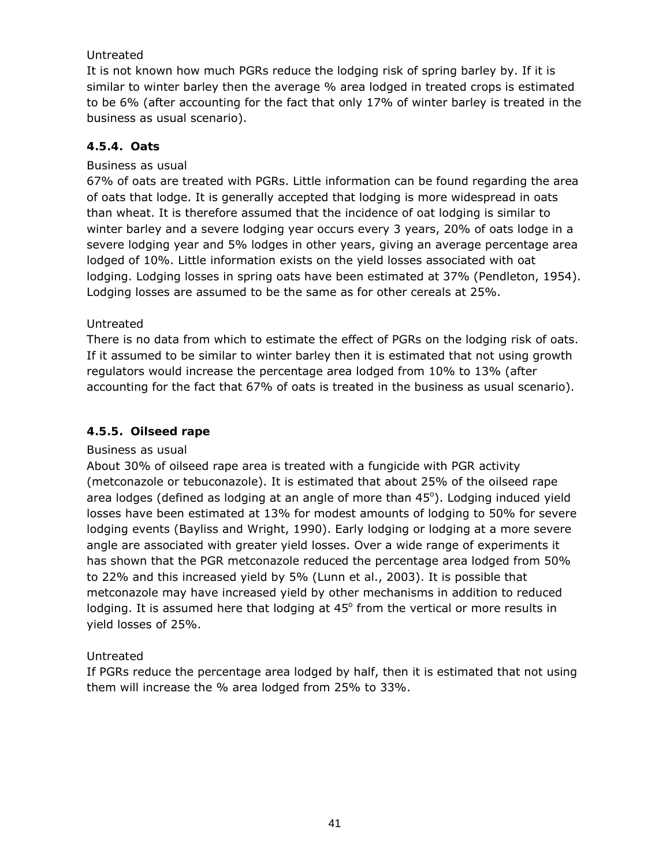# *Untreated*

It is not known how much PGRs reduce the lodging risk of spring barley by. If it is similar to winter barley then the average % area lodged in treated crops is estimated to be 6% (after accounting for the fact that only 17% of winter barley is treated in the business as usual scenario).

# **4.5.4. Oats**

### *Business as usual*

67% of oats are treated with PGRs. Little information can be found regarding the area of oats that lodge. It is generally accepted that lodging is more widespread in oats than wheat. It is therefore assumed that the incidence of oat lodging is similar to winter barley and a severe lodging year occurs every 3 years, 20% of oats lodge in a severe lodging year and 5% lodges in other years, giving an average percentage area lodged of 10%. Little information exists on the yield losses associated with oat lodging. Lodging losses in spring oats have been estimated at 37% (Pendleton, 1954). Lodging losses are assumed to be the same as for other cereals at 25%.

### *Untreated*

There is no data from which to estimate the effect of PGRs on the lodging risk of oats. If it assumed to be similar to winter barley then it is estimated that not using growth regulators would increase the percentage area lodged from 10% to 13% (after accounting for the fact that 67% of oats is treated in the business as usual scenario).

# **4.5.5. Oilseed rape**

### *Business as usual*

About 30% of oilseed rape area is treated with a fungicide with PGR activity (metconazole or tebuconazole). It is estimated that about 25% of the oilseed rape area lodges (defined as lodging at an angle of more than 45°). Lodging induced yield losses have been estimated at 13% for modest amounts of lodging to 50% for severe lodging events (Bayliss and Wright, 1990). Early lodging or lodging at a more severe angle are associated with greater yield losses. Over a wide range of experiments it has shown that the PGR metconazole reduced the percentage area lodged from 50% to 22% and this increased yield by 5% (Lunn *et al*., 2003). It is possible that metconazole may have increased yield by other mechanisms in addition to reduced lodging. It is assumed here that lodging at  $45^{\circ}$  from the vertical or more results in yield losses of 25%.

# *Untreated*

If PGRs reduce the percentage area lodged by half, then it is estimated that not using them will increase the % area lodged from 25% to 33%.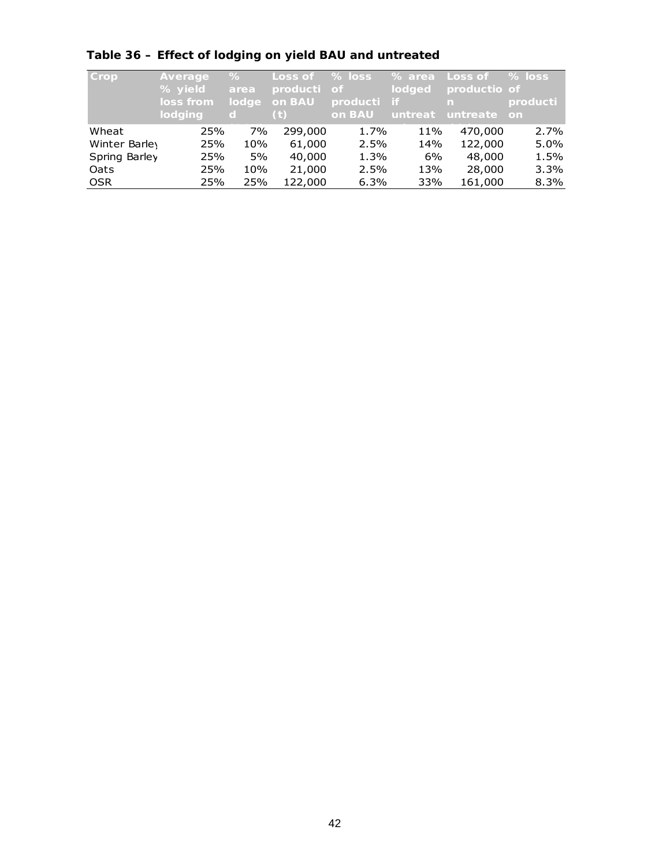| Crop          | Average<br>% yield<br>loss from<br>lodging | ℅<br>area<br>lodge<br><sub>d</sub> | Loss of<br>producti<br>on BAU<br>(t) | $%$ loss<br>$\circ$ f<br>producti<br>on BAU | ∣% area,<br><b>lodged</b><br>- if<br>untreat | Loss of<br>productio of<br>n.<br>untreate | $%$ loss<br>producti<br><b>on</b> |
|---------------|--------------------------------------------|------------------------------------|--------------------------------------|---------------------------------------------|----------------------------------------------|-------------------------------------------|-----------------------------------|
| Wheat         | 25%                                        | 7%                                 | 299,000                              | 1.7%                                        | 11%                                          | 470,000                                   | 2.7%                              |
| Winter Barley | 25%                                        | 10%                                | 61,000                               | 2.5%                                        | 14%                                          | 122,000                                   | 5.0%                              |
| Spring Barley | 25%                                        | 5%                                 | 40,000                               | 1.3%                                        | 6%                                           | 48,000                                    | 1.5%                              |
| Oats          | 25%                                        | 10%                                | 21,000                               | 2.5%                                        | 13%                                          | 28,000                                    | 3.3%                              |
| <b>OSR</b>    | 25%                                        | 25%                                | 122,000                              | 6.3%                                        | 33%                                          | 161,000                                   | 8.3%                              |

# **Table 36 – Effect of lodging on yield BAU and untreated**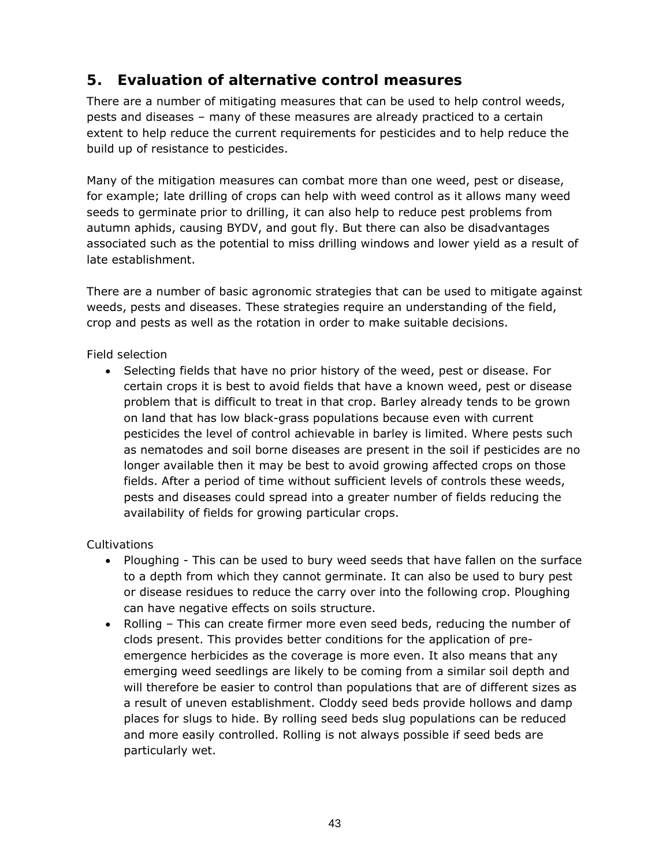# **5. Evaluation of alternative control measures**

There are a number of mitigating measures that can be used to help control weeds, pests and diseases – many of these measures are already practiced to a certain extent to help reduce the current requirements for pesticides and to help reduce the build up of resistance to pesticides.

Many of the mitigation measures can combat more than one weed, pest or disease, for example; late drilling of crops can help with weed control as it allows many weed seeds to germinate prior to drilling, it can also help to reduce pest problems from autumn aphids, causing BYDV, and gout fly. But there can also be disadvantages associated such as the potential to miss drilling windows and lower yield as a result of late establishment.

There are a number of basic agronomic strategies that can be used to mitigate against weeds, pests and diseases. These strategies require an understanding of the field, crop and pests as well as the rotation in order to make suitable decisions.

# *Field selection*

• Selecting fields that have no prior history of the weed, pest or disease. For certain crops it is best to avoid fields that have a known weed, pest or disease problem that is difficult to treat in that crop. Barley already tends to be grown on land that has low black-grass populations because even with current pesticides the level of control achievable in barley is limited. Where pests such as nematodes and soil borne diseases are present in the soil if pesticides are no longer available then it may be best to avoid growing affected crops on those fields. After a period of time without sufficient levels of controls these weeds, pests and diseases could spread into a greater number of fields reducing the availability of fields for growing particular crops.

# *Cultivations*

- Ploughing This can be used to bury weed seeds that have fallen on the surface to a depth from which they cannot germinate. It can also be used to bury pest or disease residues to reduce the carry over into the following crop. Ploughing can have negative effects on soils structure.
- Rolling This can create firmer more even seed beds, reducing the number of clods present. This provides better conditions for the application of preemergence herbicides as the coverage is more even. It also means that any emerging weed seedlings are likely to be coming from a similar soil depth and will therefore be easier to control than populations that are of different sizes as a result of uneven establishment. Cloddy seed beds provide hollows and damp places for slugs to hide. By rolling seed beds slug populations can be reduced and more easily controlled. Rolling is not always possible if seed beds are particularly wet.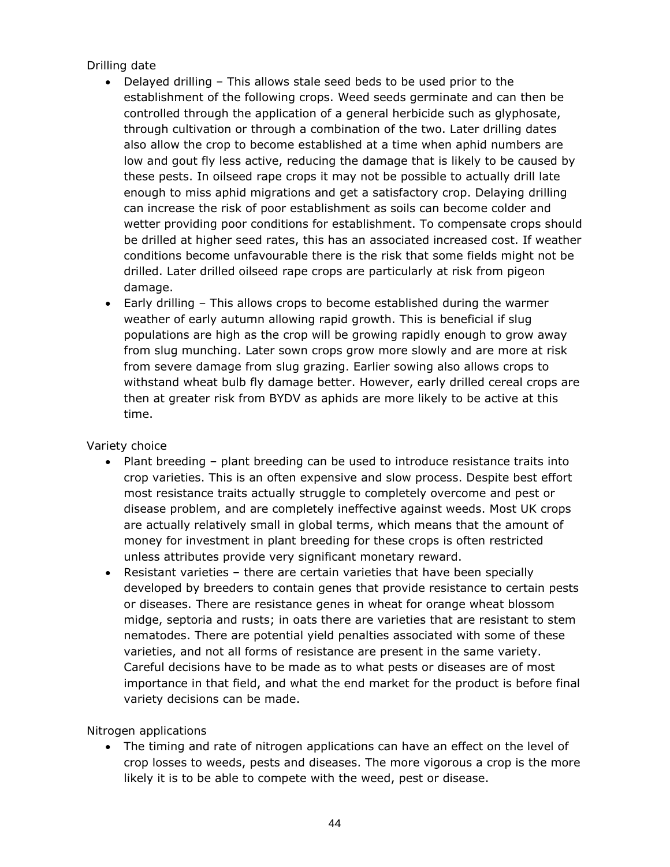# *Drilling date*

- Delayed drilling This allows stale seed beds to be used prior to the establishment of the following crops. Weed seeds germinate and can then be controlled through the application of a general herbicide such as glyphosate, through cultivation or through a combination of the two. Later drilling dates also allow the crop to become established at a time when aphid numbers are low and gout fly less active, reducing the damage that is likely to be caused by these pests. In oilseed rape crops it may not be possible to actually drill late enough to miss aphid migrations and get a satisfactory crop. Delaying drilling can increase the risk of poor establishment as soils can become colder and wetter providing poor conditions for establishment. To compensate crops should be drilled at higher seed rates, this has an associated increased cost. If weather conditions become unfavourable there is the risk that some fields might not be drilled. Later drilled oilseed rape crops are particularly at risk from pigeon damage.
- Early drilling This allows crops to become established during the warmer weather of early autumn allowing rapid growth. This is beneficial if slug populations are high as the crop will be growing rapidly enough to grow away from slug munching. Later sown crops grow more slowly and are more at risk from severe damage from slug grazing. Earlier sowing also allows crops to withstand wheat bulb fly damage better. However, early drilled cereal crops are then at greater risk from BYDV as aphids are more likely to be active at this time.

### *Variety choice*

- Plant breeding plant breeding can be used to introduce resistance traits into crop varieties. This is an often expensive and slow process. Despite best effort most resistance traits actually struggle to completely overcome and pest or disease problem, and are completely ineffective against weeds. Most UK crops are actually relatively small in global terms, which means that the amount of money for investment in plant breeding for these crops is often restricted unless attributes provide very significant monetary reward.
- Resistant varieties there are certain varieties that have been specially developed by breeders to contain genes that provide resistance to certain pests or diseases. There are resistance genes in wheat for orange wheat blossom midge, septoria and rusts; in oats there are varieties that are resistant to stem nematodes. There are potential yield penalties associated with some of these varieties, and not all forms of resistance are present in the same variety. Careful decisions have to be made as to what pests or diseases are of most importance in that field, and what the end market for the product is before final variety decisions can be made.

### *Nitrogen applications*

• The timing and rate of nitrogen applications can have an effect on the level of crop losses to weeds, pests and diseases. The more vigorous a crop is the more likely it is to be able to compete with the weed, pest or disease.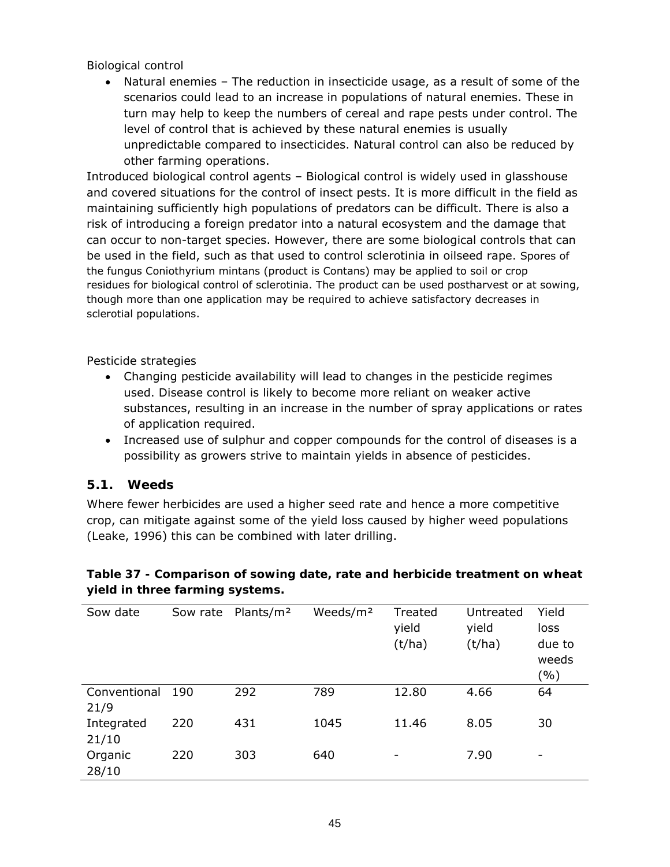### *Biological control*

• Natural enemies – The reduction in insecticide usage, as a result of some of the scenarios could lead to an increase in populations of natural enemies. These in turn may help to keep the numbers of cereal and rape pests under control. The level of control that is achieved by these natural enemies is usually unpredictable compared to insecticides. Natural control can also be reduced by other farming operations.

Introduced biological control agents – Biological control is widely used in glasshouse and covered situations for the control of insect pests. It is more difficult in the field as maintaining sufficiently high populations of predators can be difficult. There is also a risk of introducing a foreign predator into a natural ecosystem and the damage that can occur to non-target species. However, there are some biological controls that can be used in the field, such as that used to control sclerotinia in oilseed rape. Spores of the fungus *Coniothyrium mintans* (product is Contans) may be applied to soil or crop residues for biological control of sclerotinia. The product can be used postharvest or at sowing, though more than one application may be required to achieve satisfactory decreases in sclerotial populations.

### *Pesticide strategies*

- Changing pesticide availability will lead to changes in the pesticide regimes used. Disease control is likely to become more reliant on weaker active substances, resulting in an increase in the number of spray applications or rates of application required.
- Increased use of sulphur and copper compounds for the control of diseases is a possibility as growers strive to maintain yields in absence of pesticides.

### **5.1. Weeds**

Where fewer herbicides are used a higher seed rate and hence a more competitive crop, can mitigate against some of the yield loss caused by higher weed populations (Leake, 1996) this can be combined with later drilling.

| Sow date             | Sow rate | Plants/m <sup>2</sup> | Weeds/m <sup>2</sup> | Treated<br>yield<br>(t/ha) | Untreated<br>yield<br>(t/ha) | Yield<br>loss<br>due to<br>weeds<br>( %) |
|----------------------|----------|-----------------------|----------------------|----------------------------|------------------------------|------------------------------------------|
| Conventional<br>21/9 | 190      | 292                   | 789                  | 12.80                      | 4.66                         | 64                                       |
| Integrated<br>21/10  | 220      | 431                   | 1045                 | 11.46                      | 8.05                         | 30                                       |
| Organic<br>28/10     | 220      | 303                   | 640                  | -                          | 7.90                         | $\overline{\phantom{a}}$                 |

**Table 37 - Comparison of sowing date, rate and herbicide treatment on wheat yield in three farming systems.**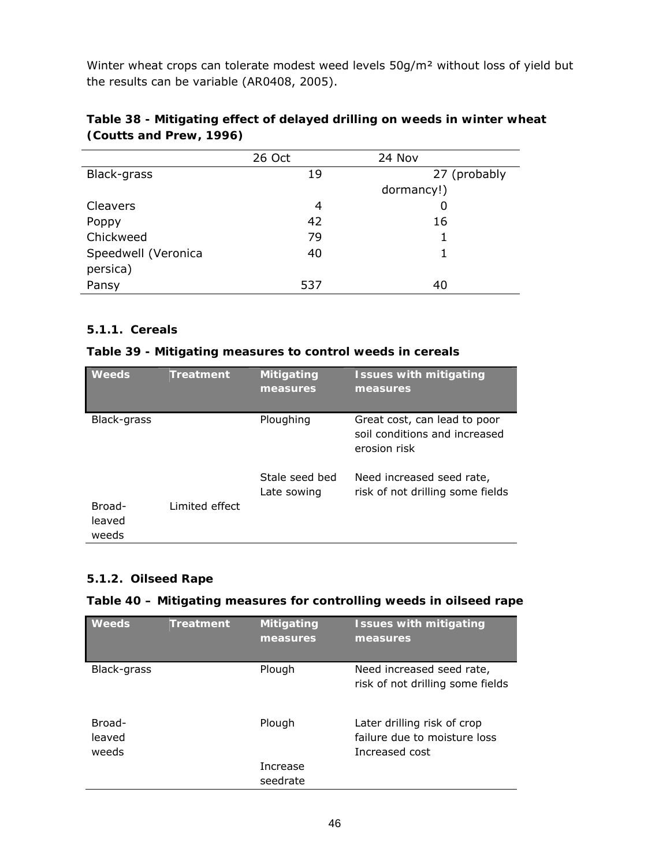Winter wheat crops can tolerate modest weed levels 50g/m² without loss of yield but the results can be variable (AR0408, 2005).

|                     | 26 Oct | 24 Nov       |
|---------------------|--------|--------------|
| Black-grass         | 19     | 27 (probably |
|                     |        | dormancy!)   |
| Cleavers            | 4      |              |
| Poppy               | 42     | 16           |
| Chickweed           | 79     |              |
| Speedwell (Veronica | 40     |              |
| persica)            |        |              |
| Pansy               | 537    | 40           |

# **Table 38 - Mitigating effect of delayed drilling on weeds in winter wheat (Coutts and Prew, 1996)**

# **5.1.1. Cereals**

### **Table 39 - Mitigating measures to control weeds in cereals**

| <b>Weeds</b>              | <b>Treatment</b> | <b>Mitigating</b><br>measures | <b>Issues with mitigating</b><br>measures                                     |
|---------------------------|------------------|-------------------------------|-------------------------------------------------------------------------------|
| Black-grass               |                  | Ploughing                     | Great cost, can lead to poor<br>soil conditions and increased<br>erosion risk |
|                           |                  | Stale seed bed<br>Late sowing | Need increased seed rate,<br>risk of not drilling some fields                 |
| Broad-<br>leaved<br>weeds | Limited effect   |                               |                                                                               |

### **5.1.2. Oilseed Rape**

#### **Table 40 – Mitigating measures for controlling weeds in oilseed rape**

| <b>Weeds</b>              | <b>Treatment</b> | <b>Mitigating</b><br>measures | <b>Issues with mitigating</b><br>measures                                     |
|---------------------------|------------------|-------------------------------|-------------------------------------------------------------------------------|
| Black-grass               |                  | Plough                        | Need increased seed rate,<br>risk of not drilling some fields                 |
| Broad-<br>leaved<br>weeds |                  | Plough                        | Later drilling risk of crop<br>failure due to moisture loss<br>Increased cost |
|                           |                  | Increase                      |                                                                               |
|                           |                  | seedrate                      |                                                                               |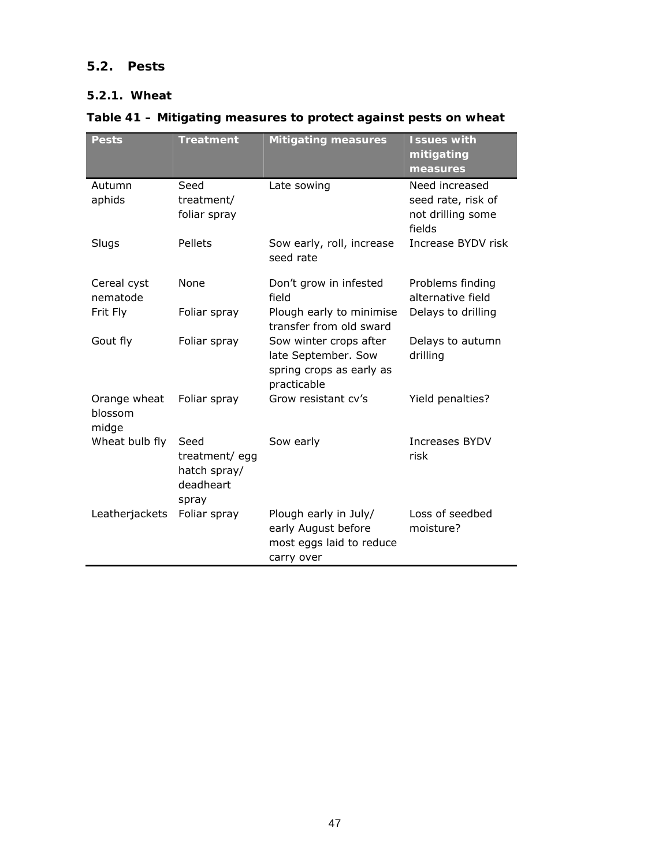# **5.2. Pests**

# **5.2.1. Wheat**

# **Table 41 – Mitigating measures to protect against pests on wheat**

| <b>Pests</b>                     | <b>Treatment</b>                                            | <b>Mitigating measures</b>                                                               | <b>Issues with</b><br>mitigating<br>measures                        |
|----------------------------------|-------------------------------------------------------------|------------------------------------------------------------------------------------------|---------------------------------------------------------------------|
| Autumn<br>aphids                 | Seed<br>treatment/<br>foliar spray                          | Late sowing                                                                              | Need increased<br>seed rate, risk of<br>not drilling some<br>fields |
| Slugs                            | Pellets                                                     | Sow early, roll, increase<br>seed rate                                                   | Increase BYDV risk                                                  |
| Cereal cyst<br>nematode          | None                                                        | Don't grow in infested<br>field                                                          | Problems finding<br>alternative field                               |
| Frit Fly                         | Foliar spray                                                | Plough early to minimise<br>transfer from old sward                                      | Delays to drilling                                                  |
| Gout fly                         | Foliar spray                                                | Sow winter crops after<br>late September. Sow<br>spring crops as early as<br>practicable | Delays to autumn<br>drilling                                        |
| Orange wheat<br>blossom<br>midge | Foliar spray                                                | Grow resistant cv's                                                                      | Yield penalties?                                                    |
| Wheat bulb fly                   | Seed<br>treatment/egg<br>hatch spray/<br>deadheart<br>spray | Sow early                                                                                | Increases BYDV<br>risk                                              |
| Leatherjackets                   | Foliar spray                                                | Plough early in July/<br>early August before<br>most eggs laid to reduce<br>carry over   | Loss of seedbed<br>moisture?                                        |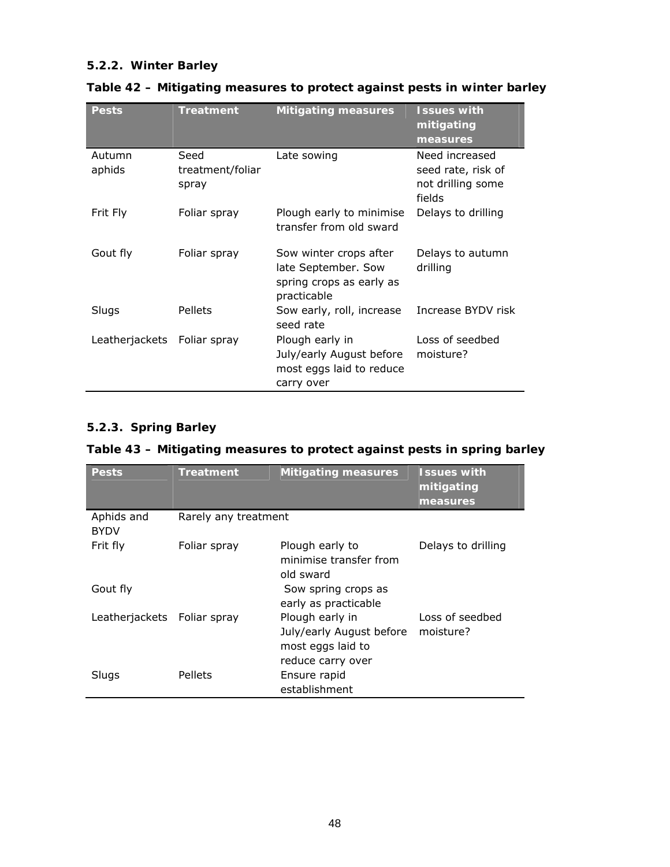# **5.2.2. Winter Barley**

| <b>Pests</b>     | <b>Treatment</b>                  | <b>Mitigating measures</b>                                                               | <b>Issues with</b><br>mitigating<br>measures                        |
|------------------|-----------------------------------|------------------------------------------------------------------------------------------|---------------------------------------------------------------------|
| Autumn<br>aphids | Seed<br>treatment/foliar<br>spray | Late sowing                                                                              | Need increased<br>seed rate, risk of<br>not drilling some<br>fields |
| Frit Fly         | Foliar spray                      | Plough early to minimise<br>transfer from old sward                                      | Delays to drilling                                                  |
| Gout fly         | Foliar spray                      | Sow winter crops after<br>late September. Sow<br>spring crops as early as<br>practicable | Delays to autumn<br>drilling                                        |
| Slugs            | Pellets                           | Sow early, roll, increase<br>seed rate                                                   | Increase BYDV risk                                                  |
| Leatherjackets   | Foliar spray                      | Plough early in<br>July/early August before<br>most eggs laid to reduce<br>carry over    | Loss of seedbed<br>moisture?                                        |

# **Table 42 – Mitigating measures to protect against pests in winter barley**

# **5.2.3. Spring Barley**

| <b>Pests</b>                | <b>Treatment</b>     | <b>Mitigating measures</b>                                                            | <b>Issues with</b><br>mitigating<br>measures |
|-----------------------------|----------------------|---------------------------------------------------------------------------------------|----------------------------------------------|
| Aphids and<br><b>BYDV</b>   | Rarely any treatment |                                                                                       |                                              |
| Frit fly                    | Foliar spray         | Plough early to<br>minimise transfer from<br>old sward                                | Delays to drilling                           |
| Gout fly                    |                      | Sow spring crops as<br>early as practicable                                           |                                              |
| Leatherjackets Foliar spray |                      | Plough early in<br>July/early August before<br>most eggs laid to<br>reduce carry over | Loss of seedbed<br>moisture?                 |
| Slugs                       | Pellets              | Ensure rapid<br>establishment                                                         |                                              |

## **Table 43 – Mitigating measures to protect against pests in spring barley**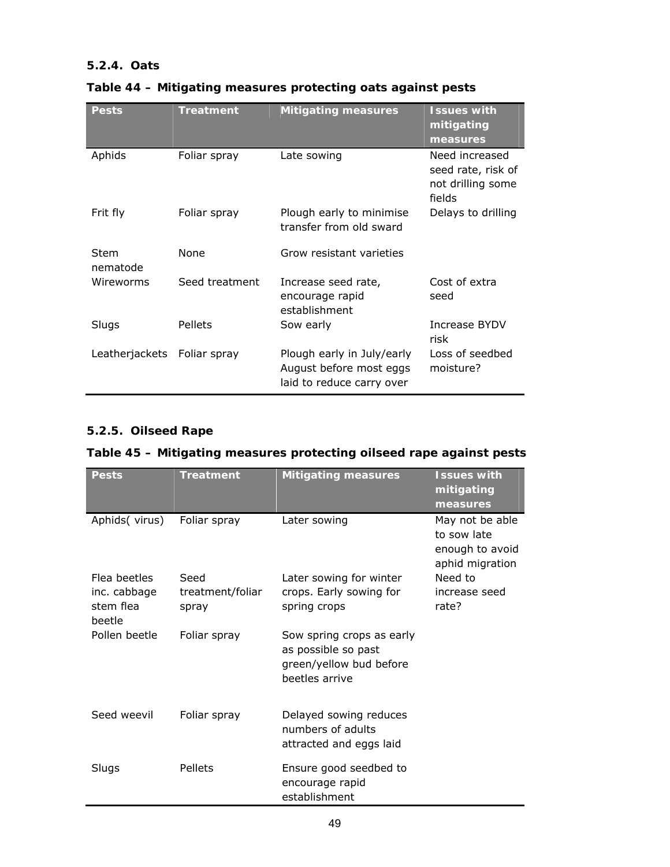# **5.2.4. Oats**

| Pests            | <b>Treatment</b> | <b>Mitigating measures</b>                                                         | <b>Issues with</b><br>mitigating<br>measures                        |
|------------------|------------------|------------------------------------------------------------------------------------|---------------------------------------------------------------------|
| Aphids           | Foliar spray     | Late sowing                                                                        | Need increased<br>seed rate, risk of<br>not drilling some<br>fields |
| Frit fly         | Foliar spray     | Plough early to minimise<br>transfer from old sward                                | Delays to drilling                                                  |
| Stem<br>nematode | None             | Grow resistant varieties                                                           |                                                                     |
| Wireworms        | Seed treatment   | Increase seed rate,<br>encourage rapid<br>establishment                            | Cost of extra<br>seed                                               |
| Slugs            | Pellets          | Sow early                                                                          | Increase BYDV<br>risk                                               |
| Leatherjackets   | Foliar spray     | Plough early in July/early<br>August before most eggs<br>laid to reduce carry over | Loss of seedbed<br>moisture?                                        |

# **Table 44 – Mitigating measures protecting oats against pests**

# **5.2.5. Oilseed Rape**

# **Table 45 – Mitigating measures protecting oilseed rape against pests**

| <b>Pests</b>                        | <b>Treatment</b>          | <b>Mitigating measures</b>                                                                    | <b>Issues with</b><br>mitigating<br>measures                         |
|-------------------------------------|---------------------------|-----------------------------------------------------------------------------------------------|----------------------------------------------------------------------|
| Aphids(virus)                       | Foliar spray              | Later sowing                                                                                  | May not be able<br>to sow late<br>enough to avoid<br>aphid migration |
| Flea beetles                        | Seed                      | Later sowing for winter                                                                       | Need to                                                              |
| inc. cabbage<br>stem flea<br>beetle | treatment/foliar<br>spray | crops. Early sowing for<br>spring crops                                                       | increase seed<br>rate?                                               |
| Pollen beetle                       | Foliar spray              | Sow spring crops as early<br>as possible so past<br>green/yellow bud before<br>beetles arrive |                                                                      |
| Seed weevil                         | Foliar spray              | Delayed sowing reduces<br>numbers of adults<br>attracted and eggs laid                        |                                                                      |
| Slugs                               | Pellets                   | Ensure good seedbed to<br>encourage rapid<br>establishment                                    |                                                                      |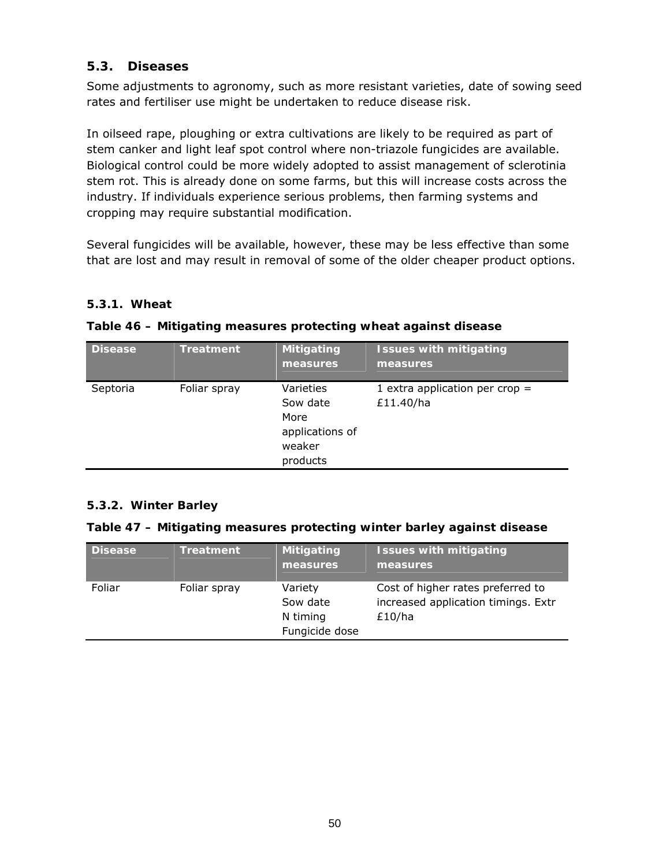# **5.3. Diseases**

Some adjustments to agronomy, such as more resistant varieties, date of sowing seed rates and fertiliser use might be undertaken to reduce disease risk.

In oilseed rape, ploughing or extra cultivations are likely to be required as part of stem canker and light leaf spot control where non-triazole fungicides are available. Biological control could be more widely adopted to assist management of sclerotinia stem rot. This is already done on some farms, but this will increase costs across the industry. If individuals experience serious problems, then farming systems and cropping may require substantial modification.

Several fungicides will be available, however, these may be less effective than some that are lost and may result in removal of some of the older cheaper product options.

### **5.3.1. Wheat**

### **Table 46 – Mitigating measures protecting wheat against disease**

| <b>Disease</b> | <b>Treatment</b> | Mitigating<br>measures                                                 | <b>Issues with mitigating</b><br>measures     |
|----------------|------------------|------------------------------------------------------------------------|-----------------------------------------------|
| Septoria       | Foliar spray     | Varieties<br>Sow date<br>More<br>applications of<br>weaker<br>products | 1 extra application per crop $=$<br>£11.40/ha |

### **5.3.2. Winter Barley**

#### **Table 47 – Mitigating measures protecting winter barley against disease**

| <b>Disease</b> | <b>Treatment</b> | <b>Mitigating</b><br>measures                     | <b>Issues with mitigating</b><br>measures                                          |
|----------------|------------------|---------------------------------------------------|------------------------------------------------------------------------------------|
| Foliar         | Foliar spray     | Variety<br>Sow date<br>N timing<br>Fungicide dose | Cost of higher rates preferred to<br>increased application timings. Extr<br>£10/ha |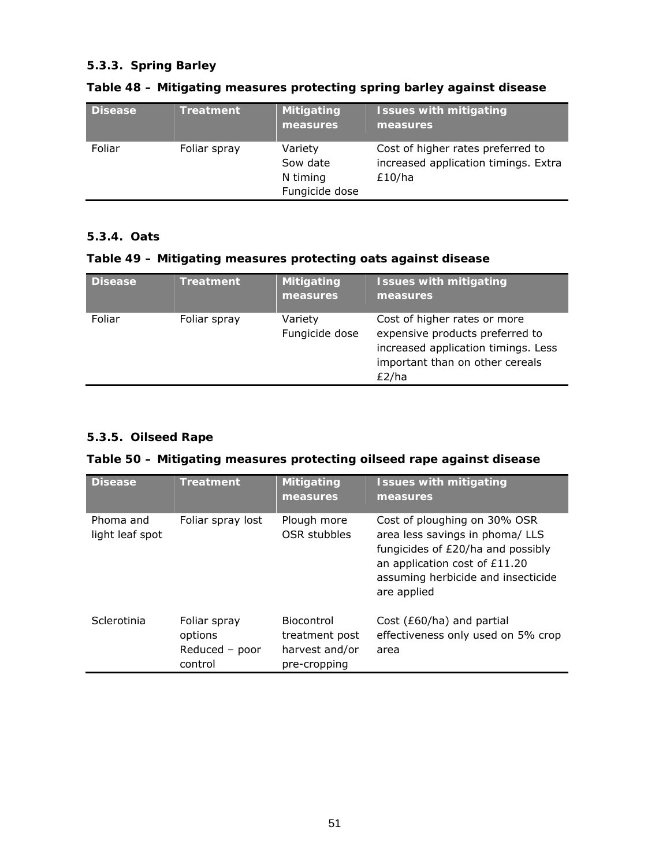### **5.3.3. Spring Barley**

| <b>Disease</b> | <b>Treatment</b> | <b>Mitigating</b><br>measures                     | <b>Issues with mitigating</b><br>measures,                                          |
|----------------|------------------|---------------------------------------------------|-------------------------------------------------------------------------------------|
| Foliar         | Foliar spray     | Variety<br>Sow date<br>N timing<br>Fungicide dose | Cost of higher rates preferred to<br>increased application timings. Extra<br>£10/ha |

# **Table 48 – Mitigating measures protecting spring barley against disease**

# **5.3.4. Oats**

# **Table 49 – Mitigating measures protecting oats against disease**

| <b>Disease</b> | <b>Treatment</b> | <b>Mitigating</b><br>measures | <b>Issues with mitigating</b><br>measures                                                                                                          |
|----------------|------------------|-------------------------------|----------------------------------------------------------------------------------------------------------------------------------------------------|
| Foliar         | Foliar spray     | Variety<br>Fungicide dose     | Cost of higher rates or more<br>expensive products preferred to<br>increased application timings. Less<br>important than on other cereals<br>£2/ha |

# **5.3.5. Oilseed Rape**

# **Table 50 – Mitigating measures protecting oilseed rape against disease**

| <b>Disease</b>               | <b>Treatment</b>                                     | <b>Mitigating</b><br>measures                                         | <b>Issues with mitigating</b><br>measures                                                                                                                                                  |
|------------------------------|------------------------------------------------------|-----------------------------------------------------------------------|--------------------------------------------------------------------------------------------------------------------------------------------------------------------------------------------|
| Phoma and<br>light leaf spot | Foliar spray lost                                    | Plough more<br>OSR stubbles                                           | Cost of ploughing on 30% OSR<br>area less savings in phoma/ LLS<br>fungicides of £20/ha and possibly<br>an application cost of £11.20<br>assuming herbicide and insecticide<br>are applied |
| Sclerotinia                  | Foliar spray<br>options<br>Reduced - poor<br>control | <b>Biocontrol</b><br>treatment post<br>harvest and/or<br>pre-cropping | Cost ( $£60/ha$ ) and partial<br>effectiveness only used on 5% crop<br>area                                                                                                                |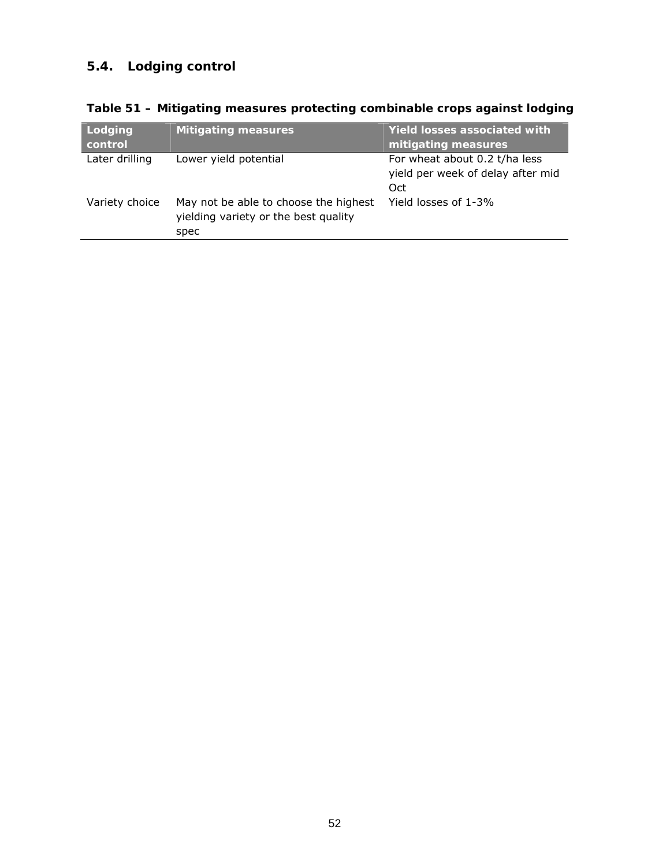# **5.4. Lodging control**

| Lodging<br>control | <b>Mitigating measures</b>                                                            | <b>Yield losses associated with</b><br>mitigating measures                |
|--------------------|---------------------------------------------------------------------------------------|---------------------------------------------------------------------------|
| Later drilling     | Lower yield potential                                                                 | For wheat about 0.2 t/ha less<br>yield per week of delay after mid<br>Oct |
| Variety choice     | May not be able to choose the highest<br>yielding variety or the best quality<br>spec | Yield losses of 1-3%                                                      |

**Table 51 – Mitigating measures protecting combinable crops against lodging**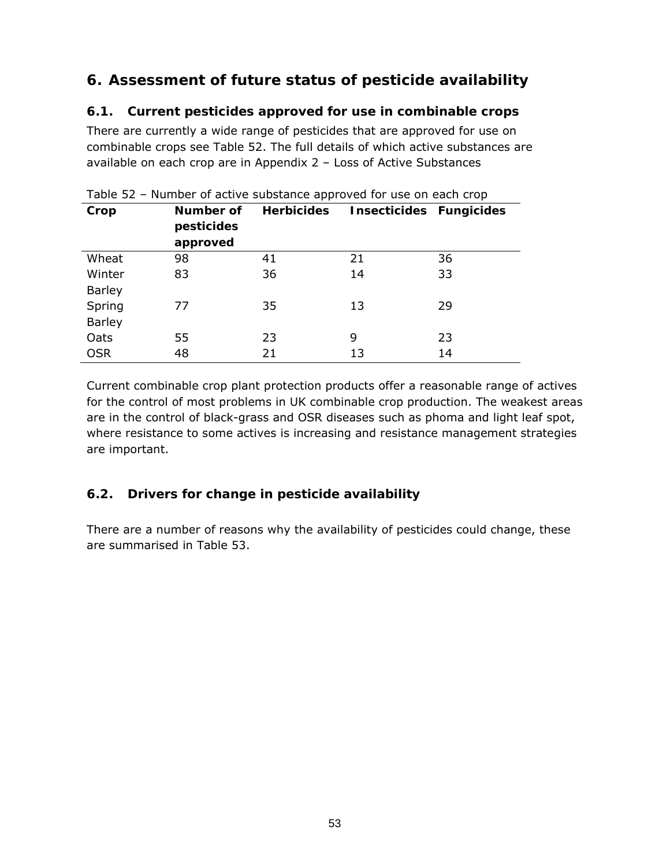# **6. Assessment of future status of pesticide availability**

# **6.1. Current pesticides approved for use in combinable crops**

There are currently a wide range of pesticides that are approved for use on combinable crops see Table 52. The full details of which active substances are available on each crop are in Appendix 2 – Loss of Active Substances

| Crop          | Number of<br>pesticides<br>approved | <b>Herbicides</b> | Insecticides Fungicides |    |
|---------------|-------------------------------------|-------------------|-------------------------|----|
| Wheat         | 98                                  | 41                | 21                      | 36 |
| Winter        | 83                                  | 36                | 14                      | 33 |
| <b>Barley</b> |                                     |                   |                         |    |
| Spring        | 77                                  | 35                | 13                      | 29 |
| <b>Barley</b> |                                     |                   |                         |    |
| Oats          | 55                                  | 23                | 9                       | 23 |
| <b>OSR</b>    | 48                                  | 21                | 13                      | 14 |

Table 52 – Number of active substance approved for use on each crop

Current combinable crop plant protection products offer a reasonable range of actives for the control of most problems in UK combinable crop production. The weakest areas are in the control of black-grass and OSR diseases such as phoma and light leaf spot, where resistance to some actives is increasing and resistance management strategies are important.

# **6.2. Drivers for change in pesticide availability**

There are a number of reasons why the availability of pesticides could change, these are summarised in Table 53.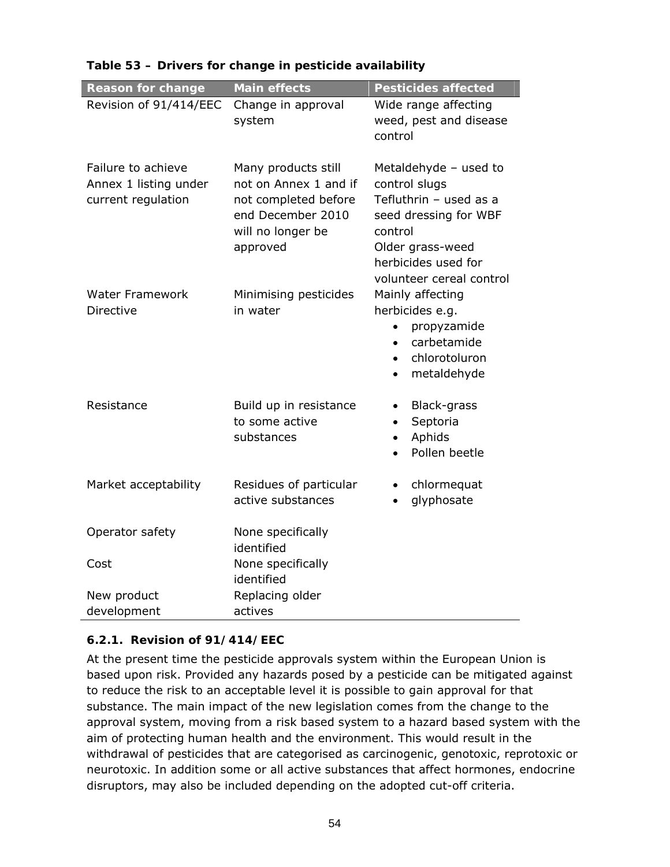| <b>Reason for change</b>                                          | <b>Main effects</b>                                                                                                        | <b>Pesticides affected</b>                                                                                                                                                  |
|-------------------------------------------------------------------|----------------------------------------------------------------------------------------------------------------------------|-----------------------------------------------------------------------------------------------------------------------------------------------------------------------------|
| Revision of 91/414/EEC                                            | Change in approval<br>system                                                                                               | Wide range affecting<br>weed, pest and disease<br>control                                                                                                                   |
| Failure to achieve<br>Annex 1 listing under<br>current regulation | Many products still<br>not on Annex 1 and if<br>not completed before<br>end December 2010<br>will no longer be<br>approved | Metaldehyde - used to<br>control slugs<br>Tefluthrin - used as a<br>seed dressing for WBF<br>control<br>Older grass-weed<br>herbicides used for<br>volunteer cereal control |
| <b>Water Framework</b><br>Directive                               | Minimising pesticides<br>in water                                                                                          | Mainly affecting<br>herbicides e.g.<br>propyzamide<br>carbetamide<br>$\bullet$<br>chlorotoluron<br>$\bullet$<br>metaldehyde<br>$\bullet$                                    |
| Resistance                                                        | Build up in resistance<br>to some active<br>substances                                                                     | Black-grass<br>$\bullet$<br>Septoria<br>$\bullet$<br>Aphids<br>$\bullet$<br>Pollen beetle                                                                                   |
| Market acceptability                                              | Residues of particular<br>active substances                                                                                | chlormequat<br>٠<br>glyphosate                                                                                                                                              |
| Operator safety                                                   | None specifically<br>identified                                                                                            |                                                                                                                                                                             |
| Cost                                                              | None specifically<br>identified                                                                                            |                                                                                                                                                                             |
| New product                                                       | Replacing older                                                                                                            |                                                                                                                                                                             |
| development                                                       | actives                                                                                                                    |                                                                                                                                                                             |

### **Table 53 – Drivers for change in pesticide availability**

#### **6.2.1. Revision of 91/414/EEC**

At the present time the pesticide approvals system within the European Union is based upon risk. Provided any hazards posed by a pesticide can be mitigated against to reduce the risk to an acceptable level it is possible to gain approval for that substance. The main impact of the new legislation comes from the change to the approval system, moving from a risk based system to a hazard based system with the aim of protecting human health and the environment. This would result in the withdrawal of pesticides that are categorised as carcinogenic, genotoxic, reprotoxic or neurotoxic. In addition some or all active substances that affect hormones, endocrine disruptors, may also be included depending on the adopted cut-off criteria.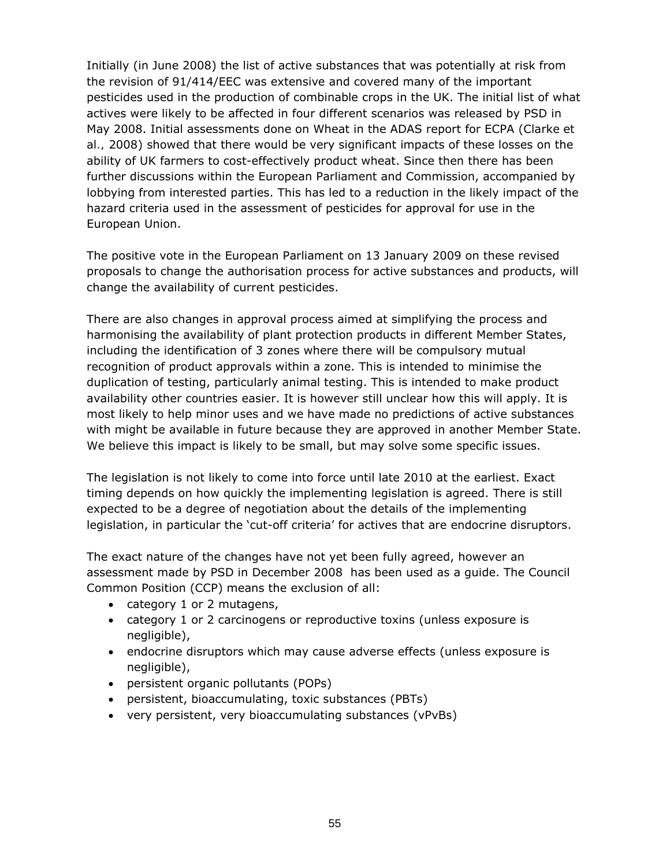Initially (in June 2008) the list of active substances that was potentially at risk from the revision of 91/414/EEC was extensive and covered many of the important pesticides used in the production of combinable crops in the UK. The initial list of what actives were likely to be affected in four different scenarios was released by PSD in May 2008. Initial assessments done on Wheat in the ADAS report for ECPA (Clarke *et al.,* 2008) showed that there would be very significant impacts of these losses on the ability of UK farmers to cost-effectively product wheat. Since then there has been further discussions within the European Parliament and Commission, accompanied by lobbying from interested parties. This has led to a reduction in the likely impact of the hazard criteria used in the assessment of pesticides for approval for use in the European Union.

The positive vote in the European Parliament on 13 January 2009 on these revised proposals to change the authorisation process for active substances and products, will change the availability of current pesticides.

There are also changes in approval process aimed at simplifying the process and harmonising the availability of plant protection products in different Member States, including the identification of 3 zones where there will be compulsory mutual recognition of product approvals within a zone. This is intended to minimise the duplication of testing, particularly animal testing. This is intended to make product availability other countries easier. It is however still unclear how this will apply. It is most likely to help minor uses and we have made no predictions of active substances with might be available in future because they are approved in another Member State. We believe this impact is likely to be small, but may solve some specific issues.

The legislation is not likely to come into force until late 2010 at the earliest. Exact timing depends on how quickly the implementing legislation is agreed. There is still expected to be a degree of negotiation about the details of the implementing legislation, in particular the 'cut-off criteria' for actives that are endocrine disruptors.

The exact nature of the changes have not yet been fully agreed, however an assessment made by PSD in December 2008 has been used as a guide. The Council Common Position (CCP) means the exclusion of all:

- category 1 or 2 mutagens,
- category 1 or 2 carcinogens or reproductive toxins (unless exposure is negligible),
- endocrine disruptors which may cause adverse effects (unless exposure is negligible),
- persistent organic pollutants (POPs)
- persistent, bioaccumulating, toxic substances (PBTs)
- very persistent, very bioaccumulating substances (vPvBs)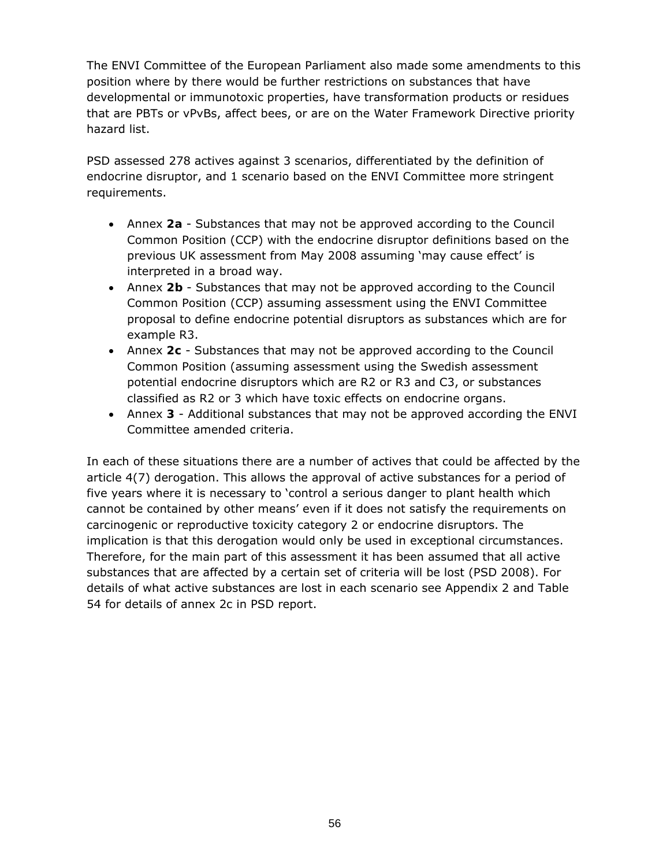The ENVI Committee of the European Parliament also made some amendments to this position where by there would be further restrictions on substances that have developmental or immunotoxic properties, have transformation products or residues that are PBTs or vPvBs, affect bees, or are on the Water Framework Directive priority hazard list.

PSD assessed 278 actives against 3 scenarios, differentiated by the definition of endocrine disruptor, and 1 scenario based on the ENVI Committee more stringent requirements.

- Annex **2a** Substances that may not be approved according to the Council Common Position (CCP) with the endocrine disruptor definitions based on the previous UK assessment from May 2008 assuming 'may cause effect' is interpreted in a broad way.
- Annex **2b** Substances that may not be approved according to the Council Common Position (CCP) assuming assessment using the ENVI Committee proposal to define endocrine potential disruptors as substances which are for example R3.
- Annex **2c** Substances that may not be approved according to the Council Common Position (assuming assessment using the Swedish assessment potential endocrine disruptors which are R2 or R3 and C3, or substances classified as R2 or 3 which have toxic effects on endocrine organs.
- Annex **3** Additional substances that may not be approved according the ENVI Committee amended criteria.

In each of these situations there are a number of actives that could be affected by the article 4(7) derogation. This allows the approval of active substances for a period of five years where it is necessary to 'control a serious danger to plant health which cannot be contained by other means' even if it does not satisfy the requirements on carcinogenic or reproductive toxicity category 2 or endocrine disruptors. The implication is that this derogation would only be used in exceptional circumstances. Therefore, for the main part of this assessment it has been assumed that all active substances that are affected by a certain set of criteria will be lost (PSD 2008). For details of what active substances are lost in each scenario see Appendix 2 and Table 54 for details of annex 2c in PSD report.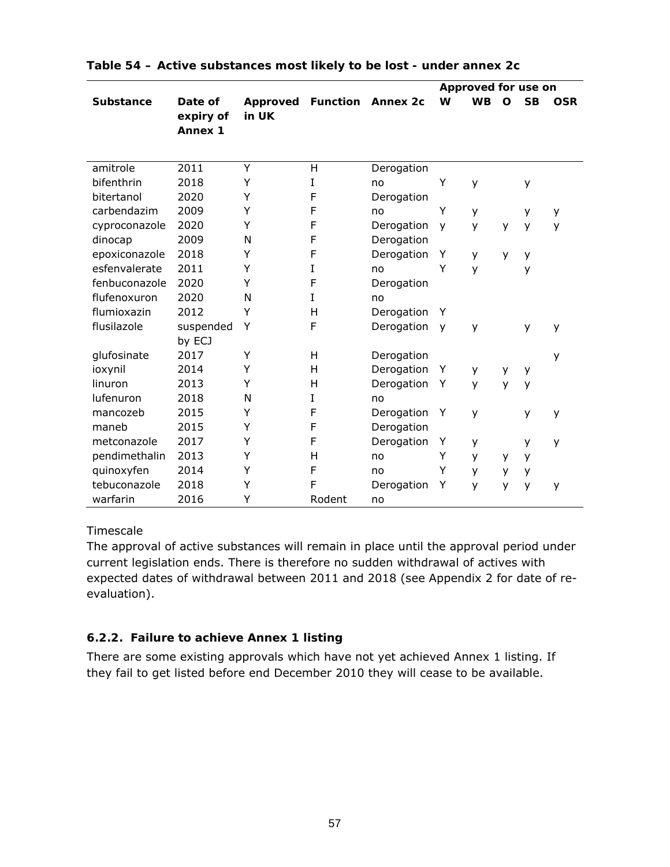|                  |                                        |                   |                 |                 |   | Approved for use on |   |           |            |
|------------------|----------------------------------------|-------------------|-----------------|-----------------|---|---------------------|---|-----------|------------|
| <b>Substance</b> | Date of<br>expiry of<br><b>Annex 1</b> | Approved<br>in UK | <b>Function</b> | <b>Annex 2c</b> | W | <b>WB</b>           | O | <b>SB</b> | <b>OSR</b> |
| amitrole         | 2011                                   | Y                 | Η               | Derogation      |   |                     |   |           |            |
| bifenthrin       | 2018                                   | Y                 | I               | no              | Υ | y                   |   | у         |            |
| bitertanol       | 2020                                   | Y                 | F               | Derogation      |   |                     |   |           |            |
| carbendazim      | 2009                                   | Υ                 | F               | no              | Υ | У                   |   | у         | у          |
| cyproconazole    | 2020                                   | Y                 | F               | Derogation      | y | y                   | У | y         | y          |
| dinocap          | 2009                                   | N                 | F               | Derogation      |   |                     |   |           |            |
| epoxiconazole    | 2018                                   | Y                 | F               | Derogation      | Υ | y                   | y | y         |            |
| esfenvalerate    | 2011                                   | Y                 | I               | no              | Y | y                   |   | у         |            |
| fenbuconazole    | 2020                                   | Y                 | F               | Derogation      |   |                     |   |           |            |
| flufenoxuron     | 2020                                   | N                 | I               | no              |   |                     |   |           |            |
| flumioxazin      | 2012                                   | Υ                 | н               | Derogation      | Y |                     |   |           |            |
| flusilazole      | suspended                              | Y                 | F               | Derogation      | y | y                   |   | y         | y          |
|                  | by ECJ                                 |                   |                 |                 |   |                     |   |           |            |
| glufosinate      | 2017                                   | Υ                 | н               | Derogation      |   |                     |   |           | y          |
| ioxynil          | 2014                                   | Y                 | н               | Derogation      | Y | у                   | у | у         |            |
| linuron          | 2013                                   | Υ                 | н               | Derogation      | Y | y                   | y | y         |            |
| lufenuron        | 2018                                   | N                 | I               | no              |   |                     |   |           |            |
| mancozeb         | 2015                                   | Y                 | F               | Derogation      | Y | y                   |   | y         | y          |
| maneb            | 2015                                   | Y                 | F               | Derogation      |   |                     |   |           |            |
| metconazole      | 2017                                   | Υ                 | F               | Derogation      | Υ | У                   |   | у         | y          |
| pendimethalin    | 2013                                   | Υ                 | Η               | no              | Υ | у                   | У | у         |            |
| quinoxyfen       | 2014                                   | Y                 | F               | no              | Y | y                   | y | y         |            |
| tebuconazole     | 2018                                   | Υ                 | F               | Derogation      | Y | y                   | y | y         | y          |
| warfarin         | 2016                                   | Y                 | Rodent          | no              |   |                     |   |           |            |

| Table 54 - Active substances most likely to be lost - under annex 2c |  |  |
|----------------------------------------------------------------------|--|--|
|                                                                      |  |  |

### Timescale

The approval of active substances will remain in place until the approval period under current legislation ends. There is therefore no sudden withdrawal of actives with expected dates of withdrawal between 2011 and 2018 (see Appendix 2 for date of reevaluation).

# **6.2.2. Failure to achieve Annex 1 listing**

There are some existing approvals which have not yet achieved Annex 1 listing. If they fail to get listed before end December 2010 they will cease to be available.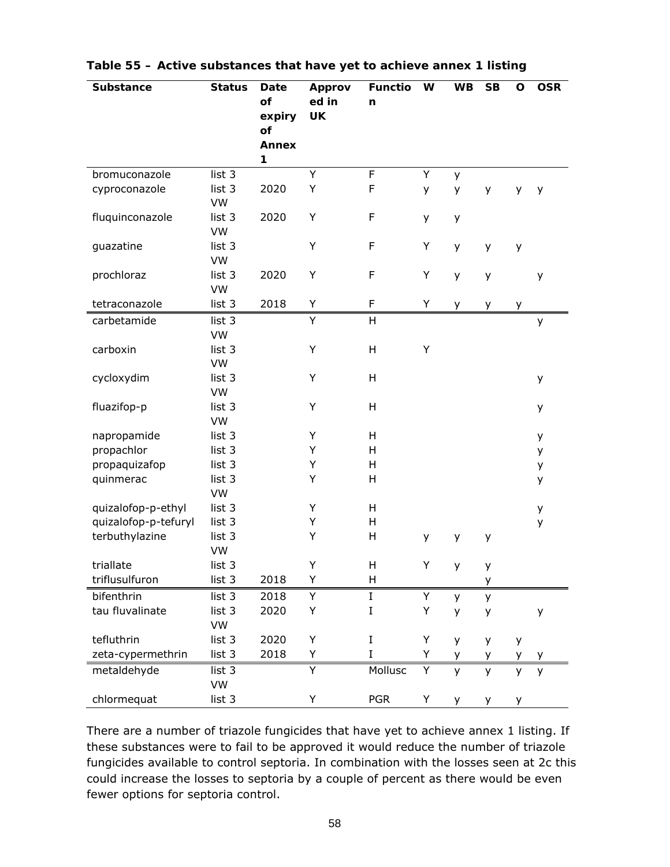| <b>Substance</b>     | <b>Status</b> | Date<br>of        | <b>Approv</b><br>ed in | <b>Functio</b><br>n | W | <b>WB</b> | <b>SB</b> | O  | <b>OSR</b> |
|----------------------|---------------|-------------------|------------------------|---------------------|---|-----------|-----------|----|------------|
|                      |               | expiry            | <b>UK</b>              |                     |   |           |           |    |            |
|                      |               | of                |                        |                     |   |           |           |    |            |
|                      |               | <b>Annex</b><br>1 |                        |                     |   |           |           |    |            |
| bromuconazole        | list 3        |                   | Υ                      | F                   | Υ | y         |           |    |            |
| cyproconazole        | list 3<br>VW  | 2020              | Υ                      | F                   | y | y         | У         | y  | y          |
| fluquinconazole      | list 3<br>VW  | 2020              | Υ                      | F                   | у | y         |           |    |            |
| guazatine            | list 3<br>VW  |                   | Υ                      | F                   | Υ | y         | У         | y  |            |
| prochloraz           | list 3<br>VW  | 2020              | Υ                      | F                   | Υ | y         | У         |    | у          |
| tetraconazole        | list 3        | 2018              | Υ                      | F                   | Υ | y         | у         | у  |            |
| carbetamide          | list 3        |                   | Υ                      | Η                   |   |           |           |    | у          |
|                      | VW            |                   |                        |                     |   |           |           |    |            |
| carboxin             | list 3<br>VW  |                   | Υ                      | Η                   | Υ |           |           |    |            |
| cycloxydim           | list 3        |                   | Υ                      | Η                   |   |           |           |    | у          |
|                      | VW            |                   |                        |                     |   |           |           |    |            |
| fluazifop-p          | list 3        |                   | Υ                      | H                   |   |           |           |    | у          |
|                      | VW            |                   |                        |                     |   |           |           |    |            |
| napropamide          | list 3        |                   | Υ                      | Η                   |   |           |           |    | у          |
| propachlor           | list 3        |                   | Υ                      | H                   |   |           |           |    | у          |
| propaquizafop        | list 3        |                   | Υ                      | Η                   |   |           |           |    | у          |
| quinmerac            | list 3<br>VW  |                   | Υ                      | H                   |   |           |           |    | у          |
| quizalofop-p-ethyl   | list 3        |                   | Υ                      | H                   |   |           |           |    | у          |
| quizalofop-p-tefuryl | list 3        |                   | Υ                      | H                   |   |           |           |    | у          |
| terbuthylazine       | list 3        |                   | Υ                      | Η                   | у | У         | у         |    |            |
|                      | VW            |                   |                        |                     |   |           |           |    |            |
| triallate            | list 3        |                   | Υ                      | Η                   | Υ | y         | у         |    |            |
| triflusulfuron       | list 3        | 2018              | Υ                      | Н                   |   |           | у         |    |            |
| bifenthrin           | list 3        | 2018              | Υ                      | I                   | Υ | y         | У         |    |            |
| tau fluvalinate      | list 3        | 2020              | Υ                      | I                   | Υ | y         | У         |    | у          |
|                      | VW            |                   |                        |                     |   |           |           |    |            |
| tefluthrin           | list 3        | 2020              | Υ                      | I                   | Υ | y         | у         | у  |            |
| zeta-cypermethrin    | list 3        | 2018              | Υ                      | I                   | Υ | y         | у         | У  | y          |
| metaldehyde          | list 3        |                   | Y                      | Mollusc             | Υ | y         | y         | y  | y          |
|                      | VW            |                   |                        |                     |   |           |           |    |            |
| chlormequat          | list 3        |                   | Υ                      | <b>PGR</b>          | Υ | y.        | у         | y. |            |

| Table 55 – Active substances that have yet to achieve annex 1 listing |
|-----------------------------------------------------------------------|
|-----------------------------------------------------------------------|

There are a number of triazole fungicides that have yet to achieve annex 1 listing. If these substances were to fail to be approved it would reduce the number of triazole fungicides available to control septoria. In combination with the losses seen at 2c this could increase the losses to septoria by a couple of percent as there would be even fewer options for septoria control.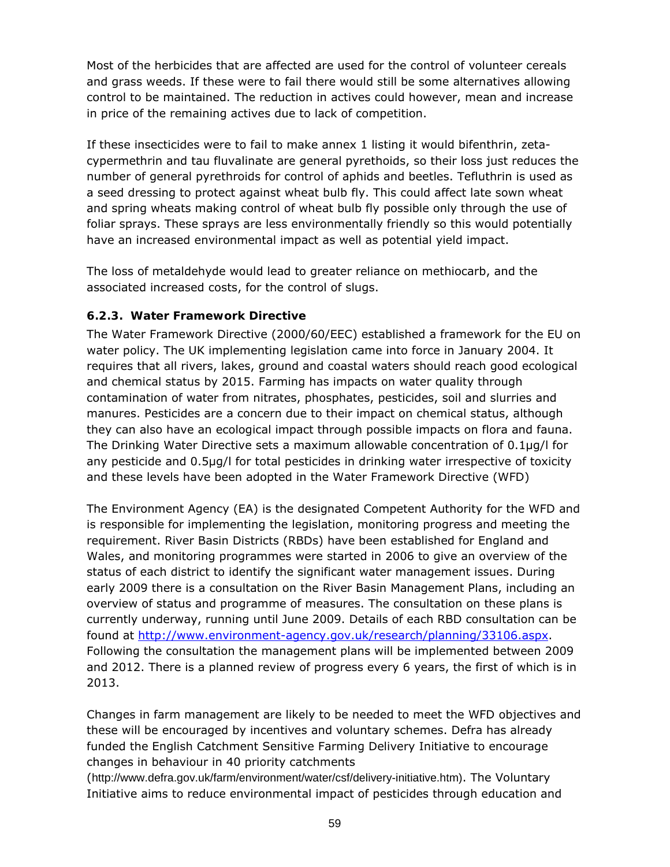Most of the herbicides that are affected are used for the control of volunteer cereals and grass weeds. If these were to fail there would still be some alternatives allowing control to be maintained. The reduction in actives could however, mean and increase in price of the remaining actives due to lack of competition.

If these insecticides were to fail to make annex 1 listing it would bifenthrin, zetacypermethrin and tau fluvalinate are general pyrethoids, so their loss just reduces the number of general pyrethroids for control of aphids and beetles. Tefluthrin is used as a seed dressing to protect against wheat bulb fly. This could affect late sown wheat and spring wheats making control of wheat bulb fly possible only through the use of foliar sprays. These sprays are less environmentally friendly so this would potentially have an increased environmental impact as well as potential yield impact.

The loss of metaldehyde would lead to greater reliance on methiocarb, and the associated increased costs, for the control of slugs.

# **6.2.3. Water Framework Directive**

The Water Framework Directive (2000/60/EEC) established a framework for the EU on water policy. The UK implementing legislation came into force in January 2004. It requires that all rivers, lakes, ground and coastal waters should reach good ecological and chemical status by 2015. Farming has impacts on water quality through contamination of water from nitrates, phosphates, pesticides, soil and slurries and manures. Pesticides are a concern due to their impact on chemical status, although they can also have an ecological impact through possible impacts on flora and fauna. The Drinking Water Directive sets a maximum allowable concentration of 0.1μg/l for any pesticide and 0.5μg/l for total pesticides in drinking water irrespective of toxicity and these levels have been adopted in the Water Framework Directive (WFD)

The Environment Agency (EA) is the designated Competent Authority for the WFD and is responsible for implementing the legislation, monitoring progress and meeting the requirement. River Basin Districts (RBDs) have been established for England and Wales, and monitoring programmes were started in 2006 to give an overview of the status of each district to identify the significant water management issues. During early 2009 there is a consultation on the River Basin Management Plans, including an overview of status and programme of measures. The consultation on these plans is currently underway, running until June 2009. Details of each RBD consultation can be found at http://www.environment-agency.gov.uk/research/planning/33106.aspx. Following the consultation the management plans will be implemented between 2009 and 2012. There is a planned review of progress every 6 years, the first of which is in 2013.

Changes in farm management are likely to be needed to meet the WFD objectives and these will be encouraged by incentives and voluntary schemes. Defra has already funded the English Catchment Sensitive Farming Delivery Initiative to encourage changes in behaviour in 40 priority catchments

(http://www.defra.gov.uk/farm/environment/water/csf/delivery-initiative.htm). The Voluntary Initiative aims to reduce environmental impact of pesticides through education and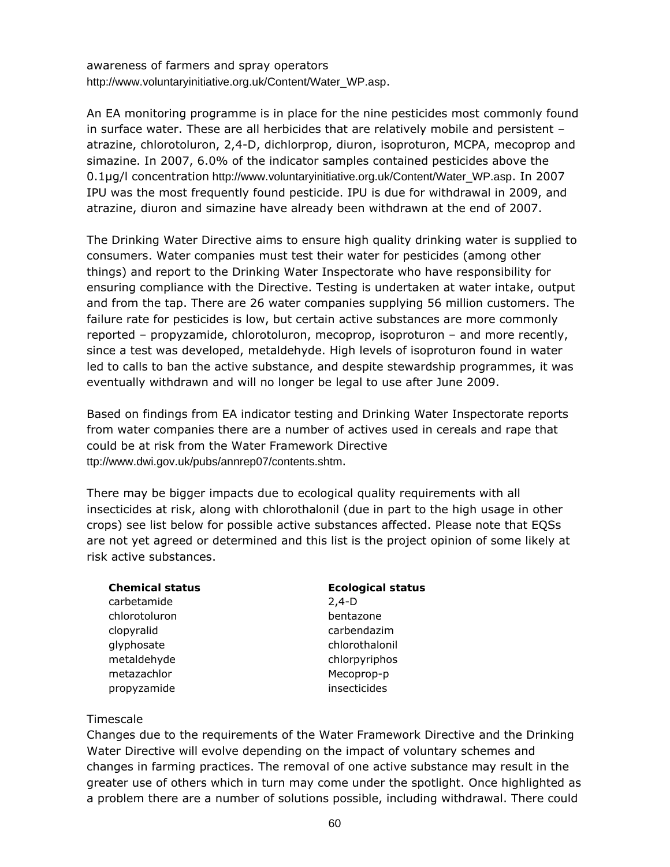awareness of farmers and spray operators http://www.voluntaryinitiative.org.uk/Content/Water\_WP.asp.

An EA monitoring programme is in place for the nine pesticides most commonly found in surface water. These are all herbicides that are relatively mobile and persistent – atrazine, chlorotoluron, 2,4-D, dichlorprop, diuron, isoproturon, MCPA, mecoprop and simazine. In 2007, 6.0% of the indicator samples contained pesticides above the 0.1μg/l concentration http://www.voluntaryinitiative.org.uk/Content/Water\_WP.asp. In 2007 IPU was the most frequently found pesticide. IPU is due for withdrawal in 2009, and atrazine, diuron and simazine have already been withdrawn at the end of 2007.

The Drinking Water Directive aims to ensure high quality drinking water is supplied to consumers. Water companies must test their water for pesticides (among other things) and report to the Drinking Water Inspectorate who have responsibility for ensuring compliance with the Directive. Testing is undertaken at water intake, output and from the tap. There are 26 water companies supplying 56 million customers. The failure rate for pesticides is low, but certain active substances are more commonly reported – propyzamide, chlorotoluron, mecoprop, isoproturon – and more recently, since a test was developed, metaldehyde. High levels of isoproturon found in water led to calls to ban the active substance, and despite stewardship programmes, it was eventually withdrawn and will no longer be legal to use after June 2009.

Based on findings from EA indicator testing and Drinking Water Inspectorate reports from water companies there are a number of actives used in cereals and rape that could be at risk from the Water Framework Directive ttp://www.dwi.gov.uk/pubs/annrep07/contents.shtm.

There may be bigger impacts due to ecological quality requirements with all insecticides at risk, along with chlorothalonil (due in part to the high usage in other crops) see list below for possible active substances affected. Please note that EQSs are not yet agreed or determined and this list is the project opinion of some likely at risk active substances.

| <b>Chemical status</b> | <b>Ecological status</b> |
|------------------------|--------------------------|
| carbetamide            | $2,4-D$                  |
| chlorotoluron          | bentazone                |
| clopyralid             | carbendazim              |
| glyphosate             | chlorothalonil           |
| metaldehyde            | chlorpyriphos            |
| metazachlor            | Mecoprop-p               |
| propyzamide            | insecticides             |
|                        |                          |

### **Timescale**

Changes due to the requirements of the Water Framework Directive and the Drinking Water Directive will evolve depending on the impact of voluntary schemes and changes in farming practices. The removal of one active substance may result in the greater use of others which in turn may come under the spotlight. Once highlighted as a problem there are a number of solutions possible, including withdrawal. There could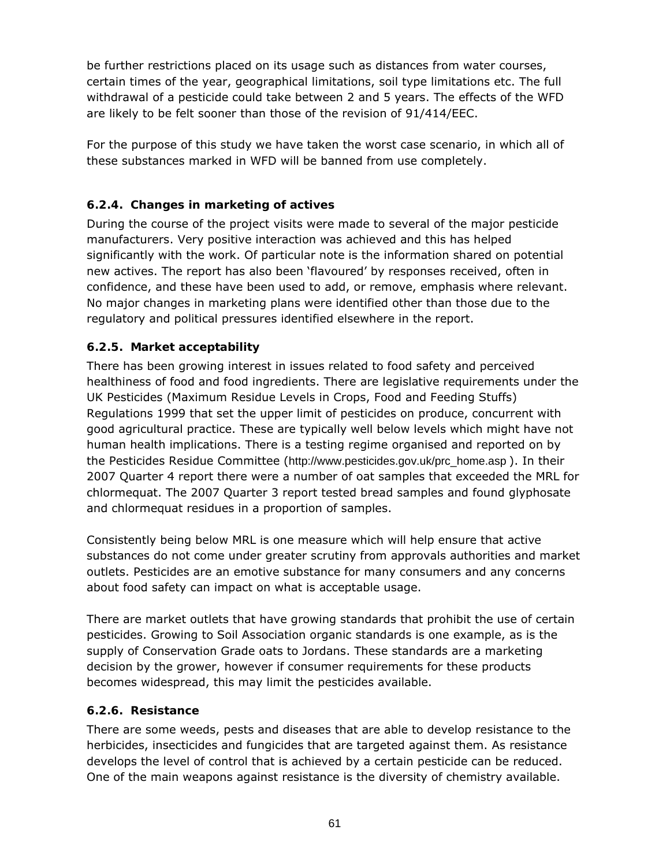be further restrictions placed on its usage such as distances from water courses, certain times of the year, geographical limitations, soil type limitations etc. The full withdrawal of a pesticide could take between 2 and 5 years. The effects of the WFD are likely to be felt sooner than those of the revision of 91/414/EEC.

For the purpose of this study we have taken the worst case scenario, in which all of these substances marked in WFD will be banned from use completely.

# **6.2.4. Changes in marketing of actives**

During the course of the project visits were made to several of the major pesticide manufacturers. Very positive interaction was achieved and this has helped significantly with the work. Of particular note is the information shared on potential new actives. The report has also been 'flavoured' by responses received, often in confidence, and these have been used to add, or remove, emphasis where relevant. No major changes in marketing plans were identified other than those due to the regulatory and political pressures identified elsewhere in the report.

# **6.2.5. Market acceptability**

There has been growing interest in issues related to food safety and perceived healthiness of food and food ingredients. There are legislative requirements under the UK Pesticides (Maximum Residue Levels in Crops, Food and Feeding Stuffs) Regulations 1999 that set the upper limit of pesticides on produce, concurrent with good agricultural practice. These are typically well below levels which might have not human health implications. There is a testing regime organised and reported on by the Pesticides Residue Committee (http://www.pesticides.gov.uk/prc\_home.asp ). In their 2007 Quarter 4 report there were a number of oat samples that exceeded the MRL for chlormequat. The 2007 Quarter 3 report tested bread samples and found glyphosate and chlormequat residues in a proportion of samples.

Consistently being below MRL is one measure which will help ensure that active substances do not come under greater scrutiny from approvals authorities and market outlets. Pesticides are an emotive substance for many consumers and any concerns about food safety can impact on what is acceptable usage.

There are market outlets that have growing standards that prohibit the use of certain pesticides. Growing to Soil Association organic standards is one example, as is the supply of Conservation Grade oats to Jordans. These standards are a marketing decision by the grower, however if consumer requirements for these products becomes widespread, this may limit the pesticides available.

# **6.2.6. Resistance**

There are some weeds, pests and diseases that are able to develop resistance to the herbicides, insecticides and fungicides that are targeted against them. As resistance develops the level of control that is achieved by a certain pesticide can be reduced. One of the main weapons against resistance is the diversity of chemistry available.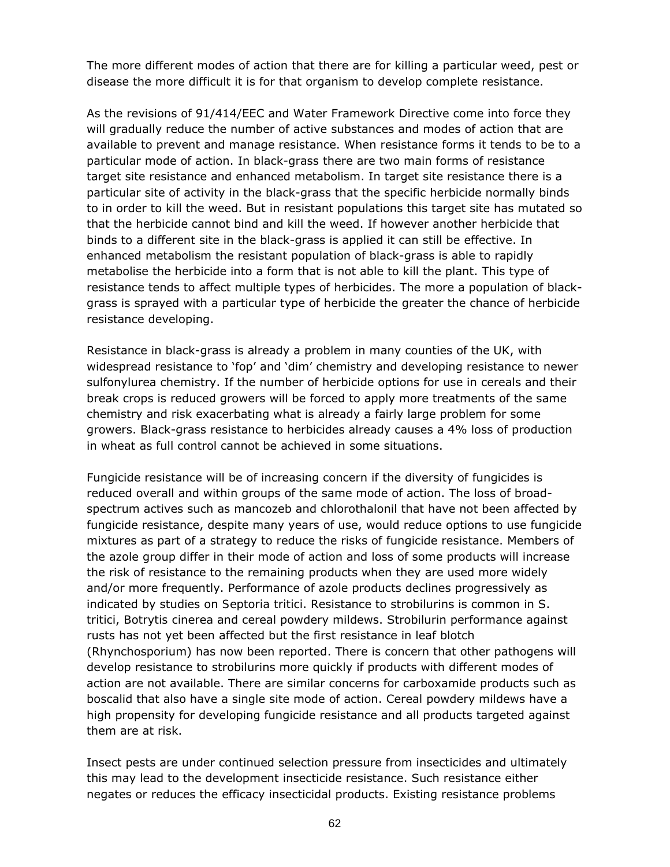The more different modes of action that there are for killing a particular weed, pest or disease the more difficult it is for that organism to develop complete resistance.

As the revisions of 91/414/EEC and Water Framework Directive come into force they will gradually reduce the number of active substances and modes of action that are available to prevent and manage resistance. When resistance forms it tends to be to a particular mode of action. In black-grass there are two main forms of resistance target site resistance and enhanced metabolism. In target site resistance there is a particular site of activity in the black-grass that the specific herbicide normally binds to in order to kill the weed. But in resistant populations this target site has mutated so that the herbicide cannot bind and kill the weed. If however another herbicide that binds to a different site in the black-grass is applied it can still be effective. In enhanced metabolism the resistant population of black-grass is able to rapidly metabolise the herbicide into a form that is not able to kill the plant. This type of resistance tends to affect multiple types of herbicides. The more a population of blackgrass is sprayed with a particular type of herbicide the greater the chance of herbicide resistance developing.

Resistance in black-grass is already a problem in many counties of the UK, with widespread resistance to 'fop' and 'dim' chemistry and developing resistance to newer sulfonylurea chemistry. If the number of herbicide options for use in cereals and their break crops is reduced growers will be forced to apply more treatments of the same chemistry and risk exacerbating what is already a fairly large problem for some growers. Black-grass resistance to herbicides already causes a 4% loss of production in wheat as full control cannot be achieved in some situations.

Fungicide resistance will be of increasing concern if the diversity of fungicides is reduced overall and within groups of the same mode of action. The loss of broadspectrum actives such as mancozeb and chlorothalonil that have not been affected by fungicide resistance, despite many years of use, would reduce options to use fungicide mixtures as part of a strategy to reduce the risks of fungicide resistance. Members of the azole group differ in their mode of action and loss of some products will increase the risk of resistance to the remaining products when they are used more widely and/or more frequently. Performance of azole products declines progressively as indicated by studies on *Septoria tritici*. Resistance to strobilurins is common in S. *tritici*, *Botrytis cinerea* and cereal powdery mildews. Strobilurin performance against rusts has not yet been affected but the first resistance in leaf blotch (Rhynchosporium) has now been reported. There is concern that other pathogens will develop resistance to strobilurins more quickly if products with different modes of action are not available. There are similar concerns for carboxamide products such as boscalid that also have a single site mode of action. Cereal powdery mildews have a high propensity for developing fungicide resistance and all products targeted against them are at risk.

Insect pests are under continued selection pressure from insecticides and ultimately this may lead to the development insecticide resistance. Such resistance either negates or reduces the efficacy insecticidal products. Existing resistance problems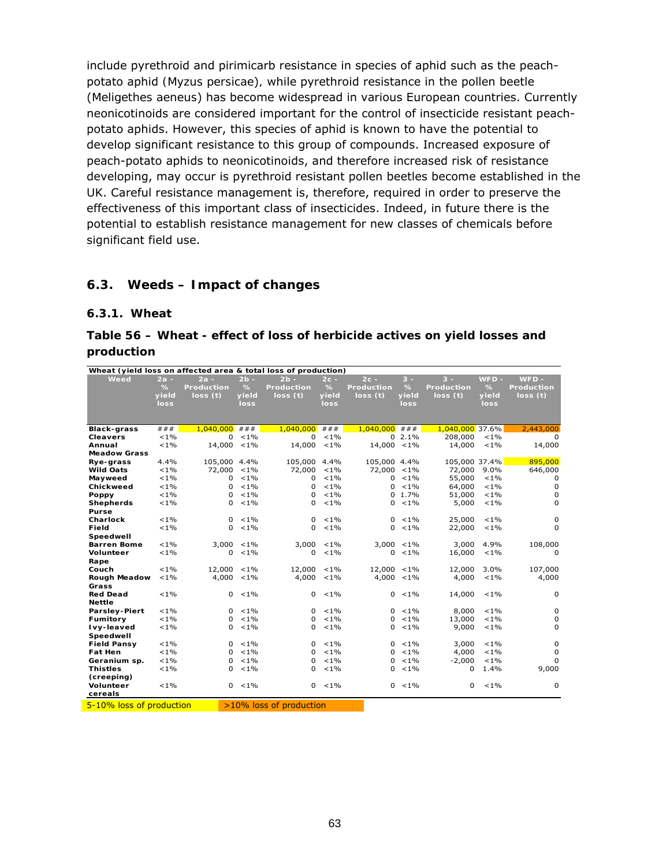include pyrethroid and pirimicarb resistance in species of aphid such as the peachpotato aphid *(Myzus persicae*)*,* while pyrethroid resistance in the pollen beetle (*Meligethes aeneus*) has become widespread in various European countries. Currently neonicotinoids are considered important for the control of insecticide resistant peachpotato aphids. However, this species of aphid is known to have the potential to develop significant resistance to this group of compounds. Increased exposure of peach-potato aphids to neonicotinoids, and therefore increased risk of resistance developing, may occur is pyrethroid resistant pollen beetles become established in the UK. Careful resistance management is, therefore, required in order to preserve the effectiveness of this important class of insecticides. Indeed, in future there is the potential to establish resistance management for new classes of chemicals before significant field use.

# **6.3. Weeds – Impact of changes**

#### **6.3.1. Wheat**

### **Table 56 – Wheat - effect of loss of herbicide actives on yield losses and production**

| Wheat (yield loss on affected area & total loss of production) |         |                   |         |                         |         |                   |               |                   |         |                   |
|----------------------------------------------------------------|---------|-------------------|---------|-------------------------|---------|-------------------|---------------|-------------------|---------|-------------------|
| Weed                                                           | $2a -$  | $2a -$            | $2b -$  | $2b -$                  | $2c -$  | $2c -$            | $3 -$         | $3 -$             | $WFD -$ | $WFD -$           |
|                                                                | %       | <b>Production</b> | %       | <b>Production</b>       | %       | <b>Production</b> | $\%$          | <b>Production</b> | %       | <b>Production</b> |
|                                                                | yield   | loss(t)           | yield   | loss(t)                 | yield   | loss(t)           | yield         | loss(t)           | yield   | loss(t)           |
|                                                                | loss    |                   | loss    |                         | loss    |                   | loss          |                   | loss    |                   |
|                                                                |         |                   |         |                         |         |                   |               |                   |         |                   |
|                                                                |         |                   |         |                         |         |                   |               |                   |         |                   |
| <b>Black-grass</b>                                             | ###     | 1,040,000         | ###     | 1,040,000               | ###     | $1,040,000$ ###   |               | 1,040,000 37.6%   |         | 2,443,000         |
| <b>Cleavers</b>                                                | $< 1\%$ | $\Omega$          | $< 1\%$ | 0                       | $< 1\%$ |                   | $02.1\%$      | 208,000           | $< 1\%$ | 0                 |
| Annual                                                         | $< 1\%$ | 14,000            | $< 1\%$ | 14,000                  | $< 1\%$ | 14,000 <1%        |               | 14,000            | $< 1\%$ | 14,000            |
| <b>Meadow Grass</b>                                            |         |                   |         |                         |         |                   |               |                   |         |                   |
| Rye-grass                                                      | 4.4%    | 105,000 4.4%      |         | 105,000                 | 4.4%    | 105,000 4.4%      |               | 105,000 37.4%     |         | 895,000           |
| <b>Wild Oats</b>                                               | $< 1\%$ | 72,000            | $< 1\%$ | 72,000                  | $< 1\%$ | 72,000 <1%        |               | 72,000            | 9.0%    | 646,000           |
| Mayweed                                                        | $< 1\%$ | 0                 | $< 1\%$ | 0                       | $< 1\%$ |                   | $0 < 1\%$     | 55,000            | $< 1\%$ | 0                 |
| Chickweed                                                      | $< 1\%$ | $\Omega$          | $< 1\%$ | $\Omega$                | $< 1\%$ | 0                 | $< 1\%$       | 64,000            | $< 1\%$ | 0                 |
| Poppy                                                          | $< 1\%$ | 0                 | $< 1\%$ | $\Omega$                | $< 1\%$ |                   | $0, 1.7\%$    | 51,000            | $< 1\%$ | $\mathbf 0$       |
| <b>Shepherds</b>                                               | $< 1\%$ | 0                 | $< 1\%$ | 0                       | $< 1\%$ | 0                 | $< 1\%$       | 5,000             | $< 1\%$ | 0                 |
| Purse                                                          |         |                   |         |                         |         |                   |               |                   |         |                   |
| Charlock                                                       | $< 1\%$ | $\Omega$          | $< 1\%$ | $\Omega$                | $< 1\%$ | 0                 | $< 1\%$       | 25,000            | $< 1\%$ | 0                 |
| Field                                                          | $< 1\%$ | <sup>o</sup>      | $< 1\%$ | <sup>o</sup>            | $< 1\%$ | 0                 | $< 1\%$       | 22,000            | $< 1\%$ | $\Omega$          |
| Speedwell                                                      |         |                   |         |                         |         |                   |               |                   |         |                   |
| <b>Barren Bome</b>                                             | $< 1\%$ | 3,000             | $< 1\%$ | 3,000                   | $< 1\%$ |                   | $3,000 < 1\%$ | 3,000             | 4.9%    | 108,000           |
| Volunteer                                                      | $< 1\%$ | 0                 | $< 1\%$ | 0                       | $< 1\%$ | 0                 | $< 1\%$       | 16,000            | $< 1\%$ | $\mathbf 0$       |
| Rape                                                           |         |                   |         |                         |         |                   |               |                   |         |                   |
| Couch                                                          | $< 1\%$ | 12,000            | $< 1\%$ | 12,000                  | $< 1\%$ | 12,000 <1%        |               | 12,000            | 3.0%    | 107,000           |
| <b>Rough Meadow</b>                                            | $< 1\%$ | 4,000             | $< 1\%$ | 4,000                   | $< 1\%$ |                   | $4,000 < 1\%$ | 4,000             | $< 1\%$ | 4,000             |
| Grass                                                          |         |                   |         |                         |         |                   |               |                   |         |                   |
| <b>Red Dead</b>                                                | $< 1\%$ | $\mathbf{0}$      | $< 1\%$ | 0                       | $< 1\%$ |                   | $0 < 1\%$     | 14,000            | $< 1\%$ | 0                 |
| <b>Nettle</b>                                                  |         |                   |         |                         |         |                   |               |                   |         |                   |
| <b>Parsley-Piert</b>                                           | $< 1\%$ | $\Omega$          | $< 1\%$ | $\Omega$                | $< 1\%$ | $\Omega$          | $< 1\%$       | 8,000             | $< 1\%$ | 0                 |
| Fumitory                                                       | $< 1\%$ | $\Omega$          | $< 1\%$ | 0                       | $< 1\%$ | 0                 | $< 1\%$       | 13,000            | $< 1\%$ | 0                 |
| Ivy-leaved                                                     | $< 1\%$ | 0                 | $< 1\%$ | 0                       | $< 1\%$ | 0                 | $< 1\%$       | 9,000             | $< 1\%$ | 0                 |
| Speedwell                                                      |         |                   |         |                         |         |                   |               |                   |         |                   |
| <b>Field Pansy</b>                                             | $< 1\%$ | $\Omega$          | $< 1\%$ | $\Omega$                | $< 1\%$ | $\Omega$          | $< 1\%$       | 3,000             | $< 1\%$ | 0                 |
| <b>Fat Hen</b>                                                 | $< 1\%$ | $\Omega$          | $< 1\%$ | $\Omega$                | $< 1\%$ | 0                 | $< 1\%$       | 4,000             | $< 1\%$ | 0                 |
| Geranium sp.                                                   | $< 1\%$ | $\Omega$          | $< 1\%$ | $\Omega$                | $< 1\%$ | 0                 | $< 1\%$       | $-2,000$          | $< 1\%$ | 0                 |
| <b>Thistles</b>                                                | $< 1\%$ | 0                 | $< 1\%$ | $\Omega$                | $< 1\%$ | 0                 | $< 1\%$       | $\Omega$          | 1.4%    | 9,000             |
| (creeping)                                                     |         |                   |         |                         |         |                   |               |                   |         |                   |
| Volunteer                                                      | $< 1\%$ | 0                 | $< 1\%$ | 0                       | $< 1\%$ |                   | $0 < 1\%$     | 0                 | $< 1\%$ | 0                 |
| cereals                                                        |         |                   |         |                         |         |                   |               |                   |         |                   |
| 5-10% loss of production                                       |         |                   |         | >10% loss of production |         |                   |               |                   |         |                   |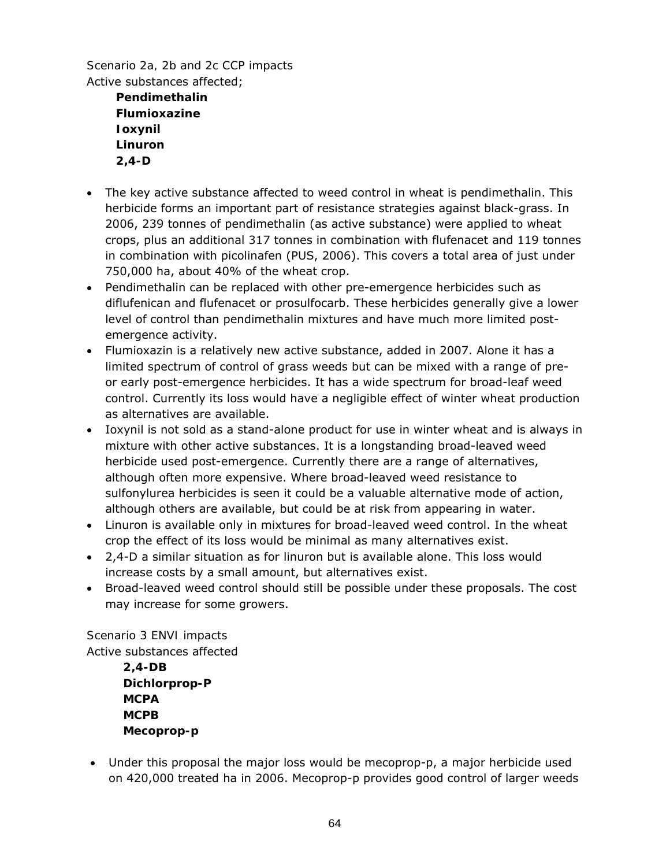*Scenario 2a, 2b and 2c CCP impacts*  Active substances affected;

> **Pendimethalin Flumioxazine Ioxynil Linuron 2,4-D**

- The key active substance affected to weed control in wheat is pendimethalin. This herbicide forms an important part of resistance strategies against black-grass. In 2006, 239 tonnes of pendimethalin (as active substance) were applied to wheat crops, plus an additional 317 tonnes in combination with flufenacet and 119 tonnes in combination with picolinafen (PUS, 2006). This covers a total area of just under 750,000 ha, about 40% of the wheat crop.
- Pendimethalin can be replaced with other pre-emergence herbicides such as diflufenican and flufenacet or prosulfocarb. These herbicides generally give a lower level of control than pendimethalin mixtures and have much more limited postemergence activity.
- Flumioxazin is a relatively new active substance, added in 2007. Alone it has a limited spectrum of control of grass weeds but can be mixed with a range of preor early post-emergence herbicides. It has a wide spectrum for broad-leaf weed control. Currently its loss would have a negligible effect of winter wheat production as alternatives are available.
- Ioxynil is not sold as a stand-alone product for use in winter wheat and is always in mixture with other active substances. It is a longstanding broad-leaved weed herbicide used post-emergence. Currently there are a range of alternatives, although often more expensive. Where broad-leaved weed resistance to sulfonylurea herbicides is seen it could be a valuable alternative mode of action, although others are available, but could be at risk from appearing in water.
- Linuron is available only in mixtures for broad-leaved weed control. In the wheat crop the effect of its loss would be minimal as many alternatives exist.
- 2,4-D a similar situation as for linuron but is available alone. This loss would increase costs by a small amount, but alternatives exist.
- Broad-leaved weed control should still be possible under these proposals. The cost may increase for some growers.

*Scenario 3 ENVI impacts* 

Active substances affected

**2,4-DB Dichlorprop-P MCPA MCPB Mecoprop-p** 

• Under this proposal the major loss would be mecoprop-p, a major herbicide used on 420,000 treated ha in 2006. Mecoprop-p provides good control of larger weeds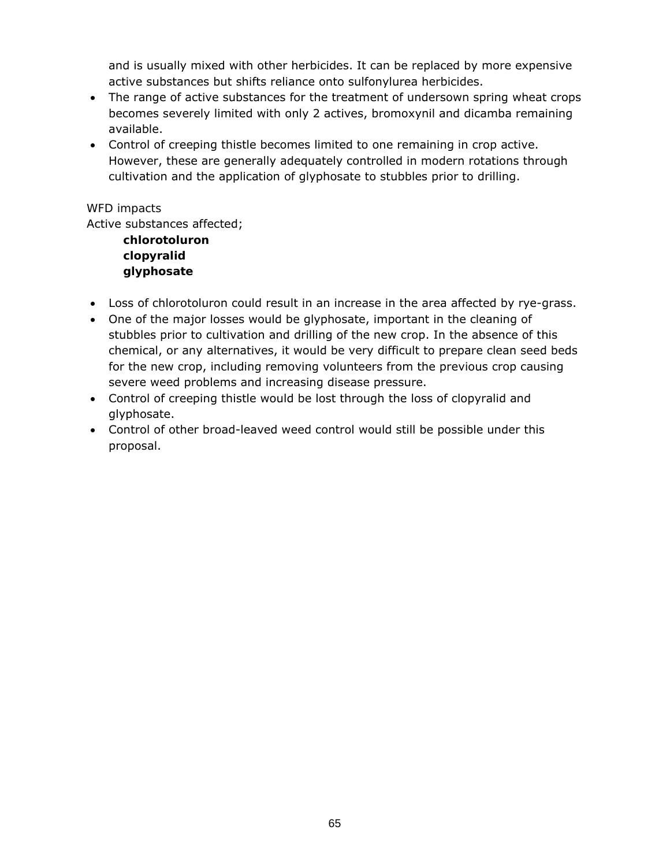and is usually mixed with other herbicides. It can be replaced by more expensive active substances but shifts reliance onto sulfonylurea herbicides.

- The range of active substances for the treatment of undersown spring wheat crops becomes severely limited with only 2 actives, bromoxynil and dicamba remaining available.
- Control of creeping thistle becomes limited to one remaining in crop active. However, these are generally adequately controlled in modern rotations through cultivation and the application of glyphosate to stubbles prior to drilling.

### *WFD impacts*

Active substances affected;

**chlorotoluron clopyralid glyphosate** 

- Loss of chlorotoluron could result in an increase in the area affected by rye-grass.
- One of the major losses would be glyphosate, important in the cleaning of stubbles prior to cultivation and drilling of the new crop. In the absence of this chemical, or any alternatives, it would be very difficult to prepare clean seed beds for the new crop, including removing volunteers from the previous crop causing severe weed problems and increasing disease pressure.
- Control of creeping thistle would be lost through the loss of clopyralid and glyphosate.
- Control of other broad-leaved weed control would still be possible under this proposal.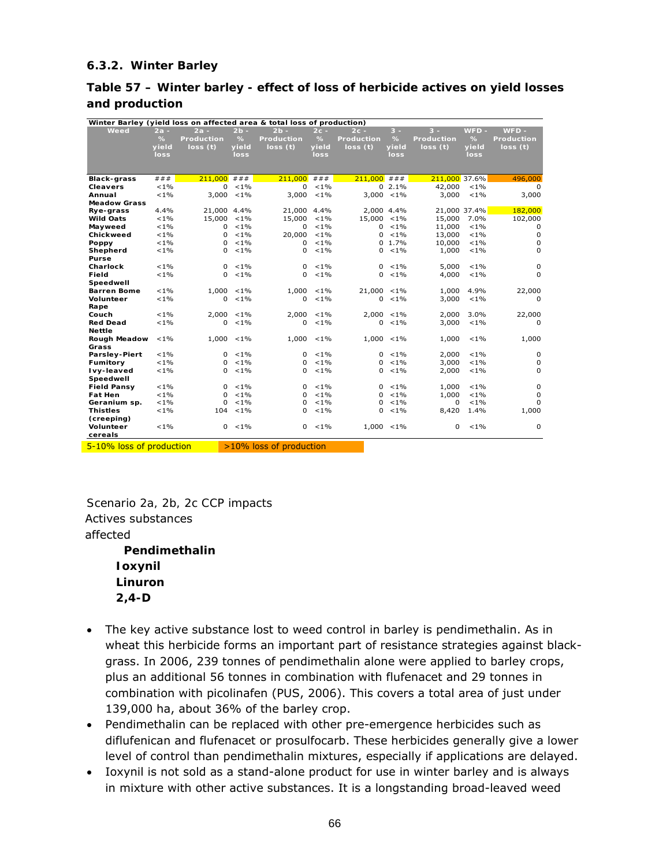### **6.3.2. Winter Barley**

### **Table 57 – Winter barley - effect of loss of herbicide actives on yield losses and production**

| Winter Barley (yield loss on affected area & total loss of production) |               |                   |               |                         |         |                   |               |                   |               |                   |
|------------------------------------------------------------------------|---------------|-------------------|---------------|-------------------------|---------|-------------------|---------------|-------------------|---------------|-------------------|
| Weed                                                                   | 2a -          | $2a -$            | $2b -$        | $2b -$                  | $2c -$  | $2c -$            | $3 -$         | $3 -$             | $WFD -$       | $WFD -$           |
|                                                                        | $\frac{9}{6}$ | <b>Production</b> | $\frac{9}{6}$ | <b>Production</b>       | $\%$    | <b>Production</b> | $\%$          | <b>Production</b> | $\frac{9}{6}$ | <b>Production</b> |
|                                                                        | yield         | loss(t)           | yield         | loss(t)                 | yield   | loss (t)          | yield         | loss(t)           | yield         | loss(t)           |
|                                                                        | loss          |                   | loss          |                         | loss    |                   | loss          |                   | loss          |                   |
|                                                                        |               |                   |               |                         |         |                   |               |                   |               |                   |
|                                                                        |               |                   |               |                         |         |                   |               |                   |               |                   |
| <b>Black-grass</b>                                                     | # # #         | 211,000           | # # #         | 211,000                 | # # #   | 211,000           | # # #         | 211,000 37.6%     |               | 496,000           |
| <b>Cleavers</b>                                                        | $< 1\%$       | 0                 | $< 1\%$       | $\Omega$                | $< 1\%$ |                   | $0, 2.1\%$    | 42,000            | $< 1\%$       | $\Omega$          |
| Annual                                                                 | ${<}1\%$      | 3.000             | $< 1\%$       | 3,000                   | $< 1\%$ |                   | $3,000 < 1\%$ | 3,000             | $< 1\%$       | 3,000             |
| <b>Meadow Grass</b>                                                    |               |                   |               |                         |         |                   |               |                   |               |                   |
| Rye-grass                                                              | 4.4%          | 21,000 4.4%       |               | 21,000 4.4%             |         | 2,000 4.4%        |               |                   | 21,000 37.4%  | 182,000           |
| <b>Wild Oats</b>                                                       | $< 1\%$       | 15,000            | $< 1\%$       | 15,000                  | $< 1\%$ | 15,000 <1%        |               | 15,000            | 7.0%          | 102,000           |
| Mayweed                                                                | $< 1\%$       | 0                 | $< 1\%$       | $\Omega$                | $< 1\%$ | 0                 | $< 1\%$       | 11,000            | $< 1\%$       | 0                 |
| Chickweed                                                              | $< 1\%$       | 0                 | $< 1\%$       | 20,000                  | $< 1\%$ | $\Omega$          | $< 1\%$       | 13,000            | $< 1\%$       | 0                 |
| Poppy                                                                  | $< 1\%$       | 0                 | $< 1\%$       | $\Omega$                | $< 1\%$ |                   | $0, 1.7\%$    | 10,000            | $< 1\%$       | 0                 |
| Shepherd                                                               | $< 1\%$       | 0                 | $< 1\%$       | $\Omega$                | $< 1\%$ | $\Omega$          | $< 1\%$       | 1,000             | $< 1\%$       | 0                 |
| Purse                                                                  |               |                   |               |                         |         |                   |               |                   |               |                   |
| Charlock                                                               | $< 1\%$       | 0                 | $< 1\%$       | $\Omega$                | $< 1\%$ | 0                 | $< 1\%$       | 5,000             | $< 1\%$       | 0                 |
| Field                                                                  | $< 1\%$       | 0                 | $< 1\%$       | $\Omega$                | $< 1\%$ | $\Omega$          | $< 1\%$       | 4,000             | $< 1\%$       | $\Omega$          |
| Speedwell                                                              |               |                   |               |                         |         |                   |               |                   |               |                   |
| <b>Barren Bome</b>                                                     | $< 1\%$       | 1,000             | $< 1\%$       | 1,000                   | $< 1\%$ | $21,000 < 1\%$    |               | 1,000             | 4.9%          | 22,000            |
| Volunteer                                                              | $< 1\%$       | 0                 | $< 1\%$       | $\Omega$                | $< 1\%$ | $\Omega$          | $< 1\%$       | 3,000             | $< 1\%$       | $\Omega$          |
| Rape                                                                   |               |                   |               |                         |         |                   |               |                   |               |                   |
| Couch                                                                  | $< 1\%$       | 2,000             | $< 1\%$       | 2.000                   | $< 1\%$ | $2.000 < 1\%$     |               | 2.000             | 3.0%          | 22,000            |
| <b>Red Dead</b>                                                        | $< 1\%$       | 0                 | $< 1\%$       | $\Omega$                | $< 1\%$ | 0                 | $< 1\%$       | 3,000             | $< 1\%$       | 0                 |
| <b>Nettle</b>                                                          |               |                   |               |                         |         |                   |               |                   |               |                   |
| Rough Meadow                                                           | $< 1\%$       | 1,000             | $< 1\%$       | 1,000                   | $< 1\%$ |                   | $1,000 < 1\%$ | 1,000             | $< 1\%$       | 1,000             |
| Grass                                                                  |               |                   |               |                         |         |                   |               |                   |               |                   |
| <b>Parsley-Piert</b>                                                   | $< 1\%$       | 0                 | $< 1\%$       | $\Omega$                | $< 1\%$ |                   | $0 \le 1\%$   | 2,000             | $< 1\%$       | $\Omega$          |
| Fumitory                                                               | $< 1\%$       | 0                 | $< 1\%$       | $\Omega$                | $< 1\%$ | 0                 | $< 1\%$       | 3,000             | $< 1\%$       | 0                 |
| Ivy-leaved                                                             | $< 1\%$       | 0                 | $< 1\%$       | $\Omega$                | $< 1\%$ | $\Omega$          | $< 1\%$       | 2,000             | $< 1\%$       | 0                 |
| Speedwell                                                              |               |                   |               |                         |         |                   |               |                   |               |                   |
| <b>Field Pansy</b>                                                     | $< 1\%$       | 0                 | $< 1\%$       | $\Omega$                | $< 1\%$ | $\Omega$          | $< 1\%$       | 1,000             | $< 1\%$       | 0                 |
| <b>Fat Hen</b>                                                         | $< 1\%$       | 0                 | $< 1\%$       | $\Omega$                | $< 1\%$ | $\Omega$          | $< 1\%$       | 1,000             | $< 1\%$       | $\Omega$          |
| Geranium sp.                                                           | $< 1\%$       | 0                 | $< 1\%$       | $\Omega$                | $< 1\%$ | $\Omega$          | $< 1\%$       | 0                 | $< 1\%$       | 0                 |
| <b>Thistles</b>                                                        | $< 1\%$       | 104               | $< 1\%$       | $\Omega$                | $< 1\%$ | $\Omega$          | $< 1\%$       | 8,420             | 1.4%          | 1,000             |
| (creeping)                                                             |               |                   |               |                         |         |                   |               |                   |               |                   |
| Volunteer                                                              | $< 1\%$       | 0                 | $< 1\%$       | 0                       | $< 1\%$ |                   | $1,000 < 1\%$ | 0                 | $< 1\%$       | $\mathbf 0$       |
| cereals                                                                |               |                   |               |                         |         |                   |               |                   |               |                   |
| 5-10% loss of production                                               |               |                   |               | >10% loss of production |         |                   |               |                   |               |                   |

*Scenario 2a, 2b, 2c CCP impacts*  Actives substances affected  **Pendimethalin Ioxynil Linuron 2,4-D** 

- The key active substance lost to weed control in barley is pendimethalin. As in wheat this herbicide forms an important part of resistance strategies against blackgrass. In 2006, 239 tonnes of pendimethalin alone were applied to barley crops, plus an additional 56 tonnes in combination with flufenacet and 29 tonnes in combination with picolinafen (PUS, 2006). This covers a total area of just under 139,000 ha, about 36% of the barley crop.
- Pendimethalin can be replaced with other pre-emergence herbicides such as diflufenican and flufenacet or prosulfocarb. These herbicides generally give a lower level of control than pendimethalin mixtures, especially if applications are delayed.
- Ioxynil is not sold as a stand-alone product for use in winter barley and is always in mixture with other active substances. It is a longstanding broad-leaved weed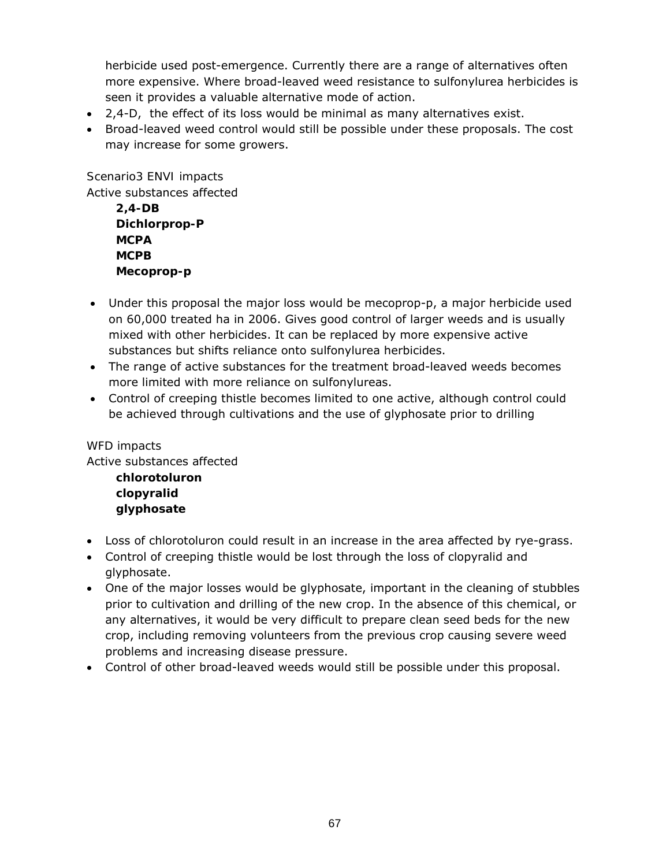herbicide used post-emergence. Currently there are a range of alternatives often more expensive. Where broad-leaved weed resistance to sulfonylurea herbicides is seen it provides a valuable alternative mode of action.

- 2,4-D, the effect of its loss would be minimal as many alternatives exist.
- Broad-leaved weed control would still be possible under these proposals. The cost may increase for some growers.

### *Scenario3 ENVI impacts*

Active substances affected

| $2.4-DB$      |
|---------------|
| Dichlorprop-P |
| MCPA          |
| <b>MCPB</b>   |
| Mecoprop-p    |

- Under this proposal the major loss would be mecoprop-p, a major herbicide used on 60,000 treated ha in 2006. Gives good control of larger weeds and is usually mixed with other herbicides. It can be replaced by more expensive active substances but shifts reliance onto sulfonylurea herbicides.
- The range of active substances for the treatment broad-leaved weeds becomes more limited with more reliance on sulfonylureas.
- Control of creeping thistle becomes limited to one active, although control could be achieved through cultivations and the use of glyphosate prior to drilling

# *WFD impacts*

Active substances affected **chlorotoluron clopyralid glyphosate** 

- Loss of chlorotoluron could result in an increase in the area affected by rye-grass.
- Control of creeping thistle would be lost through the loss of clopyralid and glyphosate.
- One of the major losses would be glyphosate, important in the cleaning of stubbles prior to cultivation and drilling of the new crop. In the absence of this chemical, or any alternatives, it would be very difficult to prepare clean seed beds for the new crop, including removing volunteers from the previous crop causing severe weed problems and increasing disease pressure.
- Control of other broad-leaved weeds would still be possible under this proposal.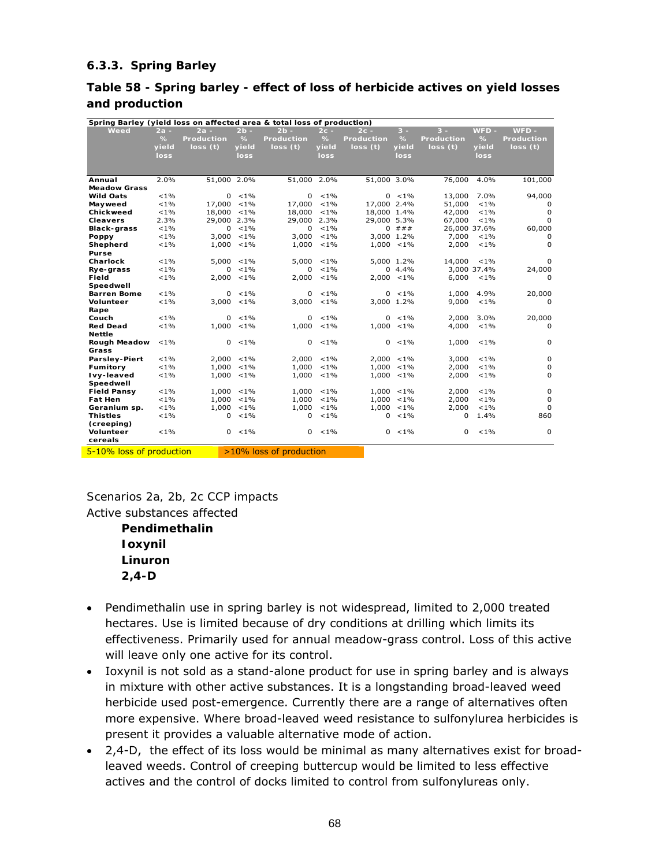### **6.3.3. Spring Barley**

### **Table 58 - Spring barley - effect of loss of herbicide actives on yield losses and production**

| Spring Barley (yield loss on affected area & total loss of production) |         |                   |               |                         |         |                   |               |                   |             |                   |
|------------------------------------------------------------------------|---------|-------------------|---------------|-------------------------|---------|-------------------|---------------|-------------------|-------------|-------------------|
| Weed                                                                   | $2a -$  | $2a -$            | $2b -$        | $2b -$                  | $2c -$  | $2c -$            | $3 -$         | $3 -$             | $WFD -$     | $WFD -$           |
|                                                                        | $\%$    | <b>Production</b> | %             | <b>Production</b>       | $\%$    | <b>Production</b> | %             | <b>Production</b> | %           | <b>Production</b> |
|                                                                        | yield   | loss(t)           | yield         | loss(t)                 | yield   | loss(t)           | yield         | loss(t)           | yield       | loss(t)           |
|                                                                        | loss    |                   | loss          |                         | loss    |                   | loss          |                   | loss        |                   |
|                                                                        |         |                   |               |                         |         |                   |               |                   |             |                   |
|                                                                        |         |                   |               |                         |         |                   |               |                   |             |                   |
| Annual                                                                 | 2.0%    | 51,000 2.0%       |               | 51,000 2.0%             |         | 51,000 3.0%       |               | 76,000            | 4.0%        | 101,000           |
| <b>Meadow Grass</b>                                                    |         |                   |               |                         |         |                   |               |                   |             |                   |
| <b>Wild Oats</b>                                                       | $< 1\%$ | 0                 | $< 1\%$       | $\Omega$                | $< 1\%$ |                   | $0 \le 1\%$   | 13,000            | 7.0%        | 94,000            |
| Mayweed                                                                | $< 1\%$ | 17,000            | $< 1\%$       | 17,000                  | $< 1\%$ | 17.000 2.4%       |               | 51,000            | $< 1\%$     | 0                 |
| Chickweed                                                              | $< 1\%$ | 18,000            | $< 1\%$       | 18,000                  | $< 1\%$ | 18,000 1.4%       |               | 42,000            | $< 1\%$     | $\mathbf 0$       |
| <b>Cleavers</b>                                                        | 2.3%    | 29,000 2.3%       |               | 29,000 2.3%             |         | 29,000 5.3%       |               | 67,000            | $< 1\%$     | $\mathbf 0$       |
| <b>Black-grass</b>                                                     | $< 1\%$ | 0                 | $< 1\%$       | $\Omega$                | $< 1\%$ |                   | $0$ ###       | 26,000 37.6%      |             | 60,000            |
| Poppy                                                                  | $< 1\%$ | 3,000             | $< 1\%$       | 3,000                   | $< 1\%$ |                   | 3.000 1.2%    | 7,000             | $< 1\%$     | 0                 |
| Shepherd                                                               | $< 1\%$ | 1,000             | $< 1\%$       | 1,000                   | $< 1\%$ |                   | $1,000 < 1\%$ | 2,000             | $< 1\%$     | $\mathbf 0$       |
| <b>Purse</b>                                                           |         |                   |               |                         |         |                   |               |                   |             |                   |
| Charlock                                                               | $< 1\%$ | 5,000             | $< 1\%$       | 5,000                   | $< 1\%$ |                   | 5.000 1.2%    | 14,000            | $< 1\%$     | 0                 |
| Rye-grass                                                              | $< 1\%$ | $\Omega$          | $< 1\%$       | $\Omega$                | $< 1\%$ |                   | $0, 4.4\%$    |                   | 3,000 37.4% | 24,000            |
| Field                                                                  | $< 1\%$ | 2,000             | $< 1\%$       | 2,000                   | $< 1\%$ |                   | $2,000 < 1\%$ | 6,000             | $< 1\%$     | 0                 |
| Speedwell                                                              |         |                   |               |                         |         |                   |               |                   |             |                   |
| <b>Barren Bome</b>                                                     | $< 1\%$ | 0                 | $< 1\%$       | $\Omega$                | $< 1\%$ |                   | $0 < 1\%$     | 1,000             | 4.9%        | 20,000            |
| <b>Volunteer</b>                                                       | $< 1\%$ |                   | $3,000 < 1\%$ | 3,000                   | $< 1\%$ |                   | 3,000 1.2%    | 9,000             | $< 1\%$     | 0                 |
| Rape                                                                   |         |                   |               |                         |         |                   |               |                   |             |                   |
| Couch                                                                  | $< 1\%$ | $\Omega$          | $< 1\%$       | $\Omega$                | $< 1\%$ |                   | $0 < 1\%$     | 2,000             | 3.0%        | 20,000            |
| <b>Red Dead</b>                                                        | $< 1\%$ | 1.000             | $< 1\%$       | 1,000                   | $< 1\%$ |                   | $1.000 < 1\%$ | 4,000             | $< 1\%$     | 0                 |
| <b>Nettle</b>                                                          |         |                   |               |                         |         |                   |               |                   |             |                   |
| Rough Meadow                                                           | $< 1\%$ | $\Omega$          | $< 1\%$       | $\Omega$                | $< 1\%$ |                   | $0 < 1\%$     | 1,000             | $< 1\%$     | 0                 |
| Grass                                                                  |         |                   |               |                         |         |                   |               |                   |             |                   |
| <b>Parsley-Piert</b>                                                   | $< 1\%$ | 2,000             | $< 1\%$       | 2,000                   | $< 1\%$ |                   | $2,000 < 1\%$ | 3,000             | $< 1\%$     | $\mathbf 0$       |
| Fumitory                                                               | $< 1\%$ | 1,000             | $< 1\%$       | 1,000                   | $< 1\%$ |                   | $1,000 < 1\%$ | 2,000             | $< 1\%$     | 0                 |
| Ivy-leaved                                                             | $< 1\%$ | 1,000             | $< 1\%$       | 1,000                   | $< 1\%$ |                   | $1,000 < 1\%$ | 2,000             | $< 1\%$     | 0                 |
| Speedwell                                                              |         |                   |               |                         |         |                   |               |                   |             |                   |
| <b>Field Pansy</b>                                                     | $< 1\%$ | 1,000             | $< 1\%$       | 1,000                   | $< 1\%$ |                   | $1,000 < 1\%$ | 2,000             | $< 1\%$     | 0                 |
| <b>Fat Hen</b>                                                         | $< 1\%$ | 1,000             | $< 1\%$       | 1,000                   | $< 1\%$ |                   | $1,000 < 1\%$ | 2,000             | $< 1\%$     | $\Omega$          |
| Geranium sp.                                                           | $< 1\%$ | 1,000             | $< 1\%$       | 1,000                   | $< 1\%$ |                   | $1,000 < 1\%$ | 2,000             | $< 1\%$     | $\Omega$          |
| <b>Thistles</b>                                                        | $< 1\%$ | $\Omega$          | $< 1\%$       | 0                       | $< 1\%$ | $\mathbf{0}$      | $< 1\%$       | 0                 | 1.4%        | 860               |
| (creeping)                                                             |         |                   |               |                         |         |                   |               |                   |             |                   |
| Volunteer                                                              | $< 1\%$ | 0                 | $< 1\%$       | 0                       | $< 1\%$ |                   | $0 < 1\%$     | $\Omega$          | $< 1\%$     | $\mathbf 0$       |
| cereals                                                                |         |                   |               |                         |         |                   |               |                   |             |                   |
| 5-10% loss of production                                               |         |                   |               | >10% loss of production |         |                   |               |                   |             |                   |

*Scenarios 2a, 2b, 2c CCP impacts*  Active substances affected

> **Pendimethalin Ioxynil Linuron 2,4-D**

- Pendimethalin use in spring barley is not widespread, limited to 2,000 treated hectares. Use is limited because of dry conditions at drilling which limits its effectiveness. Primarily used for annual meadow-grass control. Loss of this active will leave only one active for its control.
- Ioxynil is not sold as a stand-alone product for use in spring barley and is always in mixture with other active substances. It is a longstanding broad-leaved weed herbicide used post-emergence. Currently there are a range of alternatives often more expensive. Where broad-leaved weed resistance to sulfonylurea herbicides is present it provides a valuable alternative mode of action.
- 2,4-D, the effect of its loss would be minimal as many alternatives exist for broadleaved weeds. Control of creeping buttercup would be limited to less effective actives and the control of docks limited to control from sulfonylureas only.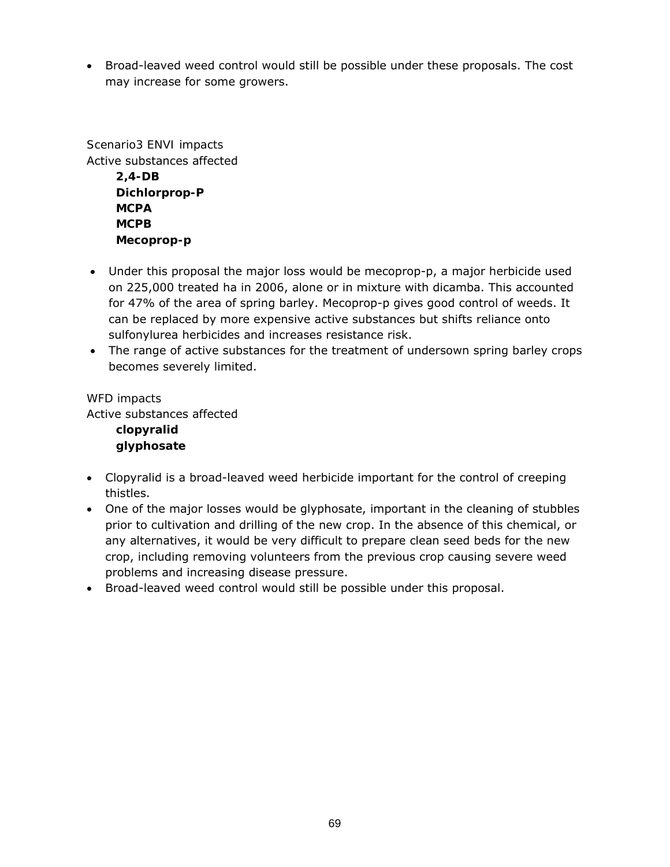• Broad-leaved weed control would still be possible under these proposals. The cost may increase for some growers.

*Scenario3 ENVI impacts*  Active substances affected **2,4-DB Dichlorprop-P MCPA MCPB Mecoprop-p** 

- Under this proposal the major loss would be mecoprop-p, a major herbicide used on 225,000 treated ha in 2006, alone or in mixture with dicamba. This accounted for 47% of the area of spring barley. Mecoprop-p gives good control of weeds. It can be replaced by more expensive active substances but shifts reliance onto sulfonylurea herbicides and increases resistance risk.
- The range of active substances for the treatment of undersown spring barley crops becomes severely limited.

# *WFD impacts*

Active substances affected

**clopyralid glyphosate** 

- Clopyralid is a broad-leaved weed herbicide important for the control of creeping thistles.
- One of the major losses would be glyphosate, important in the cleaning of stubbles prior to cultivation and drilling of the new crop. In the absence of this chemical, or any alternatives, it would be very difficult to prepare clean seed beds for the new crop, including removing volunteers from the previous crop causing severe weed problems and increasing disease pressure.
- Broad-leaved weed control would still be possible under this proposal.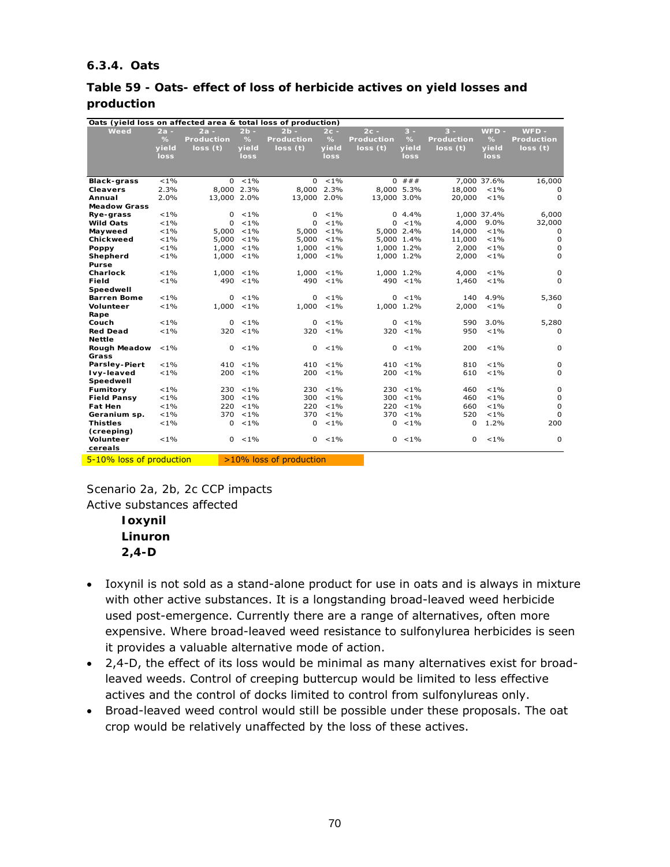#### **6.3.4. Oats**

#### **Table 59 - Oats- effect of loss of herbicide actives on yield losses and production**

| Oats (yield loss on affected area & total loss of production) |         |                   |             |                         |               |                   |             |                   |             |             |
|---------------------------------------------------------------|---------|-------------------|-------------|-------------------------|---------------|-------------------|-------------|-------------------|-------------|-------------|
| Weed                                                          | $2a -$  | $2a -$            | $2b -$      | $2b -$                  | $2c -$        | $2c -$            | $3 -$       | $3 -$             | WFD-        | $WFD -$     |
|                                                               | %       | <b>Production</b> | %           | <b>Production</b>       | %             | <b>Production</b> | %           | <b>Production</b> | %           | Production  |
|                                                               | vield   | loss(t)           | vield       | loss(t)                 | vield         | loss(t)           | vield       | loss(t)           | vield       | loss(t)     |
|                                                               | loss    |                   | loss        |                         | loss          |                   | loss        |                   | loss        |             |
|                                                               |         |                   |             |                         |               |                   |             |                   |             |             |
|                                                               |         |                   |             |                         |               |                   |             |                   |             |             |
| <b>Black-grass</b>                                            | $< 1\%$ |                   | $0 < 1\%$   |                         | $0 \le 1\%$   |                   | $0$ ###     |                   | 7,000 37.6% | 16,000      |
| <b>Cleavers</b>                                               | 2.3%    | 8,000 2.3%        |             |                         | 8,000 2.3%    |                   | 8,000 5.3%  | 18,000            | $< 1\%$     | 0           |
| Annual                                                        | 2.0%    | 13,000 2.0%       |             | 13,000 2.0%             |               | 13,000 3.0%       |             | 20,000            | $< 1\%$     | $\Omega$    |
| <b>Meadow Grass</b>                                           |         |                   |             |                         |               |                   |             |                   |             |             |
| Rye-grass                                                     | $< 1\%$ | $\Omega$          | $< 1\%$     | 0                       | $< 1\%$       |                   | 0, 4.4%     |                   | 1,000 37.4% | 6,000       |
| <b>Wild Oats</b>                                              | $< 1\%$ | $\Omega$          | $< 1\%$     | 0                       | $< 1\%$       |                   | $0 < 1\%$   | 4,000             | $9.0\%$     | 32,000      |
| Mayweed                                                       | $< 1\%$ | 5,000             | $< 1\%$     | 5,000                   | $< 1\%$       |                   | 5,000 2.4%  | 14,000            | $< 1\%$     | 0           |
| Chickweed                                                     | $< 1\%$ | 5,000             | $< 1\%$     | 5,000                   | $< 1\%$       |                   | 5,000 1.4%  | 11,000            | $< 1\%$     | $\mathbf 0$ |
| Poppy                                                         | $< 1\%$ | 1,000             | $< 1\%$     | 1,000                   | $< 1\%$       |                   | 1,000 1.2%  | 2,000             | $< 1\%$     | $\mathbf 0$ |
| Shepherd                                                      | $< 1\%$ | 1,000             | $< 1\%$     | 1,000                   | $< 1\%$       |                   | 1,000 1.2%  | 2,000             | $< 1\%$     | 0           |
| Purse                                                         |         |                   |             |                         |               |                   |             |                   |             |             |
| Charlock                                                      | $< 1\%$ | 1,000             | $< 1\%$     |                         | $1,000 < 1\%$ |                   | 1.000 1.2%  | 4,000             | $< 1\%$     | $\mathbf 0$ |
| Field                                                         | $< 1\%$ | 490               | $< 1\%$     | 490                     | $< 1\%$       |                   | $490 < 1\%$ | 1,460             | $< 1\%$     | $\Omega$    |
| Speedwell                                                     |         |                   |             |                         |               |                   |             |                   |             |             |
| <b>Barren Bome</b>                                            | $< 1\%$ | $\Omega$          | $< 1\%$     | 0                       | $< 1\%$       |                   | $0 \le 1\%$ | 140               | 4.9%        | 5,360       |
| Volunteer                                                     | $< 1\%$ | $1,000 < 1\%$     |             | 1,000                   | $< 1\%$       |                   | 1,000 1.2%  | 2,000             | $< 1\%$     | 0           |
| Rape                                                          |         |                   |             |                         |               |                   |             |                   |             |             |
| Couch                                                         | $< 1\%$ | $\Omega$          | $< 1\%$     | 0                       | $< 1\%$       |                   | $0 < 1\%$   | 590               | 3.0%        | 5,280       |
| <b>Red Dead</b>                                               | $< 1\%$ | 320               | $< 1\%$     | 320                     | $< 1\%$       |                   | $320 < 1\%$ | 950               | $< 1\%$     | 0           |
| <b>Nettle</b>                                                 |         |                   |             |                         |               |                   |             |                   |             |             |
| <b>Rough Meadow</b>                                           | $< 1\%$ | $\mathbf{0}$      | $< 1\%$     | $\overline{0}$          | $< 1\%$       | 0                 | $< 1\%$     | 200               | $< 1\%$     | 0           |
| Grass                                                         |         |                   |             |                         |               |                   |             |                   |             |             |
| <b>Parsley-Piert</b>                                          | $< 1\%$ |                   | $410 < 1\%$ |                         | $410 \le 1\%$ |                   | $410 < 1\%$ | 810               | $< 1\%$     | 0           |
| Ivy-leaved                                                    | $< 1\%$ | 200               | $< 1\%$     | 200                     | $< 1\%$       |                   | $200 < 1\%$ | 610               | $< 1\%$     | 0           |
| Speedwell                                                     |         |                   |             |                         |               |                   |             |                   |             |             |
| Fumitory                                                      | $< 1\%$ | 230               | $< 1\%$     | 230                     | $< 1\%$       | 230               | $< 1\%$     | 460               | $< 1\%$     | $\mathbf 0$ |
| <b>Field Pansy</b>                                            | $< 1\%$ | 300               | $< 1\%$     | 300                     | $< 1\%$       | 300               | $< 1\%$     | 460               | $< 1\%$     | 0           |
| <b>Fat Hen</b>                                                | $< 1\%$ | 220               | $< 1\%$     | 220                     | $< 1\%$       | 220               | $< 1\%$     | 660               | $< 1\%$     | $\mathbf 0$ |
| Geranium sp.                                                  | $< 1\%$ | 370               | $< 1\%$     | 370                     | $< 1\%$       |                   | $370 < 1\%$ | 520               | $< 1\%$     | $\Omega$    |
| <b>Thistles</b>                                               | $< 1\%$ | 0                 | $< 1\%$     | 0                       | $< 1\%$       | 0                 | $< 1\%$     | 0                 | 1.2%        | 200         |
| (creeping)                                                    |         |                   |             |                         |               |                   |             |                   |             |             |
| Volunteer                                                     | $< 1\%$ | 0                 | $< 1\%$     | 0                       | $< 1\%$       |                   | $0 < 1\%$   | 0                 | $< 1\%$     | $\mathbf 0$ |
| cereals                                                       |         |                   |             |                         |               |                   |             |                   |             |             |
| 5-10% loss of production                                      |         |                   |             | >10% loss of production |               |                   |             |                   |             |             |

*Scenario 2a, 2b, 2c CCP impacts* 

Active substances affected

**Ioxynil Linuron 2,4-D** 

- Ioxynil is not sold as a stand-alone product for use in oats and is always in mixture with other active substances. It is a longstanding broad-leaved weed herbicide used post-emergence. Currently there are a range of alternatives, often more expensive. Where broad-leaved weed resistance to sulfonylurea herbicides is seen it provides a valuable alternative mode of action.
- 2,4-D, the effect of its loss would be minimal as many alternatives exist for broadleaved weeds. Control of creeping buttercup would be limited to less effective actives and the control of docks limited to control from sulfonylureas only.
- Broad-leaved weed control would still be possible under these proposals. The oat crop would be relatively unaffected by the loss of these actives.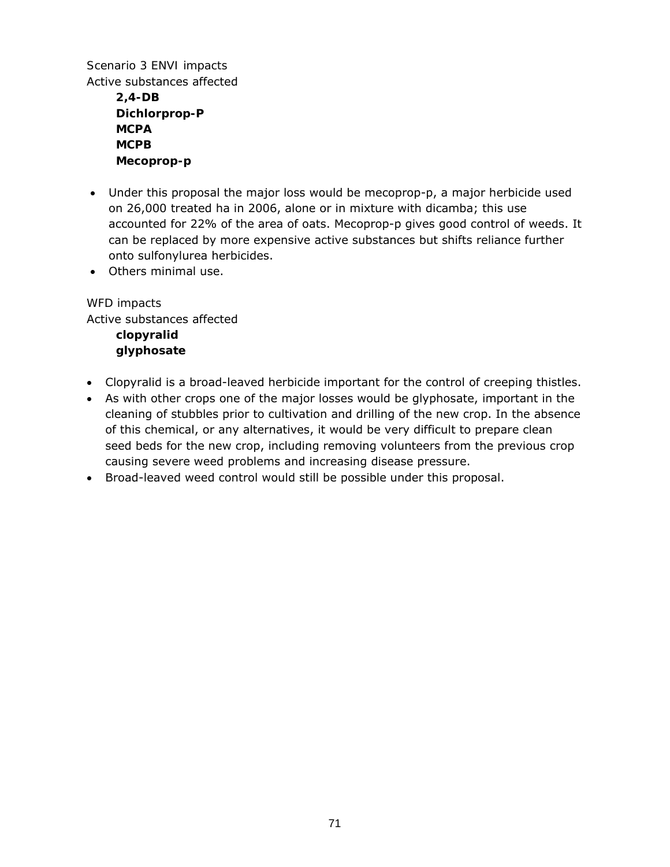*Scenario 3 ENVI impacts*  Active substances affected

> **2,4-DB Dichlorprop-P MCPA MCPB Mecoprop-p**

- Under this proposal the major loss would be mecoprop-p, a major herbicide used on 26,000 treated ha in 2006, alone or in mixture with dicamba; this use accounted for 22% of the area of oats. Mecoprop-p gives good control of weeds. It can be replaced by more expensive active substances but shifts reliance further onto sulfonylurea herbicides.
- Others minimal use.

*WFD impacts*  Active substances affected **clopyralid glyphosate** 

- Clopyralid is a broad-leaved herbicide important for the control of creeping thistles.
- As with other crops one of the major losses would be glyphosate, important in the cleaning of stubbles prior to cultivation and drilling of the new crop. In the absence of this chemical, or any alternatives, it would be very difficult to prepare clean seed beds for the new crop, including removing volunteers from the previous crop causing severe weed problems and increasing disease pressure.
- Broad-leaved weed control would still be possible under this proposal.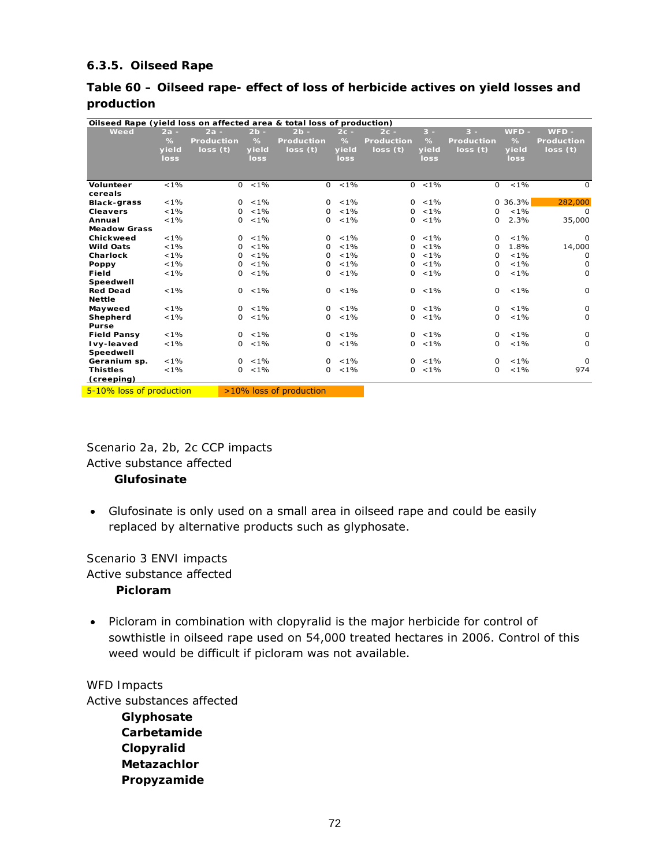## **6.3.5. Oilseed Rape**

#### **Table 60 – Oilseed rape- effect of loss of herbicide actives on yield losses and production**

| Oilseed Rape (yield loss on affected area & total loss of production)            |         |                   |             |                                                                                  |         |              |             |                   |             |                   |
|----------------------------------------------------------------------------------|---------|-------------------|-------------|----------------------------------------------------------------------------------|---------|--------------|-------------|-------------------|-------------|-------------------|
| Weed                                                                             | $2a -$  | $2a -$            | $2b -$      | $2b -$                                                                           | $2c -$  | $2c -$       | $3 -$       | $3 -$             | $WFD -$     | WFD -             |
|                                                                                  | $\%$    | <b>Production</b> | %           | <b>Production</b>                                                                | %       | Production   | $\%$        | <b>Production</b> | $\%$        | <b>Production</b> |
|                                                                                  | yield   | loss(t)           | vield       | loss(t)                                                                          | vield   | loss(t)      | yield       | loss(t)           | vield       | loss(t)           |
|                                                                                  | loss    |                   | <b>loss</b> |                                                                                  | loss    |              | <b>loss</b> |                   | loss        |                   |
|                                                                                  |         |                   |             |                                                                                  |         |              |             |                   |             |                   |
|                                                                                  |         |                   |             |                                                                                  |         |              |             |                   |             |                   |
| <b>Volunteer</b>                                                                 | $< 1\%$ | $\Omega$          | $< 1\%$     | $\Omega$                                                                         | $< 1\%$ | $\Omega$     | $< 1\%$     | 0                 | $< 1\%$     | $\Omega$          |
| cereals                                                                          |         |                   |             |                                                                                  |         |              |             |                   |             |                   |
| <b>Black-grass</b>                                                               | $< 1\%$ | $\Omega$          | $< 1\%$     | $\Omega$                                                                         | $< 1\%$ | $\Omega$     | $< 1\%$     |                   | $0, 36.3\%$ | 282,000           |
| <b>Cleavers</b>                                                                  | $< 1\%$ | $\Omega$          | $< 1\%$     | $\Omega$                                                                         | $< 1\%$ | 0            | $< 1\%$     | 0                 | $< 1\%$     | 0                 |
| Annual                                                                           | $< 1\%$ | $\Omega$          | $< 1\%$     | 0                                                                                | $< 1\%$ | 0            | $< 1\%$     | 0                 | 2.3%        | 35,000            |
| <b>Meadow Grass</b>                                                              |         |                   |             |                                                                                  |         |              |             |                   |             |                   |
| Chickweed                                                                        | $< 1\%$ | $\Omega$          | $< 1\%$     | $\Omega$                                                                         | $< 1\%$ | $\mathbf{0}$ | $< 1\%$     | 0                 | $< 1\%$     | $\Omega$          |
| <b>Wild Oats</b>                                                                 | $< 1\%$ | 0                 | $< 1\%$     | <sup>0</sup>                                                                     | $< 1\%$ | 0            | $< 1\%$     | 0                 | 1.8%        | 14,000            |
| Charlock                                                                         | $< 1\%$ | 0                 | $< 1\%$     | 0                                                                                | $< 1\%$ | 0            | $< 1\%$     | 0                 | $< 1\%$     | 0                 |
| Poppy                                                                            | $< 1\%$ | 0                 | $< 1\%$     | $\Omega$                                                                         | $< 1\%$ | 0            | $< 1\%$     | 0                 | $< 1\%$     | 0                 |
| Field                                                                            | $< 1\%$ | $\Omega$          | $< 1\%$     | 0                                                                                | $< 1\%$ | 0            | $< 1\%$     | 0                 | $< 1\%$     | 0                 |
| Speedwell                                                                        |         |                   |             |                                                                                  |         |              |             |                   |             |                   |
| <b>Red Dead</b>                                                                  | $< 1\%$ | $\Omega$          | $< 1\%$     | $\Omega$                                                                         | $< 1\%$ | 0            | $< 1\%$     | 0                 | $< 1\%$     | 0                 |
| <b>Nettle</b>                                                                    |         |                   |             |                                                                                  |         |              |             |                   |             |                   |
| Mayweed                                                                          | $< 1\%$ | $\Omega$          | $< 1\%$     | $\Omega$                                                                         | $< 1\%$ | $\mathbf{0}$ | $< 1\%$     | 0                 | $< 1\%$     | 0                 |
| Shepherd                                                                         | $< 1\%$ | $\Omega$          | $< 1\%$     | $\Omega$                                                                         | $< 1\%$ | $\mathbf{0}$ | $< 1\%$     | 0                 | $< 1\%$     | $\mathbf 0$       |
| <b>Purse</b>                                                                     |         |                   |             |                                                                                  |         |              |             |                   |             |                   |
| <b>Field Pansy</b>                                                               | $< 1\%$ | $\Omega$          | $< 1\%$     | $\Omega$                                                                         | $< 1\%$ | $\Omega$     | $< 1\%$     | 0                 | $< 1\%$     | 0                 |
| Ivy-leaved                                                                       | $< 1\%$ | $\Omega$          | $< 1\%$     | 0                                                                                | $< 1\%$ | 0            | $< 1\%$     | 0                 | $< 1\%$     | $\Omega$          |
| Speedwell                                                                        |         |                   |             |                                                                                  |         |              |             |                   |             |                   |
| Geranium sp.                                                                     | $< 1\%$ |                   | $0 < 1\%$   | $\Omega$                                                                         | $< 1\%$ | $\Omega$     | $< 1\%$     | 0                 | $< 1\%$     | $\Omega$          |
| <b>Thistles</b>                                                                  | $< 1\%$ | $\Omega$          | $< 1\%$     | 0                                                                                | $< 1\%$ | 0            | $< 1\%$     | 0                 | $< 1\%$     | 974               |
| (creeping)                                                                       |         |                   |             |                                                                                  |         |              |             |                   |             |                   |
| $\mathbf{r}$ and $\mathbf{r}$ and $\mathbf{r}$ and $\mathbf{r}$ and $\mathbf{r}$ |         |                   |             | $\mathbf{a}$ and $\mathbf{a}$ and $\mathbf{a}$ and $\mathbf{a}$ and $\mathbf{a}$ |         |              |             |                   |             |                   |

**5-10% loss of production 20% loss of production** 

*Scenario 2a, 2b, 2c CCP impacts*  Active substance affected **Glufosinate** 

• Glufosinate is only used on a small area in oilseed rape and could be easily replaced by alternative products such as glyphosate.

*Scenario 3 ENVI impacts*  Active substance affected **Picloram** 

• Picloram in combination with clopyralid is the major herbicide for control of sowthistle in oilseed rape used on 54,000 treated hectares in 2006. Control of this weed would be difficult if picloram was not available.

#### *WFD Impacts*

Active substances affected **Glyphosate Carbetamide Clopyralid Metazachlor Propyzamide**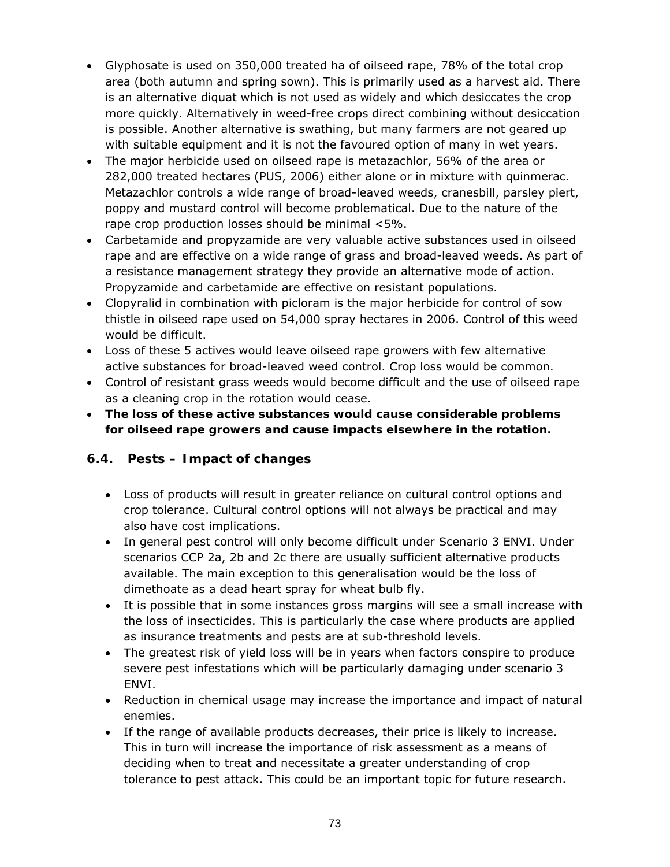- Glyphosate is used on 350,000 treated ha of oilseed rape, 78% of the total crop area (both autumn and spring sown). This is primarily used as a harvest aid. There is an alternative diquat which is not used as widely and which desiccates the crop more quickly. Alternatively in weed-free crops direct combining without desiccation is possible. Another alternative is swathing, but many farmers are not geared up with suitable equipment and it is not the favoured option of many in wet years.
- The major herbicide used on oilseed rape is metazachlor, 56% of the area or 282,000 treated hectares (PUS, 2006) either alone or in mixture with quinmerac. Metazachlor controls a wide range of broad-leaved weeds, cranesbill, parsley piert, poppy and mustard control will become problematical. Due to the nature of the rape crop production losses should be minimal <5%.
- Carbetamide and propyzamide are very valuable active substances used in oilseed rape and are effective on a wide range of grass and broad-leaved weeds. As part of a resistance management strategy they provide an alternative mode of action. Propyzamide and carbetamide are effective on resistant populations.
- Clopyralid in combination with picloram is the major herbicide for control of sow thistle in oilseed rape used on 54,000 spray hectares in 2006. Control of this weed would be difficult.
- Loss of these 5 actives would leave oilseed rape growers with few alternative active substances for broad-leaved weed control. Crop loss would be common.
- Control of resistant grass weeds would become difficult and the use of oilseed rape as a cleaning crop in the rotation would cease.
- **The loss of these active substances would cause considerable problems for oilseed rape growers and cause impacts elsewhere in the rotation.**

## **6.4. Pests – Impact of changes**

- Loss of products will result in greater reliance on cultural control options and crop tolerance. Cultural control options will not always be practical and may also have cost implications.
- In general pest control will only become difficult under Scenario 3 ENVI. Under scenarios CCP 2a, 2b and 2c there are usually sufficient alternative products available. The main exception to this generalisation would be the loss of dimethoate as a dead heart spray for wheat bulb fly.
- It is possible that in some instances gross margins will see a small increase with the loss of insecticides. This is particularly the case where products are applied as insurance treatments and pests are at sub-threshold levels.
- The greatest risk of yield loss will be in years when factors conspire to produce severe pest infestations which will be particularly damaging under scenario 3 ENVI.
- Reduction in chemical usage may increase the importance and impact of natural enemies.
- If the range of available products decreases, their price is likely to increase. This in turn will increase the importance of risk assessment as a means of deciding when to treat and necessitate a greater understanding of crop tolerance to pest attack. This could be an important topic for future research.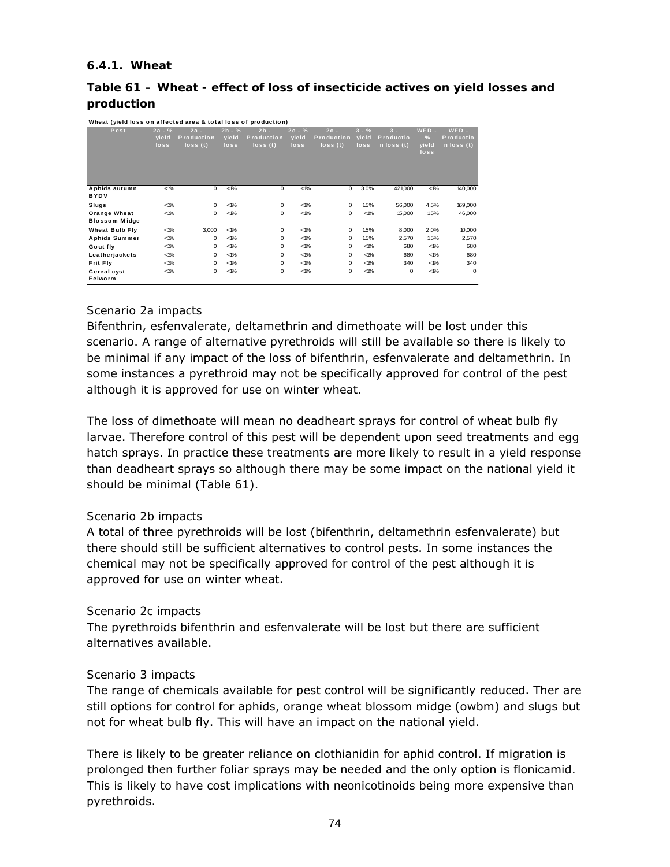#### **6.4.1. Wheat**

## **Table 61 – Wheat - effect of loss of insecticide actives on yield losses and production**

| Wheat (yield loss on affected area & total loss of production) |  |
|----------------------------------------------------------------|--|
|                                                                |  |

| Pest                                 | $2a - %$<br>vield<br>loss | $2a -$<br><b>Production</b><br>$\log s(t)$ | $2b - %$<br>yield<br>loss | $2b -$<br>Production<br>$\log s(t)$ | $2c - %$<br>yield<br>loss | $2c -$<br><b>Production</b><br>$\log s(t)$ | $3 - \%$<br>yield<br>loss | $3 -$<br><b>Productio</b><br>$n \log s(t)$ | $WFD -$<br>$\frac{9}{6}$<br>yield<br>loss | $WFD -$<br>Productio<br>n loss (t) |
|--------------------------------------|---------------------------|--------------------------------------------|---------------------------|-------------------------------------|---------------------------|--------------------------------------------|---------------------------|--------------------------------------------|-------------------------------------------|------------------------------------|
| Aphids autumn<br><b>BYDV</b>         | $< 1\%$                   | 0                                          | $< 1\%$                   | $^{\circ}$                          | $< 1\%$                   | 0                                          | 3.0%                      | 421,000                                    | $< 1\%$                                   | 140,000                            |
| Slugs                                | $<$ 1%                    | 0                                          | $<$ 1%                    | $\mathbf 0$                         | $< 1\%$                   | 0                                          | 1.5%                      | 56,000                                     | 4.5%                                      | 169,000                            |
| Orange Wheat<br><b>Blossom Midge</b> | $<$ 1%                    | 0                                          | $<$ 1%                    | $\mathbf 0$                         | $< 1\%$                   | 0                                          | $< 1\%$                   | 15,000                                     | 1.5%                                      | 46,000                             |
| <b>Wheat Bulb Fly</b>                | $<$ 1%                    | 3,000                                      | $<$ 1%                    | $^{\circ}$                          | $< 1\%$                   | 0                                          | 1.5%                      | 8,000                                      | 2.0%                                      | 10,000                             |
| <b>Aphids Summer</b>                 | $<$ 1%                    | 0                                          | $<$ 1%                    | $\mathbf 0$                         | $< 1\%$                   | 0                                          | 1.5%                      | 2,570                                      | 1.5%                                      | 2,570                              |
| Gout fly                             | $<$ 1%                    | 0                                          | $<$ 1%                    | $\mathbf 0$                         | $< 1\%$                   | 0                                          | $< 1\%$                   | 680                                        | $<$ 1%                                    | 680                                |
| Leatherjackets                       | $<$ 1%                    | 0                                          | $<$ 1%                    | $\mathbf 0$                         | $< 1\%$                   | 0                                          | $< 1\%$                   | 680                                        | $<$ 1%                                    | 680                                |
| Frit Fly                             | $<$ 1%                    | 0                                          | $<$ 1%                    | $\mathbf 0$                         | $< 1\%$                   | 0                                          | $< 1\%$                   | 340                                        | $<$ 1%                                    | 340                                |
| Cereal cyst<br>Eelworm               | $<$ 1%                    | 0                                          | $<$ 1%                    | $\mathbf 0$                         | $< 1\%$                   | 0                                          | $< 1\%$                   | 0                                          | $<$ 1%                                    | 0                                  |

#### *Scenario 2a impacts*

Bifenthrin, esfenvalerate, deltamethrin and dimethoate will be lost under this scenario. A range of alternative pyrethroids will still be available so there is likely to be minimal if any impact of the loss of bifenthrin, esfenvalerate and deltamethrin. In some instances a pyrethroid may not be specifically approved for control of the pest although it is approved for use on winter wheat.

The loss of dimethoate will mean no deadheart sprays for control of wheat bulb fly larvae. Therefore control of this pest will be dependent upon seed treatments and egg hatch sprays. In practice these treatments are more likely to result in a yield response than deadheart sprays so although there may be some impact on the national yield it should be minimal (Table 61).

#### *Scenario 2b impacts*

A total of three pyrethroids will be lost (bifenthrin, deltamethrin esfenvalerate) but there should still be sufficient alternatives to control pests. In some instances the chemical may not be specifically approved for control of the pest although it is approved for use on winter wheat.

#### *Scenario 2c impacts*

The pyrethroids bifenthrin and esfenvalerate will be lost but there are sufficient alternatives available.

#### *Scenario 3 impacts*

The range of chemicals available for pest control will be significantly reduced. Ther are still options for control for aphids, orange wheat blossom midge (owbm) and slugs but not for wheat bulb fly. This will have an impact on the national yield.

There is likely to be greater reliance on clothianidin for aphid control. If migration is prolonged then further foliar sprays may be needed and the only option is flonicamid. This is likely to have cost implications with neonicotinoids being more expensive than pyrethroids.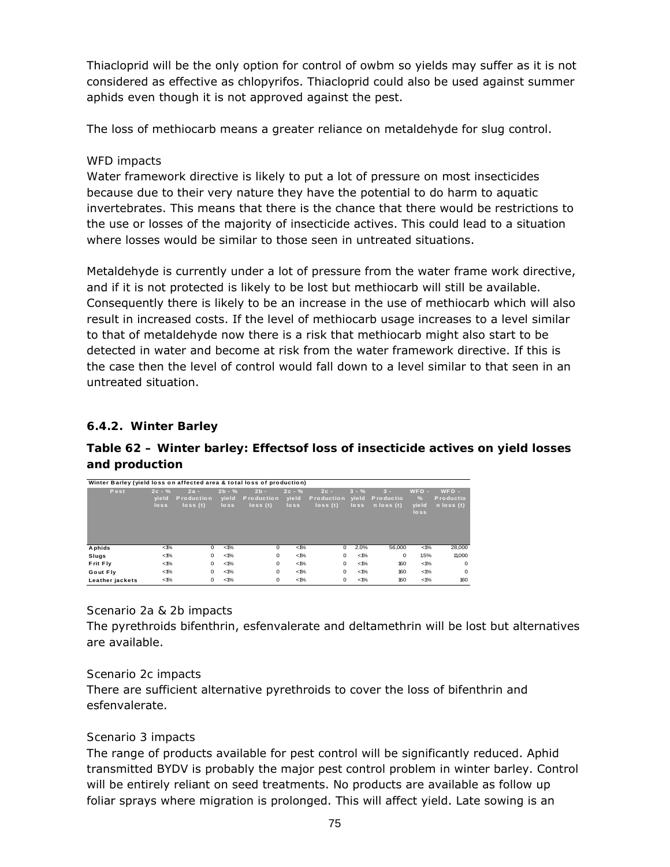Thiacloprid will be the only option for control of owbm so yields may suffer as it is not considered as effective as chlopyrifos. Thiacloprid could also be used against summer aphids even though it is not approved against the pest.

The loss of methiocarb means a greater reliance on metaldehyde for slug control.

## *WFD impacts*

Water framework directive is likely to put a lot of pressure on most insecticides because due to their very nature they have the potential to do harm to aquatic invertebrates. This means that there is the chance that there would be restrictions to the use or losses of the majority of insecticide actives. This could lead to a situation where losses would be similar to those seen in untreated situations.

Metaldehyde is currently under a lot of pressure from the water frame work directive, and if it is not protected is likely to be lost but methiocarb will still be available. Consequently there is likely to be an increase in the use of methiocarb which will also result in increased costs. If the level of methiocarb usage increases to a level similar to that of metaldehyde now there is a risk that methiocarb might also start to be detected in water and become at risk from the water framework directive. If this is the case then the level of control would fall down to a level similar to that seen in an untreated situation.

## **6.4.2. Winter Barley**

## **Table 62 – Winter barley: Effectsof loss of insecticide actives on yield losses and production**

| Winter Barley (yield loss on affected area & total loss of production)<br>Pest | $2c - %$<br>vield<br>loss | $2a -$<br>Production<br>$\log s(t)$ | $2b - %$<br>yield<br>loss | $2b -$<br><b>Production</b><br>$\log s(t)$ | $2c - %$<br>yield<br>loss | $2c -$<br>Production<br>$\log s(t)$ | $3 - \%$<br>yield<br>loss | $3 -$<br><b>Productio</b><br>$n \text{ loss } (t)$ | $WFD -$<br>$\frac{9}{6}$<br>yield<br>loss | $WFD -$<br><b>Productio</b><br>$n \text{ loss } (t)$ |
|--------------------------------------------------------------------------------|---------------------------|-------------------------------------|---------------------------|--------------------------------------------|---------------------------|-------------------------------------|---------------------------|----------------------------------------------------|-------------------------------------------|------------------------------------------------------|
| Aphids                                                                         | $<$ 1%                    | 0                                   | $< 1\%$                   | 0                                          | $< 1\%$                   | 0                                   | 2.0%                      | 56,000                                             | $< 1\%$                                   | 28,000                                               |
| Slugs                                                                          | $<$ 1%                    | 0                                   | $< 1\%$                   | 0                                          | $< 1\%$                   | 0                                   | $< 1\%$                   | $^{\circ}$                                         | 1.5%                                      | 11,000                                               |
| Frit Fly                                                                       | $<$ 1%                    | 0                                   | $< 1\%$                   | 0                                          | $< 1\%$                   | 0                                   | $< 1\%$                   | 160                                                | $< 1\%$                                   | $\mathbf{0}$                                         |
| Gout Fly                                                                       | $<$ 1%                    | 0                                   | $< 1\%$                   | 0                                          | $< 1\%$                   | 0                                   | $< 1\%$                   | 160                                                | $< 1\%$                                   | $\mathbf{0}$                                         |
| Leather jackets                                                                | $<$ 1%                    | 0                                   | $< 1\%$                   | 0                                          | $< 1\%$                   | 0                                   | $< 1\%$                   | 160                                                | $< 1\%$                                   | 160                                                  |

*Scenario 2a & 2b impacts* 

The pyrethroids bifenthrin, esfenvalerate and deltamethrin will be lost but alternatives are available.

#### *Scenario 2c impacts*

There are sufficient alternative pyrethroids to cover the loss of bifenthrin and esfenvalerate.

## *Scenario 3 impacts*

The range of products available for pest control will be significantly reduced. Aphid transmitted BYDV is probably the major pest control problem in winter barley. Control will be entirely reliant on seed treatments. No products are available as follow up foliar sprays where migration is prolonged. This will affect yield. Late sowing is an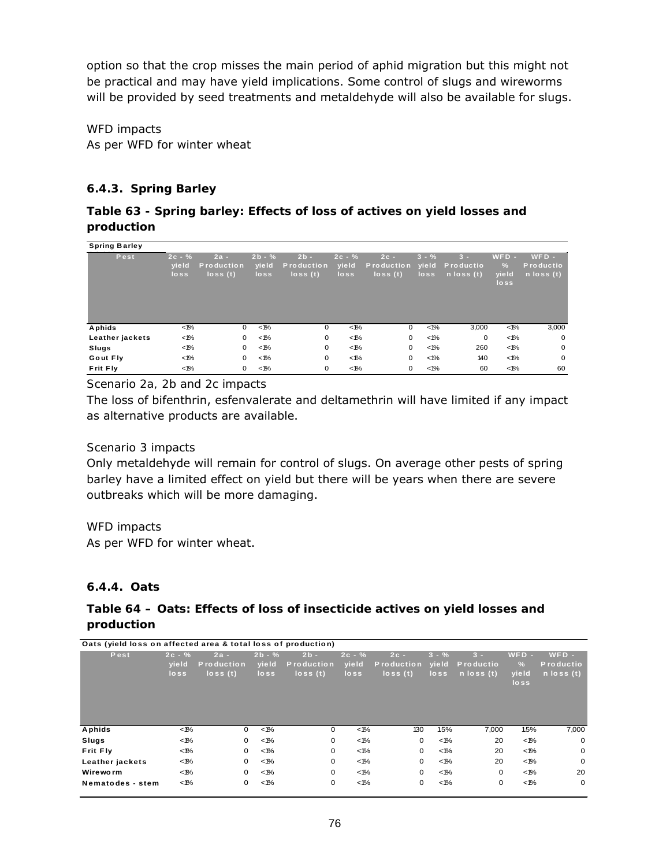option so that the crop misses the main period of aphid migration but this might not be practical and may have yield implications. Some control of slugs and wireworms will be provided by seed treatments and metaldehyde will also be available for slugs.

*WFD impacts*  As per WFD for winter wheat

## **6.4.3. Spring Barley**

## **Table 63 - Spring barley: Effects of loss of actives on yield losses and production**

| <b>Spring Barley</b> |                               |                                     |                           |                                     |                           |                                            |                               |                                                    |                                           |                                               |
|----------------------|-------------------------------|-------------------------------------|---------------------------|-------------------------------------|---------------------------|--------------------------------------------|-------------------------------|----------------------------------------------------|-------------------------------------------|-----------------------------------------------|
| Pest                 | $2c - %$<br>yield<br>$\log s$ | $2a -$<br>Production<br>$\log s(t)$ | $2b - %$<br>yield<br>loss | $2b -$<br>Production<br>$\log s(t)$ | $2c - %$<br>yield<br>loss | $2c -$<br><b>Production</b><br>$\log s(t)$ | $3 - \%$<br>yield<br>$\log s$ | $3 -$<br><b>Productio</b><br>$n \text{ loss } (t)$ | $WFD -$<br>$\frac{9}{6}$<br>yield<br>loss | $WFD -$<br>Productio<br>$n \text{ loss } (t)$ |
| Aphids               | $< 1\%$                       | 0                                   | $< 1\%$                   | 0                                   | $< 1\%$                   | 0                                          | $< 1\%$                       | 3,000                                              | $< 1\%$                                   | 3,000                                         |
| Leather jackets      | $< 1\%$                       | 0                                   | $< 1\%$                   | 0                                   | $< 1\%$                   | 0                                          | $< 1\%$                       | 0                                                  | $< 1\%$                                   | $\mathbf 0$                                   |
| Slugs                | $< 1\%$                       | 0                                   | $< 1\%$                   | 0                                   | $< 1\%$                   | 0                                          | $< 1\%$                       | 260                                                | $< 1\%$                                   | $\mathbf 0$                                   |
| Gout Fly             | $< 1\%$                       | 0                                   | $< 1\%$                   | 0                                   | $< 1\%$                   | $\mathbf 0$                                | $< 1\%$                       | 140                                                | $< 1\%$                                   | $\mathbf 0$                                   |
| Frit Fly             | $< 1\%$                       | 0                                   | $< 1\%$                   | 0                                   | $< 1\%$                   | 0                                          | $< 1\%$                       | 60                                                 | $< 1\%$                                   | 60                                            |

*Scenario 2a, 2b and 2c impacts* 

The loss of bifenthrin, esfenvalerate and deltamethrin will have limited if any impact as alternative products are available.

#### *Scenario 3 impacts*

Only metaldehyde will remain for control of slugs. On average other pests of spring barley have a limited effect on yield but there will be years when there are severe outbreaks which will be more damaging.

#### *WFD impacts*

As per WFD for winter wheat.

#### **6.4.4. Oats**

## **Table 64 – Oats: Effects of loss of insecticide actives on yield losses and production**

| Oats (yield loss on affected area & total loss of production) |                           |                                            |                           |                                            |                           |                                        |                           |                                      |                                           |                                                      |
|---------------------------------------------------------------|---------------------------|--------------------------------------------|---------------------------|--------------------------------------------|---------------------------|----------------------------------------|---------------------------|--------------------------------------|-------------------------------------------|------------------------------------------------------|
| Pest                                                          | $2c - %$<br>yield<br>loss | $2a -$<br><b>Production</b><br>$\log s(t)$ | $2b - %$<br>yield<br>loss | $2b -$<br><b>Production</b><br>$\log s(t)$ | $2c - %$<br>yield<br>loss | $2c -$<br><b>Production</b><br>loss(t) | $3 - \%$<br>vield<br>loss | $3 -$<br>Productio<br>$n$ loss $(t)$ | $WFD -$<br>$\frac{9}{6}$<br>yield<br>loss | $WFD -$<br><b>Productio</b><br>$n \text{ loss } (t)$ |
| Aphids                                                        | $< 1\%$                   | 0                                          | $< 1\%$                   | 0                                          | $< 1\%$                   | 130                                    | 1.5%                      | 7,000                                | 1.5%                                      | 7,000                                                |
| Slugs                                                         | $<$ 1%                    | 0                                          | $< 1\%$                   | 0                                          | $< 1\%$                   | 0                                      | $< 1\%$                   | 20                                   | $< 1\%$                                   | $\Omega$                                             |
| Frit Fly                                                      | $<$ 1%                    | 0                                          | $< 1\%$                   | 0                                          | $< 1\%$                   | 0                                      | $< 1\%$                   | 20                                   | $< 1\%$                                   | $\mathbf 0$                                          |
| Leather jackets                                               | $<$ 1%                    | 0                                          | $< 1\%$                   | 0                                          | $< 1\%$                   | 0                                      | $< 1\%$                   | 20                                   | $< 1\%$                                   | $\mathbf 0$                                          |
| Wireworm                                                      | $< 1\%$                   | 0                                          | $< 1\%$                   | 0                                          | $< 1\%$                   | 0                                      | $< 1\%$                   | 0                                    | $< 1\%$                                   | 20                                                   |
| Nematodes - stem                                              | $< 1\%$                   | 0                                          | $< 1\%$                   | 0                                          | $< 1\%$                   | 0                                      | $< 1\%$                   | 0                                    | $< 1\%$                                   | $\mathbf 0$                                          |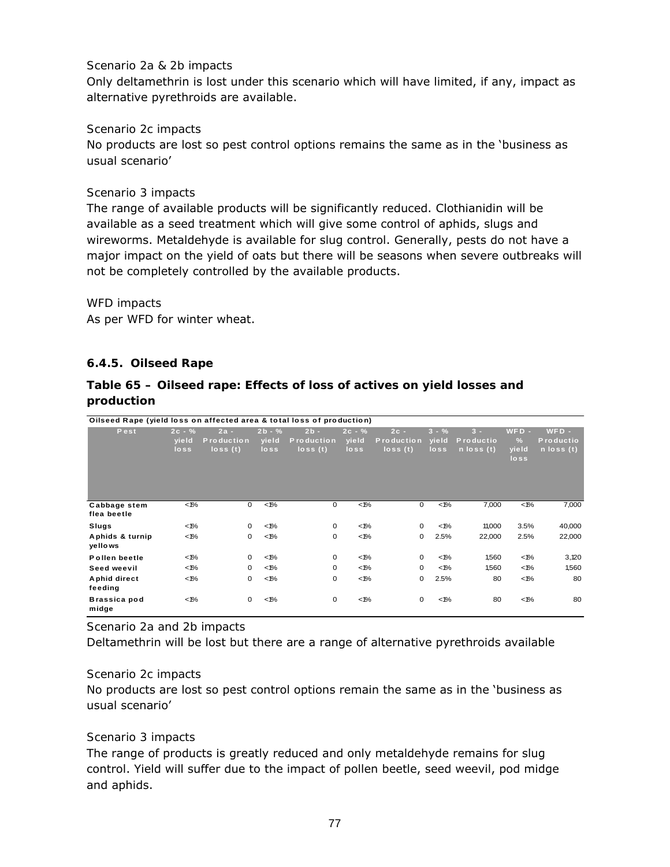#### *Scenario 2a & 2b impacts*

Only deltamethrin is lost under this scenario which will have limited, if any, impact as alternative pyrethroids are available.

#### *Scenario 2c impacts*

No products are lost so pest control options remains the same as in the 'business as usual scenario'

#### *Scenario 3 impacts*

The range of available products will be significantly reduced. Clothianidin will be available as a seed treatment which will give some control of aphids, slugs and wireworms. Metaldehyde is available for slug control. Generally, pests do not have a major impact on the yield of oats but there will be seasons when severe outbreaks will not be completely controlled by the available products.

#### *WFD impacts*

As per WFD for winter wheat.

#### **6.4.5. Oilseed Rape**

#### **Table 65 – Oilseed rape: Effects of loss of actives on yield losses and production**

| Oilseed Rape (yield loss on affected area & total loss of production) |                           |                                            |                           |                                        |                           |                                            |                           |                                             |                                           |                                               |
|-----------------------------------------------------------------------|---------------------------|--------------------------------------------|---------------------------|----------------------------------------|---------------------------|--------------------------------------------|---------------------------|---------------------------------------------|-------------------------------------------|-----------------------------------------------|
| Pest                                                                  | $2c - %$<br>yield<br>loss | $2a -$<br><b>Production</b><br>$\log s(t)$ | $2b - %$<br>yield<br>loss | $2b -$<br><b>Production</b><br>loss(t) | $2c - %$<br>yield<br>loss | $2c -$<br><b>Production</b><br>$\log s(t)$ | $3 - \%$<br>yield<br>loss | $3 -$<br>Productio<br>$n \text{ loss } (t)$ | $WFD -$<br>$\frac{9}{6}$<br>yield<br>loss | $WFD -$<br>Productio<br>$n \text{ loss } (t)$ |
| Cabbage stem<br>flea beetle                                           | $< 1\%$                   | 0                                          | $< 1\%$                   | $\mathbf 0$                            | $< 1\%$                   | 0                                          | $< 1\%$                   | 7,000                                       | $< 1\%$                                   | 7,000                                         |
| Slugs                                                                 | $< 1\%$                   | 0                                          | $< 1\%$                   | $\mathbf 0$                            | $< 1\%$                   | 0                                          | $< 1\%$                   | 11,000                                      | 3.5%                                      | 40,000                                        |
| Aphids & turnip<br>yellows                                            | $< 1\%$                   | $\mathbf 0$                                | $< 1\%$                   | $\mathbf 0$                            | $< 1\%$                   | $\mathbf 0$                                | 2.5%                      | 22,000                                      | 2.5%                                      | 22,000                                        |
| Pollen beetle                                                         | $< 1\%$                   | 0                                          | $< 1\%$                   | $\mathbf 0$                            | $< 1\%$                   | 0                                          | $< 1\%$                   | 1,560                                       | $< 1\%$                                   | 3,120                                         |
| Seed weevil                                                           | $< 1\%$                   | 0                                          | $< 1\%$                   | $\mathbf 0$                            | $< 1\%$                   | 0                                          | $< 1\%$                   | 1,560                                       | $< 1\%$                                   | 1,560                                         |
| Aphid direct<br>feeding                                               | $< 1\%$                   | 0                                          | $< 1\%$                   | $\mathbf 0$                            | $< 1\%$                   | $\mathbf 0$                                | 2.5%                      | 80                                          | $< 1\%$                                   | 80                                            |
| Brassica pod<br>midge                                                 | $< 1\%$                   | $\mathbf 0$                                | $< 1\%$                   | $\mathbf 0$                            | $< 1\%$                   | 0                                          | $< 1\%$                   | 80                                          | $< 1\%$                                   | 80                                            |

*Scenario 2a and 2b impacts* 

Deltamethrin will be lost but there are a range of alternative pyrethroids available

#### *Scenario 2c impacts*

No products are lost so pest control options remain the same as in the 'business as usual scenario'

#### *Scenario 3 impacts*

The range of products is greatly reduced and only metaldehyde remains for slug control. Yield will suffer due to the impact of pollen beetle, seed weevil, pod midge and aphids.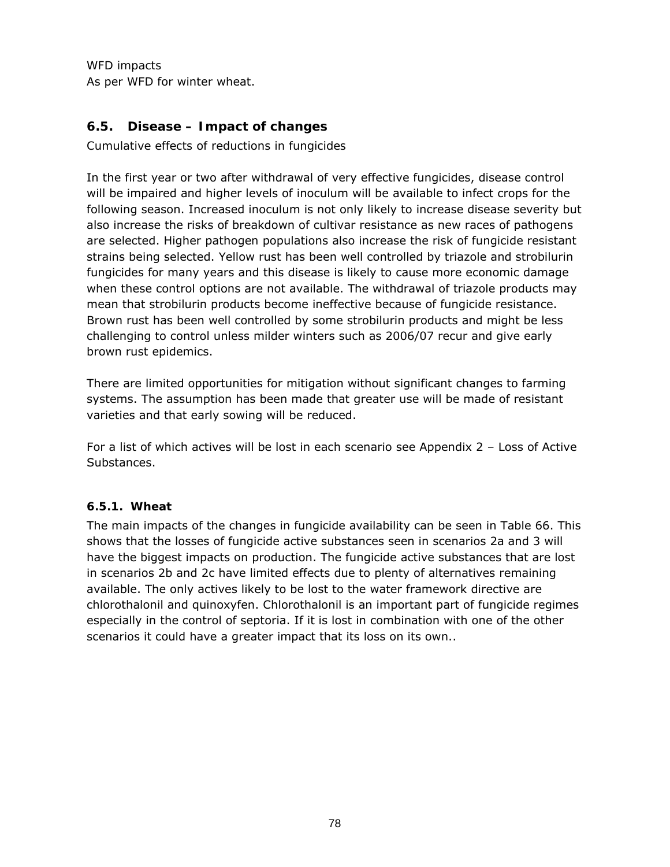*WFD impacts*  As per WFD for winter wheat.

## **6.5. Disease – Impact of changes**

*Cumulative effects of reductions in fungicides* 

In the first year or two after withdrawal of very effective fungicides, disease control will be impaired and higher levels of inoculum will be available to infect crops for the following season. Increased inoculum is not only likely to increase disease severity but also increase the risks of breakdown of cultivar resistance as new races of pathogens are selected. Higher pathogen populations also increase the risk of fungicide resistant strains being selected. Yellow rust has been well controlled by triazole and strobilurin fungicides for many years and this disease is likely to cause more economic damage when these control options are not available. The withdrawal of triazole products may mean that strobilurin products become ineffective because of fungicide resistance. Brown rust has been well controlled by some strobilurin products and might be less challenging to control unless milder winters such as 2006/07 recur and give early brown rust epidemics.

There are limited opportunities for mitigation without significant changes to farming systems. The assumption has been made that greater use will be made of resistant varieties and that early sowing will be reduced.

For a list of which actives will be lost in each scenario see Appendix 2 – Loss of Active Substances.

#### **6.5.1. Wheat**

The main impacts of the changes in fungicide availability can be seen in Table 66. This shows that the losses of fungicide active substances seen in scenarios 2a and 3 will have the biggest impacts on production. The fungicide active substances that are lost in scenarios 2b and 2c have limited effects due to plenty of alternatives remaining available. The only actives likely to be lost to the water framework directive are chlorothalonil and quinoxyfen. Chlorothalonil is an important part of fungicide regimes especially in the control of septoria. If it is lost in combination with one of the other scenarios it could have a greater impact that its loss on its own..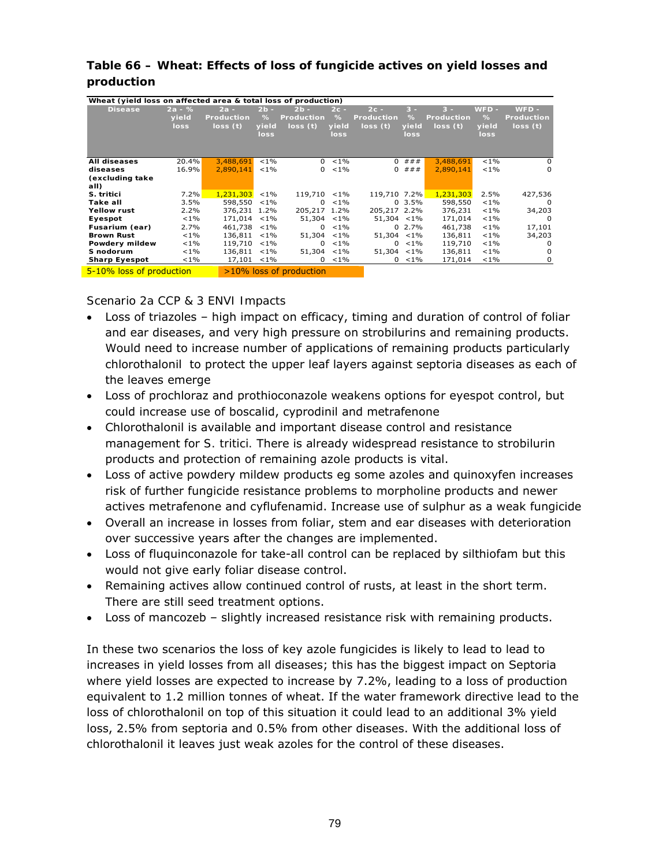| Wheat (yield loss on affected area & total loss of production) |          |                   |         |                         |             |                   |            |            |         |                   |
|----------------------------------------------------------------|----------|-------------------|---------|-------------------------|-------------|-------------------|------------|------------|---------|-------------------|
| <b>Disease</b>                                                 | $2a - %$ | $2a -$            | $2b -$  | $2b -$                  | $2c -$      | $2c -$            | $3 -$      | $3 -$      | $WFD -$ | $WFD -$           |
|                                                                |          | <b>Production</b> |         | Production              | %           | <b>Production</b> | $\%$       |            | $\%$    | <b>Production</b> |
|                                                                | yield    |                   | %       |                         |             |                   |            | Production |         |                   |
|                                                                | loss     | loss(t)           | yield   | loss(t)                 | yield       | loss(t)           | yield      | loss(t)    | yield   | loss (t)          |
|                                                                |          |                   | loss    |                         | loss        |                   | loss       |            | loss    |                   |
|                                                                |          |                   |         |                         |             |                   |            |            |         |                   |
|                                                                |          |                   |         |                         |             |                   |            |            |         |                   |
| <b>All diseases</b>                                            | 20.4%    | 3,488,691         | $< 1\%$ |                         | $0 \le 1\%$ | $\Omega$          | # # #      | 3,488,691  | $< 1\%$ | 0                 |
| diseases                                                       | 16.9%    | 2,890,141         | $< 1\%$ | $\mathbf{0}$            | $< 1\%$     | 0                 | # # #      | 2,890,141  | $< 1\%$ | 0                 |
| (excluding take                                                |          |                   |         |                         |             |                   |            |            |         |                   |
| all)                                                           |          |                   |         |                         |             |                   |            |            |         |                   |
| S. tritici                                                     | 7.2%     | 1,231,303         | $< 1\%$ | 119,710 <1%             |             | 119,710 7.2%      |            | 1,231,303  | 2.5%    | 427,536           |
| Take all                                                       | 3.5%     | 598,550           | $< 1\%$ | $\Omega$                | $< 1\%$     |                   | $0, 3.5\%$ | 598,550    | $< 1\%$ | $\Omega$          |
| Yellow rust                                                    | 2.2%     | 376,231           | 1.2%    | 205,217 1.2%            |             | 205,217 2.2%      |            | 376,231    | $< 1\%$ | 34,203            |
| Eyespot                                                        | $< 1\%$  | 171.014           | $< 1\%$ | $51.304$ < 1%           |             | $51.304$ < 1%     |            | 171,014    | $< 1\%$ | $\Omega$          |
| Fusarium (ear)                                                 | 2.7%     | 461,738           | $< 1\%$ | $\Omega$                | $< 1\%$     |                   | $0, 2.7\%$ | 461,738    | $< 1\%$ | 17,101            |
| <b>Brown Rust</b>                                              | $< 1\%$  | 136,811           | $< 1\%$ | 51,304                  | $< 1\%$     | 51,304            | $< 1\%$    | 136,811    | $< 1\%$ | 34,203            |
| Powdery mildew                                                 | $< 1\%$  | 119,710           | $< 1\%$ | 0                       | $< 1\%$     | $\mathbf{0}$      | $< 1\%$    | 119,710    | $< 1\%$ | $\Omega$          |
| S nodorum                                                      | $< 1\%$  | 136,811           | $< 1\%$ | 51,304 <1%              |             | 51,304 <1%        |            | 136,811    | $< 1\%$ | $\Omega$          |
| <b>Sharp Eyespot</b>                                           | $< 1\%$  | 17,101            | $< 1\%$ | 0                       | $< 1\%$     | 0                 | $< 1\%$    | 171,014    | $1\%$   | 0                 |
| 5-10% loss of production                                       |          |                   |         | >10% loss of production |             |                   |            |            |         |                   |

## **Table 66 – Wheat: Effects of loss of fungicide actives on yield losses and production**

*Scenario 2a CCP & 3 ENVI Impacts* 

- Loss of triazoles high impact on efficacy, timing and duration of control of foliar and ear diseases, and very high pressure on strobilurins and remaining products. Would need to increase number of applications of remaining products particularly chlorothalonil to protect the upper leaf layers against septoria diseases as each of the leaves emerge
- Loss of prochloraz and prothioconazole weakens options for eyespot control, but could increase use of boscalid, cyprodinil and metrafenone
- Chlorothalonil is available and important disease control and resistance management for *S. tritici.* There is already widespread resistance to strobilurin products and protection of remaining azole products is vital.
- Loss of active powdery mildew products eg some azoles and quinoxyfen increases risk of further fungicide resistance problems to morpholine products and newer actives metrafenone and cyflufenamid. Increase use of sulphur as a weak fungicide
- Overall an increase in losses from foliar, stem and ear diseases with deterioration over successive years after the changes are implemented.
- Loss of fluquinconazole for take-all control can be replaced by silthiofam but this would not give early foliar disease control.
- Remaining actives allow continued control of rusts, at least in the short term. There are still seed treatment options.
- Loss of mancozeb slightly increased resistance risk with remaining products.

In these two scenarios the loss of key azole fungicides is likely to lead to lead to increases in yield losses from all diseases; this has the biggest impact on Septoria where yield losses are expected to increase by 7.2%, leading to a loss of production equivalent to 1.2 million tonnes of wheat. If the water framework directive lead to the loss of chlorothalonil on top of this situation it could lead to an additional 3% yield loss, 2.5% from septoria and 0.5% from other diseases. With the additional loss of chlorothalonil it leaves just weak azoles for the control of these diseases.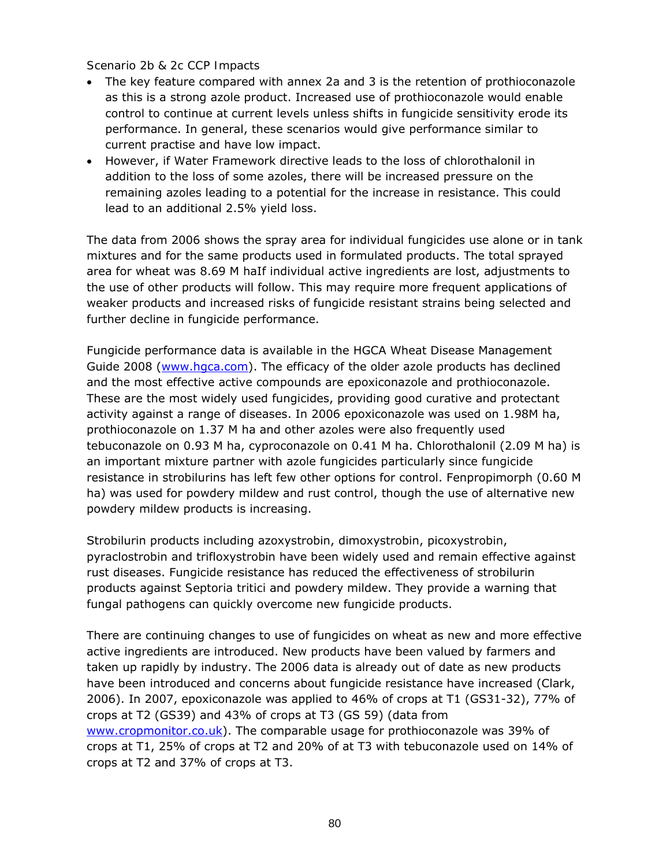#### *Scenario 2b & 2c CCP Impacts*

- The key feature compared with annex 2a and 3 is the retention of prothioconazole as this is a strong azole product. Increased use of prothioconazole would enable control to continue at current levels unless shifts in fungicide sensitivity erode its performance. In general, these scenarios would give performance similar to current practise and have low impact.
- However, if Water Framework directive leads to the loss of chlorothalonil in addition to the loss of some azoles, there will be increased pressure on the remaining azoles leading to a potential for the increase in resistance. This could lead to an additional 2.5% yield loss.

The data from 2006 shows the spray area for individual fungicides use alone or in tank mixtures and for the same products used in formulated products. The total sprayed area for wheat was 8.69 M haIf individual active ingredients are lost, adjustments to the use of other products will follow. This may require more frequent applications of weaker products and increased risks of fungicide resistant strains being selected and further decline in fungicide performance.

Fungicide performance data is available in the HGCA Wheat Disease Management Guide 2008 (www.hgca.com). The efficacy of the older azole products has declined and the most effective active compounds are epoxiconazole and prothioconazole. These are the most widely used fungicides, providing good curative and protectant activity against a range of diseases. In 2006 epoxiconazole was used on 1.98M ha, prothioconazole on 1.37 M ha and other azoles were also frequently used tebuconazole on 0.93 M ha, cyproconazole on 0.41 M ha. Chlorothalonil (2.09 M ha) is an important mixture partner with azole fungicides particularly since fungicide resistance in strobilurins has left few other options for control. Fenpropimorph (0.60 M ha) was used for powdery mildew and rust control, though the use of alternative new powdery mildew products is increasing.

Strobilurin products including azoxystrobin, dimoxystrobin, picoxystrobin, pyraclostrobin and trifloxystrobin have been widely used and remain effective against rust diseases. Fungicide resistance has reduced the effectiveness of strobilurin products against *Septoria tritici* and powdery mildew. They provide a warning that fungal pathogens can quickly overcome new fungicide products.

There are continuing changes to use of fungicides on wheat as new and more effective active ingredients are introduced. New products have been valued by farmers and taken up rapidly by industry. The 2006 data is already out of date as new products have been introduced and concerns about fungicide resistance have increased (Clark, 2006). In 2007, epoxiconazole was applied to 46% of crops at T1 (GS31-32), 77% of crops at T2 (GS39) and 43% of crops at T3 (GS 59) (data from www.cropmonitor.co.uk). The comparable usage for prothioconazole was 39% of crops at T1, 25% of crops at T2 and 20% of at T3 with tebuconazole used on 14% of crops at T2 and 37% of crops at T3.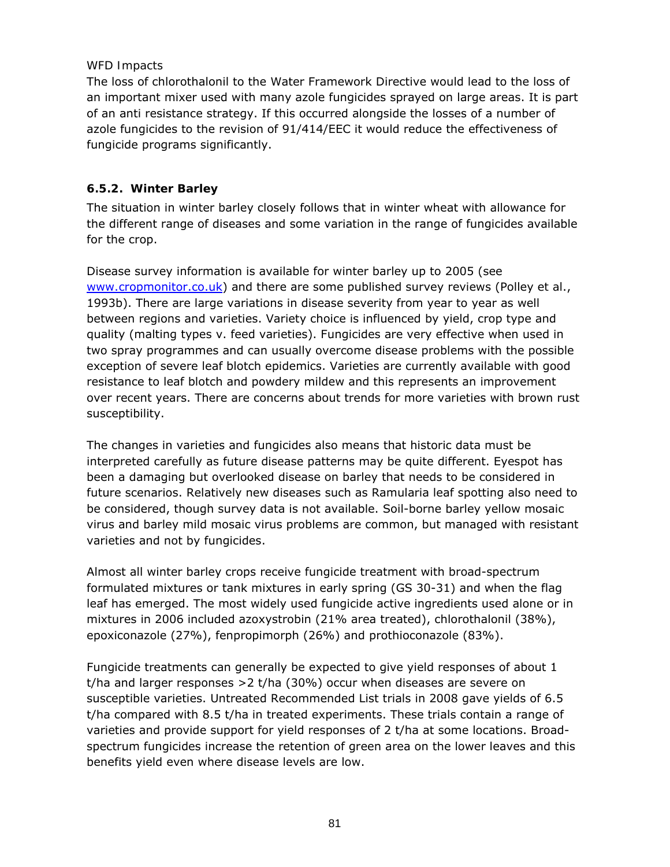#### *WFD Impacts*

The loss of chlorothalonil to the Water Framework Directive would lead to the loss of an important mixer used with many azole fungicides sprayed on large areas. It is part of an anti resistance strategy. If this occurred alongside the losses of a number of azole fungicides to the revision of 91/414/EEC it would reduce the effectiveness of fungicide programs significantly.

## **6.5.2. Winter Barley**

The situation in winter barley closely follows that in winter wheat with allowance for the different range of diseases and some variation in the range of fungicides available for the crop.

Disease survey information is available for winter barley up to 2005 (see www.cropmonitor.co.uk) and there are some published survey reviews (Polley *et al*., 1993b). There are large variations in disease severity from year to year as well between regions and varieties. Variety choice is influenced by yield, crop type and quality (malting types v. feed varieties). Fungicides are very effective when used in two spray programmes and can usually overcome disease problems with the possible exception of severe leaf blotch epidemics. Varieties are currently available with good resistance to leaf blotch and powdery mildew and this represents an improvement over recent years. There are concerns about trends for more varieties with brown rust susceptibility.

The changes in varieties and fungicides also means that historic data must be interpreted carefully as future disease patterns may be quite different. Eyespot has been a damaging but overlooked disease on barley that needs to be considered in future scenarios. Relatively new diseases such as Ramularia leaf spotting also need to be considered, though survey data is not available. Soil-borne barley yellow mosaic virus and barley mild mosaic virus problems are common, but managed with resistant varieties and not by fungicides.

Almost all winter barley crops receive fungicide treatment with broad-spectrum formulated mixtures or tank mixtures in early spring (GS 30-31) and when the flag leaf has emerged. The most widely used fungicide active ingredients used alone or in mixtures in 2006 included azoxystrobin (21% area treated), chlorothalonil (38%), epoxiconazole (27%), fenpropimorph (26%) and prothioconazole (83%).

Fungicide treatments can generally be expected to give yield responses of about 1 t/ha and larger responses >2 t/ha (30%) occur when diseases are severe on susceptible varieties. Untreated Recommended List trials in 2008 gave yields of 6.5 t/ha compared with 8.5 t/ha in treated experiments. These trials contain a range of varieties and provide support for yield responses of 2 t/ha at some locations. Broadspectrum fungicides increase the retention of green area on the lower leaves and this benefits yield even where disease levels are low.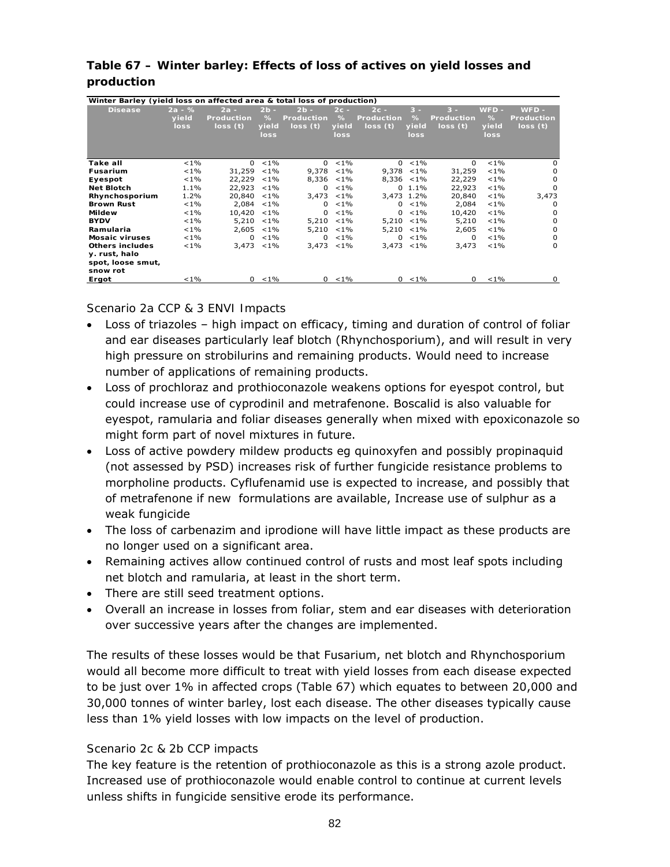| Winter Barley (yield loss on affected area & total loss of production) |          |                   |         |                   |         |                   |             |                   |         |            |
|------------------------------------------------------------------------|----------|-------------------|---------|-------------------|---------|-------------------|-------------|-------------------|---------|------------|
| <b>Disease</b>                                                         | $2a - %$ | $2a -$            | $2b -$  | $2b -$            | $2c -$  | $2c -$            | $3 -$       | $3 -$             | WFD -   | $WFD -$    |
|                                                                        | yield    | <b>Production</b> | %       | <b>Production</b> | %       | <b>Production</b> | %           | <b>Production</b> | $\%$    | Production |
|                                                                        | loss     | loss(t)           | yield   | loss(t)           | yield   | loss(t)           | yield       | loss(t)           | yield   | loss(t)    |
|                                                                        |          |                   | loss    |                   | loss    |                   | loss        |                   | loss    |            |
|                                                                        |          |                   |         |                   |         |                   |             |                   |         |            |
|                                                                        |          |                   |         |                   |         |                   |             |                   |         |            |
|                                                                        |          |                   |         |                   |         |                   |             |                   |         |            |
| Take all                                                               | $< 1\%$  | $\Omega$          | $< 1\%$ | $\Omega$          | $< 1\%$ |                   | $0 < 1\%$   | 0                 | $< 1\%$ | 0          |
| <b>Fusarium</b>                                                        | $< 1\%$  | 31,259            | $< 1\%$ | 9,378             | $< 1\%$ | 9,378             | $< 1\%$     | 31,259            | $< 1\%$ | $\Omega$   |
| Eyespot                                                                | $< 1\%$  | 22,229            | $< 1\%$ | 8,336             | $< 1\%$ | $8.336 < 1\%$     |             | 22,229            | $< 1\%$ | $\Omega$   |
| <b>Net Blotch</b>                                                      | 1.1%     | 22,923            | $< 1\%$ | $\Omega$          | $< 1\%$ |                   | $0, 1.1\%$  | 22,923            | $< 1\%$ | $\Omega$   |
| Rhynchosporium                                                         | 1.2%     | 20,840            | $< 1\%$ | 3,473             | $< 1\%$ | 3,473 1.2%        |             | 20,840            | $< 1\%$ | 3,473      |
| <b>Brown Rust</b>                                                      | $< 1\%$  | 2,084             | $< 1\%$ | $\Omega$          | $< 1\%$ | $\Omega$          | $< 1\%$     | 2.084             | $< 1\%$ | $\Omega$   |
| <b>Mildew</b>                                                          | $< 1\%$  | 10,420            | $< 1\%$ | $\Omega$          | $< 1\%$ | 0                 | $< 1\%$     | 10,420            | $< 1\%$ | 0          |
| <b>BYDV</b>                                                            | $< 1\%$  | 5,210             | $< 1\%$ | 5,210             | $< 1\%$ | 5,210             | $< 1\%$     | 5,210             | $< 1\%$ | $\Omega$   |
| Ramularia                                                              | $< 1\%$  | 2,605             | $< 1\%$ | 5,210             | $< 1\%$ | $5,210 < 1\%$     |             | 2,605             | $< 1\%$ | $\Omega$   |
| <b>Mosaic viruses</b>                                                  | $< 1\%$  | $\Omega$          | $< 1\%$ | $\Omega$          | $< 1\%$ | $\Omega$          | $< 1\%$     | 0                 | $< 1\%$ | 0          |
| Others includes                                                        | $< 1\%$  | 3,473             | $1\%$   | 3,473             | $< 1\%$ | $3,473 < 1\%$     |             | 3,473             | $< 1\%$ | 0          |
| y. rust, halo                                                          |          |                   |         |                   |         |                   |             |                   |         |            |
| spot, loose smut,                                                      |          |                   |         |                   |         |                   |             |                   |         |            |
| snow rot                                                               |          |                   |         |                   |         |                   |             |                   |         |            |
| Ergot                                                                  | $< 1\%$  | $\Omega$          | $< 1\%$ | $\Omega$          | $< 1\%$ |                   | $0 \le 1\%$ | 0                 | $< 1\%$ | $\Omega$   |

## **Table 67 – Winter barley: Effects of loss of actives on yield losses and production**

#### *Scenario 2a CCP & 3 ENVI Impacts*

- Loss of triazoles high impact on efficacy, timing and duration of control of foliar and ear diseases particularly leaf blotch (Rhynchosporium), and will result in very high pressure on strobilurins and remaining products. Would need to increase number of applications of remaining products.
- Loss of prochloraz and prothioconazole weakens options for eyespot control, but could increase use of cyprodinil and metrafenone. Boscalid is also valuable for eyespot, ramularia and foliar diseases generally when mixed with epoxiconazole so might form part of novel mixtures in future.
- Loss of active powdery mildew products eg quinoxyfen and possibly propinaquid (not assessed by PSD) increases risk of further fungicide resistance problems to morpholine products. Cyflufenamid use is expected to increase, and possibly that of metrafenone if new formulations are available, Increase use of sulphur as a weak fungicide
- The loss of carbenazim and iprodione will have little impact as these products are no longer used on a significant area.
- Remaining actives allow continued control of rusts and most leaf spots including net blotch and ramularia, at least in the short term.
- There are still seed treatment options.
- Overall an increase in losses from foliar, stem and ear diseases with deterioration over successive years after the changes are implemented.

The results of these losses would be that Fusarium, net blotch and Rhynchosporium would all become more difficult to treat with yield losses from each disease expected to be just over 1% in affected crops (Table 67) which equates to between 20,000 and 30,000 tonnes of winter barley, lost each disease. The other diseases typically cause less than 1% yield losses with low impacts on the level of production.

#### *Scenario 2c & 2b CCP impacts*

The key feature is the retention of prothioconazole as this is a strong azole product. Increased use of prothioconazole would enable control to continue at current levels unless shifts in fungicide sensitive erode its performance.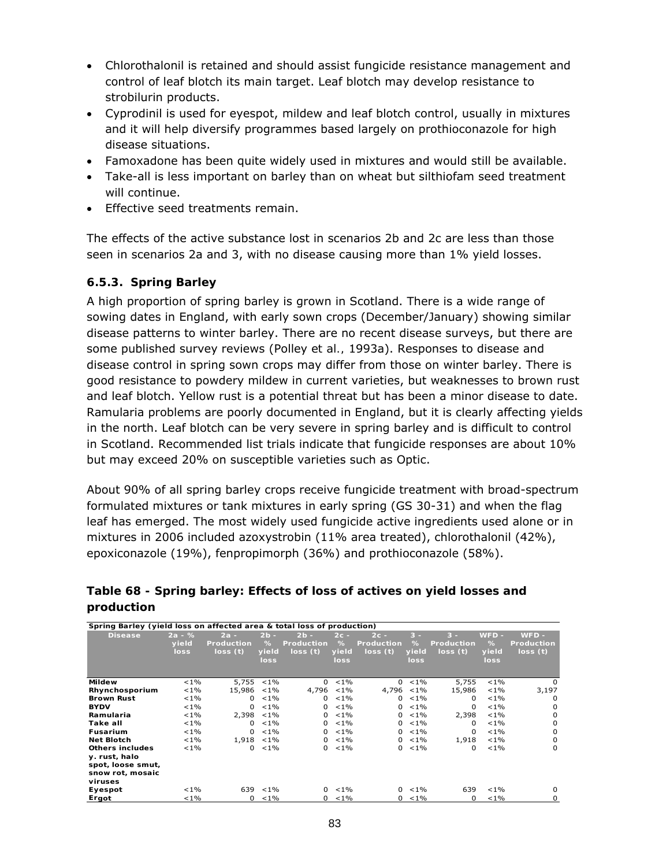- Chlorothalonil is retained and should assist fungicide resistance management and control of leaf blotch its main target. Leaf blotch may develop resistance to strobilurin products.
- Cyprodinil is used for eyespot, mildew and leaf blotch control, usually in mixtures and it will help diversify programmes based largely on prothioconazole for high disease situations.
- Famoxadone has been quite widely used in mixtures and would still be available.
- Take-all is less important on barley than on wheat but silthiofam seed treatment will continue.
- Effective seed treatments remain.

The effects of the active substance lost in scenarios 2b and 2c are less than those seen in scenarios 2a and 3, with no disease causing more than 1% yield losses.

## **6.5.3. Spring Barley**

A high proportion of spring barley is grown in Scotland. There is a wide range of sowing dates in England, with early sown crops (December/January) showing similar disease patterns to winter barley. There are no recent disease surveys, but there are some published survey reviews (Polley *et al.,* 1993a). Responses to disease and disease control in spring sown crops may differ from those on winter barley. There is good resistance to powdery mildew in current varieties, but weaknesses to brown rust and leaf blotch. Yellow rust is a potential threat but has been a minor disease to date. Ramularia problems are poorly documented in England, but it is clearly affecting yields in the north. Leaf blotch can be very severe in spring barley and is difficult to control in Scotland. Recommended list trials indicate that fungicide responses are about 10% but may exceed 20% on susceptible varieties such as Optic.

About 90% of all spring barley crops receive fungicide treatment with broad-spectrum formulated mixtures or tank mixtures in early spring (GS 30-31) and when the flag leaf has emerged. The most widely used fungicide active ingredients used alone or in mixtures in 2006 included azoxystrobin (11% area treated), chlorothalonil (42%), epoxiconazole (19%), fenpropimorph (36%) and prothioconazole (58%).

| Spring Barley (yield loss on affected area & total loss of production) |          |                   |               |                   |         |                   |               |            |         |            |
|------------------------------------------------------------------------|----------|-------------------|---------------|-------------------|---------|-------------------|---------------|------------|---------|------------|
| <b>Disease</b>                                                         | $2a - %$ | $2a -$            | $2b -$        | $2b -$            | $2c -$  | $2c -$            | $3 -$         | $3 -$      | WFD -   | $WFD -$    |
|                                                                        | yield    | <b>Production</b> | %             | <b>Production</b> | $\%$    | <b>Production</b> | %             | Production | %       | Production |
|                                                                        | loss     | loss(t)           | yield         | loss(t)           | yield   | loss(t)           | yield         | loss(t)    | yield   | loss(t)    |
|                                                                        |          |                   | loss          |                   | loss    |                   | loss          |            | loss    |            |
|                                                                        |          |                   |               |                   |         |                   |               |            |         |            |
| <b>Mildew</b>                                                          | $< 1\%$  |                   | $5,755 < 1\%$ | $\mathbf{0}$      | $< 1\%$ | 0                 | $< 1\%$       | 5,755      | $< 1\%$ | $\Omega$   |
| Rhynchosporium                                                         | $< 1\%$  | 15,986            | $< 1\%$       | 4,796             | $< 1\%$ |                   | $4,796 < 1\%$ | 15,986     | $< 1\%$ | 3,197      |
| <b>Brown Rust</b>                                                      | $< 1\%$  | $\Omega$          | $< 1\%$       | 0                 | $< 1\%$ | $\Omega$          | $< 1\%$       | 0          | $< 1\%$ | $\Omega$   |
| <b>BYDV</b>                                                            | $< 1\%$  | $\Omega$          | $< 1\%$       | 0                 | $< 1\%$ | 0                 | $< 1\%$       | 0          | $< 1\%$ | $\Omega$   |
| Ramularia                                                              | $< 1\%$  | 2,398             | $< 1\%$       | 0                 | $< 1\%$ | 0                 | $< 1\%$       | 2,398      | $< 1\%$ | $\Omega$   |
| Take all                                                               | $< 1\%$  | $\Omega$          | $< 1\%$       | 0                 | $< 1\%$ | 0                 | $< 1\%$       | 0          | $< 1\%$ | 0          |
| <b>Fusarium</b>                                                        | $< 1\%$  | $\Omega$          | $< 1\%$       | $\mathbf{0}$      | $< 1\%$ | 0                 | $< 1\%$       | 0          | $< 1\%$ | $\Omega$   |
| <b>Net Blotch</b>                                                      | $< 1\%$  |                   | $1,918 < 1\%$ | 0                 | $< 1\%$ | $\Omega$          | $1\%$         | 1,918      | $< 1\%$ | 0          |
| Others includes                                                        | $< 1\%$  | $\Omega$          | $< 1\%$       | 0                 | $< 1\%$ | 0                 | $< 1\%$       | 0          | $< 1\%$ | $\Omega$   |
| y. rust, halo                                                          |          |                   |               |                   |         |                   |               |            |         |            |
| spot, loose smut,                                                      |          |                   |               |                   |         |                   |               |            |         |            |
| snow rot, mosaic                                                       |          |                   |               |                   |         |                   |               |            |         |            |
| viruses                                                                |          |                   |               |                   |         |                   |               |            |         |            |
| Eyespot                                                                | $< 1\%$  | 639               | $< 1\%$       | $\Omega$          | $< 1\%$ | $\Omega$          | $< 1\%$       | 639        | $< 1\%$ | 0          |
| Ergot                                                                  | $< 1\%$  | $\mathbf{0}$      | $< 1\%$       | $^{\circ}$        | $< 1\%$ | 0                 | $< 1\%$       | 0          | $< 1\%$ | 0          |

## **Table 68 - Spring barley: Effects of loss of actives on yield losses and production**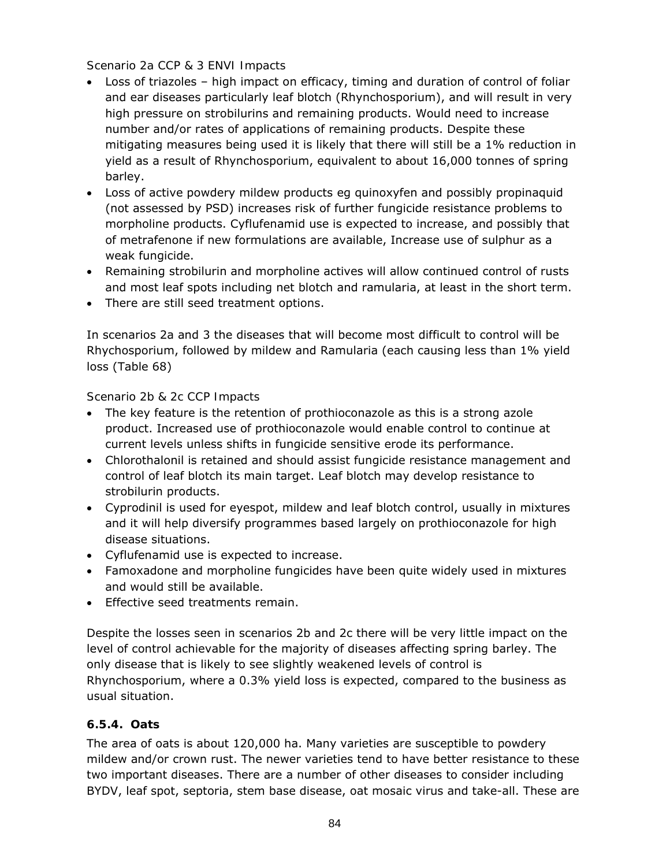## *Scenario 2a CCP & 3 ENVI Impacts*

- Loss of triazoles high impact on efficacy, timing and duration of control of foliar and ear diseases particularly leaf blotch (Rhynchosporium), and will result in very high pressure on strobilurins and remaining products. Would need to increase number and/or rates of applications of remaining products. Despite these mitigating measures being used it is likely that there will still be a 1% reduction in yield as a result of Rhynchosporium, equivalent to about 16,000 tonnes of spring barley.
- Loss of active powdery mildew products eg quinoxyfen and possibly propinaquid (not assessed by PSD) increases risk of further fungicide resistance problems to morpholine products. Cyflufenamid use is expected to increase, and possibly that of metrafenone if new formulations are available, Increase use of sulphur as a weak fungicide.
- Remaining strobilurin and morpholine actives will allow continued control of rusts and most leaf spots including net blotch and ramularia, at least in the short term.
- There are still seed treatment options.

In scenarios 2a and 3 the diseases that will become most difficult to control will be Rhychosporium, followed by mildew and Ramularia (each causing less than 1% yield loss (Table 68)

## *Scenario 2b & 2c CCP Impacts*

- The key feature is the retention of prothioconazole as this is a strong azole product. Increased use of prothioconazole would enable control to continue at current levels unless shifts in fungicide sensitive erode its performance.
- Chlorothalonil is retained and should assist fungicide resistance management and control of leaf blotch its main target. Leaf blotch may develop resistance to strobilurin products.
- Cyprodinil is used for eyespot, mildew and leaf blotch control, usually in mixtures and it will help diversify programmes based largely on prothioconazole for high disease situations.
- Cyflufenamid use is expected to increase.
- Famoxadone and morpholine fungicides have been quite widely used in mixtures and would still be available.
- Effective seed treatments remain.

Despite the losses seen in scenarios 2b and 2c there will be very little impact on the level of control achievable for the majority of diseases affecting spring barley. The only disease that is likely to see slightly weakened levels of control is Rhynchosporium, where a 0.3% yield loss is expected, compared to the business as usual situation.

## **6.5.4. Oats**

The area of oats is about 120,000 ha. Many varieties are susceptible to powdery mildew and/or crown rust. The newer varieties tend to have better resistance to these two important diseases. There are a number of other diseases to consider including BYDV, leaf spot, septoria, stem base disease, oat mosaic virus and take-all. These are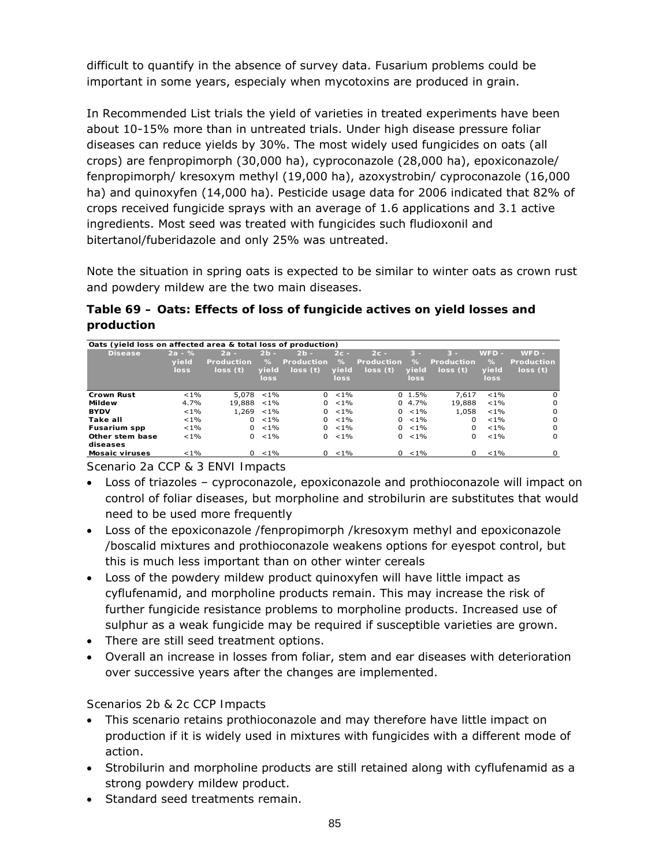difficult to quantify in the absence of survey data. Fusarium problems could be important in some years, especialy when mycotoxins are produced in grain.

In Recommended List trials the yield of varieties in treated experiments have been about 10-15% more than in untreated trials. Under high disease pressure foliar diseases can reduce yields by 30%. The most widely used fungicides on oats (all crops) are fenpropimorph (30,000 ha), cyproconazole (28,000 ha), epoxiconazole/ fenpropimorph/ kresoxym methyl (19,000 ha), azoxystrobin/ cyproconazole (16,000 ha) and quinoxyfen (14,000 ha). Pesticide usage data for 2006 indicated that 82% of crops received fungicide sprays with an average of 1.6 applications and 3.1 active ingredients. Most seed was treated with fungicides such fludioxonil and bitertanol/fuberidazole and only 25% was untreated.

Note the situation in spring oats is expected to be similar to winter oats as crown rust and powdery mildew are the two main diseases.

## **Table 69 – Oats: Effects of loss of fungicide actives on yield losses and production**

| Oats (yield loss on affected area & total loss of production) |                           |                                        |                              |                                        |                                 |                                        |                             |                                       |                                  |                                         |
|---------------------------------------------------------------|---------------------------|----------------------------------------|------------------------------|----------------------------------------|---------------------------------|----------------------------------------|-----------------------------|---------------------------------------|----------------------------------|-----------------------------------------|
| <b>Disease</b>                                                | $2a - %$<br>vield<br>loss | $2a -$<br><b>Production</b><br>loss(t) | $2b -$<br>℅<br>vield<br>loss | $2b -$<br><b>Production</b><br>loss(t) | $2c -$<br>$\%$<br>yield<br>loss | $2c -$<br><b>Production</b><br>loss(t) | $3 -$<br>%<br>vield<br>loss | $3 -$<br><b>Production</b><br>loss(t) | $WFD -$<br>$\%$<br>vield<br>loss | $WFD -$<br><b>Production</b><br>loss(t) |
| <b>Crown Rust</b>                                             | $< 1\%$                   | 5,078                                  | $< 1\%$                      | $\Omega$                               | $< 1\%$                         |                                        | $0, 1.5\%$                  | 7.617                                 | $< 1\%$                          | $\Omega$                                |
| Mildew                                                        | 4.7%                      | 19,888                                 | $< 1\%$                      | 0                                      | $< 1\%$                         |                                        | $0, 4.7\%$                  | 19,888                                | $< 1\%$                          | 0                                       |
| <b>BYDV</b>                                                   | $< 1\%$                   | 1,269                                  | $< 1\%$                      | 0                                      | $< 1\%$                         | 0                                      | $< 1\%$                     | 1.058                                 | $< 1\%$                          | $\Omega$                                |
| Take all                                                      | $< 1\%$                   | $\Omega$                               | $< 1\%$                      | $\Omega$                               | $< 1\%$                         | <sup>0</sup>                           | $< 1\%$                     | U                                     | $< 1\%$                          | $\Omega$                                |
| <b>Fusarium spp</b>                                           | $< 1\%$                   | $\Omega$                               | $< 1\%$                      | <sup>o</sup>                           | $< 1\%$                         | <sup>0</sup>                           | $< 1\%$                     | U                                     | $< 1\%$                          | $\Omega$                                |
| Other stem base<br>diseases                                   | $< 1\%$                   | 0                                      | $< 1\%$                      | 0                                      | $< 1\%$                         | 0                                      | $< 1\%$                     | 0                                     | $< 1\%$                          | $\Omega$                                |
| <b>Mosaic viruses</b>                                         | $< 1\%$                   | <sup>0</sup>                           | $< 1\%$                      |                                        | $0 \le 1\%$                     | <sup>0</sup>                           | $< 1\%$                     | O.                                    | $< 1\%$                          |                                         |

*Scenario 2a CCP & 3 ENVI Impacts* 

- Loss of triazoles cyproconazole, epoxiconazole and prothioconazole will impact on control of foliar diseases, but morpholine and strobilurin are substitutes that would need to be used more frequently
- Loss of the epoxiconazole /fenpropimorph /kresoxym methyl and epoxiconazole /boscalid mixtures and prothioconazole weakens options for eyespot control, but this is much less important than on other winter cereals
- Loss of the powdery mildew product quinoxyfen will have little impact as cyflufenamid, and morpholine products remain. This may increase the risk of further fungicide resistance problems to morpholine products. Increased use of sulphur as a weak fungicide may be required if susceptible varieties are grown.
- There are still seed treatment options.
- Overall an increase in losses from foliar, stem and ear diseases with deterioration over successive years after the changes are implemented.

## *Scenarios 2b & 2c CCP Impacts*

- This scenario retains prothioconazole and may therefore have little impact on production if it is widely used in mixtures with fungicides with a different mode of action.
- Strobilurin and morpholine products are still retained along with cyflufenamid as a strong powdery mildew product.
- Standard seed treatments remain.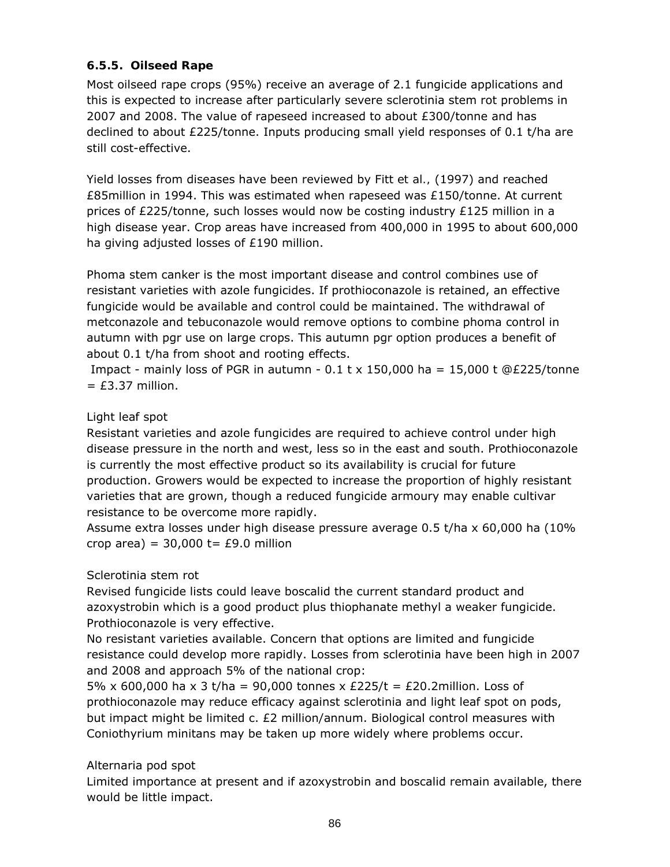## **6.5.5. Oilseed Rape**

Most oilseed rape crops (95%) receive an average of 2.1 fungicide applications and this is expected to increase after particularly severe sclerotinia stem rot problems in 2007 and 2008. The value of rapeseed increased to about  $£300/t$ onne and has declined to about £225/tonne. Inputs producing small yield responses of 0.1 t/ha are still cost-effective.

Yield losses from diseases have been reviewed by Fitt *et al.,* (1997) and reached £85 million in 1994. This was estimated when rapeseed was  $£150/t$ onne. At current prices of £225/tonne, such losses would now be costing industry £125 million in a high disease year. Crop areas have increased from 400,000 in 1995 to about 600,000 ha giving adjusted losses of £190 million.

Phoma stem canker is the most important disease and control combines use of resistant varieties with azole fungicides. If prothioconazole is retained, an effective fungicide would be available and control could be maintained. The withdrawal of metconazole and tebuconazole would remove options to combine phoma control in autumn with pgr use on large crops. This autumn pgr option produces a benefit of about 0.1 t/ha from shoot and rooting effects.

Impact - mainly loss of PGR in autumn -  $0.1$  t x 150,000 ha = 15,000 t @£225/tonne  $=$  £3.37 million.

## Light leaf spot

Resistant varieties and azole fungicides are required to achieve control under high disease pressure in the north and west, less so in the east and south. Prothioconazole is currently the most effective product so its availability is crucial for future production. Growers would be expected to increase the proportion of highly resistant varieties that are grown, though a reduced fungicide armoury may enable cultivar resistance to be overcome more rapidly.

Assume extra losses under high disease pressure average 0.5 t/ha x 60,000 ha (10% crop area) =  $30,000$  t= £9.0 million

## Sclerotinia stem rot

Revised fungicide lists could leave boscalid the current standard product and azoxystrobin which is a good product plus thiophanate methyl a weaker fungicide. Prothioconazole is very effective.

No resistant varieties available. Concern that options are limited and fungicide resistance could develop more rapidly. Losses from sclerotinia have been high in 2007 and 2008 and approach 5% of the national crop:

5% x 600,000 ha x 3 t/ha = 90,000 tonnes x £225/t = £20.2million. Loss of prothioconazole may reduce efficacy against sclerotinia and light leaf spot on pods, but impact might be limited c. £2 million/annum. Biological control measures with Coniothyrium minitans may be taken up more widely where problems occur.

## Alternaria pod spot

Limited importance at present and if azoxystrobin and boscalid remain available, there would be little impact.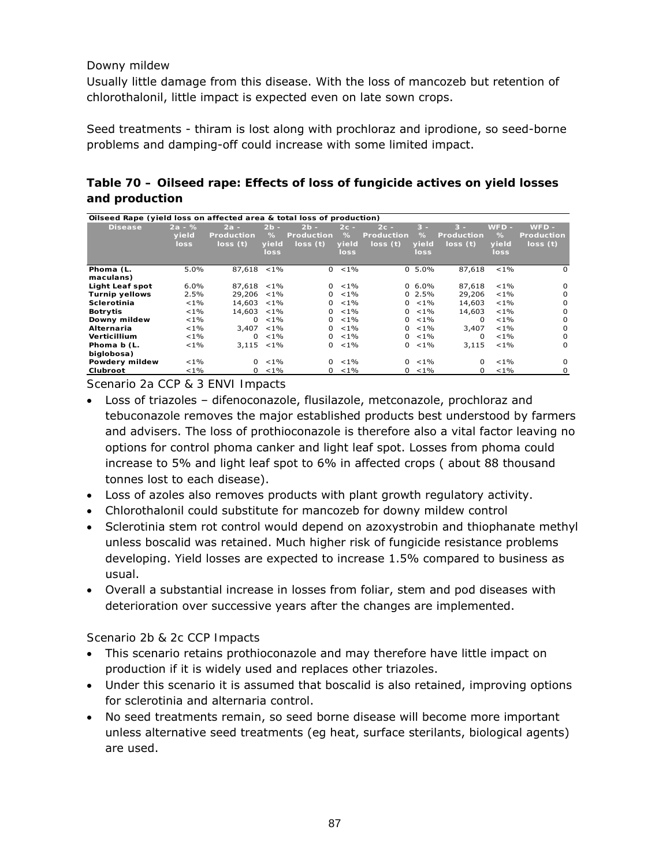#### Downy mildew

Usually little damage from this disease. With the loss of mancozeb but retention of chlorothalonil, little impact is expected even on late sown crops.

Seed treatments - thiram is lost along with prochloraz and iprodione, so seed-borne problems and damping-off could increase with some limited impact.

## **Table 70 – Oilseed rape: Effects of loss of fungicide actives on yield losses and production**

| Oilseed Rape (yield loss on affected area & total loss of production) |          |                   |               |                   |         |                   |               |            |         |                   |
|-----------------------------------------------------------------------|----------|-------------------|---------------|-------------------|---------|-------------------|---------------|------------|---------|-------------------|
| <b>Disease</b>                                                        | $2a - %$ | $2a -$            | $2b -$        | $2b -$            | $2c -$  | $2c -$            | $3 -$         | $3 -$      | WFD -   | $WFD -$           |
|                                                                       | vield    | <b>Production</b> | $\%$          | <b>Production</b> | $\%$    | <b>Production</b> | $\frac{9}{6}$ | Production | $\%$    | <b>Production</b> |
|                                                                       | loss     | loss(t)           | yield         | loss(t)           | yield   | loss(t)           | vield         | loss (t)   | vield   | loss(t)           |
|                                                                       |          |                   | loss          |                   | loss.   |                   | loss          |            | loss    |                   |
|                                                                       |          |                   |               |                   |         |                   |               |            |         |                   |
| Phoma (L.                                                             | 5.0%     | $87,618 < 1\%$    |               | 0                 | $< 1\%$ |                   | $0, 5.0\%$    | 87,618     | $< 1\%$ | 0                 |
| maculans)                                                             |          |                   |               |                   |         |                   |               |            |         |                   |
| Light Leaf spot                                                       | $6.0\%$  | 87.618            | $< 1\%$       | $\Omega$          | $< 1\%$ |                   | $0, 6.0\%$    | 87,618     | $< 1\%$ | 0                 |
| <b>Turnip yellows</b>                                                 | 2.5%     | 29,206            | $< 1\%$       | 0                 | $< 1\%$ |                   | $0, 2.5\%$    | 29,206     | $< 1\%$ | 0                 |
| Sclerotinia                                                           | $< 1\%$  | 14,603            | $< 1\%$       | 0                 | $< 1\%$ | 0                 | $< 1\%$       | 14,603     | $< 1\%$ | 0                 |
| <b>Botrytis</b>                                                       | $< 1\%$  | 14,603            | $< 1\%$       | 0                 | $< 1\%$ | 0                 | $< 1\%$       | 14,603     | $< 1\%$ | U                 |
| Downy mildew                                                          | $< 1\%$  | 0                 | $< 1\%$       | 0                 | $< 1\%$ | 0                 | $< 1\%$       | 0          | $< 1\%$ | $\Omega$          |
| Alternaria                                                            | $< 1\%$  | 3,407             | $< 1\%$       | 0                 | $< 1\%$ | $\Omega$          | $< 1\%$       | 3,407      | $< 1\%$ | $\Omega$          |
| Verticillium                                                          | $< 1\%$  | 0                 | $< 1\%$       | $\Omega$          | $< 1\%$ | $\Omega$          | $< 1\%$       | 0          | $< 1\%$ | 0                 |
| Phoma b (L.                                                           | $< 1\%$  |                   | $3.115 < 1\%$ | 0                 | $< 1\%$ | 0                 | $< 1\%$       | 3.115      | $< 1\%$ | $\Omega$          |
| biglobosa)                                                            |          |                   |               |                   |         |                   |               |            |         |                   |
| Powdery mildew                                                        | $< 1\%$  | $\Omega$          | $< 1\%$       | $\Omega$          | $< 1\%$ | $\Omega$          | $< 1\%$       | $\Omega$   | $< 1\%$ | 0                 |
| Clubroot                                                              | $< 1\%$  | 0                 | $< 1\%$       | 0                 | $< 1\%$ | 0                 | $< 1\%$       | 0          | $< 1\%$ | 0                 |

*Scenario 2a CCP & 3 ENVI Impacts* 

- Loss of triazoles difenoconazole, flusilazole, metconazole, prochloraz and tebuconazole removes the major established products best understood by farmers and advisers. The loss of prothioconazole is therefore also a vital factor leaving no options for control phoma canker and light leaf spot. Losses from phoma could increase to 5% and light leaf spot to 6% in affected crops ( about 88 thousand tonnes lost to each disease).
- Loss of azoles also removes products with plant growth regulatory activity.
- Chlorothalonil could substitute for mancozeb for downy mildew control
- Sclerotinia stem rot control would depend on azoxystrobin and thiophanate methyl unless boscalid was retained. Much higher risk of fungicide resistance problems developing. Yield losses are expected to increase 1.5% compared to business as usual.
- Overall a substantial increase in losses from foliar, stem and pod diseases with deterioration over successive years after the changes are implemented.

#### *Scenario 2b & 2c CCP Impacts*

- This scenario retains prothioconazole and may therefore have little impact on production if it is widely used and replaces other triazoles.
- Under this scenario it is assumed that boscalid is also retained, improving options for sclerotinia and alternaria control.
- No seed treatments remain, so seed borne disease will become more important unless alternative seed treatments (eg heat, surface sterilants, biological agents) are used.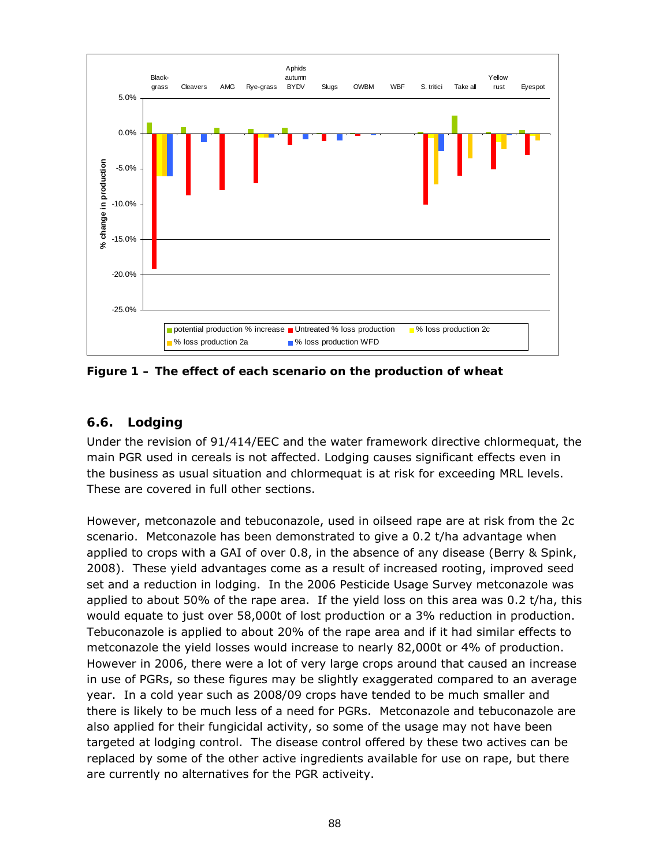

**Figure 1 – The effect of each scenario on the production of wheat** 

## **6.6. Lodging**

Under the revision of 91/414/EEC and the water framework directive chlormequat, the main PGR used in cereals is not affected. Lodging causes significant effects even in the business as usual situation and chlormequat is at risk for exceeding MRL levels. These are covered in full other sections.

However, metconazole and tebuconazole, used in oilseed rape are at risk from the 2c scenario. Metconazole has been demonstrated to give a 0.2 t/ha advantage when applied to crops with a GAI of over 0.8, in the absence of any disease (Berry & Spink, 2008). These yield advantages come as a result of increased rooting, improved seed set and a reduction in lodging. In the 2006 Pesticide Usage Survey metconazole was applied to about 50% of the rape area. If the yield loss on this area was 0.2 t/ha, this would equate to just over 58,000t of lost production or a 3% reduction in production. Tebuconazole is applied to about 20% of the rape area and if it had similar effects to metconazole the yield losses would increase to nearly 82,000t or 4% of production. However in 2006, there were a lot of very large crops around that caused an increase in use of PGRs, so these figures may be slightly exaggerated compared to an average year. In a cold year such as 2008/09 crops have tended to be much smaller and there is likely to be much less of a need for PGRs. Metconazole and tebuconazole are also applied for their fungicidal activity, so some of the usage may not have been targeted at lodging control. The disease control offered by these two actives can be replaced by some of the other active ingredients available for use on rape, but there are currently no alternatives for the PGR activeity.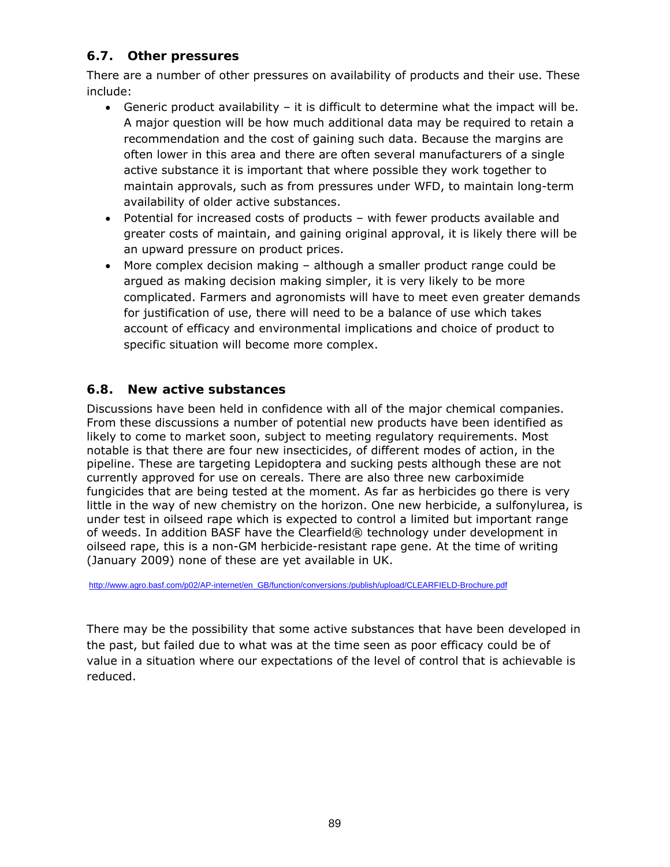## **6.7. Other pressures**

There are a number of other pressures on availability of products and their use. These include:

- Generic product availability it is difficult to determine what the impact will be. A major question will be how much additional data may be required to retain a recommendation and the cost of gaining such data. Because the margins are often lower in this area and there are often several manufacturers of a single active substance it is important that where possible they work together to maintain approvals, such as from pressures under WFD, to maintain long-term availability of older active substances.
- Potential for increased costs of products with fewer products available and greater costs of maintain, and gaining original approval, it is likely there will be an upward pressure on product prices.
- More complex decision making although a smaller product range could be argued as making decision making simpler, it is very likely to be more complicated. Farmers and agronomists will have to meet even greater demands for justification of use, there will need to be a balance of use which takes account of efficacy and environmental implications and choice of product to specific situation will become more complex.

## **6.8. New active substances**

Discussions have been held in confidence with all of the major chemical companies. From these discussions a number of potential new products have been identified as likely to come to market soon, subject to meeting regulatory requirements. Most notable is that there are four new insecticides, of different modes of action, in the pipeline. These are targeting Lepidoptera and sucking pests although these are not currently approved for use on cereals. There are also three new carboximide fungicides that are being tested at the moment. As far as herbicides go there is very little in the way of new chemistry on the horizon. One new herbicide, a sulfonylurea, is under test in oilseed rape which is expected to control a limited but important range of weeds. In addition BASF have the Clearfield® technology under development in oilseed rape, this is a non-GM herbicide-resistant rape gene. At the time of writing (January 2009) none of these are yet available in UK.

http://www.agro.basf.com/p02/AP-internet/en\_GB/function/conversions:/publish/upload/CLEARFIELD-Brochure.pdf

There may be the possibility that some active substances that have been developed in the past, but failed due to what was at the time seen as poor efficacy could be of value in a situation where our expectations of the level of control that is achievable is reduced.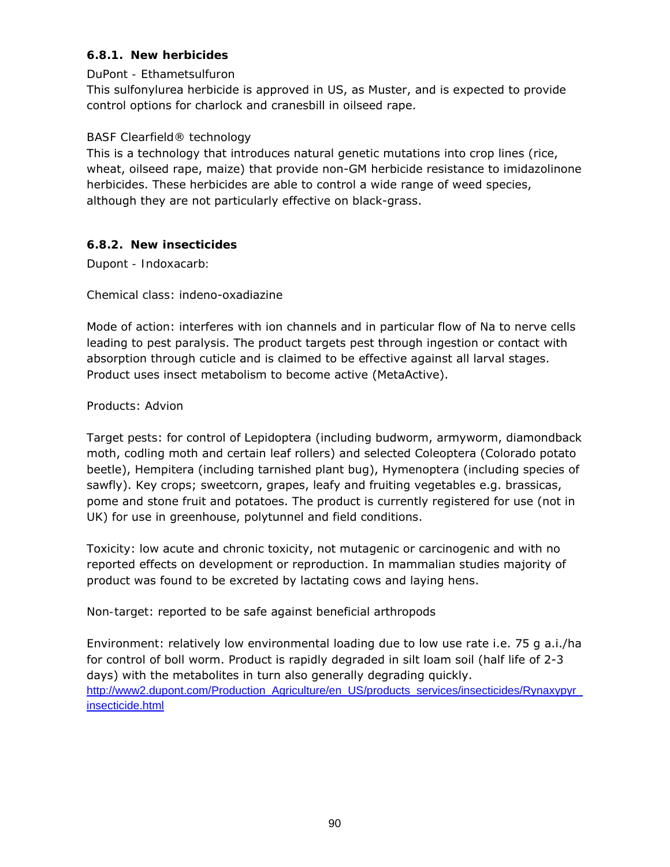## **6.8.1. New herbicides**

## *DuPont - Ethametsulfuron*

This sulfonylurea herbicide is approved in US, as Muster, and is expected to provide control options for charlock and cranesbill in oilseed rape.

#### *BASF Clearfield® technology*

This is a technology that introduces natural genetic mutations into crop lines (rice, wheat, oilseed rape, maize) that provide non-GM herbicide resistance to imidazolinone herbicides. These herbicides are able to control a wide range of weed species, although they are not particularly effective on black-grass.

## **6.8.2. New insecticides**

*Dupont - Indoxacarb:* 

#### *Chemical class*: indeno-oxadiazine

*Mode of action*: interferes with ion channels and in particular flow of Na to nerve cells leading to pest paralysis. The product targets pest through ingestion or contact with absorption through cuticle and is claimed to be effective against all larval stages. Product uses insect metabolism to become active (MetaActive).

#### *Products*: Advion

*Target pests*: for control of Lepidoptera (including budworm, armyworm, diamondback moth, codling moth and certain leaf rollers) and selected Coleoptera (Colorado potato beetle), Hempitera (including tarnished plant bug), Hymenoptera (including species of sawfly). Key crops; sweetcorn, grapes, leafy and fruiting vegetables e.g. brassicas, pome and stone fruit and potatoes. The product is currently registered for use (not in UK) for use in greenhouse, polytunnel and field conditions.

*Toxicity*: low acute and chronic toxicity, not mutagenic or carcinogenic and with no reported effects on development or reproduction. In mammalian studies majority of product was found to be excreted by lactating cows and laying hens.

*Non-target*: reported to be safe against beneficial arthropods

*Environment*: relatively low environmental loading due to low use rate i.e. 75 g a.i./ha for control of boll worm. Product is rapidly degraded in silt loam soil (half life of 2-3 days) with the metabolites in turn also generally degrading quickly. http://www2.dupont.com/Production\_Agriculture/en\_US/products\_services/insecticides/Rynaxypyr\_ insecticide.html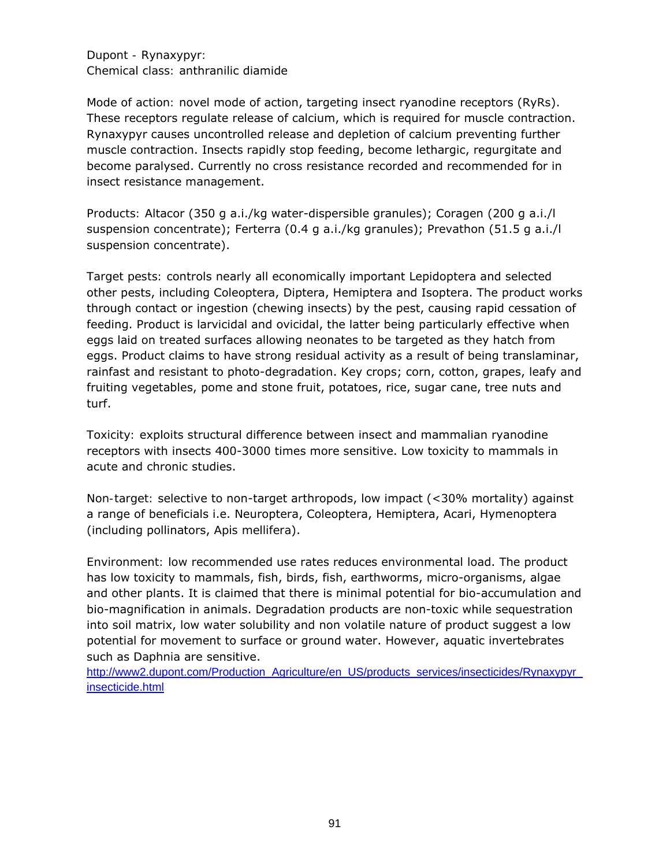#### *Dupont - Rynaxypyr: Chemical class:* anthranilic diamide

*Mode of action:* novel mode of action, targeting insect ryanodine receptors (RyRs). These receptors regulate release of calcium, which is required for muscle contraction. Rynaxypyr causes uncontrolled release and depletion of calcium preventing further muscle contraction. Insects rapidly stop feeding, become lethargic, regurgitate and become paralysed. Currently no cross resistance recorded and recommended for in insect resistance management.

*Products:* Altacor (350 g a.i./kg water-dispersible granules); Coragen (200 g a.i./l suspension concentrate); Ferterra (0.4 g a.i./kg granules); Prevathon (51.5 g a.i./l suspension concentrate).

*Target pests:* controls nearly all economically important Lepidoptera and selected other pests, including Coleoptera, Diptera, Hemiptera and Isoptera. The product works through contact or ingestion (chewing insects) by the pest, causing rapid cessation of feeding. Product is larvicidal and ovicidal, the latter being particularly effective when eggs laid on treated surfaces allowing neonates to be targeted as they hatch from eggs. Product claims to have strong residual activity as a result of being translaminar, rainfast and resistant to photo-degradation. Key crops; corn, cotton, grapes, leafy and fruiting vegetables, pome and stone fruit, potatoes, rice, sugar cane, tree nuts and turf.

*Toxicity:* exploits structural difference between insect and mammalian ryanodine receptors with insects 400-3000 times more sensitive. Low toxicity to mammals in acute and chronic studies.

*Non-target:* selective to non-target arthropods, low impact (<30% mortality) against a range of beneficials i.e. Neuroptera, Coleoptera, Hemiptera, Acari, Hymenoptera (including pollinators, *Apis mellifera*).

*Environment:* low recommended use rates reduces environmental load. The product has low toxicity to mammals, fish, birds, fish, earthworms, micro-organisms, algae and other plants. It is claimed that there is minimal potential for bio-accumulation and bio-magnification in animals. Degradation products are non-toxic while sequestration into soil matrix, low water solubility and non volatile nature of product suggest a low potential for movement to surface or ground water. However, aquatic invertebrates such as *Daphnia* are sensitive.

http://www2.dupont.com/Production\_Agriculture/en\_US/products\_services/insecticides/Rynaxypyr\_ insecticide.html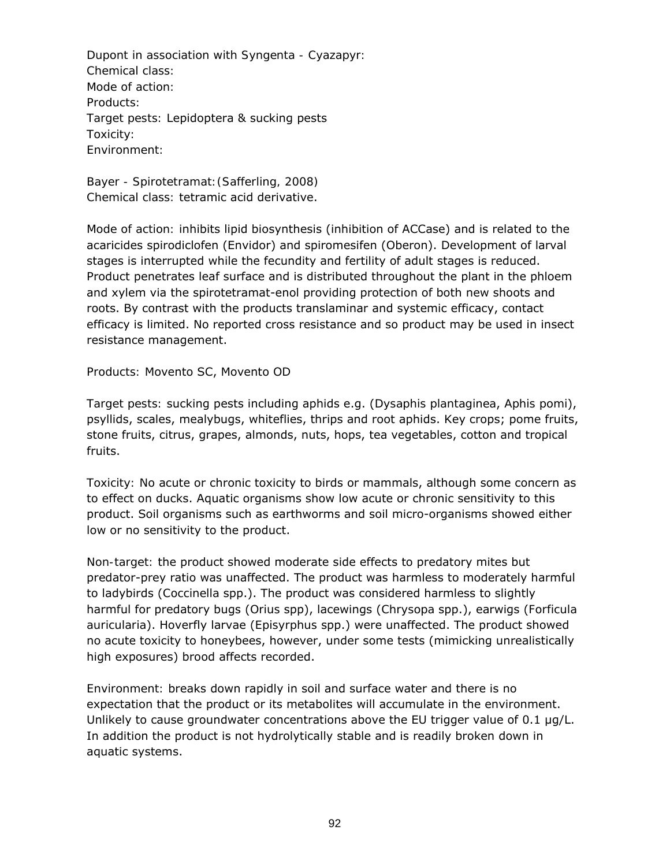*Dupont in association with Syngenta - Cyazapyr: Chemical class: Mode of action: Products: Target pests:* Lepidoptera & sucking pests *Toxicity: Environment:*

*Bayer - Spirotetramat:(Safferling, 2008) Chemical class:* tetramic acid derivative.

*Mode of action:* inhibits lipid biosynthesis (inhibition of ACCase) and is related to the acaricides spirodiclofen (Envidor) and spiromesifen (Oberon). Development of larval stages is interrupted while the fecundity and fertility of adult stages is reduced. Product penetrates leaf surface and is distributed throughout the plant in the phloem and xylem via the spirotetramat-enol providing protection of both new shoots and roots. By contrast with the products translaminar and systemic efficacy, contact efficacy is limited. No reported cross resistance and so product may be used in insect resistance management.

*Products:* Movento SC, Movento OD

*Target pests:* sucking pests including aphids e.g. (*Dysaphis plantaginea*, *Aphis pomi*), psyllids, scales, mealybugs, whiteflies, thrips and root aphids. Key crops; pome fruits, stone fruits, citrus, grapes, almonds, nuts, hops, tea vegetables, cotton and tropical fruits.

*Toxicity:* No acute or chronic toxicity to birds or mammals, although some concern as to effect on ducks. Aquatic organisms show low acute or chronic sensitivity to this product. Soil organisms such as earthworms and soil micro-organisms showed either low or no sensitivity to the product.

*Non-target:* the product showed moderate side effects to predatory mites but predator-prey ratio was unaffected. The product was harmless to moderately harmful to ladybirds (*Coccinella* spp.). The product was considered harmless to slightly harmful for predatory bugs (*Orius* spp), lacewings (*Chrysopa* spp.), earwigs (*Forficula auricularia*). Hoverfly larvae (*Episyrphus* spp.) were unaffected. The product showed no acute toxicity to honeybees, however, under some tests (mimicking unrealistically high exposures) brood affects recorded.

*Environment:* breaks down rapidly in soil and surface water and there is no expectation that the product or its metabolites will accumulate in the environment. Unlikely to cause groundwater concentrations above the EU trigger value of 0.1 µg/L. In addition the product is not hydrolytically stable and is readily broken down in aquatic systems.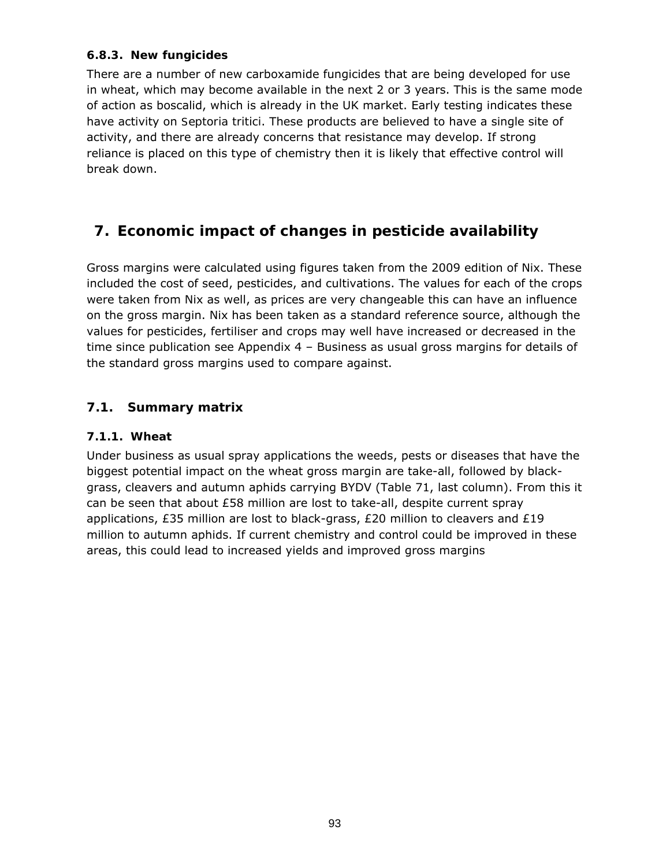## **6.8.3. New fungicides**

There are a number of new carboxamide fungicides that are being developed for use in wheat, which may become available in the next 2 or 3 years. This is the same mode of action as boscalid, which is already in the UK market. Early testing indicates these have activity on *Septoria tritici*. These products are believed to have a single site of activity, and there are already concerns that resistance may develop. If strong reliance is placed on this type of chemistry then it is likely that effective control will break down.

## **7. Economic impact of changes in pesticide availability**

Gross margins were calculated using figures taken from the 2009 edition of Nix. These included the cost of seed, pesticides, and cultivations. The values for each of the crops were taken from Nix as well, as prices are very changeable this can have an influence on the gross margin. Nix has been taken as a standard reference source, although the values for pesticides, fertiliser and crops may well have increased or decreased in the time since publication see Appendix  $4$  – Business as usual gross margins for details of the standard gross margins used to compare against.

## **7.1. Summary matrix**

## **7.1.1. Wheat**

Under business as usual spray applications the weeds, pests or diseases that have the biggest potential impact on the wheat gross margin are take-all, followed by blackgrass, cleavers and autumn aphids carrying BYDV (Table 71, last column). From this it can be seen that about £58 million are lost to take-all, despite current spray applications, £35 million are lost to black-grass, £20 million to cleavers and £19 million to autumn aphids. If current chemistry and control could be improved in these areas, this could lead to increased yields and improved gross margins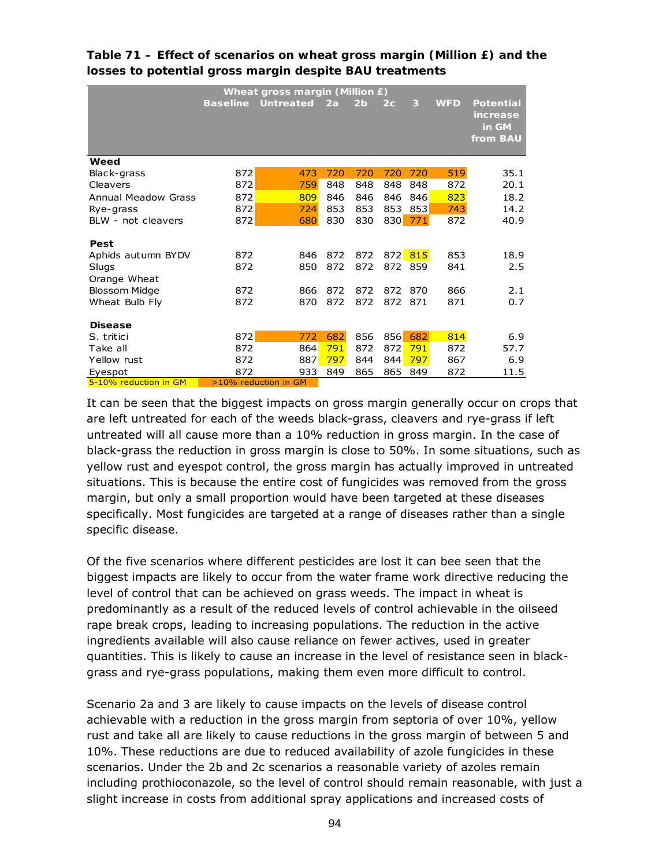|                       | <b>Wheat gross margin (Million £)</b> |                      |     |                |     |         |            |                                                   |  |  |  |  |
|-----------------------|---------------------------------------|----------------------|-----|----------------|-----|---------|------------|---------------------------------------------------|--|--|--|--|
|                       | <b>Baseline</b>                       | <b>Untreated</b>     | 2a  | 2 <sub>b</sub> | 2c  | 3       | <b>WFD</b> | <b>Potential</b><br>increase<br>in GM<br>from BAU |  |  |  |  |
|                       |                                       |                      |     |                |     |         |            |                                                   |  |  |  |  |
| Weed                  |                                       |                      |     |                |     |         |            |                                                   |  |  |  |  |
| Black-grass           | 872                                   | 473                  | 720 | 720            | 720 | 720     | 519        | 35.1                                              |  |  |  |  |
| Cleavers              | 872                                   | 759                  | 848 | 848            | 848 | 848     | 872        | 20.1                                              |  |  |  |  |
| Annual Meadow Grass   | 872                                   | 809                  | 846 | 846            | 846 | 846     | 823        | 18.2                                              |  |  |  |  |
| Rye-grass             | 872                                   | 724                  | 853 | 853            | 853 | 853     | 743        | 14.2                                              |  |  |  |  |
| BLW - not cleavers    | 872                                   | 680                  | 830 | 830            |     | 830 771 | 872        | 40.9                                              |  |  |  |  |
| Pest                  |                                       |                      |     |                |     |         |            |                                                   |  |  |  |  |
| Aphids autumn BYDV    | 872                                   | 846                  | 872 | 872            |     | 872 815 | 853        | 18.9                                              |  |  |  |  |
| Slugs                 | 872                                   | 850                  | 872 | 872            |     | 872 859 | 841        | 2.5                                               |  |  |  |  |
| Orange Wheat          |                                       |                      |     |                |     |         |            |                                                   |  |  |  |  |
| <b>Blossom Midge</b>  | 872                                   | 866                  | 872 | 872            | 872 | 870     | 866        | 2.1                                               |  |  |  |  |
| Wheat Bulb Fly        | 872                                   | 870                  | 872 | 872            | 872 | 871     | 871        | 0.7                                               |  |  |  |  |
| <b>Disease</b>        |                                       |                      |     |                |     |         |            |                                                   |  |  |  |  |
| S. tritici            | 872                                   | 772                  | 682 | 856            | 856 | 682     | 814        | 6.9                                               |  |  |  |  |
| Take all              | 872                                   | 864                  | 791 | 872            | 872 | 791     | 872        | 57.7                                              |  |  |  |  |
| Yellow rust           | 872                                   | 887                  | 797 | 844            | 844 | 797     | 867        | 6.9                                               |  |  |  |  |
| Eyespot               | 872                                   | 933                  | 849 | 865            | 865 | 849     | 872        | 11.5                                              |  |  |  |  |
| 5-10% reduction in GM |                                       | >10% reduction in GM |     |                |     |         |            |                                                   |  |  |  |  |

## **Table 71 – Effect of scenarios on wheat gross margin (Million £) and the losses to potential gross margin despite BAU treatments**

It can be seen that the biggest impacts on gross margin generally occur on crops that are left untreated for each of the weeds black-grass, cleavers and rye-grass if left untreated will all cause more than a 10% reduction in gross margin. In the case of black-grass the reduction in gross margin is close to 50%. In some situations, such as yellow rust and eyespot control, the gross margin has actually improved in untreated situations. This is because the entire cost of fungicides was removed from the gross margin, but only a small proportion would have been targeted at these diseases specifically. Most fungicides are targeted at a range of diseases rather than a single specific disease.

Of the five scenarios where different pesticides are lost it can bee seen that the biggest impacts are likely to occur from the water frame work directive reducing the level of control that can be achieved on grass weeds. The impact in wheat is predominantly as a result of the reduced levels of control achievable in the oilseed rape break crops, leading to increasing populations. The reduction in the active ingredients available will also cause reliance on fewer actives, used in greater quantities. This is likely to cause an increase in the level of resistance seen in blackgrass and rye-grass populations, making them even more difficult to control.

Scenario 2a and 3 are likely to cause impacts on the levels of disease control achievable with a reduction in the gross margin from septoria of over 10%, yellow rust and take all are likely to cause reductions in the gross margin of between 5 and 10%. These reductions are due to reduced availability of azole fungicides in these scenarios. Under the 2b and 2c scenarios a reasonable variety of azoles remain including prothioconazole, so the level of control should remain reasonable, with just a slight increase in costs from additional spray applications and increased costs of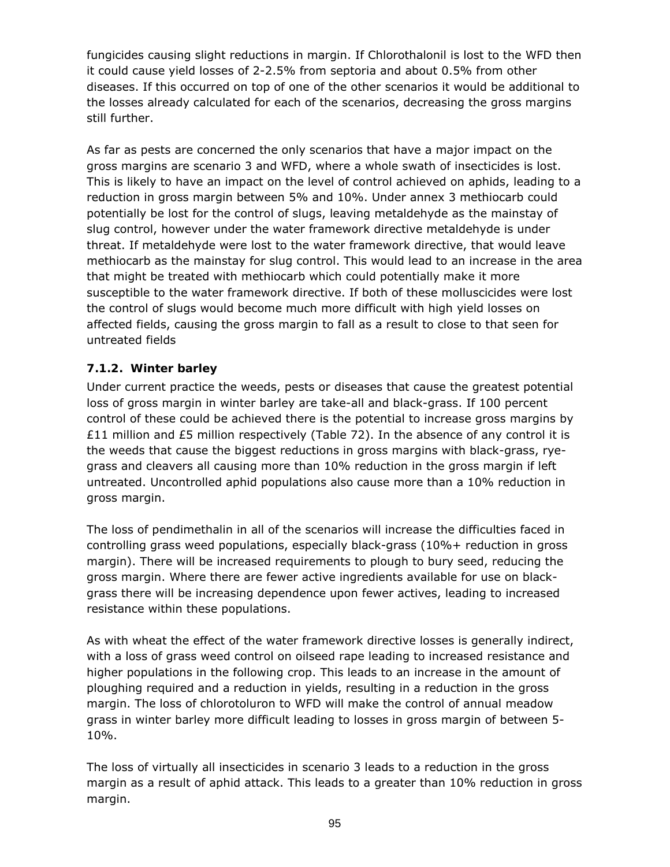fungicides causing slight reductions in margin. If Chlorothalonil is lost to the WFD then it could cause yield losses of 2-2.5% from septoria and about 0.5% from other diseases. If this occurred on top of one of the other scenarios it would be additional to the losses already calculated for each of the scenarios, decreasing the gross margins still further.

As far as pests are concerned the only scenarios that have a major impact on the gross margins are scenario 3 and WFD, where a whole swath of insecticides is lost. This is likely to have an impact on the level of control achieved on aphids, leading to a reduction in gross margin between 5% and 10%. Under annex 3 methiocarb could potentially be lost for the control of slugs, leaving metaldehyde as the mainstay of slug control, however under the water framework directive metaldehyde is under threat. If metaldehyde were lost to the water framework directive, that would leave methiocarb as the mainstay for slug control. This would lead to an increase in the area that might be treated with methiocarb which could potentially make it more susceptible to the water framework directive. If both of these molluscicides were lost the control of slugs would become much more difficult with high yield losses on affected fields, causing the gross margin to fall as a result to close to that seen for untreated fields

## **7.1.2. Winter barley**

Under current practice the weeds, pests or diseases that cause the greatest potential loss of gross margin in winter barley are take-all and black-grass. If 100 percent control of these could be achieved there is the potential to increase gross margins by £11 million and £5 million respectively (Table 72). In the absence of any control it is the weeds that cause the biggest reductions in gross margins with black-grass, ryegrass and cleavers all causing more than 10% reduction in the gross margin if left untreated. Uncontrolled aphid populations also cause more than a 10% reduction in gross margin.

The loss of pendimethalin in all of the scenarios will increase the difficulties faced in controlling grass weed populations, especially black-grass (10%+ reduction in gross margin). There will be increased requirements to plough to bury seed, reducing the gross margin. Where there are fewer active ingredients available for use on blackgrass there will be increasing dependence upon fewer actives, leading to increased resistance within these populations.

As with wheat the effect of the water framework directive losses is generally indirect, with a loss of grass weed control on oilseed rape leading to increased resistance and higher populations in the following crop. This leads to an increase in the amount of ploughing required and a reduction in yields, resulting in a reduction in the gross margin. The loss of chlorotoluron to WFD will make the control of annual meadow grass in winter barley more difficult leading to losses in gross margin of between 5- 10%.

The loss of virtually all insecticides in scenario 3 leads to a reduction in the gross margin as a result of aphid attack. This leads to a greater than 10% reduction in gross margin.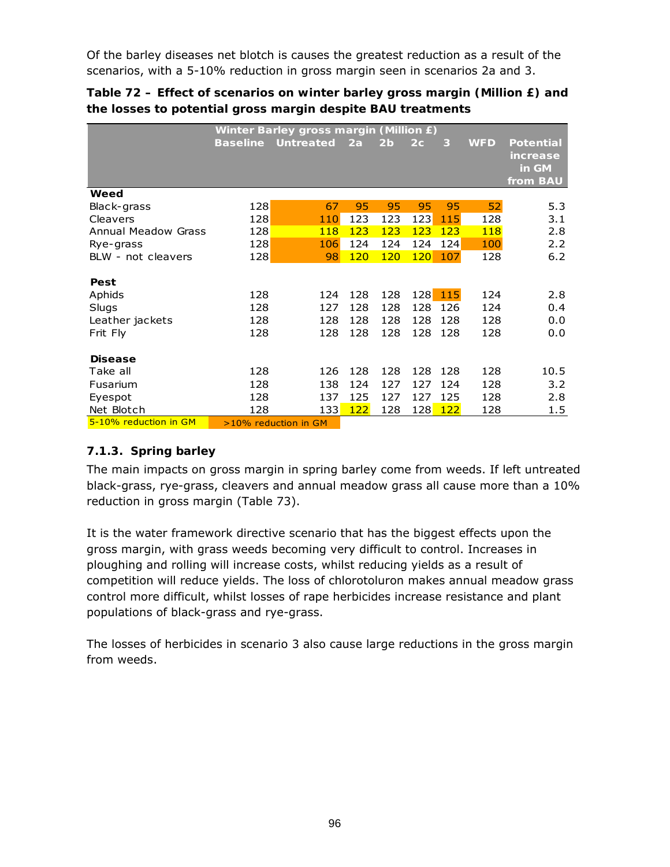Of the barley diseases net blotch is causes the greatest reduction as a result of the scenarios, with a 5-10% reduction in gross margin seen in scenarios 2a and 3.

**Table 72 – Effect of scenarios on winter barley gross margin (Million £) and the losses to potential gross margin despite BAU treatments** 

|                            | Winter Barley gross margin (Million £) |                         |            |            |                |     |            |                                                          |  |  |  |
|----------------------------|----------------------------------------|-------------------------|------------|------------|----------------|-----|------------|----------------------------------------------------------|--|--|--|
|                            | <b>Baseline</b>                        | Untreated               | 2a         | 2b         | 2 <sub>c</sub> | 3   | <b>WFD</b> | <b>Potential</b><br><i>increase</i><br>in GM<br>from BAU |  |  |  |
| Weed                       |                                        |                         |            |            |                |     |            |                                                          |  |  |  |
| Black-grass                | 128                                    | 67                      | 95         | 95         | 95             | 95  | 52         | 5.3                                                      |  |  |  |
| Cleavers                   | 128                                    | 110                     | 123        | 123        | 123            | 115 | 128        | 3.1                                                      |  |  |  |
| <b>Annual Meadow Grass</b> | 128                                    | 118                     | 123        | 123        | 123            | 123 | 118        | 2.8                                                      |  |  |  |
| Rye-grass                  | 128                                    | 106                     | 124        | 124        | 124            | 124 | 100        | 2.2                                                      |  |  |  |
| BLW - not cleavers         | 128                                    | 98                      | <b>120</b> | <b>120</b> | 120            | 107 | 128        | 6.2                                                      |  |  |  |
| Pest                       |                                        |                         |            |            |                |     |            |                                                          |  |  |  |
| Aphids                     | 128                                    | 124                     | 128        | 128        | 128            | 115 | 124        | 2.8                                                      |  |  |  |
| Slugs                      | 128                                    | 127                     | 128        | 128        | 128            | 126 | 124        | 0.4                                                      |  |  |  |
| Leather jackets            | 128                                    | 128                     | 128        | 128        | 128            | 128 | 128        | 0.0                                                      |  |  |  |
| Frit Fly                   | 128                                    | 128                     | 128        | 128        | 128            | 128 | 128        | 0.0                                                      |  |  |  |
| <b>Disease</b>             |                                        |                         |            |            |                |     |            |                                                          |  |  |  |
| Take all                   | 128                                    | 126                     | 128        | 128        | 128            | 128 | 128        | 10.5                                                     |  |  |  |
| Fusarium                   | 128                                    | 138                     | 124        | 127        | 127            | 124 | 128        | 3.2                                                      |  |  |  |
| Eyespot                    | 128                                    | 137                     | 125        | 127        | 127            | 125 | 128        | 2.8                                                      |  |  |  |
| Net Blotch                 | 128                                    | 133                     | 122        | 128        | 128            | 122 | 128        | 1.5                                                      |  |  |  |
| 5-10% reduction in GM      |                                        | $>10\%$ reduction in GM |            |            |                |     |            |                                                          |  |  |  |

## **7.1.3. Spring barley**

The main impacts on gross margin in spring barley come from weeds. If left untreated black-grass, rye-grass, cleavers and annual meadow grass all cause more than a 10% reduction in gross margin (Table 73).

It is the water framework directive scenario that has the biggest effects upon the gross margin, with grass weeds becoming very difficult to control. Increases in ploughing and rolling will increase costs, whilst reducing yields as a result of competition will reduce yields. The loss of chlorotoluron makes annual meadow grass control more difficult, whilst losses of rape herbicides increase resistance and plant populations of black-grass and rye-grass.

The losses of herbicides in scenario 3 also cause large reductions in the gross margin from weeds.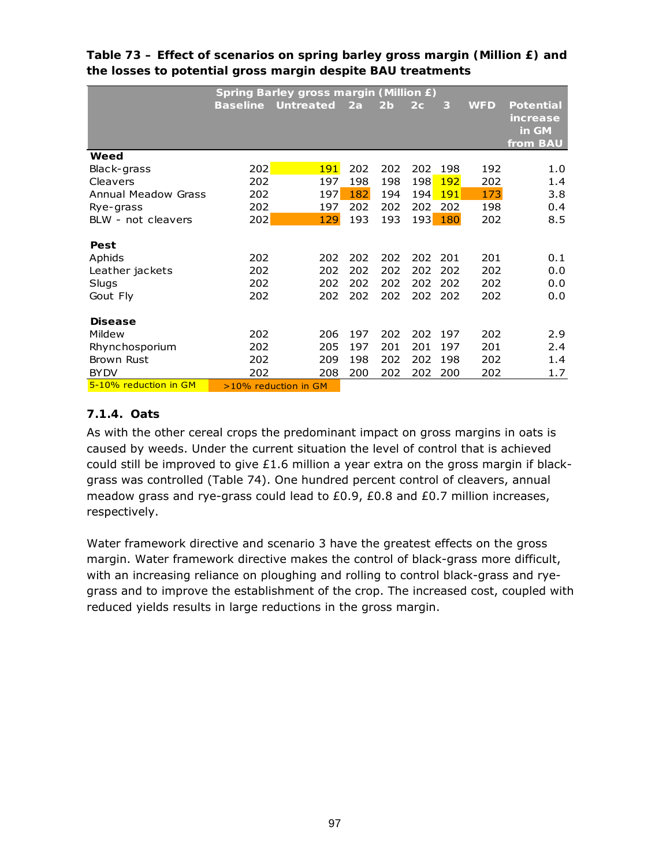|                            |                 | <b>Spring Barley gross margin (Million £)</b> |     |                |                |            |            |                  |  |  |  |  |
|----------------------------|-----------------|-----------------------------------------------|-----|----------------|----------------|------------|------------|------------------|--|--|--|--|
|                            | <b>Baseline</b> | <b>Untreated</b>                              | 2a  | 2 <sub>b</sub> | 2 <sub>c</sub> | 3          | <b>WFD</b> | <b>Potential</b> |  |  |  |  |
|                            |                 |                                               |     |                |                |            |            | <i>increase</i>  |  |  |  |  |
|                            |                 |                                               |     |                |                |            |            | in GM            |  |  |  |  |
|                            |                 |                                               |     |                |                |            |            | from BAU         |  |  |  |  |
| Weed                       |                 |                                               |     |                |                |            |            |                  |  |  |  |  |
| Black-grass                | 202             | <b>191</b>                                    | 202 | 202            | 202            | 198        | 192        | 1.0              |  |  |  |  |
| Cleavers                   | 202             | 197                                           | 198 | 198            | 198            | <b>192</b> | 202        | 1.4              |  |  |  |  |
| <b>Annual Meadow Grass</b> | 202             | 197                                           | 182 | 194            | 194            | <b>191</b> | 173        | 3.8              |  |  |  |  |
| Rye-grass                  | 202             | 197                                           | 202 | 202            | 202            | 202        | 198        | 0.4              |  |  |  |  |
| BLW - not cleavers         | 202             | 129                                           | 193 | 193            | 193            | 180        | 202        | 8.5              |  |  |  |  |
|                            |                 |                                               |     |                |                |            |            |                  |  |  |  |  |
| Pest                       |                 |                                               |     |                |                |            |            |                  |  |  |  |  |
| Aphids                     | 202             | 202                                           | 202 | 202            | 202            | 201        | 201        | 0.1              |  |  |  |  |
| Leather jackets            | 202             | 202                                           | 202 | 202            | 202            | 202        | 202        | 0.0              |  |  |  |  |
| Slugs                      | 202             | 202                                           | 202 | 202            | 202            | 202        | 202        | 0.0              |  |  |  |  |
| Gout Fly                   | 202             | 202                                           | 202 | 202            | 202            | -202       | 202        | 0.0              |  |  |  |  |
|                            |                 |                                               |     |                |                |            |            |                  |  |  |  |  |
| <b>Disease</b>             |                 |                                               |     |                |                |            |            |                  |  |  |  |  |
| Mildew                     | 202             | 206                                           | 197 | 202            | 202            | 197        | 202        | 2.9              |  |  |  |  |
| Rhynchosporium             | 202             | 205                                           | 197 | 201            | 201            | 197        | 201        | 2.4              |  |  |  |  |
| <b>Brown Rust</b>          | 202             | 209                                           | 198 | 202            | 202            | 198        | 202        | 1.4              |  |  |  |  |
| <b>BY DV</b>               | 202             | 208                                           | 200 | 202            | 202            | 200        | 202        | 1.7              |  |  |  |  |
| 5-10% reduction in GM      |                 | $>10\%$ reduction in GM                       |     |                |                |            |            |                  |  |  |  |  |

## **Table 73 – Effect of scenarios on spring barley gross margin (Million £) and the losses to potential gross margin despite BAU treatments**

## **7.1.4. Oats**

As with the other cereal crops the predominant impact on gross margins in oats is caused by weeds. Under the current situation the level of control that is achieved could still be improved to give  $£1.6$  million a year extra on the gross margin if blackgrass was controlled (Table 74). One hundred percent control of cleavers, annual meadow grass and rye-grass could lead to £0.9, £0.8 and £0.7 million increases, respectively.

Water framework directive and scenario 3 have the greatest effects on the gross margin. Water framework directive makes the control of black-grass more difficult, with an increasing reliance on ploughing and rolling to control black-grass and ryegrass and to improve the establishment of the crop. The increased cost, coupled with reduced yields results in large reductions in the gross margin.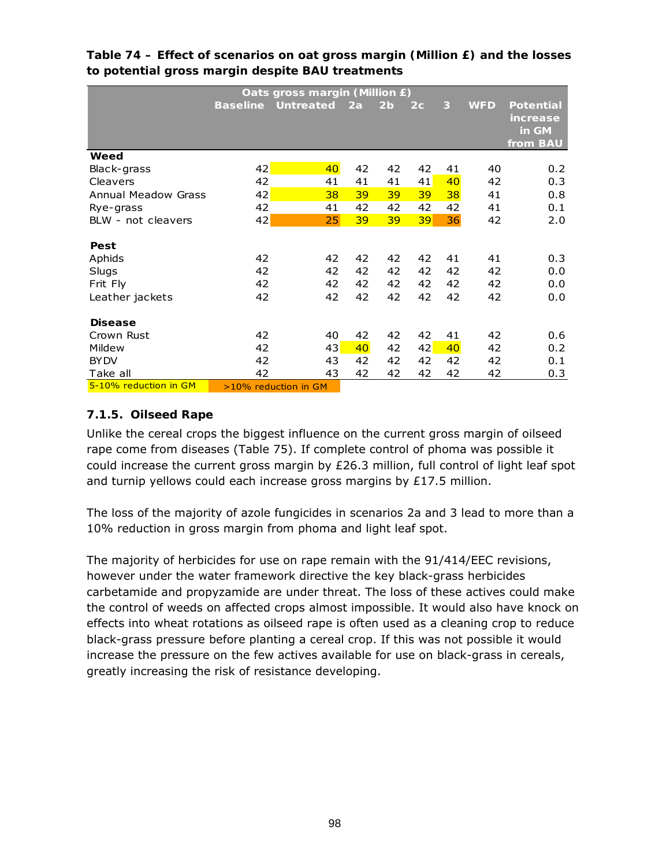|                            | Oats gross margin (Million £) |                           |    |                |                |    |            |                  |  |  |  |  |
|----------------------------|-------------------------------|---------------------------|----|----------------|----------------|----|------------|------------------|--|--|--|--|
|                            |                               | <b>Baseline Untreated</b> | 2a | 2 <sub>b</sub> | 2 <sub>c</sub> | 3  | <b>WFD</b> | <b>Potential</b> |  |  |  |  |
|                            |                               |                           |    |                |                |    |            | <i>increase</i>  |  |  |  |  |
|                            |                               |                           |    |                |                |    |            | in GM            |  |  |  |  |
|                            |                               |                           |    |                |                |    |            | from BAU         |  |  |  |  |
| Weed                       |                               |                           |    |                |                |    |            |                  |  |  |  |  |
| Black-grass                | 42                            | 40 <sub>°</sub>           | 42 | 42             | 42             | 41 | 40         | 0.2 <sub>0</sub> |  |  |  |  |
| Cleavers                   | 42                            | 41                        | 41 | 41             | 41             | 40 | 42         | 0.3              |  |  |  |  |
| <b>Annual Meadow Grass</b> | 42                            | 38                        | 39 | 39             | 39             | 38 | 41         | 0.8              |  |  |  |  |
| Rye-grass                  | 42                            | 41                        | 42 | 42             | 42             | 42 | 41         | 0.1              |  |  |  |  |
| BLW - not cleavers         | 42                            | 25                        | 39 | 39             | 39             | 36 | 42         | 2.0              |  |  |  |  |
|                            |                               |                           |    |                |                |    |            |                  |  |  |  |  |
| Pest                       |                               |                           |    |                |                |    |            |                  |  |  |  |  |
| Aphids                     | 42                            | 42                        | 42 | 42             | 42             | 41 | 41         | 0.3              |  |  |  |  |
| Slugs                      | 42                            | 42                        | 42 | 42             | 42             | 42 | 42         | 0.0              |  |  |  |  |
| Frit Fly                   | 42                            | 42                        | 42 | 42             | 42             | 42 | 42         | 0.0              |  |  |  |  |
| Leather jackets            | 42                            | 42                        | 42 | 42             | 42             | 42 | 42         | 0.0              |  |  |  |  |
|                            |                               |                           |    |                |                |    |            |                  |  |  |  |  |
| <b>Disease</b>             |                               |                           |    |                |                |    |            |                  |  |  |  |  |
| Crown Rust                 | 42                            | 40                        | 42 | 42             | 42             | 41 | 42         | 0.6              |  |  |  |  |
| Mildew                     | 42                            | 43                        | 40 | 42             | 42             | 40 | 42         | 0.2              |  |  |  |  |
| <b>BY DV</b>               | 42                            | 43                        | 42 | 42             | 42             | 42 | 42         | 0.1              |  |  |  |  |
| Take all                   | 42                            | 43                        | 42 | 42             | 42             | 42 | 42         | 0.3              |  |  |  |  |
| 5-10% reduction in GM      |                               | $>10\%$ reduction in GM   |    |                |                |    |            |                  |  |  |  |  |

**Table 74 – Effect of scenarios on oat gross margin (Million £) and the losses to potential gross margin despite BAU treatments** 

## **7.1.5. Oilseed Rape**

Unlike the cereal crops the biggest influence on the current gross margin of oilseed rape come from diseases (Table 75). If complete control of phoma was possible it could increase the current gross margin by £26.3 million, full control of light leaf spot and turnip yellows could each increase gross margins by £17.5 million.

The loss of the majority of azole fungicides in scenarios 2a and 3 lead to more than a 10% reduction in gross margin from phoma and light leaf spot.

The majority of herbicides for use on rape remain with the 91/414/EEC revisions, however under the water framework directive the key black-grass herbicides carbetamide and propyzamide are under threat. The loss of these actives could make the control of weeds on affected crops almost impossible. It would also have knock on effects into wheat rotations as oilseed rape is often used as a cleaning crop to reduce black-grass pressure before planting a cereal crop. If this was not possible it would increase the pressure on the few actives available for use on black-grass in cereals, greatly increasing the risk of resistance developing.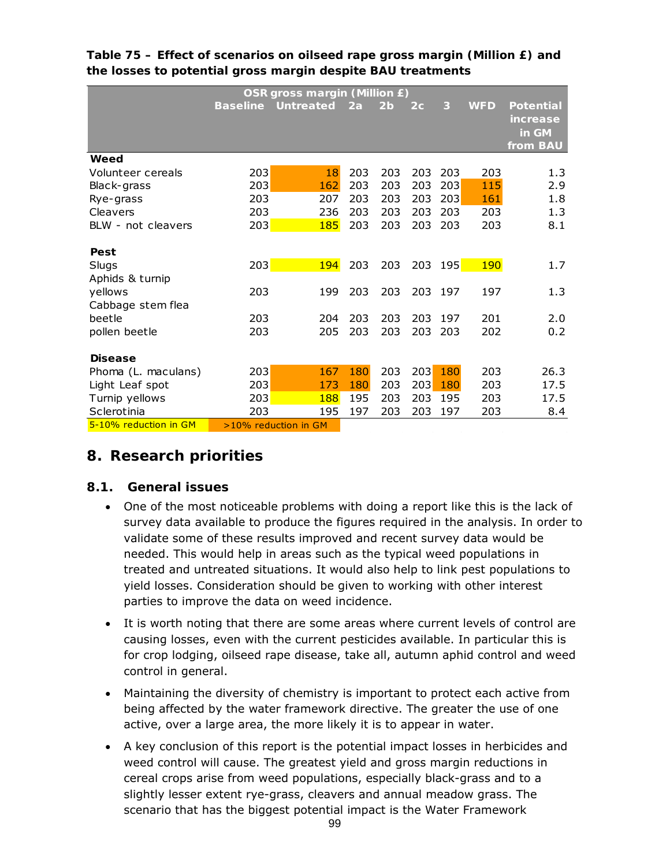|                             | OSR gross margin (Million £) |                         |     |                |     |     |            |                                            |  |  |  |  |
|-----------------------------|------------------------------|-------------------------|-----|----------------|-----|-----|------------|--------------------------------------------|--|--|--|--|
|                             | <b>Baseline</b>              | <b>Untreated</b>        | 2a  | 2 <sub>b</sub> | 2c  | 3   | <b>WFD</b> | Potential<br>increase<br>in GM<br>from BAU |  |  |  |  |
| Weed                        |                              |                         |     |                |     |     |            |                                            |  |  |  |  |
| Volunteer cereals           | 203                          | 18                      | 203 | 203            | 203 | 203 | 203        | 1.3                                        |  |  |  |  |
| Black-grass                 | 203                          | 162                     | 203 | 203            | 203 | 203 | 115        | 2.9                                        |  |  |  |  |
| Rye-grass                   | 203                          | 207                     | 203 | 203            | 203 | 203 | 161        | 1.8                                        |  |  |  |  |
| Cleavers                    | 203                          | 236                     | 203 | 203            | 203 | 203 | 203        | 1.3                                        |  |  |  |  |
| BLW - not cleavers          | 203                          | 185                     | 203 | 203            | 203 | 203 | 203        | 8.1                                        |  |  |  |  |
| Pest                        |                              |                         |     |                |     |     |            |                                            |  |  |  |  |
| Slugs                       | 203                          | <b>194</b>              | 203 | 203            | 203 | 195 | <b>190</b> | 1.7                                        |  |  |  |  |
| Aphids & turnip             |                              |                         |     |                |     |     |            |                                            |  |  |  |  |
| yellows                     | 203                          | 199                     | 203 | 203            | 203 | 197 | 197        | 1.3                                        |  |  |  |  |
| Cabbage stem flea<br>beetle | 203                          | 204                     | 203 | 203            | 203 | 197 | 201        | 2.0                                        |  |  |  |  |
| pollen beetle               | 203                          | 205                     | 203 | 203            | 203 | 203 | 202        | 0.2                                        |  |  |  |  |
| <b>Disease</b>              |                              |                         |     |                |     |     |            |                                            |  |  |  |  |
| Phoma (L. maculans)         | 203                          | 167                     | 180 | 203            | 203 | 180 | 203        | 26.3                                       |  |  |  |  |
| Light Leaf spot             | 203                          | 173                     | 180 | 203            | 203 | 180 | 203        | 17.5                                       |  |  |  |  |
| Turnip yellows              | 203                          | 188                     | 195 | 203            | 203 | 195 | 203        | 17.5                                       |  |  |  |  |
| Sclerotinia                 | 203                          | 195                     | 197 | 203            | 203 | 197 | 203        | 8.4                                        |  |  |  |  |
| 5-10% reduction in GM       |                              | $>10\%$ reduction in GM |     |                |     |     |            |                                            |  |  |  |  |

## **Table 75 – Effect of scenarios on oilseed rape gross margin (Million £) and the losses to potential gross margin despite BAU treatments**

## **8. Research priorities**

## **8.1. General issues**

- One of the most noticeable problems with doing a report like this is the lack of survey data available to produce the figures required in the analysis. In order to validate some of these results improved and recent survey data would be needed. This would help in areas such as the typical weed populations in treated and untreated situations. It would also help to link pest populations to yield losses. Consideration should be given to working with other interest parties to improve the data on weed incidence.
- It is worth noting that there are some areas where current levels of control are causing losses, even with the current pesticides available. In particular this is for crop lodging, oilseed rape disease, take all, autumn aphid control and weed control in general.
- Maintaining the diversity of chemistry is important to protect each active from being affected by the water framework directive. The greater the use of one active, over a large area, the more likely it is to appear in water.
- A key conclusion of this report is the potential impact losses in herbicides and weed control will cause. The greatest yield and gross margin reductions in cereal crops arise from weed populations, especially black-grass and to a slightly lesser extent rye-grass, cleavers and annual meadow grass. The scenario that has the biggest potential impact is the Water Framework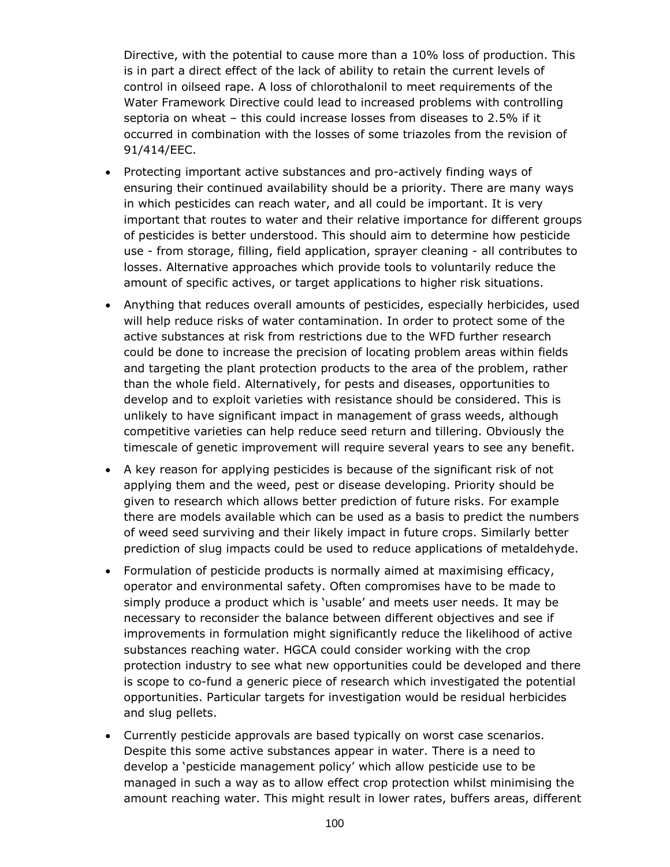Directive, with the potential to cause more than a 10% loss of production. This is in part a direct effect of the lack of ability to retain the current levels of control in oilseed rape. A loss of chlorothalonil to meet requirements of the Water Framework Directive could lead to increased problems with controlling septoria on wheat – this could increase losses from diseases to 2.5% if it occurred in combination with the losses of some triazoles from the revision of 91/414/EEC.

- Protecting important active substances and pro-actively finding ways of ensuring their continued availability should be a priority. There are many ways in which pesticides can reach water, and all could be important. It is very important that routes to water and their relative importance for different groups of pesticides is better understood. This should aim to determine how pesticide use - from storage, filling, field application, sprayer cleaning - all contributes to losses. Alternative approaches which provide tools to voluntarily reduce the amount of specific actives, or target applications to higher risk situations.
- Anything that reduces overall amounts of pesticides, especially herbicides, used will help reduce risks of water contamination. In order to protect some of the active substances at risk from restrictions due to the WFD further research could be done to increase the precision of locating problem areas within fields and targeting the plant protection products to the area of the problem, rather than the whole field. Alternatively, for pests and diseases, opportunities to develop and to exploit varieties with resistance should be considered. This is unlikely to have significant impact in management of grass weeds, although competitive varieties can help reduce seed return and tillering. Obviously the timescale of genetic improvement will require several years to see any benefit.
- A key reason for applying pesticides is because of the significant risk of not applying them and the weed, pest or disease developing. Priority should be given to research which allows better prediction of future risks. For example there are models available which can be used as a basis to predict the numbers of weed seed surviving and their likely impact in future crops. Similarly better prediction of slug impacts could be used to reduce applications of metaldehyde.
- Formulation of pesticide products is normally aimed at maximising efficacy, operator and environmental safety. Often compromises have to be made to simply produce a product which is 'usable' and meets user needs. It may be necessary to reconsider the balance between different objectives and see if improvements in formulation might significantly reduce the likelihood of active substances reaching water. HGCA could consider working with the crop protection industry to see what new opportunities could be developed and there is scope to co-fund a generic piece of research which investigated the potential opportunities. Particular targets for investigation would be residual herbicides and slug pellets.
- Currently pesticide approvals are based typically on worst case scenarios. Despite this some active substances appear in water. There is a need to develop a 'pesticide management policy' which allow pesticide use to be managed in such a way as to allow effect crop protection whilst minimising the amount reaching water. This might result in lower rates, buffers areas, different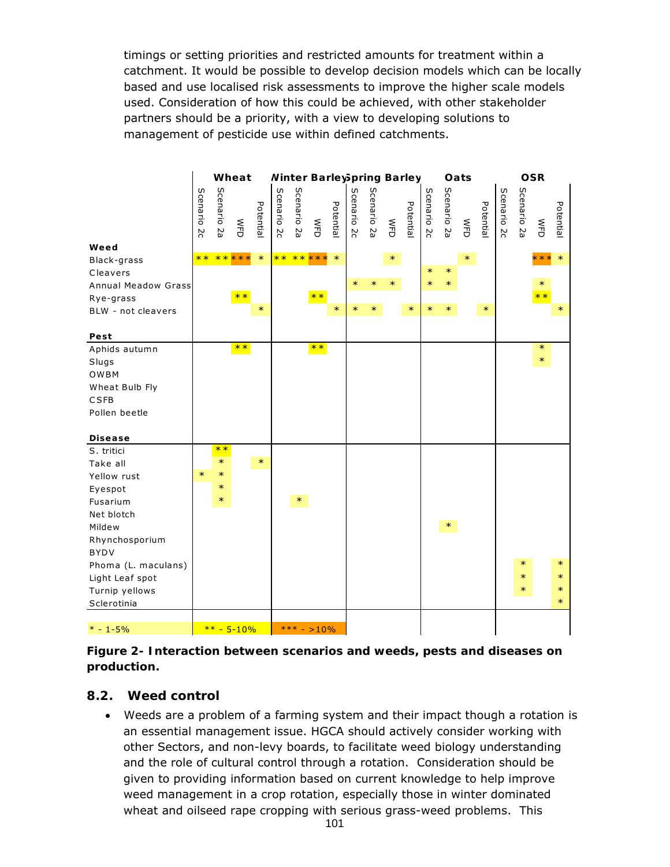timings or setting priorities and restricted amounts for treatment within a catchment. It would be possible to develop decision models which can be locally based and use localised risk assessments to improve the higher scale models used. Consideration of how this could be achieved, with other stakeholder partners should be a priority, with a view to developing solutions to management of pesticide use within defined catchments.

|                                                                                  | Wheat          |                |                                                       |           | <b>Ninter BarleySpring Barley</b> |                |                       |           |                |             |             |           | Oats           |                | <b>OSR</b>            |           |                |             |                       |           |
|----------------------------------------------------------------------------------|----------------|----------------|-------------------------------------------------------|-----------|-----------------------------------|----------------|-----------------------|-----------|----------------|-------------|-------------|-----------|----------------|----------------|-----------------------|-----------|----------------|-------------|-----------------------|-----------|
|                                                                                  | Scenario<br>ΣC | Scenario<br>ΡZ | $\mathop{\mathsf{S}\vphantom{a}}\limits^{\mathsf{S}}$ | Potential | Scenario<br>ΣC                    | Scenario<br>ΡZ | $\sum_{i=1}^{\infty}$ | Potential | Scenario<br>ΣC | Scenario 2a | $rac{5}{5}$ | Potential | Scenario<br>ΣC | Scenario<br>ΡZ | $\sum_{i=1}^{\infty}$ | Potential | Scenario<br>ΣC | Scenario 2a | $\sum_{i=1}^{\infty}$ | Potential |
| Weed                                                                             | $**$           |                | *****                                                 | $\ast$    |                                   |                | ** ** ***             | $\ast$    |                |             | $\ast$      |           |                |                | $\ast$                |           |                |             | ***                   | $\ast$    |
| Black-grass<br>Cleavers                                                          |                |                |                                                       |           |                                   |                |                       |           |                |             |             |           | $\ast$         | $\ast$         |                       |           |                |             |                       |           |
| <b>Annual Meadow Grass</b>                                                       |                |                |                                                       |           |                                   |                |                       |           | $\ast$         | $\ast$      | $\ast$      |           | $\ast$         | $\ast$         |                       |           |                |             | $\ast$                |           |
| Rye-grass                                                                        |                |                | $**$                                                  |           |                                   |                | $**$                  |           |                |             |             |           |                |                |                       |           |                |             | $**$                  |           |
| BLW - not cleavers                                                               |                |                |                                                       | $\ast$    |                                   |                |                       | $\ast$    | ∗              |             |             | $\ast$    | $\ast$         | $\ast$         |                       | $\ast$    |                |             |                       | $\ast$    |
|                                                                                  |                |                |                                                       |           |                                   |                |                       |           |                |             |             |           |                |                |                       |           |                |             |                       |           |
| Pest                                                                             |                |                |                                                       |           |                                   |                |                       |           |                |             |             |           |                |                |                       |           |                |             |                       |           |
| Aphids autumn<br>Slugs<br>OWBM<br>Wheat Bulb Fly<br><b>CSFB</b><br>Pollen beetle |                |                | $**$                                                  |           |                                   |                | $**$                  |           |                |             |             |           |                |                |                       |           |                |             | $\ast$<br>$\ast$      |           |
| <b>Disease</b>                                                                   |                |                |                                                       |           |                                   |                |                       |           |                |             |             |           |                |                |                       |           |                |             |                       |           |
| S. tritici                                                                       |                | $**$           |                                                       |           |                                   |                |                       |           |                |             |             |           |                |                |                       |           |                |             |                       |           |
| Take all                                                                         |                | $\ast$         |                                                       | $\ast$    |                                   |                |                       |           |                |             |             |           |                |                |                       |           |                |             |                       |           |
| Yellow rust                                                                      | $\ast$         | $\ast$         |                                                       |           |                                   |                |                       |           |                |             |             |           |                |                |                       |           |                |             |                       |           |
| Eyespot                                                                          |                | $\ast$         |                                                       |           |                                   |                |                       |           |                |             |             |           |                |                |                       |           |                |             |                       |           |
| Fusarium                                                                         |                | $\ast$         |                                                       |           |                                   | $\ast$         |                       |           |                |             |             |           |                |                |                       |           |                |             |                       |           |
| Net blotch                                                                       |                |                |                                                       |           |                                   |                |                       |           |                |             |             |           |                |                |                       |           |                |             |                       |           |
| Mildew                                                                           |                |                |                                                       |           |                                   |                |                       |           |                |             |             |           |                | $\ast$         |                       |           |                |             |                       |           |
| Rhynchosporium                                                                   |                |                |                                                       |           |                                   |                |                       |           |                |             |             |           |                |                |                       |           |                |             |                       |           |
| <b>BYDV</b>                                                                      |                |                |                                                       |           |                                   |                |                       |           |                |             |             |           |                |                |                       |           |                |             |                       |           |
| Phoma (L. maculans)                                                              |                |                |                                                       |           |                                   |                |                       |           |                |             |             |           |                |                |                       |           |                | $\ast$      |                       | $\ast$    |
| Light Leaf spot                                                                  |                |                |                                                       |           |                                   |                |                       |           |                |             |             |           |                |                |                       |           |                | $\ast$      |                       | $\ast$    |
| Turnip yellows                                                                   |                |                |                                                       |           |                                   |                |                       |           |                |             |             |           |                |                |                       |           |                | ∗           |                       | $\ast$    |
| Sclerotinia                                                                      |                |                |                                                       |           |                                   |                |                       |           |                |             |             |           |                |                |                       |           |                |             |                       | $\ast$    |
| $* - 1 - 5%$                                                                     |                |                | $*** - 5 - 10%$                                       |           |                                   |                | *** - >10%            |           |                |             |             |           |                |                |                       |           |                |             |                       |           |

**Figure 2- Interaction between scenarios and weeds, pests and diseases on production.** 

#### **8.2. Weed control**

• Weeds are a problem of a farming system and their impact though a rotation is an essential management issue. HGCA should actively consider working with other Sectors, and non-levy boards, to facilitate weed biology understanding and the role of cultural control through a rotation. Consideration should be given to providing information based on current knowledge to help improve weed management in a crop rotation, especially those in winter dominated wheat and oilseed rape cropping with serious grass-weed problems. This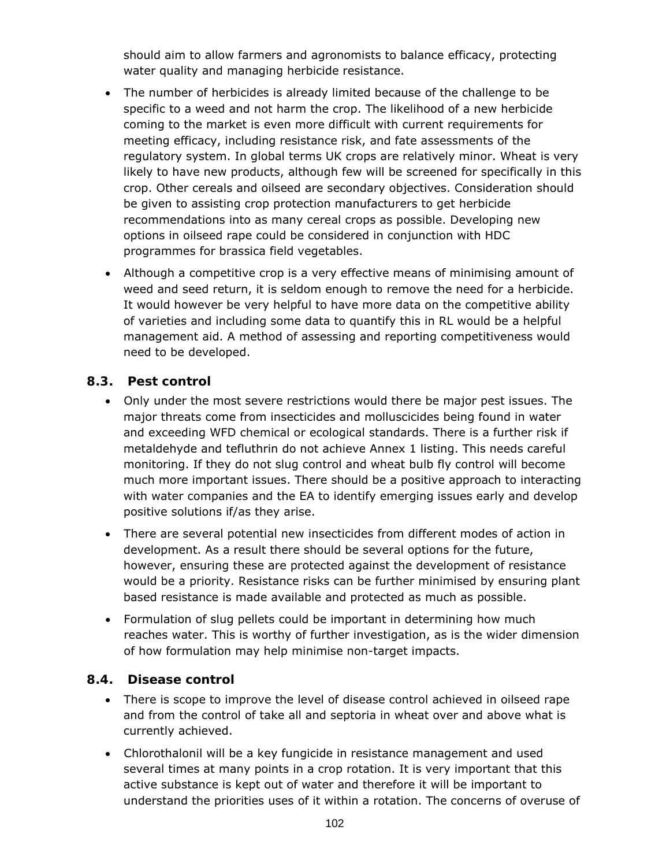should aim to allow farmers and agronomists to balance efficacy, protecting water quality and managing herbicide resistance.

- The number of herbicides is already limited because of the challenge to be specific to a weed and not harm the crop. The likelihood of a new herbicide coming to the market is even more difficult with current requirements for meeting efficacy, including resistance risk, and fate assessments of the regulatory system. In global terms UK crops are relatively minor. Wheat is very likely to have new products, although few will be screened for specifically in this crop. Other cereals and oilseed are secondary objectives. Consideration should be given to assisting crop protection manufacturers to get herbicide recommendations into as many cereal crops as possible. Developing new options in oilseed rape could be considered in conjunction with HDC programmes for brassica field vegetables.
- Although a competitive crop is a very effective means of minimising amount of weed and seed return, it is seldom enough to remove the need for a herbicide. It would however be very helpful to have more data on the competitive ability of varieties and including some data to quantify this in RL would be a helpful management aid. A method of assessing and reporting competitiveness would need to be developed.

## **8.3. Pest control**

- Only under the most severe restrictions would there be major pest issues. The major threats come from insecticides and molluscicides being found in water and exceeding WFD chemical or ecological standards. There is a further risk if metaldehyde and tefluthrin do not achieve Annex 1 listing. This needs careful monitoring. If they do not slug control and wheat bulb fly control will become much more important issues. There should be a positive approach to interacting with water companies and the EA to identify emerging issues early and develop positive solutions if/as they arise.
- There are several potential new insecticides from different modes of action in development. As a result there should be several options for the future, however, ensuring these are protected against the development of resistance would be a priority. Resistance risks can be further minimised by ensuring plant based resistance is made available and protected as much as possible.
- Formulation of slug pellets could be important in determining how much reaches water. This is worthy of further investigation, as is the wider dimension of how formulation may help minimise non-target impacts.

## **8.4. Disease control**

- There is scope to improve the level of disease control achieved in oilseed rape and from the control of take all and septoria in wheat over and above what is currently achieved.
- Chlorothalonil will be a key fungicide in resistance management and used several times at many points in a crop rotation. It is very important that this active substance is kept out of water and therefore it will be important to understand the priorities uses of it within a rotation. The concerns of overuse of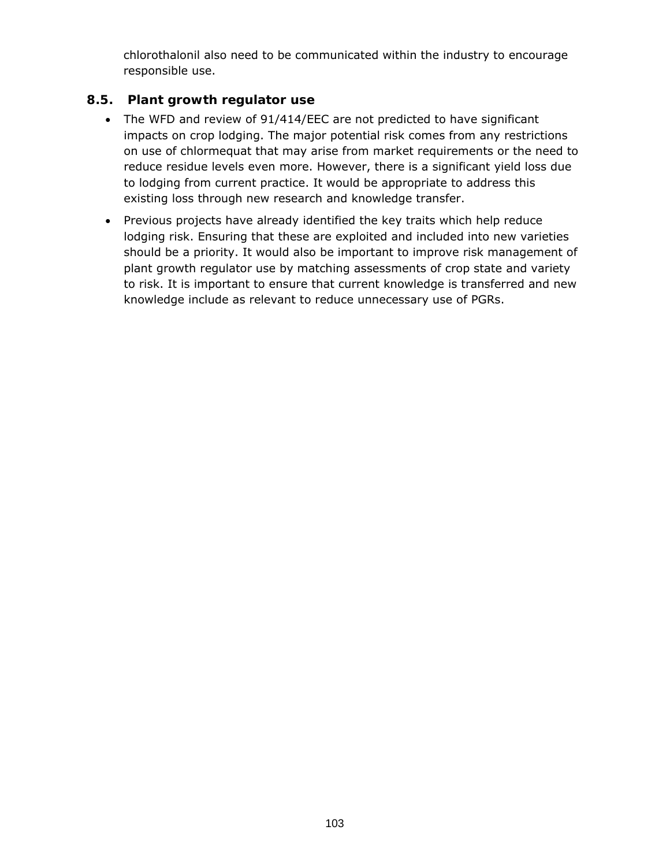chlorothalonil also need to be communicated within the industry to encourage responsible use.

## **8.5. Plant growth regulator use**

- The WFD and review of 91/414/EEC are not predicted to have significant impacts on crop lodging. The major potential risk comes from any restrictions on use of chlormequat that may arise from market requirements or the need to reduce residue levels even more. However, there is a significant yield loss due to lodging from current practice. It would be appropriate to address this existing loss through new research and knowledge transfer.
- Previous projects have already identified the key traits which help reduce lodging risk. Ensuring that these are exploited and included into new varieties should be a priority. It would also be important to improve risk management of plant growth regulator use by matching assessments of crop state and variety to risk. It is important to ensure that current knowledge is transferred and new knowledge include as relevant to reduce unnecessary use of PGRs.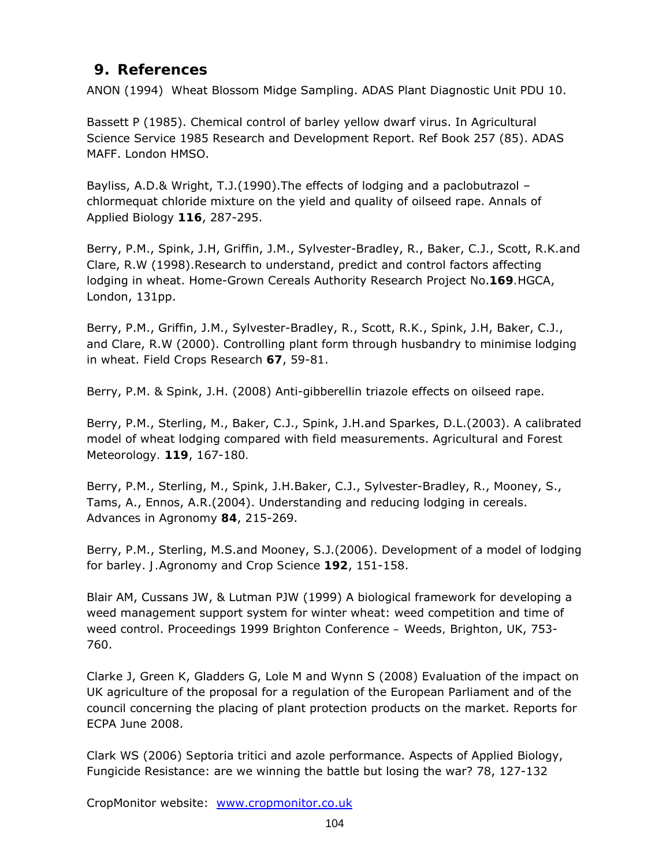## **9. References**

ANON (1994) Wheat Blossom Midge Sampling. ADAS Plant Diagnostic Unit PDU 10.

Bassett P (1985). Chemical control of barley yellow dwarf virus. In Agricultural Science Service 1985 Research and Development Report. Ref Book 257 (85). ADAS MAFF. London HMSO.

Bayliss, A.D.& Wright, T.J.(1990).The effects of lodging and a paclobutrazol – chlormequat chloride mixture on the yield and quality of oilseed rape. *Annals of Applied Biology* **116**, 287-295.

Berry, P.M., Spink, J.H, Griffin, J.M., Sylvester-Bradley, R., Baker, C.J., Scott, R.K.and Clare, R.W (1998).Research to understand, predict and control factors affecting lodging in wheat. Home-Grown Cereals Authority Research Project No.**169***.*HGCA, London, 131pp.

Berry, P.M., Griffin, J.M., Sylvester-Bradley, R., Scott, R.K., Spink, J.H, Baker, C.J., and Clare, R.W (2000). Controlling plant form through husbandry to minimise lodging in wheat. *Field Crops Research* **67**, 59-81.

Berry, P.M. & Spink, J.H. (2008) Anti-gibberellin triazole effects on oilseed rape.

Berry, P.M., Sterling, M., Baker, C.J., Spink, J.H.and Sparkes, D.L.(2003). A calibrated model of wheat lodging compared with field measurements. *Agricultural and Forest Meteorology.* **119**, 167-180*.* 

Berry, P.M., Sterling, M., Spink, J.H.Baker, C.J., Sylvester-Bradley, R., Mooney, S., Tams, A., Ennos, A.R.(2004). Understanding and reducing lodging in cereals. *Advances in Agronomy* **84**, 215-269.

Berry, P.M., Sterling, M.S.and Mooney, S.J.(2006). Development of a model of lodging for barley. *J.Agronomy and Crop Science* **192**, 151-158.

Blair AM, Cussans JW, & Lutman PJW (1999) A biological framework for developing a weed management support system for winter wheat: weed competition and time of weed control. *Proceedings 1999 Brighton Conference – Weeds,* Brighton, UK, 753- 760.

Clarke J, Green K, Gladders G, Lole M and Wynn S (2008) Evaluation of the impact on UK agriculture of the proposal for a regulation of the European Parliament and of the council concerning the placing of plant protection products on the market. Reports for ECPA June 2008.

Clark WS (2006) *Septoria tritici* and azole performance. Aspects of Applied Biology, Fungicide Resistance: are we winning the battle but losing the war? 78, 127-132

CropMonitor website: www.cropmonitor.co.uk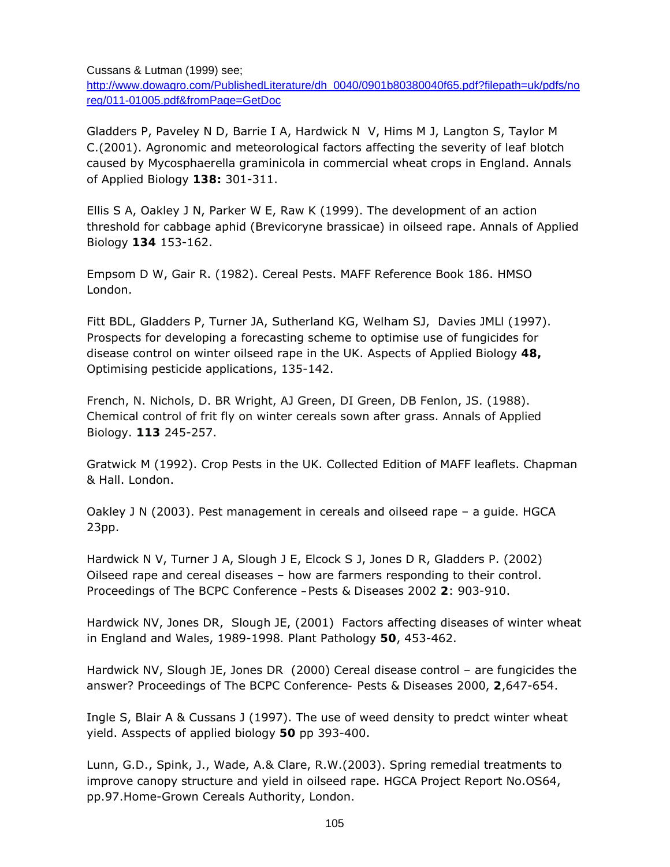Cussans & Lutman (1999) see;

http://www.dowagro.com/PublishedLiterature/dh\_0040/0901b80380040f65.pdf?filepath=uk/pdfs/no reg/011-01005.pdf&fromPage=GetDoc

Gladders P, Paveley N D, Barrie I A, Hardwick N V, Hims M J, Langton S, Taylor M C.(2001). Agronomic and meteorological factors affecting the severity of leaf blotch caused by *Mycosphaerella graminicola* in commercial wheat crops in England. *Annals of Applied Biology* **138:** 301-311.

Ellis S A, Oakley J N, Parker W E, Raw K (1999). The development of an action threshold for cabbage aphid (Brevicoryne brassicae) in oilseed rape. *Annals of Applied Biology* **134** 153-162.

Empsom D W, Gair R. (1982). Cereal Pests. MAFF Reference Book 186. HMSO London.

Fitt BDL, Gladders P, Turner JA, Sutherland KG, Welham SJ, Davies JMLl (1997). Prospects for developing a forecasting scheme to optimise use of fungicides for disease control on winter oilseed rape in the UK. *Aspects of Applied Biology* **48,** *Optimising pesticide applications*, 135-142.

French, N. Nichols, D. BR Wright, AJ Green, DI Green, DB Fenlon, JS. (1988). Chemical control of frit fly on winter cereals sown after grass. *Annals of Applied Biology*. **113** 245-257.

Gratwick M (1992). Crop Pests in the UK. Collected Edition of MAFF leaflets. Chapman & Hall. London.

Oakley J N (2003). Pest management in cereals and oilseed rape – a guide. HGCA 23pp.

Hardwick N V, Turner J A, Slough J E, Elcock S J, Jones D R, Gladders P. (2002) Oilseed rape and cereal diseases – how are farmers responding to their control. *Proceedings of The BCPC Conference –Pests & Diseases 2002* **2**: 903-910.

Hardwick NV, Jones DR, Slough JE, (2001) Factors affecting diseases of winter wheat in England and Wales, 1989-1998*. Plant Pathology* **50**, 453-462.

Hardwick NV, Slough JE, Jones DR (2000) Cereal disease control – are fungicides the answer? *Proceedings of The BCPC Conference- Pests & Diseases 2000*, **2**,647-654.

Ingle S, Blair A & Cussans J (1997). The use of weed density to predct winter wheat yield. *Asspects of applied biology* **50** pp 393-400.

Lunn, G.D., Spink, J., Wade, A.& Clare, R.W.(2003). Spring remedial treatments to improve canopy structure and yield in oilseed rape. HGCA Project Report No.OS64, pp.97.Home-Grown Cereals Authority, London.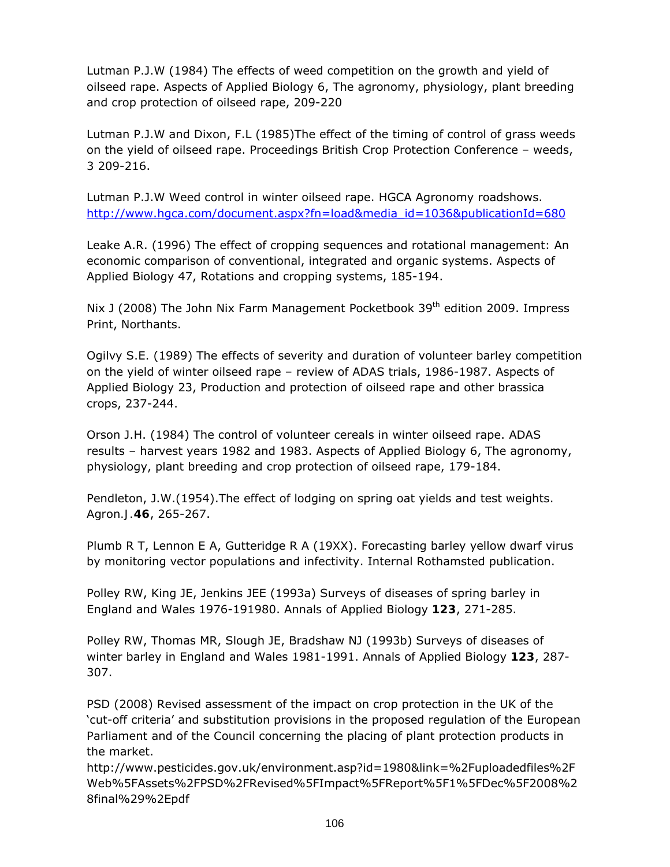Lutman P.J.W (1984) The effects of weed competition on the growth and yield of oilseed rape. Aspects of Applied Biology 6, The agronomy, physiology, plant breeding and crop protection of oilseed rape, 209-220

Lutman P.J.W and Dixon, F.L (1985)The effect of the timing of control of grass weeds on the yield of oilseed rape. Proceedings British Crop Protection Conference – weeds, 3 209-216.

Lutman P.J.W Weed control in winter oilseed rape. HGCA Agronomy roadshows. http://www.hgca.com/document.aspx?fn=load&media\_id=1036&publicationId=680

Leake A.R. (1996) The effect of cropping sequences and rotational management: An economic comparison of conventional, integrated and organic systems. Aspects of Applied Biology 47, Rotations and cropping systems, 185-194.

Nix J (2008) The John Nix Farm Management Pocketbook 39<sup>th</sup> edition 2009. Impress Print, Northants.

Ogilvy S.E. (1989) The effects of severity and duration of volunteer barley competition on the yield of winter oilseed rape – review of ADAS trials, 1986-1987. Aspects of Applied Biology 23, Production and protection of oilseed rape and other brassica crops, 237-244.

Orson J.H. (1984) The control of volunteer cereals in winter oilseed rape. ADAS results – harvest years 1982 and 1983. Aspects of Applied Biology 6, The agronomy, physiology, plant breeding and crop protection of oilseed rape, 179-184.

Pendleton, J.W.(1954).The effect of lodging on spring oat yields and test weights. *Agron.J.***46**, 265-267.

Plumb R T, Lennon E A, Gutteridge R A (19XX). Forecasting barley yellow dwarf virus by monitoring vector populations and infectivity. Internal Rothamsted publication.

Polley RW, King JE, Jenkins JEE (1993a) Surveys of diseases of spring barley in England and Wales 1976-191980. *Annals of Applied Biology* **123**, 271-285.

Polley RW, Thomas MR, Slough JE, Bradshaw NJ (1993b) Surveys of diseases of winter barley in England and Wales 1981-1991. *Annals of Applied Biology* **123**, 287- 307.

PSD (2008) Revised assessment of the impact on crop protection in the UK of the 'cut-off criteria' and substitution provisions in the proposed regulation of the European Parliament and of the Council concerning the placing of plant protection products in the market.

http://www.pesticides.gov.uk/environment.asp?id=1980&link=%2Fuploadedfiles%2F Web%5FAssets%2FPSD%2FRevised%5FImpact%5FReport%5F1%5FDec%5F2008%2 8final%29%2Epdf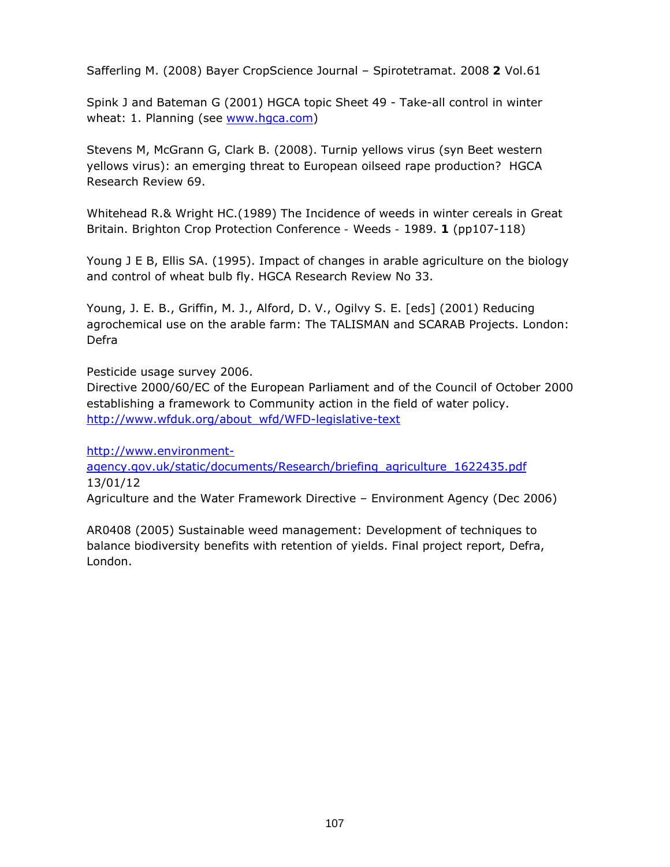Safferling M. (2008) Bayer CropScience Journal – Spirotetramat. 2008 **2** Vol.61

Spink J and Bateman G (2001) HGCA topic Sheet 49 - Take-all control in winter wheat: 1. Planning (see www.hgca.com)

Stevens M, McGrann G, Clark B. (2008). Turnip yellows virus (syn Beet western yellows virus): an emerging threat to European oilseed rape production? HGCA Research Review 69.

Whitehead R.& Wright HC.(1989) The Incidence of weeds in winter cereals in Great Britain. *Brighton Crop Protection Conference - Weeds - 1989*. **1** (pp107-118)

Young J E B, Ellis SA. (1995). Impact of changes in arable agriculture on the biology and control of wheat bulb fly. HGCA Research Review No 33.

Young, J. E. B., Griffin, M. J., Alford, D. V., Ogilvy S. E. [eds] (2001) Reducing agrochemical use on the arable farm: The TALISMAN and SCARAB Projects. London: Defra

Pesticide usage survey 2006.

Directive 2000/60/EC of the European Parliament and of the Council of October 2000 establishing a framework to Community action in the field of water policy. http://www.wfduk.org/about\_wfd/WFD-legislative-text

http://www.environment-

agency.gov.uk/static/documents/Research/briefing\_agriculture\_1622435.pdf 13/01/12

Agriculture and the Water Framework Directive – Environment Agency (Dec 2006)

AR0408 (2005) Sustainable weed management: Development of techniques to balance biodiversity benefits with retention of yields. Final project report, Defra, London.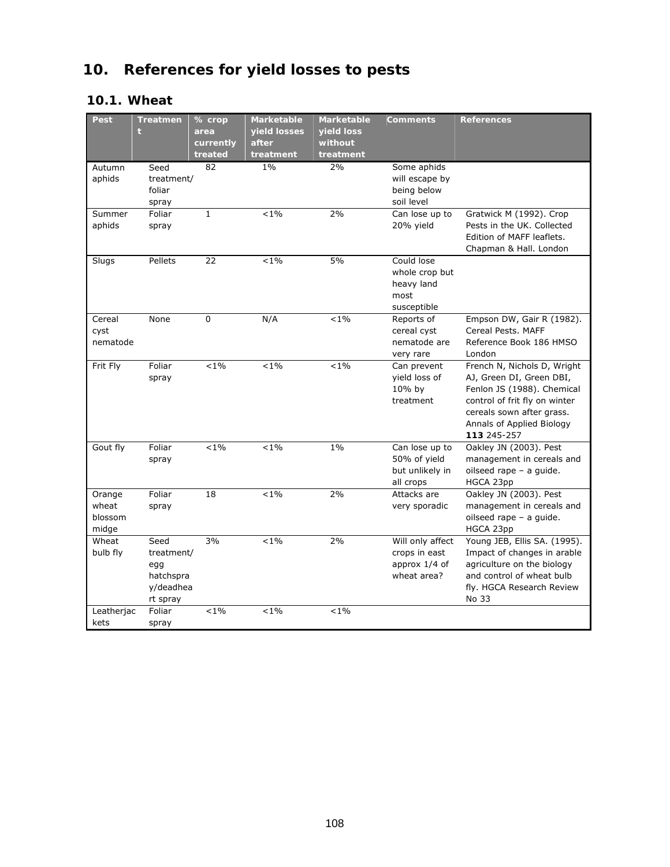# **10. References for yield losses to pests**

### **10.1. Wheat**

| Pest       | <b>Treatmen</b>    | % crop       | <b>Marketable</b> | <b>Marketable</b> | <b>Comments</b>  | <b>References</b>                         |
|------------|--------------------|--------------|-------------------|-------------------|------------------|-------------------------------------------|
|            |                    | area         | yield losses      | yield loss        |                  |                                           |
|            |                    | currently    | after             | without           |                  |                                           |
|            |                    | treated      | treatment         | treatment         |                  |                                           |
| Autumn     | Seed               | 82           | $1\%$             | 2%                | Some aphids      |                                           |
| aphids     | treatment/         |              |                   |                   | will escape by   |                                           |
|            | foliar             |              |                   |                   | being below      |                                           |
|            | spray              |              |                   |                   | soil level       |                                           |
| Summer     | Foliar             | $\mathbf{1}$ | $< 1\%$           | 2%                | Can lose up to   | Gratwick M (1992). Crop                   |
| aphids     | spray              |              |                   |                   | 20% yield        | Pests in the UK. Collected                |
|            |                    |              |                   |                   |                  | Edition of MAFF leaflets.                 |
|            |                    |              |                   |                   |                  | Chapman & Hall. London                    |
| Slugs      | Pellets            | 22           | $< 1\%$           | 5%                | Could lose       |                                           |
|            |                    |              |                   |                   | whole crop but   |                                           |
|            |                    |              |                   |                   | heavy land       |                                           |
|            |                    |              |                   |                   | most             |                                           |
|            |                    |              |                   |                   | susceptible      |                                           |
| Cereal     | None               | 0            | N/A               | $< 1\%$           | Reports of       | Empson DW, Gair R (1982).                 |
| cyst       |                    |              |                   |                   | cereal cyst      | Cereal Pests, MAFF                        |
| nematode   |                    |              |                   |                   | nematode are     | Reference Book 186 HMSO                   |
|            |                    |              |                   |                   | very rare        | London                                    |
| Frit Fly   | Foliar             | $< 1\%$      | $< 1\%$           | $< 1\%$           | Can prevent      | French N, Nichols D, Wright               |
|            | spray              |              |                   |                   | yield loss of    | AJ, Green DI, Green DBI,                  |
|            |                    |              |                   |                   | 10% by           | Fenlon JS (1988). Chemical                |
|            |                    |              |                   |                   | treatment        | control of frit fly on winter             |
|            |                    |              |                   |                   |                  | cereals sown after grass.                 |
|            |                    |              |                   |                   |                  | Annals of Applied Biology                 |
|            |                    |              |                   |                   |                  | 113 245-257                               |
| Gout fly   | Foliar             | $< 1\%$      | $< 1\%$           | $1\%$             | Can lose up to   | Oakley JN (2003). Pest                    |
|            | spray              |              |                   |                   | 50% of yield     | management in cereals and                 |
|            |                    |              |                   |                   | but unlikely in  | oilseed rape - a guide.                   |
|            |                    |              |                   |                   | all crops        | HGCA 23pp                                 |
| Orange     | Foliar             | 18           | $< 1\%$           | 2%                | Attacks are      | Oakley JN (2003). Pest                    |
| wheat      | spray              |              |                   |                   | very sporadic    | management in cereals and                 |
| blossom    |                    |              |                   |                   |                  | oilseed rape - a guide.                   |
| midge      |                    | 3%           |                   |                   | Will only affect | HGCA 23pp<br>Young JEB, Ellis SA. (1995). |
| Wheat      | Seed               |              | $< 1\%$           | 2%                |                  |                                           |
| bulb fly   | treatment/         |              |                   |                   | crops in east    | Impact of changes in arable               |
|            | egg                |              |                   |                   | approx 1/4 of    | agriculture on the biology                |
|            | hatchspra          |              |                   |                   | wheat area?      | and control of wheat bulb                 |
|            | y/deadhea          |              |                   |                   |                  | fly. HGCA Research Review<br>No 33        |
|            | rt spray<br>Foliar | $< 1\%$      | $< 1\%$           | $< 1\%$           |                  |                                           |
| Leatherjac |                    |              |                   |                   |                  |                                           |
| kets       | spray              |              |                   |                   |                  |                                           |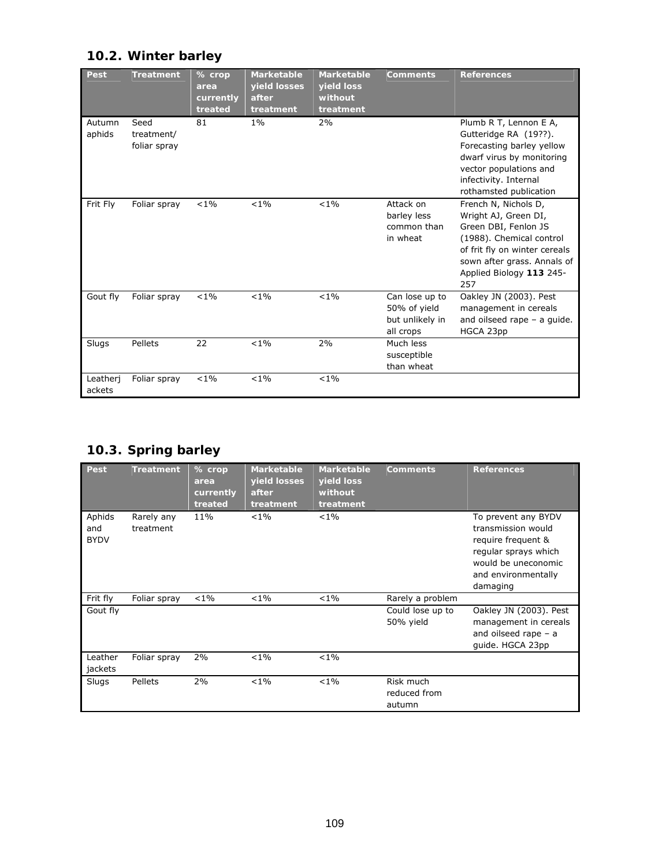## **10.2. Winter barley**

| Pest               | <b>Treatment</b>                   | % crop<br>area<br>currently<br>treated | <b>Marketable</b><br>yield losses<br>after<br>treatment | <b>Marketable</b><br>yield loss<br>without<br>treatment | <b>Comments</b>                                                | <b>References</b>                                                                                                                                                                                   |
|--------------------|------------------------------------|----------------------------------------|---------------------------------------------------------|---------------------------------------------------------|----------------------------------------------------------------|-----------------------------------------------------------------------------------------------------------------------------------------------------------------------------------------------------|
| Autumn<br>aphids   | Seed<br>treatment/<br>foliar spray | 81                                     | $1\%$                                                   | 2%                                                      |                                                                | Plumb R T, Lennon E A,<br>Gutteridge RA (19??).<br>Forecasting barley yellow<br>dwarf virus by monitoring<br>vector populations and<br>infectivity. Internal<br>rothamsted publication              |
| Frit Fly           | Foliar spray                       | $< 1\%$                                | $< 1\%$                                                 | $< 1\%$                                                 | Attack on<br>barley less<br>common than<br>in wheat            | French N, Nichols D,<br>Wright AJ, Green DI,<br>Green DBI, Fenlon JS<br>(1988). Chemical control<br>of frit fly on winter cereals<br>sown after grass. Annals of<br>Applied Biology 113 245-<br>257 |
| Gout fly           | Foliar spray                       | $< 1\%$                                | $< 1\%$                                                 | $< 1\%$                                                 | Can lose up to<br>50% of yield<br>but unlikely in<br>all crops | Oakley JN (2003). Pest<br>management in cereals<br>and oilseed rape $-$ a guide.<br>HGCA 23pp                                                                                                       |
| Slugs              | Pellets                            | 22                                     | $< 1\%$                                                 | 2%                                                      | Much less<br>susceptible<br>than wheat                         |                                                                                                                                                                                                     |
| Leatheri<br>ackets | Foliar spray                       | $< 1\%$                                | $< 1\%$                                                 | $< 1\%$                                                 |                                                                |                                                                                                                                                                                                     |

## **10.3. Spring barley**

| Pest                         | <b>Treatment</b>        | $%$ crop<br>area<br>currently<br>treated | <b>Marketable</b><br>yield losses<br>after<br>treatment | <b>Marketable</b><br>yield loss<br>without<br>treatment | <b>Comments</b>                     | <b>References</b>                                                                                                                                 |
|------------------------------|-------------------------|------------------------------------------|---------------------------------------------------------|---------------------------------------------------------|-------------------------------------|---------------------------------------------------------------------------------------------------------------------------------------------------|
| Aphids<br>and<br><b>BYDV</b> | Rarely any<br>treatment | 11%                                      | $< 1\%$                                                 | $< 1\%$                                                 |                                     | To prevent any BYDV<br>transmission would<br>require frequent &<br>regular sprays which<br>would be uneconomic<br>and environmentally<br>damaging |
| Frit fly                     | Foliar spray            | $< 1\%$                                  | $< 1\%$                                                 | $< 1\%$                                                 | Rarely a problem                    |                                                                                                                                                   |
| Gout fly                     |                         |                                          |                                                         |                                                         | Could lose up to<br>50% yield       | Oakley JN (2003). Pest<br>management in cereals<br>and oilseed rape $-$ a<br>quide. HGCA 23pp                                                     |
| Leather<br>jackets           | Foliar spray            | 2%                                       | $< 1\%$                                                 | $< 1\%$                                                 |                                     |                                                                                                                                                   |
| Slugs                        | Pellets                 | 2%                                       | $< 1\%$                                                 | $< 1\%$                                                 | Risk much<br>reduced from<br>autumn |                                                                                                                                                   |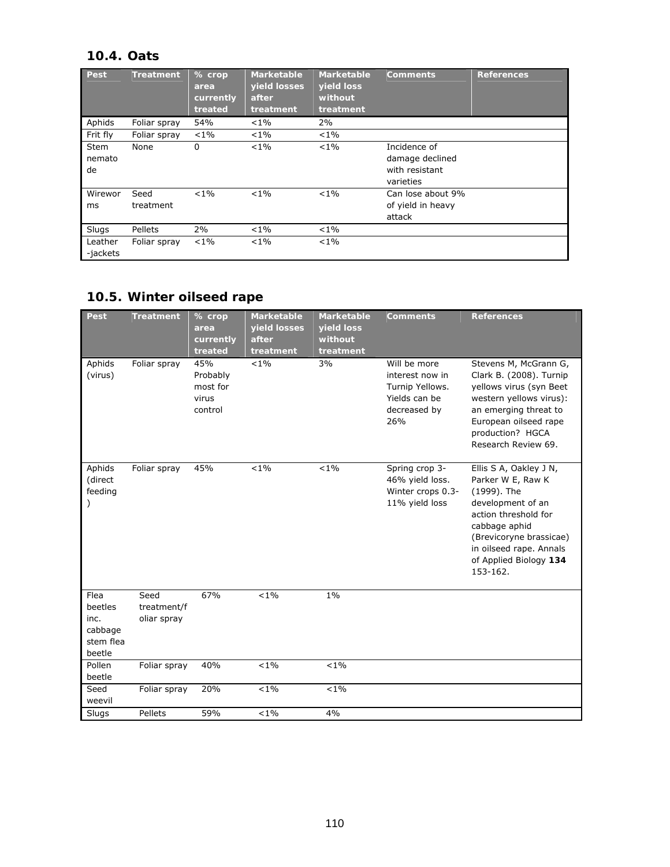### **10.4. Oats**

| Pest                        | <b>Treatment</b>  | % crop<br>area<br>currently<br>treated | <b>Marketable</b><br>yield losses<br>after<br>treatment | <b>Marketable</b><br>yield loss<br>without<br>treatment | <b>Comments</b>                                                | <b>References</b> |
|-----------------------------|-------------------|----------------------------------------|---------------------------------------------------------|---------------------------------------------------------|----------------------------------------------------------------|-------------------|
| Aphids                      | Foliar spray      | 54%                                    | $< 1\%$                                                 | 2%                                                      |                                                                |                   |
| Frit fly                    | Foliar spray      | $< 1\%$                                | $< 1\%$                                                 | $< 1\%$                                                 |                                                                |                   |
| <b>Stem</b><br>nemato<br>de | None              | 0                                      | $< 1\%$                                                 | $< 1\%$                                                 | Incidence of<br>damage declined<br>with resistant<br>varieties |                   |
| Wirewor<br>ms               | Seed<br>treatment | $< 1\%$                                | $< 1\%$                                                 | $< 1\%$                                                 | Can lose about 9%<br>of yield in heavy<br>attack               |                   |
| Slugs                       | Pellets           | 2%                                     | $< 1\%$                                                 | $< 1\%$                                                 |                                                                |                   |
| Leather<br>-jackets         | Foliar spray      | $< 1\%$                                | $< 1\%$                                                 | $< 1\%$                                                 |                                                                |                   |

### **10.5. Winter oilseed rape**

| Pest                                                      | <b>Treatment</b>                   | % crop<br>area<br>currently<br>treated          | <b>Marketable</b><br>yield losses<br>after<br>treatment | <b>Marketable</b><br>yield loss<br>without<br>treatment | <b>Comments</b>                                                                            | <b>References</b>                                                                                                                                                                                                    |
|-----------------------------------------------------------|------------------------------------|-------------------------------------------------|---------------------------------------------------------|---------------------------------------------------------|--------------------------------------------------------------------------------------------|----------------------------------------------------------------------------------------------------------------------------------------------------------------------------------------------------------------------|
| Aphids<br>(virus)                                         | Foliar spray                       | 45%<br>Probably<br>most for<br>virus<br>control | $< 1\%$                                                 | 3%                                                      | Will be more<br>interest now in<br>Turnip Yellows.<br>Yields can be<br>decreased by<br>26% | Stevens M, McGrann G,<br>Clark B. (2008). Turnip<br>yellows virus (syn Beet<br>western yellows virus):<br>an emerging threat to<br>European oilseed rape<br>production? HGCA<br>Research Review 69.                  |
| Aphids<br>(direct<br>feeding                              | Foliar spray                       | 45%                                             | $< 1\%$                                                 | $< 1\%$                                                 | Spring crop 3-<br>46% yield loss.<br>Winter crops 0.3-<br>11% yield loss                   | Ellis S A, Oakley J N,<br>Parker W E, Raw K<br>(1999). The<br>development of an<br>action threshold for<br>cabbage aphid<br>(Brevicoryne brassicae)<br>in oilseed rape. Annals<br>of Applied Biology 134<br>153-162. |
| Flea<br>beetles<br>inc.<br>cabbage<br>stem flea<br>beetle | Seed<br>treatment/f<br>oliar spray | 67%                                             | $< 1\%$                                                 | $1\%$                                                   |                                                                                            |                                                                                                                                                                                                                      |
| Pollen<br>beetle                                          | Foliar spray                       | 40%                                             | $< 1\%$                                                 | $< 1\%$                                                 |                                                                                            |                                                                                                                                                                                                                      |
| Seed<br>weevil                                            | Foliar spray                       | 20%                                             | $< 1\%$                                                 | $< 1\%$                                                 |                                                                                            |                                                                                                                                                                                                                      |
| Slugs                                                     | Pellets                            | 59%                                             | $< 1\%$                                                 | 4%                                                      |                                                                                            |                                                                                                                                                                                                                      |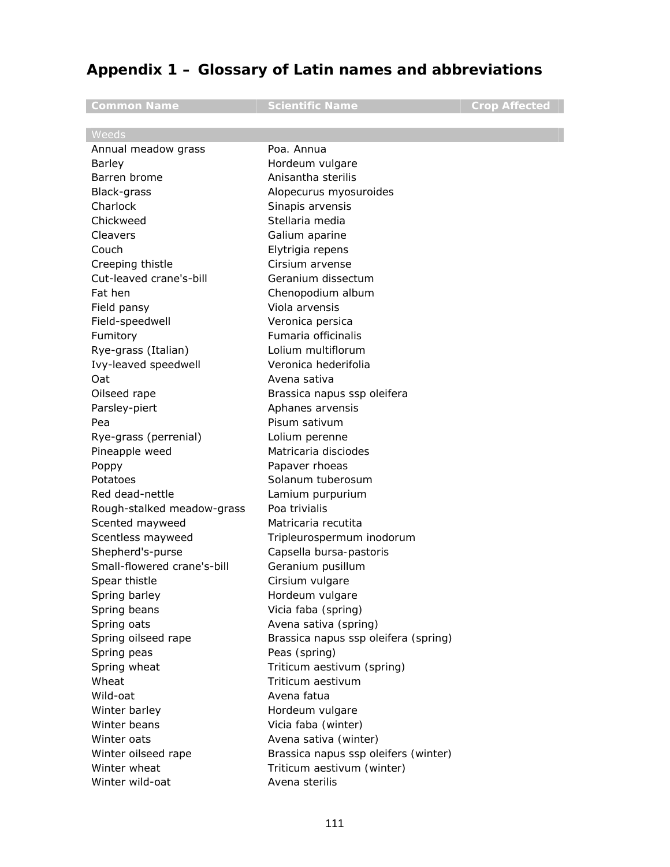# **Appendix 1 – Glossary of Latin names and abbreviations**

| <b>Common Name</b>          | <b>Scientific Name</b>               | <b>Crop Affected</b> |
|-----------------------------|--------------------------------------|----------------------|
| Weeds                       |                                      |                      |
| Annual meadow grass         | Poa. Annua                           |                      |
| Barley                      | Hordeum vulgare                      |                      |
| Barren brome                | Anisantha sterilis                   |                      |
| Black-grass                 | Alopecurus myosuroides               |                      |
| Charlock                    | Sinapis arvensis                     |                      |
| Chickweed                   | Stellaria media                      |                      |
| Cleavers                    | Galium aparine                       |                      |
| Couch                       | Elytrigia repens                     |                      |
| Creeping thistle            | Cirsium arvense                      |                      |
| Cut-leaved crane's-bill     | Geranium dissectum                   |                      |
| Fat hen                     | Chenopodium album                    |                      |
| Field pansy                 | Viola arvensis                       |                      |
| Field-speedwell             | Veronica persica                     |                      |
| Fumitory                    | Fumaria officinalis                  |                      |
| Rye-grass (Italian)         | Lolium multiflorum                   |                      |
| Ivy-leaved speedwell        | Veronica hederifolia                 |                      |
| Oat                         | Avena sativa                         |                      |
| Oilseed rape                | Brassica napus ssp oleifera          |                      |
| Parsley-piert               | Aphanes arvensis                     |                      |
| Pea                         | Pisum sativum                        |                      |
| Rye-grass (perrenial)       | Lolium perenne                       |                      |
| Pineapple weed              | Matricaria disciodes                 |                      |
| Poppy                       | Papaver rhoeas                       |                      |
| Potatoes                    | Solanum tuberosum                    |                      |
| Red dead-nettle             | Lamium purpurium                     |                      |
| Rough-stalked meadow-grass  | Poa trivialis                        |                      |
| Scented mayweed             | Matricaria recutita                  |                      |
| Scentless mayweed           | Tripleurospermum inodorum            |                      |
| Shepherd's-purse            | Capsella bursa-pastoris              |                      |
| Small-flowered crane's-bill | Geranium pusillum                    |                      |
| Spear thistle               | Cirsium vulgare                      |                      |
| Spring barley               | Hordeum vulgare                      |                      |
| Spring beans                | Vicia faba (spring)                  |                      |
| Spring oats                 | Avena sativa (spring)                |                      |
| Spring oilseed rape         | Brassica napus ssp oleifera (spring) |                      |
| Spring peas                 | Peas (spring)                        |                      |
| Spring wheat                | Triticum aestivum (spring)           |                      |
| Wheat                       | Triticum aestivum                    |                      |
| Wild-oat                    | Avena fatua                          |                      |
| Winter barley               | Hordeum vulgare                      |                      |
| Winter beans                | Vicia faba (winter)                  |                      |
| Winter oats                 | Avena sativa (winter)                |                      |
| Winter oilseed rape         | Brassica napus ssp oleifers (winter) |                      |
| Winter wheat                | Triticum aestivum (winter)           |                      |
| Winter wild-oat             | Avena sterilis                       |                      |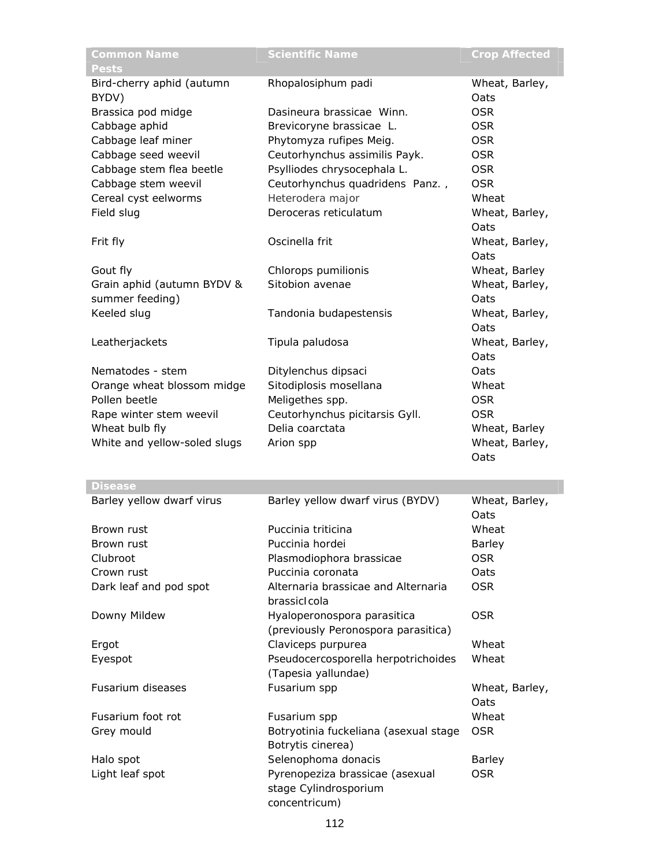| <b>Common Name</b><br><b>Pests</b> | <b>Scientific Name</b>                | <b>Crop Affected</b>   |
|------------------------------------|---------------------------------------|------------------------|
| Bird-cherry aphid (autumn<br>BYDV) | Rhopalosiphum padi                    | Wheat, Barley,<br>Oats |
| Brassica pod midge                 | Dasineura brassicae Winn.             | <b>OSR</b>             |
| Cabbage aphid                      | Brevicoryne brassicae L.              | <b>OSR</b>             |
| Cabbage leaf miner                 | Phytomyza rufipes Meig.               | <b>OSR</b>             |
| Cabbage seed weevil                | Ceutorhynchus assimilis Payk.         | <b>OSR</b>             |
| Cabbage stem flea beetle           | Psylliodes chrysocephala L.           | <b>OSR</b>             |
| Cabbage stem weevil                | Ceutorhynchus quadridens Panz.,       | <b>OSR</b>             |
| Cereal cyst eelworms               | Heterodera major                      | Wheat                  |
| Field slug                         | Deroceras reticulatum                 | Wheat, Barley,         |
|                                    |                                       | Oats                   |
| Frit fly                           | Oscinella frit                        | Wheat, Barley,         |
|                                    |                                       | Oats                   |
| Gout fly                           | Chlorops pumilionis                   | Wheat, Barley          |
| Grain aphid (autumn BYDV &         | Sitobion avenae                       | Wheat, Barley,         |
| summer feeding)                    |                                       | Oats                   |
| Keeled slug                        | Tandonia budapestensis                | Wheat, Barley,         |
|                                    |                                       | Oats                   |
| Leatherjackets                     | Tipula paludosa                       | Wheat, Barley,         |
|                                    |                                       | Oats                   |
| Nematodes - stem                   | Ditylenchus dipsaci                   | Oats                   |
| Orange wheat blossom midge         | Sitodiplosis mosellana                | Wheat                  |
| Pollen beetle                      | Meligethes spp.                       | <b>OSR</b>             |
| Rape winter stem weevil            | Ceutorhynchus picitarsis Gyll.        | <b>OSR</b>             |
| Wheat bulb fly                     | Delia coarctata                       | Wheat, Barley          |
| White and yellow-soled slugs       | Arion spp                             | Wheat, Barley,         |
|                                    |                                       | Oats                   |
| <b>Disease</b>                     |                                       |                        |
| Barley yellow dwarf virus          | Barley yellow dwarf virus (BYDV)      | Wheat, Barley,<br>Oats |
| Brown rust                         | Puccinia triticina                    | Wheat                  |
| Brown rust                         | Puccinia hordei                       | <b>Barley</b>          |
| Clubroot                           | Plasmodiophora brassicae              | <b>OSR</b>             |
| Crown rust                         | Puccinia coronata                     | Oats                   |
| Dark leaf and pod spot             | Alternaria brassicae and Alternaria   | <b>OSR</b>             |
|                                    | brassicIcola                          |                        |
| Downy Mildew                       | Hyaloperonospora parasitica           | <b>OSR</b>             |
|                                    | (previously Peronospora parasitica)   |                        |
| Ergot                              | Claviceps purpurea                    | Wheat                  |
| Eyespot                            | Pseudocercosporella herpotrichoides   | Wheat                  |
|                                    | (Tapesia yallundae)                   |                        |
| Fusarium diseases                  | Fusarium spp                          | Wheat, Barley,         |
|                                    |                                       | Oats                   |
| Fusarium foot rot                  | Fusarium spp                          | Wheat                  |
| Grey mould                         | Botryotinia fuckeliana (asexual stage | <b>OSR</b>             |
|                                    | Botrytis cinerea)                     |                        |
| Halo spot                          | Selenophoma donacis                   | <b>Barley</b>          |
| Light leaf spot                    | Pyrenopeziza brassicae (asexual       | <b>OSR</b>             |
|                                    | stage Cylindrosporium                 |                        |
|                                    | concentricum)                         |                        |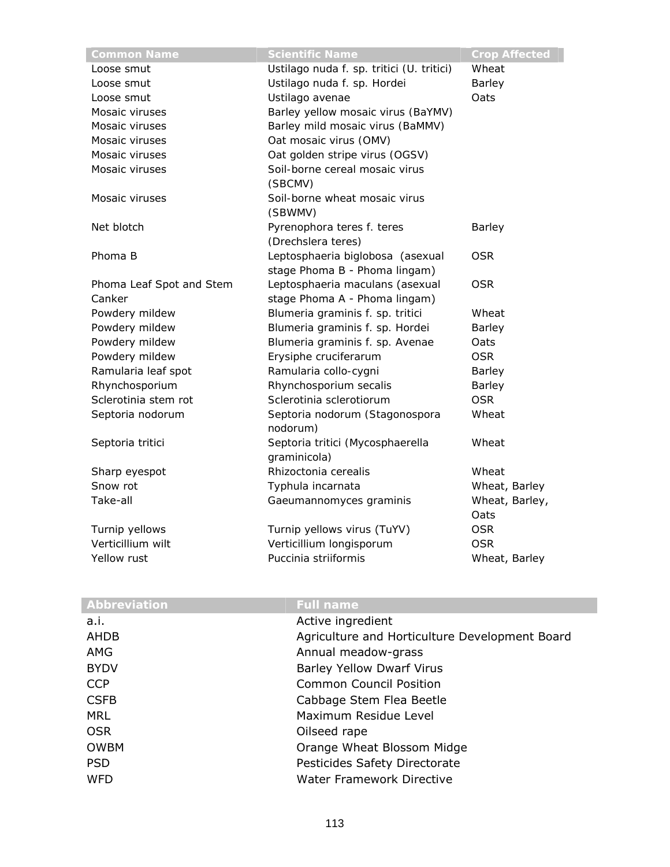| <b>Common Name</b>       | <b>Scientific Name</b>                    | <b>Crop Affected</b> |
|--------------------------|-------------------------------------------|----------------------|
| Loose smut               | Ustilago nuda f. sp. tritici (U. tritici) | Wheat                |
| Loose smut               | Ustilago nuda f. sp. Hordei               | <b>Barley</b>        |
| Loose smut               | Ustilago avenae                           | Oats                 |
| Mosaic viruses           | Barley yellow mosaic virus (BaYMV)        |                      |
| Mosaic viruses           | Barley mild mosaic virus (BaMMV)          |                      |
| Mosaic viruses           | Oat mosaic virus (OMV)                    |                      |
| Mosaic viruses           | Oat golden stripe virus (OGSV)            |                      |
| Mosaic viruses           | Soil-borne cereal mosaic virus            |                      |
|                          | (SBCMV)                                   |                      |
| Mosaic viruses           | Soil-borne wheat mosaic virus             |                      |
|                          | (SBWMV)                                   |                      |
| Net blotch               | Pyrenophora teres f. teres                | <b>Barley</b>        |
|                          | (Drechslera teres)                        |                      |
| Phoma B                  | Leptosphaeria biglobosa (asexual          | <b>OSR</b>           |
|                          | stage Phoma B - Phoma lingam)             |                      |
| Phoma Leaf Spot and Stem | Leptosphaeria maculans (asexual           | <b>OSR</b>           |
| Canker                   | stage Phoma A - Phoma lingam)             |                      |
| Powdery mildew           | Blumeria graminis f. sp. tritici          | Wheat                |
| Powdery mildew           | Blumeria graminis f. sp. Hordei           | <b>Barley</b>        |
| Powdery mildew           | Blumeria graminis f. sp. Avenae           | Oats                 |
| Powdery mildew           | Erysiphe cruciferarum                     | <b>OSR</b>           |
| Ramularia leaf spot      | Ramularia collo-cygni                     | <b>Barley</b>        |
| Rhynchosporium           | Rhynchosporium secalis                    | <b>Barley</b>        |
| Sclerotinia stem rot     | Sclerotinia sclerotiorum                  | <b>OSR</b>           |
| Septoria nodorum         | Septoria nodorum (Stagonospora            | Wheat                |
|                          | nodorum)                                  |                      |
| Septoria tritici         | Septoria tritici (Mycosphaerella          | Wheat                |
|                          | graminicola)                              |                      |
| Sharp eyespot            | Rhizoctonia cerealis                      | Wheat                |
| Snow rot                 | Typhula incarnata                         | Wheat, Barley        |
| Take-all                 | Gaeumannomyces graminis                   | Wheat, Barley,       |
|                          |                                           | Oats                 |
| Turnip yellows           | Turnip yellows virus (TuYV)               | <b>OSR</b>           |
| Verticillium wilt        | Verticillium longisporum                  | <b>OSR</b>           |
| Yellow rust              | Puccinia striiformis                      | Wheat, Barley        |

| Abbreviation | <b>Full name</b>                               |
|--------------|------------------------------------------------|
| a.i.         | Active ingredient                              |
| AHDB         | Agriculture and Horticulture Development Board |
| AMG          | Annual meadow-grass                            |
| <b>BYDV</b>  | <b>Barley Yellow Dwarf Virus</b>               |
| <b>CCP</b>   | <b>Common Council Position</b>                 |
| <b>CSFB</b>  | Cabbage Stem Flea Beetle                       |
| <b>MRL</b>   | Maximum Residue Level                          |
| <b>OSR</b>   | Oilseed rape                                   |
| <b>OWBM</b>  | Orange Wheat Blossom Midge                     |
| <b>PSD</b>   | Pesticides Safety Directorate                  |
| <b>WFD</b>   | <b>Water Framework Directive</b>               |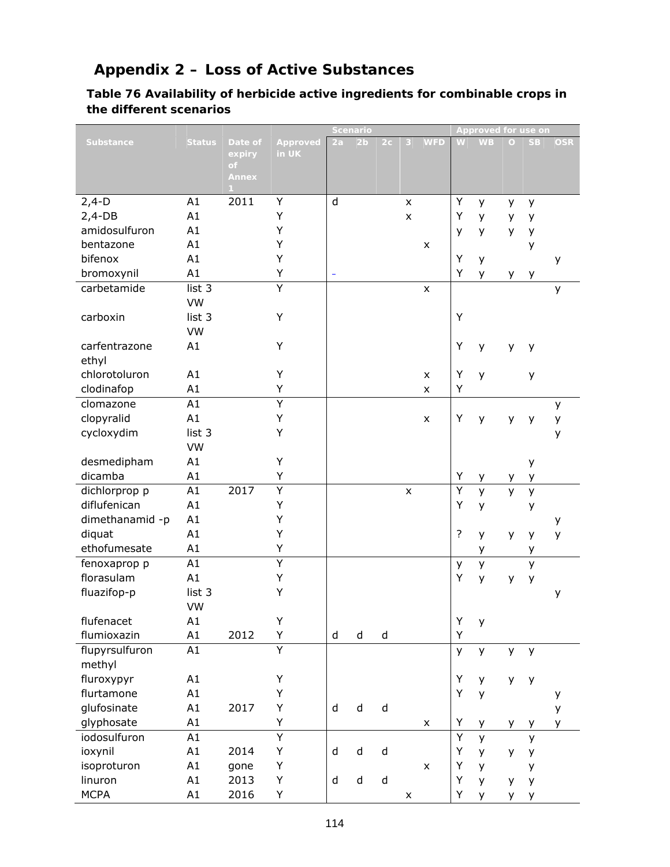# **Appendix 2 – Loss of Active Substances**

### **Table 76 Availability of herbicide active ingredients for combinable crops in the different scenarios**

|                  |               |                          |                   | Scenario |                |                |                |                | <b>Approved for use on</b> |           |         |           |            |
|------------------|---------------|--------------------------|-------------------|----------|----------------|----------------|----------------|----------------|----------------------------|-----------|---------|-----------|------------|
| <b>Substance</b> | <b>Status</b> | Date of<br>expiry<br>of. | Approved<br>in UK | 2a       | 2 <sub>b</sub> | 2 <sub>c</sub> | 3              | <b>WFD</b>     | W                          | <b>WB</b> | $\circ$ | <b>SB</b> | <b>OSR</b> |
|                  |               | Annex                    |                   |          |                |                |                |                |                            |           |         |           |            |
| $2,4-D$          | A1            | 2011                     | Υ                 | d        |                |                | $\pmb{\times}$ |                | Υ                          | у         | y       | y         |            |
| $2,4-DB$         | A1            |                          | Υ                 |          |                |                | $\pmb{\times}$ |                | Υ                          | У         | у       | у         |            |
| amidosulfuron    | A1            |                          | Υ                 |          |                |                |                |                | y                          | у         | y       | у         |            |
| bentazone        | A1            |                          | Υ                 |          |                |                |                | X              |                            |           |         | у         |            |
| bifenox          | A1            |                          | Υ                 |          |                |                |                |                | Y                          | у         |         |           | y          |
| bromoxynil       | A1            |                          | Υ                 | ÷        |                |                |                |                | Y                          | У         | у       | у         |            |
| carbetamide      | list 3        |                          | Y                 |          |                |                |                | $\pmb{\times}$ |                            |           |         |           | y          |
|                  | VW            |                          |                   |          |                |                |                |                |                            |           |         |           |            |
| carboxin         | list 3        |                          | Υ                 |          |                |                |                |                | Y                          |           |         |           |            |
|                  | VW            |                          |                   |          |                |                |                |                |                            |           |         |           |            |
| carfentrazone    | A1            |                          | Υ                 |          |                |                |                |                | Y                          | y         | y       | y         |            |
| ethyl            |               |                          |                   |          |                |                |                |                |                            |           |         |           |            |
| chlorotoluron    | A1            |                          | Υ                 |          |                |                |                | X              | Y                          | y         |         | y         |            |
| clodinafop       | A1            |                          | Υ                 |          |                |                |                | X              | Υ                          |           |         |           |            |
| clomazone        | A1            |                          | $\overline{Y}$    |          |                |                |                |                |                            |           |         |           | y          |
| clopyralid       | A1            |                          | Υ                 |          |                |                |                | $\pmb{\times}$ | Υ                          | y         | y       | у         | у          |
| cycloxydim       | list 3        |                          | Υ                 |          |                |                |                |                |                            |           |         |           | у          |
|                  | VW            |                          |                   |          |                |                |                |                |                            |           |         |           |            |
| desmedipham      | A1            |                          | Υ                 |          |                |                |                |                |                            |           |         | y         |            |
| dicamba          | A1            |                          | Υ                 |          |                |                |                |                | Υ                          | у         | y       | у         |            |
| dichlorprop p    | A1            | 2017                     | Υ                 |          |                |                | $\pmb{\times}$ |                | Y                          | y         | y       | y         |            |
| diflufenican     | A1            |                          | Υ                 |          |                |                |                |                | Y                          | y         |         | У         |            |
| dimethanamid-p   | A1            |                          | Υ                 |          |                |                |                |                |                            |           |         |           | у          |
| diquat           | A1            |                          | Υ                 |          |                |                |                |                | ?                          | У         | y       | y         | y          |
| ethofumesate     | A1            |                          | Υ                 |          |                |                |                |                |                            | у         |         | у         |            |
| fenoxaprop p     | A1            |                          | Ÿ                 |          |                |                |                |                | y                          | y         |         | y         |            |
| florasulam       | A1            |                          | Υ                 |          |                |                |                |                | Y                          | y         | у       | у         |            |
| fluazifop-p      | list 3        |                          | Υ                 |          |                |                |                |                |                            |           |         |           | у          |
|                  | VW            |                          |                   |          |                |                |                |                |                            |           |         |           |            |
| flufenacet       | A1            |                          | Υ                 |          |                |                |                |                | Y                          | У         |         |           |            |
| flumioxazin      | A1            | 2012                     | Υ                 | $\sf d$  | $\sf d$        | $\sf d$        |                |                | Y                          |           |         |           |            |
| flupyrsulfuron   | A1            |                          | Ÿ                 |          |                |                |                |                | y                          | y         | y.      | y         |            |
| methyl           |               |                          |                   |          |                |                |                |                |                            |           |         |           |            |
| fluroxypyr       | A1            |                          | Υ                 |          |                |                |                |                | Υ                          | У         | у       | y         |            |
| flurtamone       | A1            |                          | Υ                 |          |                |                |                |                | Y                          | y         |         |           | у          |
| glufosinate      | A1            | 2017                     | Υ                 | $\sf d$  | $\sf d$        | $\sf d$        |                |                |                            |           |         |           | у          |
| glyphosate       | A1            |                          | Υ                 |          |                |                |                | X              | Υ                          | у         | у       | У         | у          |
| iodosulfuron     | A1            |                          | $\overline{Y}$    |          |                |                |                |                | $\overline{Y}$             | y         |         | y         |            |
| ioxynil          | A1            | 2014                     | Υ                 | $\sf d$  | ${\sf d}$      | $\sf d$        |                |                | Y                          | У         | у       | y         |            |
| isoproturon      | A1            | gone                     | Υ                 |          |                |                |                | $\pmb{\times}$ | Υ                          | У         |         | у         |            |
| linuron          | A1            | 2013                     | Υ                 | $\sf d$  | $\sf d$        | $\sf d$        |                |                | Y                          | У         | y       | y         |            |
| <b>MCPA</b>      | A1            | 2016                     | Υ                 |          |                |                | $\pmb{\times}$ |                | Υ                          | У         | y       | у         |            |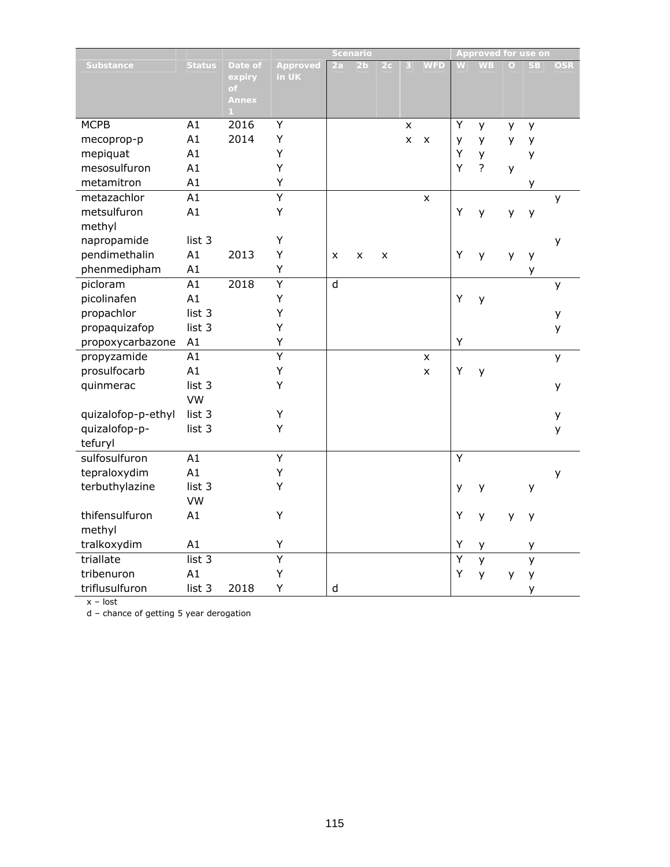|                    |                 |                                        |                   |         | <b>Scenario</b> |                |                |            |   | <b>Approved for use on</b> |          |           |            |
|--------------------|-----------------|----------------------------------------|-------------------|---------|-----------------|----------------|----------------|------------|---|----------------------------|----------|-----------|------------|
| <b>Substance</b>   | <b>Status</b>   | Date of<br>expiry<br>of.<br>Annex<br>1 | Approved<br>in UK | 2a      | 2 <sub>b</sub>  | 2 <sub>c</sub> | 3              | <b>WFD</b> | W | <b>WB</b>                  | $\Omega$ | <b>SB</b> | <b>OSR</b> |
| <b>MCPB</b>        | A1              | 2016                                   | Y                 |         |                 |                | $\pmb{\times}$ |            | Y | y                          | y        | y         |            |
| mecoprop-p         | A1              | 2014                                   | Y                 |         |                 |                | $\pmb{\times}$ | X          | у | у                          | y        | y         |            |
| mepiquat           | A1              |                                        | Υ                 |         |                 |                |                |            | Υ | У                          |          | у         |            |
| mesosulfuron       | A1              |                                        | Y                 |         |                 |                |                |            | Y | $\overline{?}$             | y        |           |            |
| metamitron         | A1              |                                        | Υ                 |         |                 |                |                |            |   |                            |          | у         |            |
| metazachlor        | A1              |                                        | $\overline{Y}$    |         |                 |                |                | X          |   |                            |          |           | y          |
| metsulfuron        | A1              |                                        | Υ                 |         |                 |                |                |            | Υ | y                          | y        | y         |            |
| methyl             |                 |                                        |                   |         |                 |                |                |            |   |                            |          |           |            |
| napropamide        | list 3          |                                        | Υ                 |         |                 |                |                |            |   |                            |          |           | У          |
| pendimethalin      | A1              | 2013                                   | Y                 | x       | X               | X              |                |            | Y | y                          | y        | y         |            |
| phenmedipham       | A1              |                                        | Υ                 |         |                 |                |                |            |   |                            |          | У         |            |
| picloram           | A1              | 2018                                   | $\overline{Y}$    | $\sf d$ |                 |                |                |            |   |                            |          |           | у          |
| picolinafen        | A1              |                                        | Υ                 |         |                 |                |                |            | Y | y                          |          |           |            |
| propachlor         | list 3          |                                        | Y                 |         |                 |                |                |            |   |                            |          |           | у          |
| propaquizafop      | list 3          |                                        | Υ                 |         |                 |                |                |            |   |                            |          |           | y          |
| propoxycarbazone   | A1              |                                        | Υ                 |         |                 |                |                |            | Y |                            |          |           |            |
| propyzamide        | A1              |                                        | Ÿ                 |         |                 |                |                | x          |   |                            |          |           | y          |
| prosulfocarb       | A1              |                                        | Υ                 |         |                 |                |                | X          | Y | y                          |          |           |            |
| quinmerac          | list 3          |                                        | Υ                 |         |                 |                |                |            |   |                            |          |           | у          |
|                    | VW              |                                        |                   |         |                 |                |                |            |   |                            |          |           |            |
| quizalofop-p-ethyl | list 3          |                                        | Υ                 |         |                 |                |                |            |   |                            |          |           | y          |
| quizalofop-p-      | list 3          |                                        | Υ                 |         |                 |                |                |            |   |                            |          |           | y          |
| tefuryl            |                 |                                        |                   |         |                 |                |                |            |   |                            |          |           |            |
| sulfosulfuron      | $\overline{A1}$ |                                        | Y                 |         |                 |                |                |            | Y |                            |          |           |            |
| tepraloxydim       | A1              |                                        | Υ                 |         |                 |                |                |            |   |                            |          |           | y          |
| terbuthylazine     | list 3          |                                        | Υ                 |         |                 |                |                |            | у | y                          |          | У         |            |
|                    | VW              |                                        |                   |         |                 |                |                |            |   |                            |          |           |            |
| thifensulfuron     | A1              |                                        | Υ                 |         |                 |                |                |            | Y | y                          | y        | y         |            |
| methyl             |                 |                                        |                   |         |                 |                |                |            |   |                            |          |           |            |
| tralkoxydim        | A1              |                                        | Υ                 |         |                 |                |                |            | Y | у                          |          | у         |            |
| triallate          | list 3          |                                        | Ÿ                 |         |                 |                |                |            | Ÿ | y                          |          | y         |            |
| tribenuron         | A1              |                                        | Υ                 |         |                 |                |                |            | Υ | y                          | y        | y         |            |
| triflusulfuron     | list 3          | 2018                                   | Υ                 | d       |                 |                |                |            |   |                            |          | y         |            |

x – lost

d – chance of getting 5 year derogation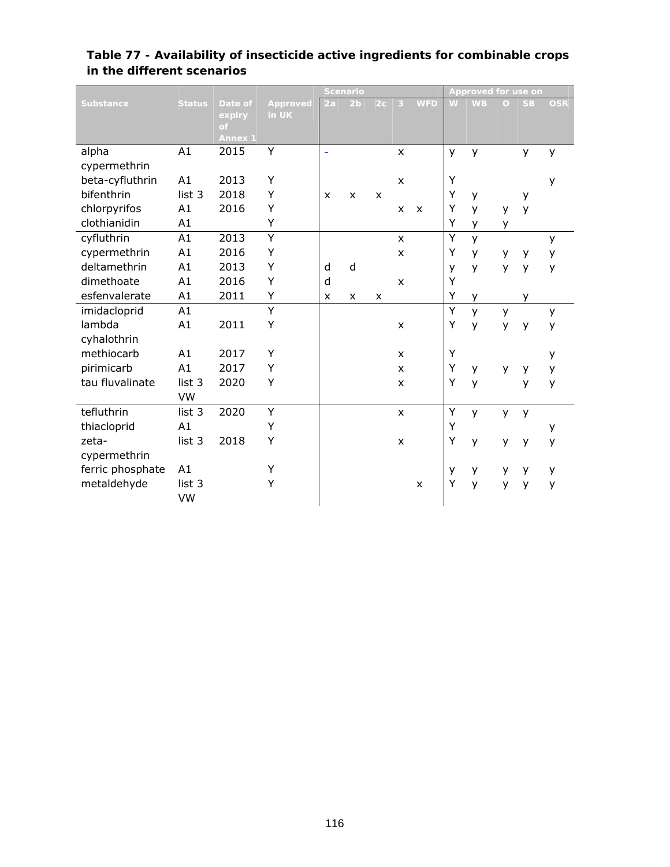|                  |               |              |                   | <b>Scenario</b>           |                |              |                           |                           | <b>Approved for use on</b> |           |          |           |            |
|------------------|---------------|--------------|-------------------|---------------------------|----------------|--------------|---------------------------|---------------------------|----------------------------|-----------|----------|-----------|------------|
| <b>Substance</b> | <b>Status</b> | Date of      | Approved<br>in UK | 2a                        | 2 <sub>b</sub> | 2c           | ♦                         | <b>WFD</b>                | W                          | <b>WB</b> | $\Omega$ | <b>SB</b> | <b>OSR</b> |
|                  |               | expiry<br>of |                   |                           |                |              |                           |                           |                            |           |          |           |            |
|                  |               | Annex 1      |                   |                           |                |              |                           |                           |                            |           |          |           |            |
| alpha            | A1            | 2015         | Y                 | $\equiv$                  |                |              | $\mathsf{x}$              |                           | y                          | y         |          | y         | y          |
| cypermethrin     |               |              |                   |                           |                |              |                           |                           |                            |           |          |           |            |
| beta-cyfluthrin  | A1            | 2013         | Y                 |                           |                |              | $\boldsymbol{\mathsf{x}}$ |                           | Υ                          |           |          |           | y          |
| bifenthrin       | list 3        | 2018         | Y                 | $\boldsymbol{\mathsf{x}}$ | $\mathsf{x}$   | $\mathsf{x}$ |                           |                           | Υ                          | y         |          | y         |            |
| chlorpyrifos     | A1            | 2016         | Y                 |                           |                |              | X                         | $\boldsymbol{\mathsf{x}}$ | Υ                          | y         | У        | y         |            |
| clothianidin     | A1            |              | Y                 |                           |                |              |                           |                           | Υ                          | y         | y        |           |            |
| cyfluthrin       | A1            | 2013         | Ÿ                 |                           |                |              | X                         |                           | Y                          | y         |          |           | y          |
| cypermethrin     | A1            | 2016         | Y                 |                           |                |              | X                         |                           | Υ                          | y         | у        | y         | y          |
| deltamethrin     | A1            | 2013         | Y                 | d                         | d              |              |                           |                           | У                          | y         | y        | y         | y          |
| dimethoate       | A1            | 2016         | Y                 | d                         |                |              | $\boldsymbol{\mathsf{x}}$ |                           | Y                          |           |          |           |            |
| esfenvalerate    | A1            | 2011         | Y                 | X                         | X              | $\mathsf{x}$ |                           |                           | Υ                          | y         |          | y         |            |
| imidacloprid     | A1            |              | $\overline{Y}$    |                           |                |              |                           |                           | Υ                          | y         | y        |           | y          |
| lambda           | A1            | 2011         | Y                 |                           |                |              | $\mathsf{x}$              |                           | Υ                          | y         | y        | y         | y          |
| cyhalothrin      |               |              |                   |                           |                |              |                           |                           |                            |           |          |           |            |
| methiocarb       | A1            | 2017         | Y                 |                           |                |              | X                         |                           | Υ                          |           |          |           | y          |
| pirimicarb       | A1            | 2017         | Y                 |                           |                |              | X                         |                           | Υ                          | y         | y        | y         | y          |
| tau fluvalinate  | list 3        | 2020         | Υ                 |                           |                |              | X                         |                           | Υ                          | y         |          | y         | y          |
|                  | VW            |              |                   |                           |                |              |                           |                           |                            |           |          |           |            |
| tefluthrin       | list 3        | 2020         | Υ                 |                           |                |              | $\pmb{\times}$            |                           | Υ                          | y         | y        | y         |            |
| thiacloprid      | A1            |              | Υ                 |                           |                |              |                           |                           | Υ                          |           |          |           | y          |
| zeta-            | list 3        | 2018         | Υ                 |                           |                |              | X                         |                           | Υ                          | y         | y        | y         | y          |
| cypermethrin     |               |              |                   |                           |                |              |                           |                           |                            |           |          |           |            |
| ferric phosphate | A1            |              | Υ                 |                           |                |              |                           |                           | у                          | у         | y        | y         | у          |
| metaldehyde      | list 3        |              | Y                 |                           |                |              |                           | X                         | Υ                          | y         | У        | y         | y          |
|                  | VW            |              |                   |                           |                |              |                           |                           |                            |           |          |           |            |

#### **Table 77 - Availability of insecticide active ingredients for combinable crops in the different scenarios**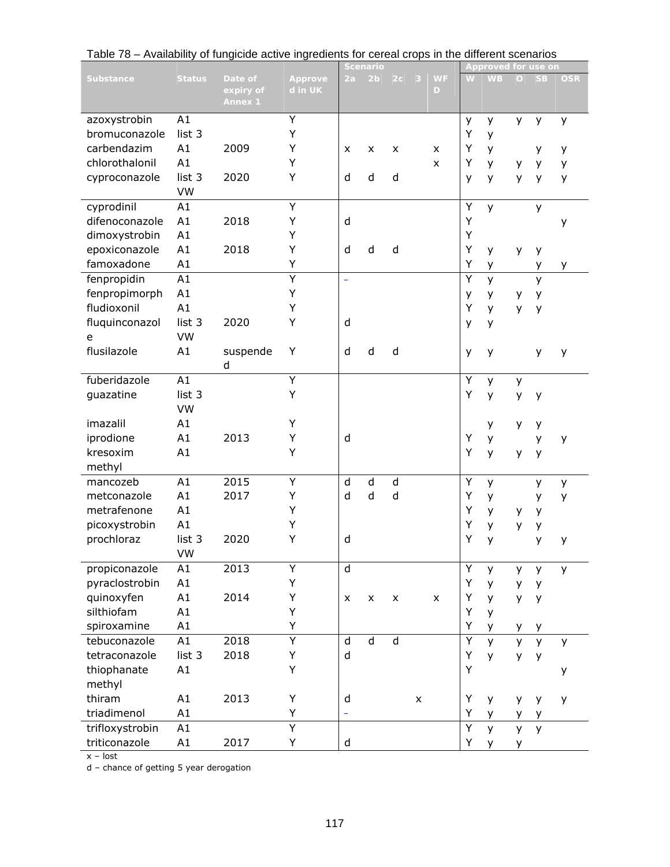|                  |                 |                                        |                    |    | <u>Scenario</u> |              |   |                |   | Approved for u <u>se on</u> |         |           |            |
|------------------|-----------------|----------------------------------------|--------------------|----|-----------------|--------------|---|----------------|---|-----------------------------|---------|-----------|------------|
| <b>Substance</b> | <b>Status</b>   | Date of<br>expiry of<br><b>Annex 1</b> | Approve<br>d in UK | 2a | 2 <sub>b</sub>  | 2c           | 3 | <b>WF</b><br>D | W | <b>WB</b>                   | $\circ$ | <b>SB</b> | <b>OSR</b> |
| azoxystrobin     | A1              |                                        | Y                  |    |                 |              |   |                | У | у                           | y       | у         | у          |
| bromuconazole    | list 3          |                                        | Υ                  |    |                 |              |   |                | Υ | y                           |         |           |            |
| carbendazim      | A1              | 2009                                   | Y                  | x  | X               | X            |   | x              | Υ | У                           |         | у         | y          |
| chlorothalonil   | A1              |                                        | Υ                  |    |                 |              |   | X              | Υ |                             |         |           |            |
|                  |                 |                                        |                    |    |                 |              |   |                |   | y                           | у       | y         | y          |
| cyproconazole    | list 3          | 2020                                   | Y                  | d  | d               | d            |   |                | y | y                           | y       | y         | y          |
|                  | VW              |                                        |                    |    |                 |              |   |                |   |                             |         |           |            |
| cyprodinil       | A1              |                                        | Y                  |    |                 |              |   |                | Υ | y                           |         | y         |            |
| difenoconazole   | A1              | 2018                                   | Υ                  | d  |                 |              |   |                | Υ |                             |         |           | у          |
| dimoxystrobin    | A1              |                                        | Υ                  |    |                 |              |   |                | Υ |                             |         |           |            |
| epoxiconazole    | A1              | 2018                                   | Υ                  | d  | d               | d            |   |                | Υ | y                           | y       | у         |            |
| famoxadone       | A1              |                                        | Υ                  |    |                 |              |   |                | Υ | У                           |         | У         | у          |
| fenpropidin      | $\overline{A1}$ |                                        | $\overline{Y}$     | ÷, |                 |              |   |                | Y | y                           |         | y         |            |
| fenpropimorph    | A1              |                                        | Υ                  |    |                 |              |   |                | у | у                           | у       | y         |            |
| fludioxonil      | A1              |                                        | Υ                  |    |                 |              |   |                | Υ | y                           | y       | y         |            |
| fluquinconazol   | list 3          | 2020                                   | Υ                  | d  |                 |              |   |                | y | y                           |         |           |            |
| e                | VW              |                                        |                    |    |                 |              |   |                |   |                             |         |           |            |
| flusilazole      | A1              |                                        | Υ                  | d  | d               | d            |   |                |   |                             |         |           |            |
|                  |                 | suspende                               |                    |    |                 |              |   |                | у | y                           |         | у         | у          |
|                  |                 | d                                      |                    |    |                 |              |   |                |   |                             |         |           |            |
| fuberidazole     | A1              |                                        | Y                  |    |                 |              |   |                | Υ | y                           | y       |           |            |
| guazatine        | list 3          |                                        | Υ                  |    |                 |              |   |                | Υ | y                           | y       | у         |            |
|                  | VW              |                                        |                    |    |                 |              |   |                |   |                             |         |           |            |
| imazalil         | A1              |                                        | Υ                  |    |                 |              |   |                |   | У                           | y       | у         |            |
| iprodione        | A1              | 2013                                   | Υ                  | d  |                 |              |   |                | Υ | У                           |         | y         | У          |
| kresoxim         | A1              |                                        | Y                  |    |                 |              |   |                | Υ | y                           | у       | y         |            |
| methyl           |                 |                                        |                    |    |                 |              |   |                |   |                             |         |           |            |
| mancozeb         | A1              | 2015                                   | Y                  | d  | d               | d            |   |                | Υ | y                           |         | y         | у          |
| metconazole      | A1              | 2017                                   | Υ                  | d  | d               | $\mathsf{d}$ |   |                | Υ | у                           |         | y         | y          |
| metrafenone      | A1              |                                        | Υ                  |    |                 |              |   |                | Υ | у                           | у       | y         |            |
| picoxystrobin    | A1              |                                        | Y                  |    |                 |              |   |                | Y | у                           | У       | у         |            |
| prochloraz       | list 3          | 2020                                   | Υ                  | d  |                 |              |   |                | Y | y                           |         | y         | y          |
|                  | VW              |                                        |                    |    |                 |              |   |                |   |                             |         |           |            |
| propiconazole    | A1              | 2013                                   | Υ                  | d  |                 |              |   |                | Υ | y                           | y       | y         | y          |
| pyraclostrobin   | A1              |                                        | Y                  |    |                 |              |   |                | Υ |                             |         |           |            |
|                  |                 |                                        |                    |    |                 |              |   |                |   | У                           | y       | у         |            |
| quinoxyfen       | A1              | 2014                                   | Υ                  | X  | X               | X            |   | $\pmb{\times}$ | Υ | y                           | y       | у         |            |
| silthiofam       | A1              |                                        | Υ                  |    |                 |              |   |                | Υ | y                           |         |           |            |
| spiroxamine      | A1              |                                        | Υ                  |    |                 |              |   |                | Υ | у                           | y       | у         |            |
| tebuconazole     | A1              | 2018                                   | Ÿ                  | d  | $\mathsf{d}$    | $\mathsf{d}$ |   |                | Υ | $\mathsf{y}$                | y       | y         | y          |
| tetraconazole    | list 3          | 2018                                   | Υ                  | d  |                 |              |   |                | Υ | y                           | y       | y         |            |
| thiophanate      | A1              |                                        | Υ                  |    |                 |              |   |                | Y |                             |         |           | у          |
| methyl           |                 |                                        |                    |    |                 |              |   |                |   |                             |         |           |            |
| thiram           | A1              | 2013                                   | Υ                  | d  |                 |              | X |                | Υ | у                           | y       | y         | у          |
| triadimenol      | A1              |                                        | Υ                  |    |                 |              |   |                | Υ | у                           | y       | у         |            |
| trifloxystrobin  | A1              |                                        | Ÿ                  |    |                 |              |   |                | Υ | y                           | y       | y         |            |
| triticonazole    | A1              | 2017                                   | Υ                  | d  |                 |              |   |                | Υ | y                           | y       |           |            |
|                  |                 |                                        |                    |    |                 |              |   |                |   |                             |         |           |            |

Table 78 – Availability of fungicide active ingredients for cereal crops in the different scenarios

x – lost

d – chance of getting 5 year derogation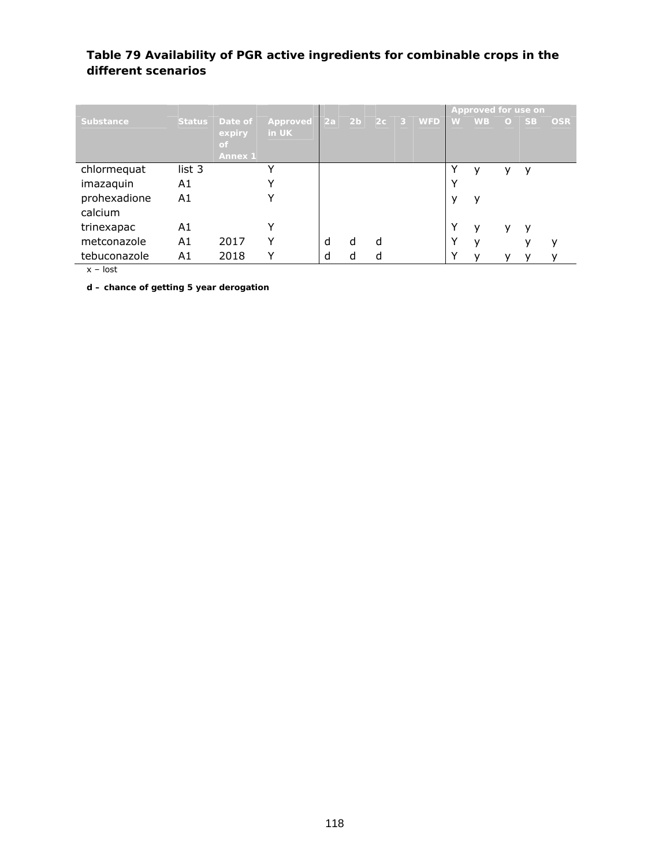#### **Table 79 Availability of PGR active ingredients for combinable crops in the different scenarios**

|              |               |                                            |                   |    |                |   |            |             | Approved for use on |         |           |            |
|--------------|---------------|--------------------------------------------|-------------------|----|----------------|---|------------|-------------|---------------------|---------|-----------|------------|
| Substance    | <b>Status</b> | Date of<br>expiry<br>of.<br><b>Annex 1</b> | Approved<br>in UK | 2a | 2 <sub>b</sub> |   | $2c$ 3 WFD | W.          | <b>WB</b>           | $\circ$ | <b>SB</b> | <b>OSR</b> |
| chlormequat  | list 3        |                                            |                   |    |                |   |            | v           | v                   |         | у         |            |
| imazaquin    | A1            |                                            |                   |    |                |   |            | ν           |                     |         |           |            |
| prohexadione | A1            |                                            |                   |    |                |   |            | у           | v                   |         |           |            |
| calcium      |               |                                            |                   |    |                |   |            |             |                     |         |           |            |
| trinexapac   | A1            |                                            |                   |    |                |   |            | Y           | v                   | v       | ٧         |            |
| metconazole  | A1            | 2017                                       | v                 | d  | d              | d |            | Y           | v                   |         |           | ν          |
| tebuconazole | A1            | 2018                                       |                   | d  |                | C |            | $\check{ }$ |                     |         |           |            |

x – lost

**d – chance of getting 5 year derogation**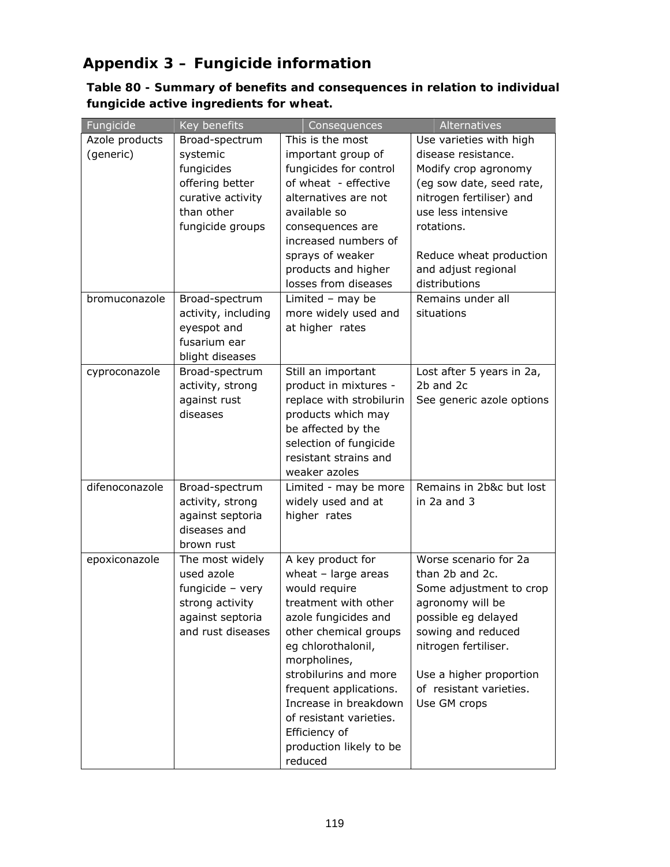# **Appendix 3 – Fungicide information**

**Table 80 - Summary of benefits and consequences in relation to individual fungicide active ingredients for wheat.** 

| Fungicide      | Key benefits                          | Consequences                                | Alternatives                              |
|----------------|---------------------------------------|---------------------------------------------|-------------------------------------------|
| Azole products | Broad-spectrum                        | This is the most                            | Use varieties with high                   |
| (generic)      | systemic                              | important group of                          | disease resistance.                       |
|                | fungicides                            | fungicides for control                      | Modify crop agronomy                      |
|                | offering better                       | of wheat - effective                        | (eg sow date, seed rate,                  |
|                | curative activity                     | alternatives are not                        | nitrogen fertiliser) and                  |
|                | than other                            | available so                                | use less intensive                        |
|                | fungicide groups                      | consequences are                            | rotations.                                |
|                |                                       | increased numbers of                        |                                           |
|                |                                       | sprays of weaker                            | Reduce wheat production                   |
|                |                                       | products and higher                         | and adjust regional                       |
|                |                                       | losses from diseases                        | distributions                             |
| bromuconazole  | Broad-spectrum                        | Limited - may be                            | Remains under all                         |
|                | activity, including                   | more widely used and                        | situations                                |
|                | eyespot and                           | at higher rates                             |                                           |
|                | fusarium ear                          |                                             |                                           |
|                | blight diseases                       |                                             |                                           |
| cyproconazole  | Broad-spectrum                        | Still an important                          | Lost after 5 years in 2a,                 |
|                | activity, strong                      | product in mixtures -                       | 2b and 2c                                 |
|                | against rust                          | replace with strobilurin                    | See generic azole options                 |
|                | diseases                              | products which may                          |                                           |
|                |                                       | be affected by the                          |                                           |
|                |                                       | selection of fungicide                      |                                           |
|                |                                       | resistant strains and                       |                                           |
|                |                                       | weaker azoles                               |                                           |
| difenoconazole | Broad-spectrum                        | Limited - may be more                       | Remains in 2b&c but lost                  |
|                | activity, strong                      | widely used and at                          | in 2a and 3                               |
|                | against septoria                      | higher rates                                |                                           |
|                | diseases and                          |                                             |                                           |
|                | brown rust                            |                                             |                                           |
| epoxiconazole  | The most widely                       | A key product for                           | Worse scenario for 2a                     |
|                | used azole                            | wheat $-$ large areas                       | than 2b and 2c.                           |
|                | fungicide - very                      | would require<br>treatment with other       | Some adjustment to crop                   |
|                | strong activity                       |                                             | agronomy will be                          |
|                | against septoria<br>and rust diseases | azole fungicides and                        | possible eg delayed<br>sowing and reduced |
|                |                                       | other chemical groups<br>eg chlorothalonil, | nitrogen fertiliser.                      |
|                |                                       | morpholines,                                |                                           |
|                |                                       | strobilurins and more                       | Use a higher proportion                   |
|                |                                       | frequent applications.                      | of resistant varieties.                   |
|                |                                       | Increase in breakdown                       | Use GM crops                              |
|                |                                       | of resistant varieties.                     |                                           |
|                |                                       | Efficiency of                               |                                           |
|                |                                       | production likely to be                     |                                           |
|                |                                       | reduced                                     |                                           |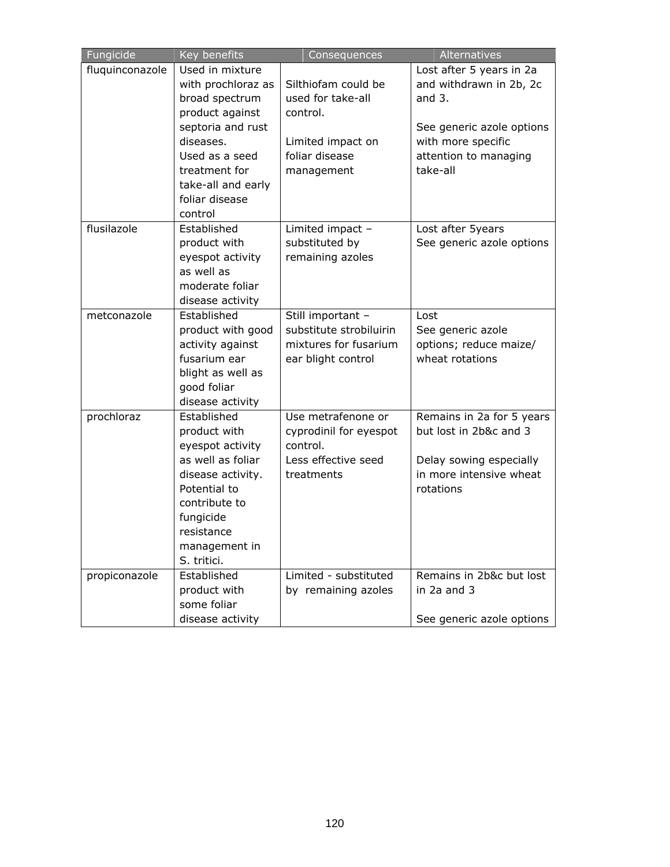| Fungicide       | Key benefits       | Consequences            | Alternatives              |
|-----------------|--------------------|-------------------------|---------------------------|
| fluquinconazole | Used in mixture    |                         | Lost after 5 years in 2a  |
|                 | with prochloraz as | Silthiofam could be     | and withdrawn in 2b, 2c   |
|                 | broad spectrum     | used for take-all       | and $3.$                  |
|                 | product against    | control.                |                           |
|                 | septoria and rust  |                         | See generic azole options |
|                 | diseases.          | Limited impact on       | with more specific        |
|                 | Used as a seed     | foliar disease          | attention to managing     |
|                 | treatment for      | management              | take-all                  |
|                 | take-all and early |                         |                           |
|                 | foliar disease     |                         |                           |
|                 | control            |                         |                           |
| flusilazole     | Established        | Limited impact -        | Lost after 5years         |
|                 | product with       | substituted by          | See generic azole options |
|                 | eyespot activity   | remaining azoles        |                           |
|                 | as well as         |                         |                           |
|                 | moderate foliar    |                         |                           |
|                 | disease activity   |                         |                           |
| metconazole     | Established        | Still important -       | Lost                      |
|                 | product with good  | substitute strobiluirin | See generic azole         |
|                 | activity against   | mixtures for fusarium   | options; reduce maize/    |
|                 | fusarium ear       | ear blight control      | wheat rotations           |
|                 | blight as well as  |                         |                           |
|                 | good foliar        |                         |                           |
|                 | disease activity   |                         |                           |
| prochloraz      | Established        | Use metrafenone or      | Remains in 2a for 5 years |
|                 | product with       | cyprodinil for eyespot  | but lost in 2b&c and 3    |
|                 | eyespot activity   | control.                |                           |
|                 | as well as foliar  | Less effective seed     | Delay sowing especially   |
|                 | disease activity.  | treatments              | in more intensive wheat   |
|                 | Potential to       |                         | rotations                 |
|                 | contribute to      |                         |                           |
|                 | fungicide          |                         |                           |
|                 | resistance         |                         |                           |
|                 | management in      |                         |                           |
|                 | S. tritici.        |                         |                           |
| propiconazole   | Established        | Limited - substituted   | Remains in 2b&c but lost  |
|                 | product with       | by remaining azoles     | in 2a and 3               |
|                 | some foliar        |                         |                           |
|                 | disease activity   |                         | See generic azole options |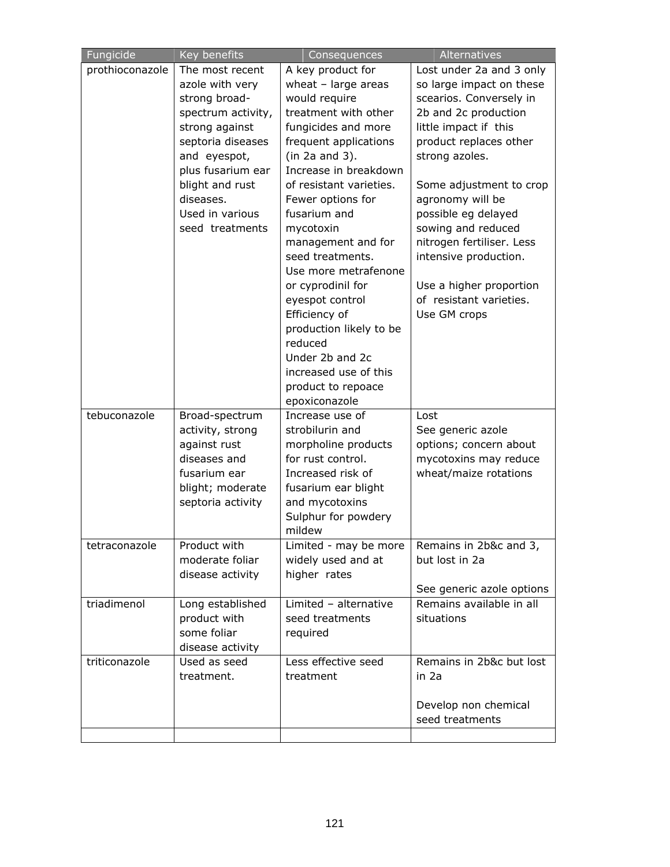| Fungicide       | Key benefits       | Consequences            | Alternatives              |
|-----------------|--------------------|-------------------------|---------------------------|
| prothioconazole | The most recent    | A key product for       | Lost under 2a and 3 only  |
|                 | azole with very    | wheat - large areas     | so large impact on these  |
|                 | strong broad-      | would require           | scearios. Conversely in   |
|                 | spectrum activity, | treatment with other    | 2b and 2c production      |
|                 | strong against     | fungicides and more     | little impact if this     |
|                 | septoria diseases  | frequent applications   | product replaces other    |
|                 | and eyespot,       | (in 2a and 3).          | strong azoles.            |
|                 | plus fusarium ear  | Increase in breakdown   |                           |
|                 | blight and rust    | of resistant varieties. | Some adjustment to crop   |
|                 | diseases.          | Fewer options for       | agronomy will be          |
|                 | Used in various    | fusarium and            | possible eg delayed       |
|                 | seed treatments    | mycotoxin               | sowing and reduced        |
|                 |                    | management and for      | nitrogen fertiliser. Less |
|                 |                    | seed treatments.        | intensive production.     |
|                 |                    | Use more metrafenone    |                           |
|                 |                    | or cyprodinil for       | Use a higher proportion   |
|                 |                    | eyespot control         | of resistant varieties.   |
|                 |                    | Efficiency of           | Use GM crops              |
|                 |                    | production likely to be |                           |
|                 |                    | reduced                 |                           |
|                 |                    | Under 2b and 2c         |                           |
|                 |                    | increased use of this   |                           |
|                 |                    | product to repoace      |                           |
|                 |                    | epoxiconazole           |                           |
| tebuconazole    | Broad-spectrum     | Increase use of         | Lost                      |
|                 | activity, strong   | strobilurin and         | See generic azole         |
|                 | against rust       | morpholine products     | options; concern about    |
|                 | diseases and       | for rust control.       | mycotoxins may reduce     |
|                 | fusarium ear       | Increased risk of       | wheat/maize rotations     |
|                 | blight; moderate   | fusarium ear blight     |                           |
|                 | septoria activity  | and mycotoxins          |                           |
|                 |                    | Sulphur for powdery     |                           |
|                 |                    | mildew                  |                           |
| tetraconazole   | Product with       | Limited - may be more   | Remains in 2b&c and 3,    |
|                 | moderate foliar    | widely used and at      | but lost in 2a            |
|                 | disease activity   | higher rates            |                           |
|                 |                    |                         | See generic azole options |
| triadimenol     | Long established   | Limited - alternative   | Remains available in all  |
|                 | product with       | seed treatments         | situations                |
|                 | some foliar        | required                |                           |
|                 | disease activity   |                         |                           |
| triticonazole   | Used as seed       | Less effective seed     | Remains in 2b&c but lost  |
|                 | treatment.         | treatment               | in 2a                     |
|                 |                    |                         |                           |
|                 |                    |                         | Develop non chemical      |
|                 |                    |                         | seed treatments           |
|                 |                    |                         |                           |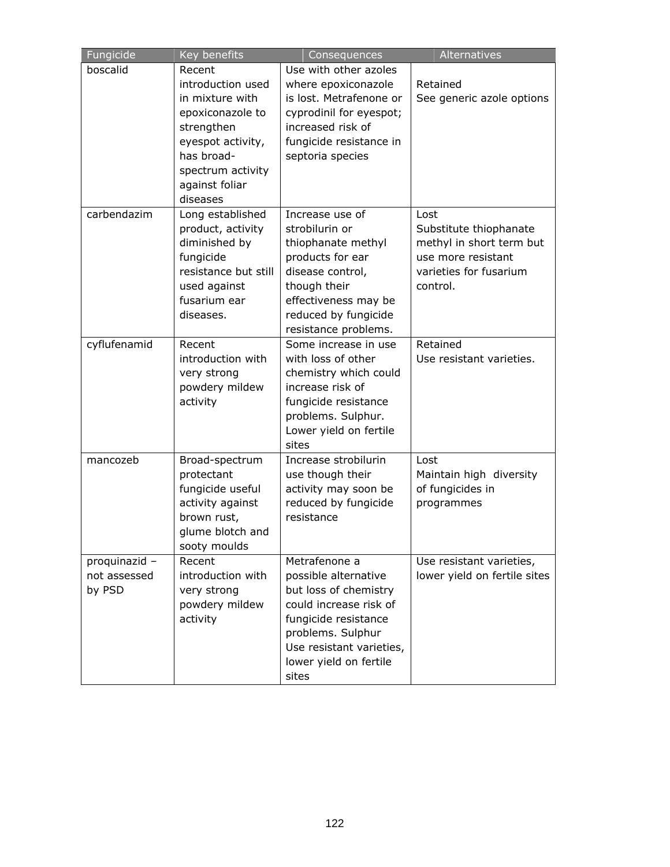| Fungicide     | Key benefits                  | Consequences                                 | Alternatives                 |
|---------------|-------------------------------|----------------------------------------------|------------------------------|
| boscalid      | Recent                        | Use with other azoles                        |                              |
|               | introduction used             | where epoxiconazole                          | Retained                     |
|               | in mixture with               | is lost. Metrafenone or                      | See generic azole options    |
|               | epoxiconazole to              | cyprodinil for eyespot;                      |                              |
|               | strengthen                    | increased risk of                            |                              |
|               | eyespot activity,             | fungicide resistance in                      |                              |
|               | has broad-                    | septoria species                             |                              |
|               | spectrum activity             |                                              |                              |
|               | against foliar                |                                              |                              |
|               | diseases                      |                                              |                              |
| carbendazim   | Long established              | Increase use of                              | Lost                         |
|               | product, activity             | strobilurin or                               | Substitute thiophanate       |
|               | diminished by                 | thiophanate methyl                           | methyl in short term but     |
|               | fungicide                     | products for ear                             | use more resistant           |
|               | resistance but still          | disease control,                             | varieties for fusarium       |
|               | used against<br>fusarium ear  | though their                                 | control.                     |
|               | diseases.                     | effectiveness may be<br>reduced by fungicide |                              |
|               |                               | resistance problems.                         |                              |
| cyflufenamid  | Recent                        | Some increase in use                         | Retained                     |
|               | introduction with             | with loss of other                           | Use resistant varieties.     |
|               |                               | chemistry which could                        |                              |
|               | very strong<br>powdery mildew | increase risk of                             |                              |
|               | activity                      | fungicide resistance                         |                              |
|               |                               | problems. Sulphur.                           |                              |
|               |                               | Lower yield on fertile                       |                              |
|               |                               | sites                                        |                              |
| mancozeb      | Broad-spectrum                | Increase strobilurin                         | Lost                         |
|               | protectant                    | use though their                             | Maintain high diversity      |
|               | fungicide useful              | activity may soon be                         | of fungicides in             |
|               | activity against              | reduced by fungicide                         | programmes                   |
|               | brown rust,                   | resistance                                   |                              |
|               | glume blotch and              |                                              |                              |
|               | sooty moulds                  |                                              |                              |
| proquinazid - | Recent                        | Metrafenone a                                | Use resistant varieties,     |
| not assessed  | introduction with             | possible alternative                         | lower yield on fertile sites |
| by PSD        | very strong                   | but loss of chemistry                        |                              |
|               | powdery mildew                | could increase risk of                       |                              |
|               | activity                      | fungicide resistance                         |                              |
|               |                               | problems. Sulphur                            |                              |
|               |                               | Use resistant varieties,                     |                              |
|               |                               | lower yield on fertile                       |                              |
|               |                               | sites                                        |                              |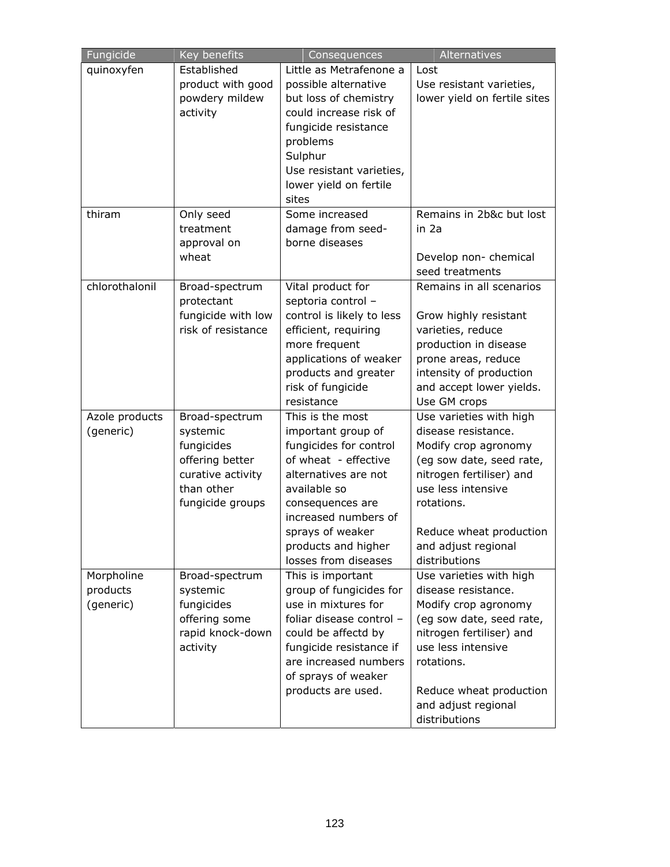| Fungicide      | Key benefits         | Consequences                                | Alternatives                             |
|----------------|----------------------|---------------------------------------------|------------------------------------------|
| quinoxyfen     | Established          | Little as Metrafenone a                     | Lost                                     |
|                | product with good    | possible alternative                        | Use resistant varieties,                 |
|                | powdery mildew       | but loss of chemistry                       | lower yield on fertile sites             |
|                | activity             | could increase risk of                      |                                          |
|                |                      | fungicide resistance                        |                                          |
|                |                      | problems                                    |                                          |
|                |                      | Sulphur                                     |                                          |
|                |                      | Use resistant varieties,                    |                                          |
|                |                      | lower yield on fertile                      |                                          |
|                |                      | sites                                       |                                          |
| thiram         | Only seed            | Some increased                              | Remains in 2b&c but lost                 |
|                | treatment            | damage from seed-                           | in 2a                                    |
|                | approval on<br>wheat | borne diseases                              |                                          |
|                |                      |                                             | Develop non- chemical<br>seed treatments |
| chlorothalonil | Broad-spectrum       | Vital product for                           | Remains in all scenarios                 |
|                | protectant           | septoria control -                          |                                          |
|                | fungicide with low   | control is likely to less                   | Grow highly resistant                    |
|                | risk of resistance   | efficient, requiring                        | varieties, reduce                        |
|                |                      | more frequent                               | production in disease                    |
|                |                      | applications of weaker                      | prone areas, reduce                      |
|                |                      | products and greater                        | intensity of production                  |
|                |                      | risk of fungicide                           | and accept lower yields.                 |
|                |                      | resistance                                  | Use GM crops                             |
| Azole products | Broad-spectrum       | This is the most                            | Use varieties with high                  |
| (generic)      | systemic             | important group of                          | disease resistance.                      |
|                | fungicides           | fungicides for control                      | Modify crop agronomy                     |
|                | offering better      | of wheat - effective                        | (eg sow date, seed rate,                 |
|                | curative activity    | alternatives are not                        | nitrogen fertiliser) and                 |
|                | than other           | available so                                | use less intensive                       |
|                | fungicide groups     | consequences are                            | rotations.                               |
|                |                      | increased numbers of                        |                                          |
|                |                      | sprays of weaker                            | Reduce wheat production                  |
|                |                      | products and higher<br>losses from diseases | and adjust regional<br>distributions     |
| Morpholine     | Broad-spectrum       | This is important                           | Use varieties with high                  |
| products       | systemic             | group of fungicides for                     | disease resistance.                      |
| (generic)      | fungicides           | use in mixtures for                         | Modify crop agronomy                     |
|                | offering some        | foliar disease control -                    | (eg sow date, seed rate,                 |
|                | rapid knock-down     | could be affectd by                         | nitrogen fertiliser) and                 |
|                | activity             | fungicide resistance if                     | use less intensive                       |
|                |                      | are increased numbers                       | rotations.                               |
|                |                      | of sprays of weaker                         |                                          |
|                |                      | products are used.                          | Reduce wheat production                  |
|                |                      |                                             | and adjust regional                      |
|                |                      |                                             | distributions                            |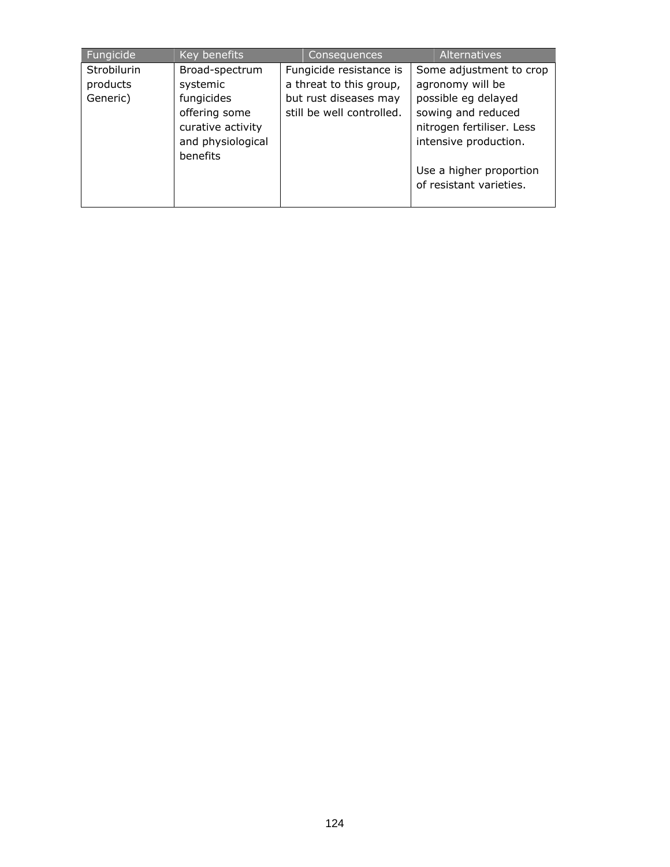| Fungicide                           | Key benefits                                                                                        | Consequences                                                                                             | <b>Alternatives</b>                                                                                                                            |
|-------------------------------------|-----------------------------------------------------------------------------------------------------|----------------------------------------------------------------------------------------------------------|------------------------------------------------------------------------------------------------------------------------------------------------|
| Strobilurin<br>products<br>Generic) | Broad-spectrum<br>systemic<br>fungicides<br>offering some<br>curative activity<br>and physiological | Fungicide resistance is<br>a threat to this group,<br>but rust diseases may<br>still be well controlled. | Some adjustment to crop<br>agronomy will be<br>possible eg delayed<br>sowing and reduced<br>nitrogen fertiliser. Less<br>intensive production. |
|                                     | benefits                                                                                            |                                                                                                          | Use a higher proportion<br>of resistant varieties.                                                                                             |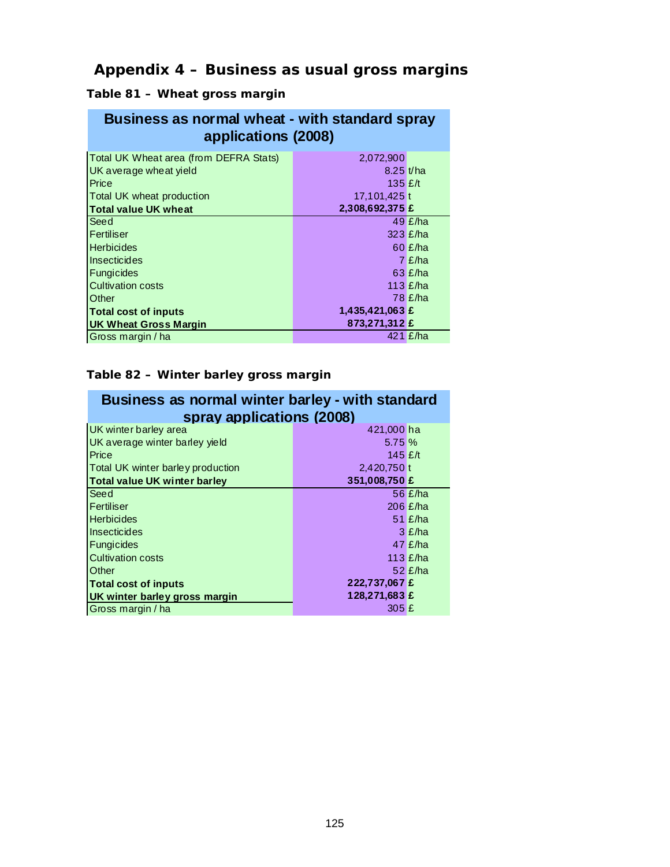# **Appendix 4 – Business as usual gross margins**

**Table 81 – Wheat gross margin** 

| Business as normal wheat - with standard spray |
|------------------------------------------------|
| applications (2008)                            |

| Total UK Wheat area (from DEFRA Stats) | 2,072,900       |                  |
|----------------------------------------|-----------------|------------------|
| UK average wheat yield                 | $8.25 \, t/ha$  |                  |
| Price                                  | 135 $E/t$       |                  |
| Total UK wheat production              | 17,101,425 t    |                  |
| Total value UK wheat                   | 2,308,692,375 £ |                  |
| Seed                                   |                 | 49 $E/ha$        |
| Fertiliser                             |                 | 323 £/ha         |
| <b>Herbicides</b>                      |                 | $60$ £/ha        |
| Insecticides                           |                 | $7 \text{ E/ha}$ |
| Fungicides                             |                 | $63$ £/ha        |
| <b>Cultivation costs</b>               |                 | 113 $E/ha$       |
| Other                                  |                 | 78 £/ha          |
| <b>Total cost of inputs</b>            | 1,435,421,063 £ |                  |
| UK Wheat Gross Margin                  | 873,271,312 £   |                  |
| Gross margin / ha                      |                 | 421 $E/ha$       |

#### **Table 82 – Winter barley gross margin**

| Business as normal winter barley - with standard |                           |            |  |  |  |  |
|--------------------------------------------------|---------------------------|------------|--|--|--|--|
|                                                  | spray applications (2008) |            |  |  |  |  |
| UK winter barley area                            | 421,000 ha                |            |  |  |  |  |
| UK average winter barley yield                   | 5.75%                     |            |  |  |  |  |
| Price                                            | 145 $E/t$                 |            |  |  |  |  |
| Total UK winter barley production                | 2,420,750 t               |            |  |  |  |  |
| <b>Total value UK winter barley</b>              | 351,008,750 £             |            |  |  |  |  |
| Seed                                             |                           | 56 £/ha    |  |  |  |  |
| Fertiliser                                       |                           | 206 $E/ha$ |  |  |  |  |
| <b>Herbicides</b>                                |                           | $51$ £/ha  |  |  |  |  |
| Insecticides                                     |                           | $3 \nE/ha$ |  |  |  |  |
| <b>Fungicides</b>                                |                           | $47$ £/ha  |  |  |  |  |
| <b>Cultivation costs</b>                         |                           | 113 $E/ha$ |  |  |  |  |
| Other                                            |                           | $52$ £/ha  |  |  |  |  |
| <b>Total cost of inputs</b>                      | 222,737,067 £             |            |  |  |  |  |
| UK winter barley gross margin                    | 128,271,683 £             |            |  |  |  |  |
| Gross margin / ha                                | 305E                      |            |  |  |  |  |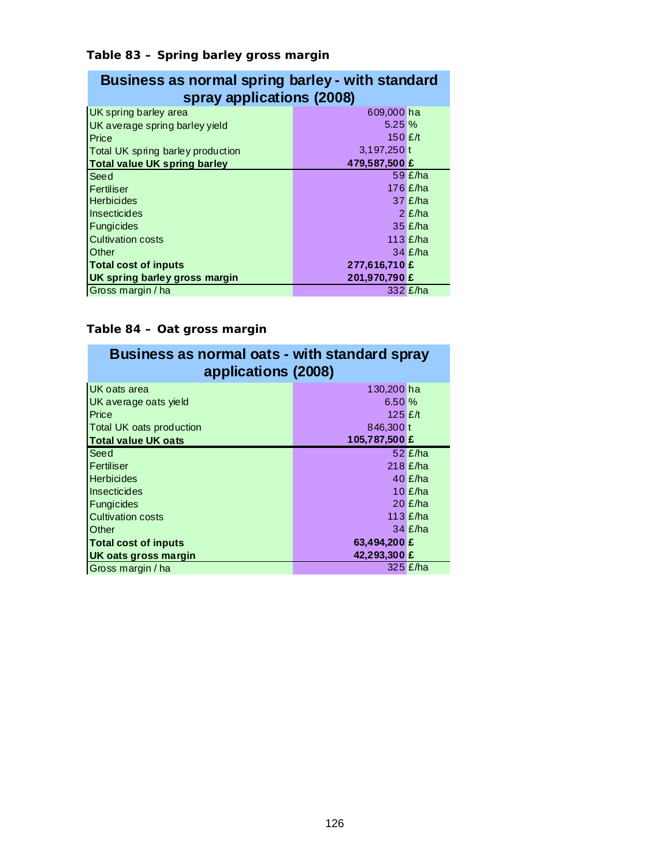#### **Table 83 – Spring barley gross margin**

| Business as normal spring barley - with standard |  |
|--------------------------------------------------|--|
| spray applications (2008)                        |  |

| UK spring barley area               | 609,000 ha    |            |
|-------------------------------------|---------------|------------|
| UK average spring barley yield      | 5.25%         |            |
| Price                               | 150 $E/t$     |            |
| Total UK spring barley production   | 3,197,250 t   |            |
| <b>Total value UK spring barley</b> | 479,587,500 £ |            |
| Seed                                |               | 59 $E/ha$  |
| Fertiliser                          |               | 176 $E/ha$ |
| <b>Herbicides</b>                   |               | $37$ £/ha  |
| Insecticides                        |               | $2 \nE/ha$ |
| Fungicides                          |               | $35$ £/ha  |
| <b>Cultivation costs</b>            |               | 113 $E/ha$ |
| Other                               |               | $34$ £/ha  |
| <b>Total cost of inputs</b>         | 277,616,710 £ |            |
| UK spring barley gross margin       | 201,970,790 £ |            |
| Gross margin / ha                   |               | 332 £/ha   |

### **Table 84 – Oat gross margin**

| Business as normal oats - with standard spray<br>applications (2008) |               |            |  |  |
|----------------------------------------------------------------------|---------------|------------|--|--|
|                                                                      |               |            |  |  |
| UK oats area                                                         | 130,200 ha    |            |  |  |
| UK average oats yield                                                | 6.50%         |            |  |  |
| Price                                                                | 125 $f$       |            |  |  |
| Total UK oats production                                             | 846,300 t     |            |  |  |
| <b>Total value UK oats</b>                                           | 105,787,500 £ |            |  |  |
| Seed                                                                 |               | 52 $E/ha$  |  |  |
| Fertiliser                                                           |               | $218$ £/ha |  |  |
| <b>Herbicides</b>                                                    |               | 40 $E/ha$  |  |  |
| <b>Insecticides</b>                                                  |               | 10 $E/ha$  |  |  |
| <b>Fungicides</b>                                                    |               | $20$ £/ha  |  |  |
| <b>Cultivation costs</b>                                             |               | 113 $E/ha$ |  |  |
| Other                                                                |               | $34$ £/ha  |  |  |
| <b>Total cost of inputs</b>                                          | 63,494,200 £  |            |  |  |
| UK oats gross margin                                                 | 42,293,300 £  |            |  |  |
| Gross margin / ha                                                    |               | $325$ £/ha |  |  |